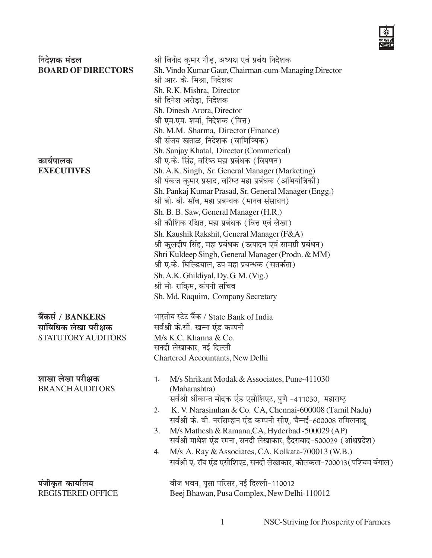

| निदेशक मंडल<br><b>BOARD OF DIRECTORS</b>                                | श्री विनोद कुमार गौड़, अध्यक्ष एवं प्रबंध निदेशक<br>Sh. Vindo Kumar Gaur, Chairman-cum-Managing Director<br>श्री आर. के. मिश्रा, निदेशक<br>Sh. R.K. Mishra, Director<br>श्री दिनेश अरोड़ा, निदेशक<br>Sh. Dinesh Arora, Director<br>श्री एम.एम. शर्मा, निदेशक (वित्त)<br>Sh. M.M. Sharma, Director (Finance)<br>श्री संजय खताळ, निदेशक (वाणिज्यिक)                                                                                                                                                                                                |
|-------------------------------------------------------------------------|--------------------------------------------------------------------------------------------------------------------------------------------------------------------------------------------------------------------------------------------------------------------------------------------------------------------------------------------------------------------------------------------------------------------------------------------------------------------------------------------------------------------------------------------------|
| कार्यपालक<br><b>EXECUTIVES</b>                                          | Sh. Sanjay Khatal, Director (Commerical)<br>श्री ए.के. सिंह, वरिष्ठ महा प्रबंधक (विपणन)<br>Sh. A.K. Singh, Sr. General Manager (Marketing)<br>श्री पंकज कुमार प्रसाद, वरिष्ठ महा प्रबंधक (अभियांत्रिकी)<br>Sh. Pankaj Kumar Prasad, Sr. General Manager (Engg.)<br>श्री बी. बी. सॉव, महा प्रबन्धक (मानव संसाधन)                                                                                                                                                                                                                                  |
|                                                                         | Sh. B. B. Saw, General Manager (H.R.)<br>श्री कौशिक रक्षित, महा प्रबंधक (वित्त एवं लेखा)<br>Sh. Kaushik Rakshit, General Manager (F&A)<br>श्री कुलदीप सिंह, महा प्रबंधक (उत्पादन एवं सामग्री प्रबंधन)<br>Shri Kuldeep Singh, General Manager (Prodn. & MM)<br>श्री ए.के. घिल्डियाल, उप महा प्रबन्धक (सतर्कता)<br>Sh. A.K. Ghildiyal, Dy. G. M. (Vig.)<br>श्री मो. राकि़म, कंपनी सचिव<br>Sh. Md. Raquim, Company Secretary                                                                                                                        |
| बैंकर्स / BANKERS<br>सांविधिक लेखा परीक्षक<br><b>STATUTORY AUDITORS</b> | भारतीय स्टेट बैंक / State Bank of India<br>सर्वश्री के.सी. खन्ना एंड कम्पनी<br>M/s K.C. Khanna & Co.<br>सनदी लेखाकार, नई दिल्ली<br>Chartered Accountants, New Delhi                                                                                                                                                                                                                                                                                                                                                                              |
| शाखा लेखा परीक्षक<br><b>BRANCH AUDITORS</b>                             | M/s Shrikant Modak & Associates, Pune-411030<br>1.<br>(Maharashtra)<br>सर्वश्री श्रीकान्त मोदक एंड एसोशिएट, पुणे -411030, महाराष्ट्र<br>K. V. Narasimhan & Co. CA, Chennai-600008 (Tamil Nadu)<br>2.<br>सर्वश्री के. वी. नरसिम्हान एंड कम्पनी सीए, चैन्नई-600008 तमिलनाडू<br>M/s Mathesh & Ramana, CA, Hyderbad -500029 (AP)<br>3.<br>सर्वश्री माथेश एंड रमना, सनदी लेखाकार, हैदराबाद-500029 (आंध्रप्रदेश)<br>M/s A. Ray & Associates, CA, Kolkata-700013 (W.B.)<br>4.<br>सर्वश्री ए. रॉय एंड एसोशिएट, सनदी लेखाकार, कोलकता-700013(पश्चिम बंगाल) |
| पंजीकृत कार्यालय<br><b>REGISTERED OFFICE</b>                            | बीज भवन, पूसा परिसर, नई दिल्ली-110012<br>Beej Bhawan, Pusa Complex, New Delhi-110012                                                                                                                                                                                                                                                                                                                                                                                                                                                             |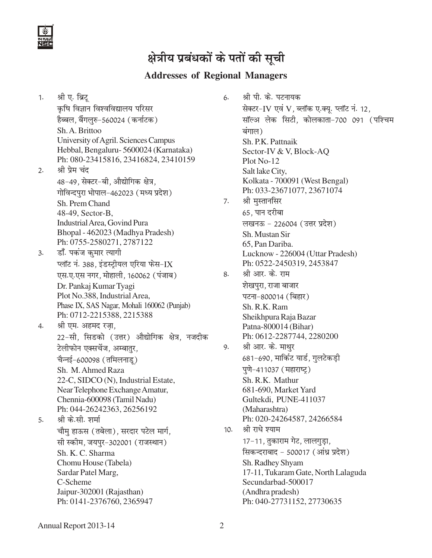

#### **Addresses of Regional Managers**

1. श्री ए. ब्रिट् कृषि विज्ञान विश्वविद्यालय परिसर हैब्बल, बैंगलुरु-560024 (कर्नाटक) Sh. A. Brittoo University of Agril. Sciences Campus Hebbal, Bengaluru- 5600024 (Karnataka) Ph: 080-23415816, 23416824, 23410159 2. श्री प्रेम चंद 48-49, सेक्टर-बी, औद्योगिक क्षेत्र, गोविन्दपुरा भोपाल-462023 (मध्य प्रदेश) Sh. Prem Chand 48-49, Sector-B, Industrial Area, Govind Pura Bhopal - 462023 (Madhya Pradesh) Ph: 0755-2580271, 2787122 3. व्हॉॅं. पकंज कुमार त्यागी प्लॉट नं. 388, इंडस्ट्रीयल एरिया फेस-IX एस.ए.एस नगर, मोहाली, 160062 (पंजाब) Dr. Pankaj Kumar Tyagi Plot No.388, Industrial Area, Phase IX, SAS Nagar, Mohali 160062 (Punjab) Ph: 0712-2215388, 2215388 4. श्री एम. अहमद रज़ा, 22-सी, सिडको (उत्तर) औद्योगिक क्षेत्र, नजदीक टेलीफोन एक्सचेंज, अम्बातुर, चैन्नई-600098 (तमिलनाडू) Sh. M. Ahmed Raza 22-C, SIDCO (N), Industrial Estate, Near Telephone Exchange Amatur, Chennia-600098 (Tamil Nadu) Ph: 044-26242363, 26256192 5. श्री के.सी. शर्मा चौमु हाऊस (तबेला), सरदार पटेल मार्ग, सी स्कीम, जयपुर-302001 (राजस्थान) Sh. K. C. Sharma Chomu House (Tabela) Sardar Patel Marg, C-Scheme Jaipur-302001 (Rajasthan) Ph: 0141-2376760, 2365947

6. श्री पी. के. पटनायक सेक्टर-IV एवं V, ब्लॉक ए.क्यु. प्लॉट नं. 12, सॉल्अ लेक सिटी, कोलकाता-700 091 (पश्चिम बंगाल) Sh. P.K. Pattnaik Sector-IV & V, Block-AQ Plot No-12 Salt lake City, Kolkata - 700091 (West Bengal) Ph: 033-23671077, 23671074 7. श्री मुस्तानसिर 65, पान दरीबा लखनऊ - 226004 (उत्तर प्रदेश) Sh. Mustan Sir 65, Pan Dariba. Lucknow - 226004 (Uttar Pradesh) Ph: 0522-2450319, 2453847 8. श्री आर. के. राम शेखपुरा, राजा बाजार पटना-800014 (बिहार) Sh. R.K. Ram Sheikhpura Raja Bazar Patna-800014 (Bihar) Ph: 0612-2287744, 2280200 9. श्री आर. के. माथुर 681-690, मार्किट यार्ड, गुलटेकड़ी पुणे-411037 (महाराष्ट्) Sh. R.K. Mathur 681-690, Market Yard Gultekdi, PUNE-411037 (Maharashtra) Ph: 020-24264587, 24266584 10. श्री राधे श्याम 17-11, तुकाराम गेट, लालगुड़ा, सिकन्दराबाद - 500017 (आंध्र प्रदेश) Sh. Radhey Shyam 17-11, Tukaram Gate, North Lalaguda Secundarbad-500017 (Andhra pradesh) Ph: 040-27731152, 27730635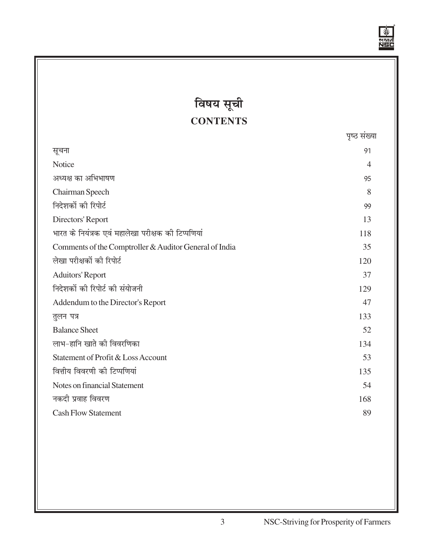

 $\overline{\phantom{a}}$ 

# **विषय सूची CONTENTS**

|                                                        | पृष्ठ संख्य |
|--------------------------------------------------------|-------------|
| सूचना                                                  | 91          |
| Notice                                                 | 4           |
| अध्यक्ष का अभिभाषण                                     | 95          |
| Chairman Speech                                        | 8           |
| निदेशकों की रिपोर्ट                                    | 99          |
| Directors' Report                                      | 13          |
| भारत के नियंत्रक एवं महालेखा परीक्षक की टिप्पणियां     | 118         |
| Comments of the Comptroller & Auditor General of India | 35          |
| लेखा परीक्षकों की रिपोर्ट                              | 120         |
| <b>Aduitors' Report</b>                                | 37          |
| निदेशकों की रिपोर्ट की संयोजनी                         | 129         |
| Addendum to the Director's Report                      | 47          |
| तुलन पत्र                                              | 133         |
| <b>Balance Sheet</b>                                   | 52          |
| लाभ-हानि खाते की विवरणिका                              | 134         |
| Statement of Profit & Loss Account                     | 53          |
| वित्तीय विवरणी की टिप्पणियां                           | 135         |
| Notes on financial Statement                           | 54          |
| नकदी प्रवाह विवरण                                      | 168         |
| <b>Cash Flow Statement</b>                             | 89          |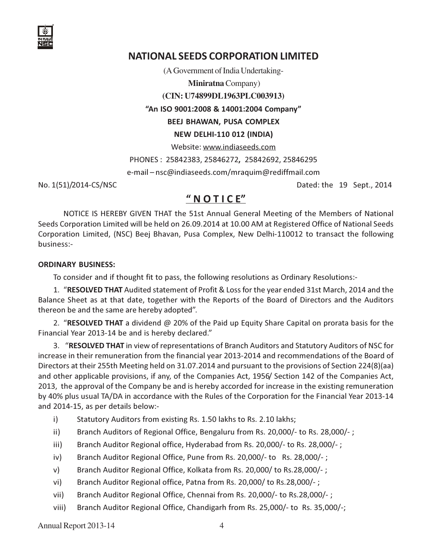

# NATIONAL SEEDS CORPORATION LIMITED

(A Government of India Undertaking-

**Miniratna** Company)

**(CIN: U74899DL1963PLC003913)**

"An ISO 9001:2008 & 14001:2004 Company"

BEEJ BHAWAN, PUSA COMPLEX

NEW DELHI-110 012 (INDIA)

Website: www.indiaseeds.com

PHONES : 25842383, 25846272, 25842692, 25846295

e-mail – nsc@indiaseeds.com/mraquim@rediffmail.com

No. 1(51)/2014-CS/NSC Dated: the 19 Sept., 2014

# " N O T I C E"

NOTICE IS HEREBY GIVEN THAT the 51st Annual General Meeting of the Members of National Seeds Corporation Limited will be held on 26.09.2014 at 10.00 AM at Registered Office of National Seeds Corporation Limited, (NSC) Beej Bhavan, Pusa Complex, New Delhi-110012 to transact the following business:-

#### ORDINARY BUSINESS:

To consider and if thought fit to pass, the following resolutions as Ordinary Resolutions:-

1. "RESOLVED THAT Audited statement of Profit & Loss for the year ended 31st March, 2014 and the Balance Sheet as at that date, together with the Reports of the Board of Directors and the Auditors thereon be and the same are hereby adopted".

2. "RESOLVED THAT a dividend @ 20% of the Paid up Equity Share Capital on prorata basis for the Financial Year 2013-14 be and is hereby declared."

3. "RESOLVED THAT in view of representations of Branch Auditors and Statutory Auditors of NSC for increase in their remuneration from the financial year 2013-2014 and recommendations of the Board of Directors at their 255th Meeting held on 31.07.2014 and pursuant to the provisions of Section 224(8)(aa) and other applicable provisions, if any, of the Companies Act, 1956/ Section 142 of the Companies Act, 2013, the approval of the Company be and is hereby accorded for increase in the existing remuneration by 40% plus usual TA/DA in accordance with the Rules of the Corporation for the Financial Year 2013-14 and 2014-15, as per details below:-

- i) Statutory Auditors from existing Rs. 1.50 lakhs to Rs. 2.10 lakhs;
- ii) Branch Auditors of Regional Office, Bengaluru from Rs. 20,000/- to Rs. 28,000/- ;
- iii) Branch Auditor Regional office, Hyderabad from Rs. 20,000/- to Rs. 28,000/- ;
- iv) Branch Auditor Regional Office, Pune from Rs. 20,000/- to Rs. 28,000/- ;
- v) Branch Auditor Regional Office, Kolkata from Rs. 20,000/ to Rs.28,000/- ;
- vi) Branch Auditor Regional office, Patna from Rs. 20,000/ to Rs.28,000/-;
- vii) Branch Auditor Regional Office, Chennai from Rs. 20,000/- to Rs.28,000/- ;
- viii) Branch Auditor Regional Office, Chandigarh from Rs. 25,000/- to Rs. 35,000/-;

Annual Report 2013-14 4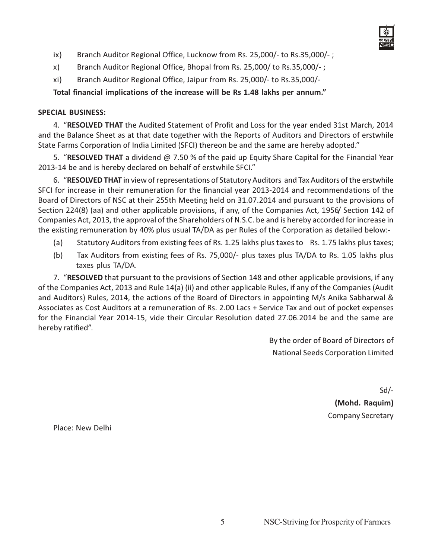- 
- ix) Branch Auditor Regional Office, Lucknow from Rs. 25,000/- to Rs.35,000/- ;
- x) Branch Auditor Regional Office, Bhopal from Rs. 25,000/ to Rs.35,000/-;
- xi) Branch Auditor Regional Office, Jaipur from Rs. 25,000/- to Rs.35,000/-

Total financial implications of the increase will be Rs 1.48 lakhs per annum."

#### SPECIAL BUSINESS:

4. "RESOLVED THAT the Audited Statement of Profit and Loss for the year ended 31st March, 2014 and the Balance Sheet as at that date together with the Reports of Auditors and Directors of erstwhile State Farms Corporation of India Limited (SFCI) thereon be and the same are hereby adopted."

5. "RESOLVED THAT a dividend @ 7.50 % of the paid up Equity Share Capital for the Financial Year 2013-14 be and is hereby declared on behalf of erstwhile SFCI."

6. "RESOLVED THAT in view of representations of Statutory Auditors and Tax Auditors of the erstwhile SFCI for increase in their remuneration for the financial year 2013-2014 and recommendations of the Board of Directors of NSC at their 255th Meeting held on 31.07.2014 and pursuant to the provisions of Section 224(8) (aa) and other applicable provisions, if any, of the Companies Act, 1956/ Section 142 of Companies Act, 2013, the approval of the Shareholders of N.S.C. be and is hereby accorded for increase in the existing remuneration by 40% plus usual TA/DA as per Rules of the Corporation as detailed below:-

- (a) Statutory Auditors from existing fees of Rs. 1.25 lakhs plus taxes to Rs. 1.75 lakhs plus taxes;
- (b) Tax Auditors from existing fees of Rs. 75,000/- plus taxes plus TA/DA to Rs. 1.05 lakhs plus taxes plus TA/DA.

7. "RESOLVED that pursuant to the provisions of Section 148 and other applicable provisions, if any of the Companies Act, 2013 and Rule 14(a) (ii) and other applicable Rules, if any of the Companies (Audit and Auditors) Rules, 2014, the actions of the Board of Directors in appointing M/s Anika Sabharwal & Associates as Cost Auditors at a remuneration of Rs. 2.00 Lacs + Service Tax and out of pocket expenses for the Financial Year 2014-15, vide their Circular Resolution dated 27.06.2014 be and the same are hereby ratified".

> By the order of Board of Directors of National Seeds Corporation Limited

> > Sd/- (Mohd. Raquim) Company Secretary

Place: New Delhi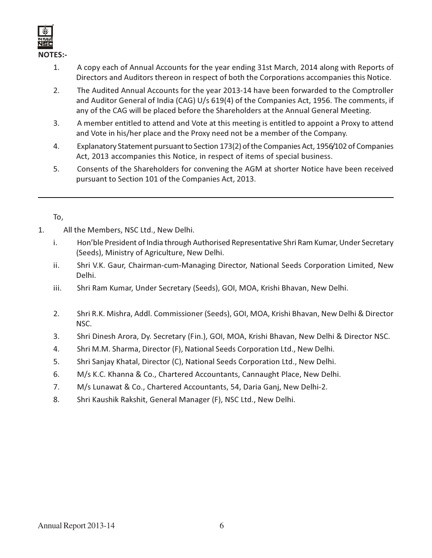

- 1. A copy each of Annual Accounts for the year ending 31st March, 2014 along with Reports of Directors and Auditors thereon in respect of both the Corporations accompanies this Notice.
- 2. The Audited Annual Accounts for the year 2013-14 have been forwarded to the Comptroller and Auditor General of India (CAG) U/s 619(4) of the Companies Act, 1956. The comments, if any of the CAG will be placed before the Shareholders at the Annual General Meeting.
- 3. A member entitled to attend and Vote at this meeting is entitled to appoint a Proxy to attend and Vote in his/her place and the Proxy need not be a member of the Company.
- 4. Explanatory Statement pursuant to Section 173(2) of the Companies Act, 1956/102 of Companies Act, 2013 accompanies this Notice, in respect of items of special business.
- 5. Consents of the Shareholders for convening the AGM at shorter Notice have been received pursuant to Section 101 of the Companies Act, 2013.

To,

- 1. All the Members, NSC Ltd., New Delhi.
	- i. Hon'ble President of India through Authorised Representative Shri Ram Kumar, Under Secretary (Seeds), Ministry of Agriculture, New Delhi.
	- ii. Shri V.K. Gaur, Chairman-cum-Managing Director, National Seeds Corporation Limited, New Delhi.
	- iii. Shri Ram Kumar, Under Secretary (Seeds), GOI, MOA, Krishi Bhavan, New Delhi.
	- 2. Shri R.K. Mishra, Addl. Commissioner (Seeds), GOI, MOA, Krishi Bhavan, New Delhi & Director NSC.
	- 3. Shri Dinesh Arora, Dy. Secretary (Fin.), GOI, MOA, Krishi Bhavan, New Delhi & Director NSC.
	- 4. Shri M.M. Sharma, Director (F), National Seeds Corporation Ltd., New Delhi.
	- 5. Shri Sanjay Khatal, Director (C), National Seeds Corporation Ltd., New Delhi.
	- 6. M/s K.C. Khanna & Co., Chartered Accountants, Cannaught Place, New Delhi.
	- 7. M/s Lunawat & Co., Chartered Accountants, 54, Daria Ganj, New Delhi-2.
	- 8. Shri Kaushik Rakshit, General Manager (F), NSC Ltd., New Delhi.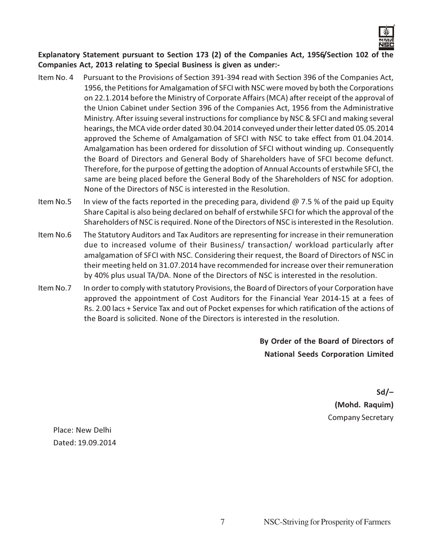

Explanatory Statement pursuant to Section 173 (2) of the Companies Act, 1956/Section 102 of the Companies Act, 2013 relating to Special Business is given as under:-

- Item No. 4 Pursuant to the Provisions of Section 391-394 read with Section 396 of the Companies Act, 1956, the Petitions for Amalgamation of SFCI with NSC were moved by both the Corporations on 22.1.2014 before the Ministry of Corporate Affairs (MCA) after receipt of the approval of the Union Cabinet under Section 396 of the Companies Act, 1956 from the Administrative Ministry. After issuing several instructions for compliance by NSC & SFCI and making several hearings, the MCA vide order dated 30.04.2014 conveyed under their letter dated 05.05.2014 approved the Scheme of Amalgamation of SFCI with NSC to take effect from 01.04.2014. Amalgamation has been ordered for dissolution of SFCI without winding up. Consequently the Board of Directors and General Body of Shareholders have of SFCI become defunct. Therefore, for the purpose of getting the adoption of Annual Accounts of erstwhile SFCI, the same are being placed before the General Body of the Shareholders of NSC for adoption. None of the Directors of NSC is interested in the Resolution.
- Item No.5 In view of the facts reported in the preceding para, dividend  $\omega$  7.5 % of the paid up Equity Share Capital is also being declared on behalf of erstwhile SFCI for which the approval of the Shareholders of NSC is required. None of the Directors of NSC is interested in the Resolution.
- Item No.6 The Statutory Auditors and Tax Auditors are representing for increase in their remuneration due to increased volume of their Business/ transaction/ workload particularly after amalgamation of SFCI with NSC. Considering their request, the Board of Directors of NSC in their meeting held on 31.07.2014 have recommended for increase over their remuneration by 40% plus usual TA/DA. None of the Directors of NSC is interested in the resolution.
- Item No.7 In order to comply with statutory Provisions, the Board of Directors of your Corporation have approved the appointment of Cost Auditors for the Financial Year 2014-15 at a fees of Rs. 2.00 lacs + Service Tax and out of Pocket expenses for which ratification of the actions of the Board is solicited. None of the Directors is interested in the resolution.

By Order of the Board of Directors of National Seeds Corporation Limited

> Sd/– (Mohd. Raquim) Company Secretary

Place: New Delhi Dated: 19.09.2014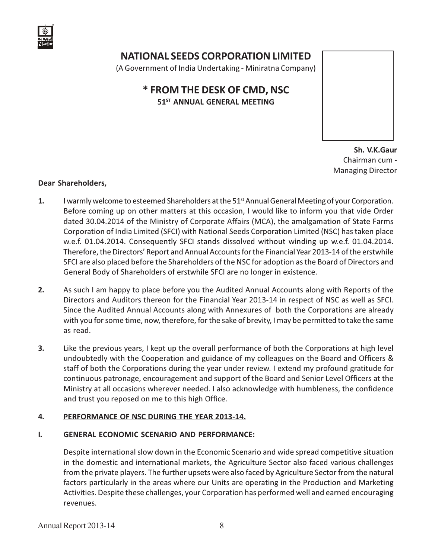

# NATIONAL SEEDS CORPORATION LIMITED

(A Government of India Undertaking - Miniratna Company)

# \* FROM THE DESK OF CMD, NSC 51<sup>ST</sup> ANNUAL GENERAL MEETING

 Sh. V.K.Gaur Chairman cum - Managing Director

#### Dear Shareholders,

- 1. I warmly welcome to esteemed Shareholders at the 51<sup>st</sup> Annual General Meeting of your Corporation. Before coming up on other matters at this occasion, I would like to inform you that vide Order dated 30.04.2014 of the Ministry of Corporate Affairs (MCA), the amalgamation of State Farms Corporation of India Limited (SFCI) with National Seeds Corporation Limited (NSC) has taken place w.e.f. 01.04.2014. Consequently SFCI stands dissolved without winding up w.e.f. 01.04.2014. Therefore, the Directors' Report and Annual Accounts for the Financial Year 2013-14 of the erstwhile SFCI are also placed before the Shareholders of the NSC for adoption as the Board of Directors and General Body of Shareholders of erstwhile SFCI are no longer in existence.
- 2. As such I am happy to place before you the Audited Annual Accounts along with Reports of the Directors and Auditors thereon for the Financial Year 2013-14 in respect of NSC as well as SFCI. Since the Audited Annual Accounts along with Annexures of both the Corporations are already with you for some time, now, therefore, for the sake of brevity, I may be permitted to take the same as read.
- 3. Like the previous years, I kept up the overall performance of both the Corporations at high level undoubtedly with the Cooperation and guidance of my colleagues on the Board and Officers & staff of both the Corporations during the year under review. I extend my profound gratitude for continuous patronage, encouragement and support of the Board and Senior Level Officers at the Ministry at all occasions wherever needed. I also acknowledge with humbleness, the confidence and trust you reposed on me to this high Office.

#### 4. PERFORMANCE OF NSC DURING THE YEAR 2013-14.

#### I. GENERAL ECONOMIC SCENARIO AND PERFORMANCE:

Despite international slow down in the Economic Scenario and wide spread competitive situation in the domestic and international markets, the Agriculture Sector also faced various challenges from the private players. The further upsets were also faced by Agriculture Sector from the natural factors particularly in the areas where our Units are operating in the Production and Marketing Activities. Despite these challenges, your Corporation has performed well and earned encouraging revenues.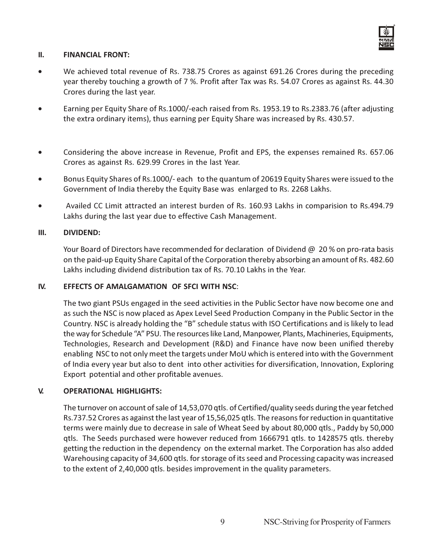

#### II. FINANCIAL FRONT:

- We achieved total revenue of Rs. 738.75 Crores as against 691.26 Crores during the preceding year thereby touching a growth of 7 %. Profit after Tax was Rs. 54.07 Crores as against Rs. 44.30 Crores during the last year.
- Earning per Equity Share of Rs.1000/-each raised from Rs. 1953.19 to Rs.2383.76 (after adjusting the extra ordinary items), thus earning per Equity Share was increased by Rs. 430.57.
- Considering the above increase in Revenue, Profit and EPS, the expenses remained Rs. 657.06 Crores as against Rs. 629.99 Crores in the last Year.
- Bonus Equity Shares of Rs.1000/- each to the quantum of 20619 Equity Shares were issued to the Government of India thereby the Equity Base was enlarged to Rs. 2268 Lakhs.
- Availed CC Limit attracted an interest burden of Rs. 160.93 Lakhs in comparision to Rs.494.79 Lakhs during the last year due to effective Cash Management.

#### III. DIVIDEND:

Your Board of Directors have recommended for declaration of Dividend @ 20 % on pro-rata basis on the paid-up Equity Share Capital of the Corporation thereby absorbing an amount of Rs. 482.60 Lakhs including dividend distribution tax of Rs. 70.10 Lakhs in the Year.

#### IV. EFFECTS OF AMALGAMATION OF SFCI WITH NSC:

The two giant PSUs engaged in the seed activities in the Public Sector have now become one and as such the NSC is now placed as Apex Level Seed Production Company in the Public Sector in the Country. NSC is already holding the "B" schedule status with ISO Certifications and is likely to lead the way for Schedule "A" PSU. The resources like Land, Manpower, Plants, Machineries, Equipments, Technologies, Research and Development (R&D) and Finance have now been unified thereby enabling NSC to not only meet the targets under MoU which is entered into with the Government of India every year but also to dent into other activities for diversification, Innovation, Exploring Export potential and other profitable avenues.

#### V. OPERATIONAL HIGHLIGHTS:

The turnover on account of sale of 14,53,070 qtls. of Certified/quality seeds during the year fetched Rs.737.52 Crores as against the last year of 15,56,025 qtls. The reasons for reduction in quantitative terms were mainly due to decrease in sale of Wheat Seed by about 80,000 qtls., Paddy by 50,000 qtls. The Seeds purchased were however reduced from 1666791 qtls. to 1428575 qtls. thereby getting the reduction in the dependency on the external market. The Corporation has also added Warehousing capacity of 34,600 qtls. for storage of its seed and Processing capacity was increased to the extent of 2,40,000 qtls. besides improvement in the quality parameters.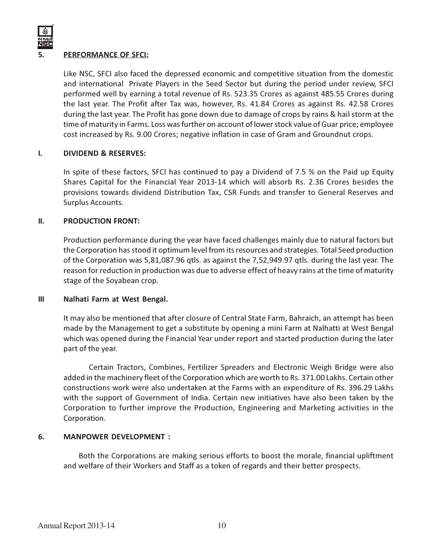

#### PERFORMANCE OF SFCI:

Like NSC, SFCI also faced the depressed economic and competitive situation from the domestic and international Private Players in the Seed Sector but during the period under review, SFCI performed well by earning a total revenue of Rs. 523.35 Crores as against 485.55 Crores during the last year. The Profit after Tax was, however, Rs. 41.84 Crores as against Rs. 42.58 Crores during the last year. The Profit has gone down due to damage of crops by rains & hail storm at the time of maturity in Farms. Loss was further on account of lower stock value of Guar price; employee cost increased by Rs. 9.00 Crores; negative inflation in case of Gram and Groundnut crops.

#### I. DIVIDEND & RESERVES:

In spite of these factors, SFCI has continued to pay a Dividend of 7.5 % on the Paid up Equity Shares Capital for the Financial Year 2013-14 which will absorb Rs. 2.36 Crores besides the provisions towards dividend Distribution Tax, CSR Funds and transfer to General Reserves and Surplus Accounts.

#### II. PRODUCTION FRONT:

Production performance during the year have faced challenges mainly due to natural factors but the Corporation has stood it optimum level from its resources and strategies. Total Seed production of the Corporation was 5,81,087.96 qtls. as against the 7,52,949.97 qtls. during the last year. The reason for reduction in production was due to adverse effect of heavy rains at the time of maturity stage of the Soyabean crop.

#### III Nalhati Farm at West Bengal.

It may also be mentioned that after closure of Central State Farm, Bahraich, an attempt has been made by the Management to get a substitute by opening a mini Farm at Nalhatti at West Bengal which was opened during the Financial Year under report and started production during the later part of the year.

Certain Tractors, Combines, Fertilizer Spreaders and Electronic Weigh Bridge were also added in the machinery fleet of the Corporation which are worth to Rs. 371.00 Lakhs. Certain other constructions work were also undertaken at the Farms with an expenditure of Rs. 396.29 Lakhs with the support of Government of India. Certain new initiatives have also been taken by the Corporation to further improve the Production, Engineering and Marketing activities in the Corporation.

#### 6. MANPOWER DEVELOPMENT :

Both the Corporations are making serious efforts to boost the morale, financial upliftment and welfare of their Workers and Staff as a token of regards and their better prospects.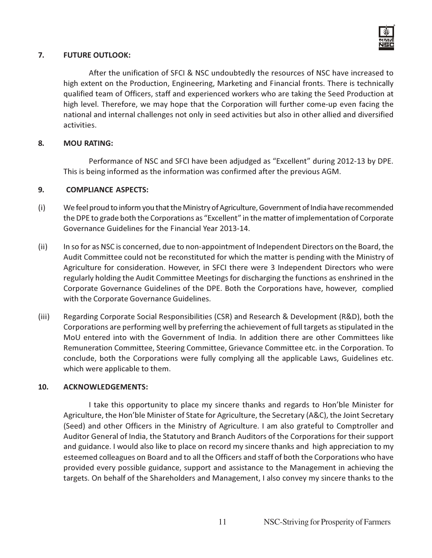

#### 7. FUTURE OUTLOOK:

After the unification of SFCI & NSC undoubtedly the resources of NSC have increased to high extent on the Production, Engineering, Marketing and Financial fronts. There is technically qualified team of Officers, staff and experienced workers who are taking the Seed Production at high level. Therefore, we may hope that the Corporation will further come-up even facing the national and internal challenges not only in seed activities but also in other allied and diversified activities.

#### 8. MOU RATING:

Performance of NSC and SFCI have been adjudged as "Excellent" during 2012-13 by DPE. This is being informed as the information was confirmed after the previous AGM.

#### 9. COMPLIANCE ASPECTS:

- (i) We feel proud to inform you that the Ministry of Agriculture, Government of India have recommended the DPE to grade both the Corporations as "Excellent" in the matter of implementation of Corporate Governance Guidelines for the Financial Year 2013-14.
- (ii) In so for as NSC is concerned, due to non-appointment of Independent Directors on the Board, the Audit Committee could not be reconstituted for which the matter is pending with the Ministry of Agriculture for consideration. However, in SFCI there were 3 Independent Directors who were regularly holding the Audit Committee Meetings for discharging the functions as enshrined in the Corporate Governance Guidelines of the DPE. Both the Corporations have, however, complied with the Corporate Governance Guidelines.
- (iii) Regarding Corporate Social Responsibilities (CSR) and Research & Development (R&D), both the Corporations are performing well by preferring the achievement of full targets as stipulated in the MoU entered into with the Government of India. In addition there are other Committees like Remuneration Committee, Steering Committee, Grievance Committee etc. in the Corporation. To conclude, both the Corporations were fully complying all the applicable Laws, Guidelines etc. which were applicable to them.

#### 10. ACKNOWLEDGEMENTS:

I take this opportunity to place my sincere thanks and regards to Hon'ble Minister for Agriculture, the Hon'ble Minister of State for Agriculture, the Secretary (A&C), the Joint Secretary (Seed) and other Officers in the Ministry of Agriculture. I am also grateful to Comptroller and Auditor General of India, the Statutory and Branch Auditors of the Corporations for their support and guidance. I would also like to place on record my sincere thanks and high appreciation to my esteemed colleagues on Board and to all the Officers and staff of both the Corporations who have provided every possible guidance, support and assistance to the Management in achieving the targets. On behalf of the Shareholders and Management, I also convey my sincere thanks to the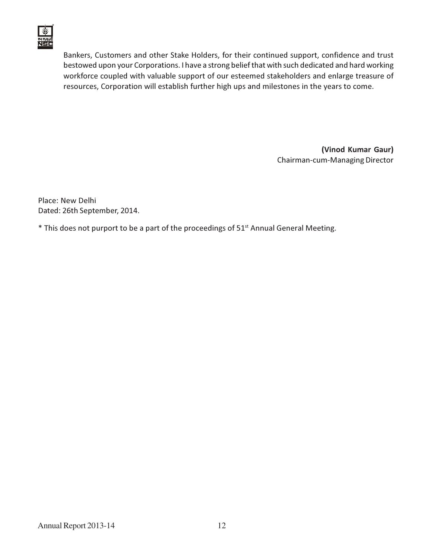

Bankers, Customers and other Stake Holders, for their continued support, confidence and trust bestowed upon your Corporations. I have a strong belief that with such dedicated and hard working workforce coupled with valuable support of our esteemed stakeholders and enlarge treasure of resources, Corporation will establish further high ups and milestones in the years to come.

> (Vinod Kumar Gaur) Chairman-cum-Managing Director

Place: New Delhi Dated: 26th September, 2014.

\* This does not purport to be a part of the proceedings of 51<sup>st</sup> Annual General Meeting.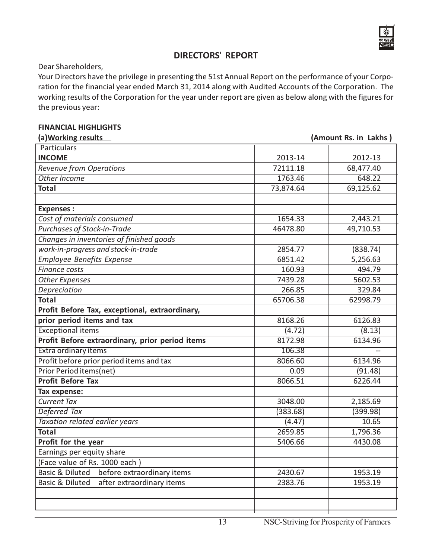

# DIRECTORS' REPORT

Dear Shareholders,

Your Directors have the privilege in presenting the 51st Annual Report on the performance of your Corporation for the financial year ended March 31, 2014 along with Audited Accounts of the Corporation. The working results of the Corporation for the year under report are given as below along with the figures for the previous year:

#### FINANCIAL HIGHLIGHTS

| (a) Working results                                      |           | (Amount Rs. in Lakhs) |
|----------------------------------------------------------|-----------|-----------------------|
| <b>Particulars</b>                                       |           |                       |
| <b>INCOME</b>                                            | 2013-14   | 2012-13               |
| <b>Revenue from Operations</b>                           | 72111.18  | 68,477.40             |
| Other Income                                             | 1763.46   | 648.22                |
| <b>Total</b>                                             | 73,874.64 | 69,125.62             |
|                                                          |           |                       |
| <b>Expenses:</b>                                         |           |                       |
| Cost of materials consumed                               | 1654.33   | 2,443.21              |
| Purchases of Stock-in-Trade                              | 46478.80  | 49,710.53             |
| Changes in inventories of finished goods                 |           |                       |
| work-in-progress and stock-in-trade                      | 2854.77   | (838.74)              |
| <b>Employee Benefits Expense</b>                         | 6851.42   | 5,256.63              |
| <b>Finance costs</b>                                     | 160.93    | 494.79                |
| <b>Other Expenses</b>                                    | 7439.28   | 5602.53               |
| Depreciation                                             | 266.85    | 329.84                |
| <b>Total</b>                                             | 65706.38  | 62998.79              |
| Profit Before Tax, exceptional, extraordinary,           |           |                       |
| prior period items and tax                               | 8168.26   | 6126.83               |
| <b>Exceptional items</b>                                 | (4.72)    | (8.13)                |
| Profit Before extraordinary, prior period items          | 8172.98   | 6134.96               |
| <b>Extra ordinary items</b>                              | 106.38    |                       |
| Profit before prior period items and tax                 | 8066.60   | 6134.96               |
| <b>Prior Period items(net)</b>                           | 0.09      | (91.48)               |
| <b>Profit Before Tax</b>                                 | 8066.51   | 6226.44               |
| Tax expense:                                             |           |                       |
| <b>Current Tax</b>                                       | 3048.00   | 2,185.69              |
| Deferred Tax                                             | (383.68)  | (399.98)              |
| Taxation related earlier years                           | (4.47)    | 10.65                 |
| <b>Total</b>                                             | 2659.85   | 1,796.36              |
| Profit for the year                                      | 5406.66   | 4430.08               |
| Earnings per equity share                                |           |                       |
| (Face value of Rs. 1000 each)                            |           |                       |
| before extraordinary items<br><b>Basic &amp; Diluted</b> | 2430.67   | 1953.19               |
| <b>Basic &amp; Diluted</b><br>after extraordinary items  | 2383.76   | 1953.19               |
|                                                          |           |                       |
|                                                          |           |                       |
|                                                          |           |                       |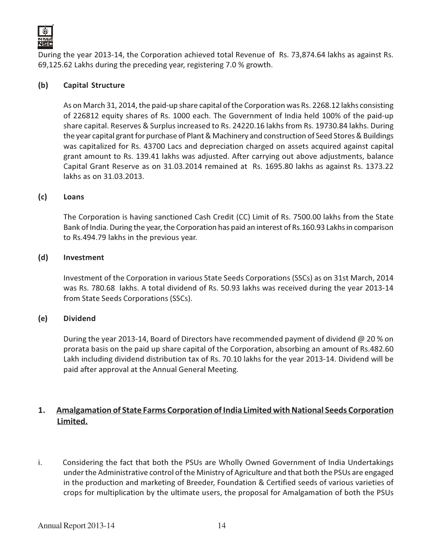

During the year 2013-14, the Corporation achieved total Revenue of Rs. 73,874.64 lakhs as against Rs. 69,125.62 Lakhs during the preceding year, registering 7.0 % growth.

#### (b) Capital Structure

As on March 31, 2014, the paid-up share capital of the Corporation was Rs. 2268.12 lakhs consisting of 226812 equity shares of Rs. 1000 each. The Government of India held 100% of the paid-up share capital. Reserves & Surplus increased to Rs. 24220.16 lakhs from Rs. 19730.84 lakhs. During the year capital grant for purchase of Plant & Machinery and construction of Seed Stores & Buildings was capitalized for Rs. 43700 Lacs and depreciation charged on assets acquired against capital grant amount to Rs. 139.41 lakhs was adjusted. After carrying out above adjustments, balance Capital Grant Reserve as on 31.03.2014 remained at Rs. 1695.80 lakhs as against Rs. 1373.22 lakhs as on 31.03.2013.

#### (c) Loans

The Corporation is having sanctioned Cash Credit (CC) Limit of Rs. 7500.00 lakhs from the State Bank of India. During the year, the Corporation has paid an interest of Rs.160.93 Lakhs in comparison to Rs.494.79 lakhs in the previous year.

#### (d) Investment

Investment of the Corporation in various State Seeds Corporations (SSCs) as on 31st March, 2014 was Rs. 780.68 lakhs. A total dividend of Rs. 50.93 lakhs was received during the year 2013-14 from State Seeds Corporations (SSCs).

#### (e) Dividend

During the year 2013-14, Board of Directors have recommended payment of dividend @ 20 % on prorata basis on the paid up share capital of the Corporation, absorbing an amount of Rs.482.60 Lakh including dividend distribution tax of Rs. 70.10 lakhs for the year 2013-14. Dividend will be paid after approval at the Annual General Meeting.

### 1. Amalgamation of State Farms Corporation of India Limited with National Seeds Corporation Limited.

i. Considering the fact that both the PSUs are Wholly Owned Government of India Undertakings under the Administrative control of the Ministry of Agriculture and that both the PSUs are engaged in the production and marketing of Breeder, Foundation & Certified seeds of various varieties of crops for multiplication by the ultimate users, the proposal for Amalgamation of both the PSUs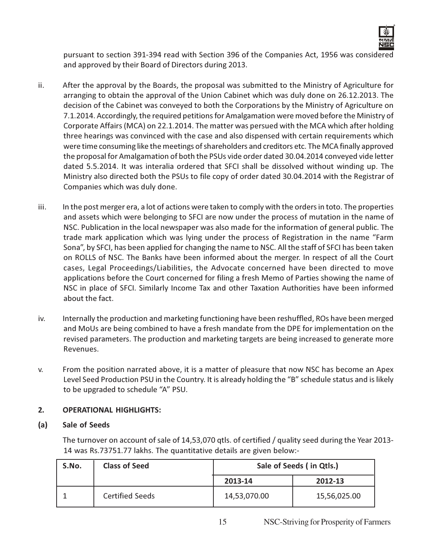

pursuant to section 391-394 read with Section 396 of the Companies Act, 1956 was considered and approved by their Board of Directors during 2013.

- ii. After the approval by the Boards, the proposal was submitted to the Ministry of Agriculture for arranging to obtain the approval of the Union Cabinet which was duly done on 26.12.2013. The decision of the Cabinet was conveyed to both the Corporations by the Ministry of Agriculture on 7.1.2014. Accordingly, the required petitions for Amalgamation were moved before the Ministry of Corporate Affairs (MCA) on 22.1.2014. The matter was persued with the MCA which after holding three hearings was convinced with the case and also dispensed with certain requirements which were time consuming like the meetings of shareholders and creditors etc. The MCA finally approved the proposal for Amalgamation of both the PSUs vide order dated 30.04.2014 conveyed vide letter dated 5.5.2014. It was interalia ordered that SFCI shall be dissolved without winding up. The Ministry also directed both the PSUs to file copy of order dated 30.04.2014 with the Registrar of Companies which was duly done.
- iii. In the post merger era, a lot of actions were taken to comply with the orders in toto. The properties and assets which were belonging to SFCI are now under the process of mutation in the name of NSC. Publication in the local newspaper was also made for the information of general public. The trade mark application which was lying under the process of Registration in the name "Farm Sona", by SFCI, has been applied for changing the name to NSC. All the staff of SFCI has been taken on ROLLS of NSC. The Banks have been informed about the merger. In respect of all the Court cases, Legal Proceedings/Liabilities, the Advocate concerned have been directed to move applications before the Court concerned for filing a fresh Memo of Parties showing the name of NSC in place of SFCI. Similarly Income Tax and other Taxation Authorities have been informed about the fact.
- iv. Internally the production and marketing functioning have been reshuffled, ROs have been merged and MoUs are being combined to have a fresh mandate from the DPE for implementation on the revised parameters. The production and marketing targets are being increased to generate more Revenues.
- v. From the position narrated above, it is a matter of pleasure that now NSC has become an Apex Level Seed Production PSU in the Country. It is already holding the "B" schedule status and is likely to be upgraded to schedule "A" PSU.

#### 2. OPERATIONAL HIGHLIGHTS:

#### (a) Sale of Seeds

The turnover on account of sale of 14,53,070 qtls. of certified / quality seed during the Year 2013- 14 was Rs.73751.77 lakhs. The quantitative details are given below:-

| S.No. | <b>Class of Seed</b>   | Sale of Seeds (in Qtls.) |              |
|-------|------------------------|--------------------------|--------------|
|       |                        | 2013-14                  | 2012-13      |
|       | <b>Certified Seeds</b> | 14,53,070.00             | 15,56,025.00 |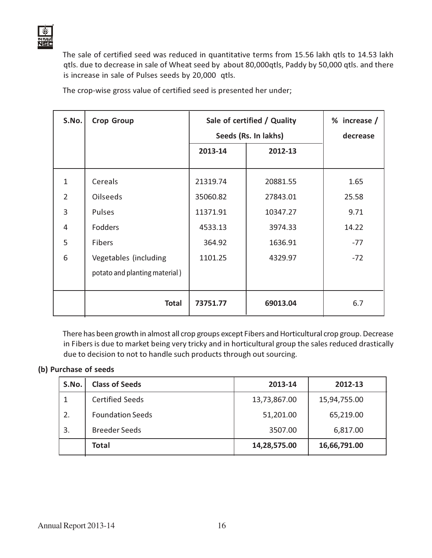

The sale of certified seed was reduced in quantitative terms from 15.56 lakh qtls to 14.53 lakh qtls. due to decrease in sale of Wheat seed by about 80,000qtls, Paddy by 50,000 qtls. and there is increase in sale of Pulses seeds by 20,000 qtls.

| S.No.          | <b>Crop Group</b>             | Sale of certified / Quality |                      | % increase / |
|----------------|-------------------------------|-----------------------------|----------------------|--------------|
|                |                               |                             | Seeds (Rs. In lakhs) | decrease     |
|                |                               | 2013-14                     | 2012-13              |              |
|                |                               |                             |                      |              |
| $\mathbf{1}$   | <b>Cereals</b>                | 21319.74                    | 20881.55             | 1.65         |
| $\mathcal{P}$  | <b>Oilseeds</b>               | 35060.82                    | 27843.01             | 25.58        |
| $\overline{3}$ | Pulses                        | 11371.91                    | 10347.27             | 9.71         |
| 4              | <b>Fodders</b>                | 4533.13                     | 3974.33              | 14.22        |
| 5              | <b>Fibers</b>                 | 364.92                      | 1636.91              | $-77$        |
| 6              | Vegetables (including         | 1101.25                     | 4329.97              | $-72$        |
|                | potato and planting material) |                             |                      |              |
|                |                               |                             |                      |              |
|                | <b>Total</b>                  | 73751.77                    | 69013.04             | 6.7          |

The crop-wise gross value of certified seed is presented her under;

There has been growth in almost all crop groups except Fibers and Horticultural crop group. Decrease in Fibers is due to market being very tricky and in horticultural group the sales reduced drastically due to decision to not to handle such products through out sourcing.

#### (b) Purchase of seeds

| S.No. | <b>Class of Seeds</b>   | 2013-14      | 2012-13      |
|-------|-------------------------|--------------|--------------|
|       | <b>Certified Seeds</b>  | 13,73,867.00 | 15,94,755.00 |
| 2.    | <b>Foundation Seeds</b> | 51,201.00    | 65,219.00    |
| 3.    | <b>Breeder Seeds</b>    | 3507.00      | 6,817.00     |
|       | <b>Total</b>            | 14,28,575.00 | 16,66,791.00 |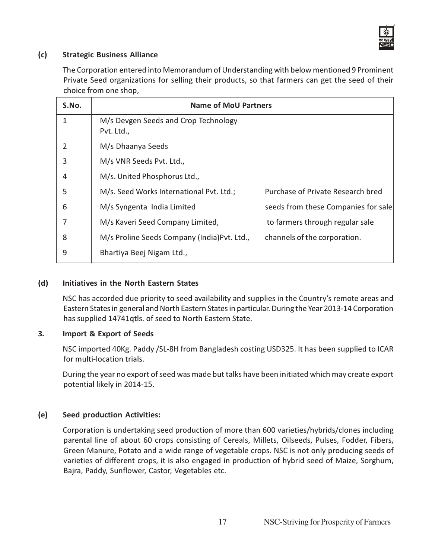

#### (c) Strategic Business Alliance

The Corporation entered into Memorandum of Understanding with below mentioned 9 Prominent Private Seed organizations for selling their products, so that farmers can get the seed of their choice from one shop,

| S.No. | <b>Name of MoU Partners</b>                        |                                          |  |
|-------|----------------------------------------------------|------------------------------------------|--|
| 1     | M/s Devgen Seeds and Crop Technology<br>Pvt. Ltd., |                                          |  |
| 2     | M/s Dhaanya Seeds                                  |                                          |  |
| 3     | M/s VNR Seeds Pvt. Ltd.,                           |                                          |  |
| 4     | M/s. United Phosphorus Ltd.,                       |                                          |  |
| 5     | M/s. Seed Works International Pvt. Ltd.;           | <b>Purchase of Private Research bred</b> |  |
| 6     | M/s Syngenta India Limited                         | seeds from these Companies for sale      |  |
| 7     | M/s Kaveri Seed Company Limited,                   | to farmers through regular sale          |  |
| 8     | M/s Proline Seeds Company (India) Pvt. Ltd.,       | channels of the corporation.             |  |
| 9     | Bhartiya Beej Nigam Ltd.,                          |                                          |  |

#### (d) Initiatives in the North Eastern States

NSC has accorded due priority to seed availability and supplies in the Country's remote areas and Eastern States in general and North Eastern States in particular. During the Year 2013-14 Corporation has supplied 14741qtls. of seed to North Eastern State.

#### 3. Import & Export of Seeds

NSC imported 40Kg. Paddy /SL-8H from Bangladesh costing USD325. It has been supplied to ICAR for multi-location trials.

During the year no export of seed was made but talks have been initiated which may create export potential likely in 2014-15.

#### (e) Seed production Activities:

Corporation is undertaking seed production of more than 600 varieties/hybrids/clones including parental line of about 60 crops consisting of Cereals, Millets, Oilseeds, Pulses, Fodder, Fibers, Green Manure, Potato and a wide range of vegetable crops. NSC is not only producing seeds of varieties of different crops, it is also engaged in production of hybrid seed of Maize, Sorghum, Bajra, Paddy, Sunflower, Castor, Vegetables etc.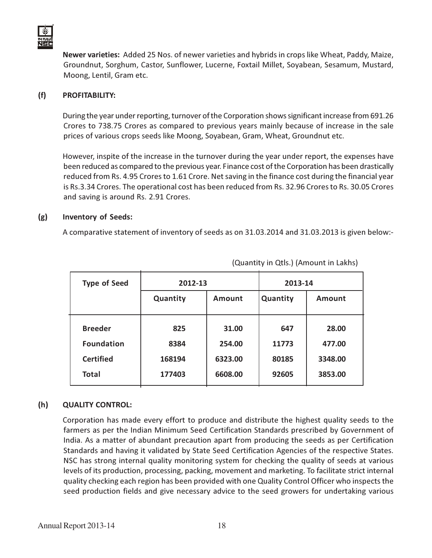

Newer varieties: Added 25 Nos. of newer varieties and hybrids in crops like Wheat, Paddy, Maize, Groundnut, Sorghum, Castor, Sunflower, Lucerne, Foxtail Millet, Soyabean, Sesamum, Mustard, Moong, Lentil, Gram etc.

#### (f) PROFITABILITY:

During the year under reporting, turnover of the Corporation shows significant increase from 691.26 Crores to 738.75 Crores as compared to previous years mainly because of increase in the sale prices of various crops seeds like Moong, Soyabean, Gram, Wheat, Groundnut etc.

However, inspite of the increase in the turnover during the year under report, the expenses have been reduced as compared to the previous year. Finance cost of the Corporation has been drastically reduced from Rs. 4.95 Crores to 1.61 Crore. Net saving in the finance cost during the financial year is Rs.3.34 Crores. The operational cost has been reduced from Rs. 32.96 Crores to Rs. 30.05 Crores and saving is around Rs. 2.91 Crores.

#### (g) Inventory of Seeds:

A comparative statement of inventory of seeds as on 31.03.2014 and 31.03.2013 is given below:-

| <b>Type of Seed</b> | 2012-13  |         | 2013-14  |               |
|---------------------|----------|---------|----------|---------------|
|                     | Quantity | Amount  | Quantity | <b>Amount</b> |
| <b>Breeder</b>      | 825      | 31.00   | 647      | 28.00         |
| <b>Foundation</b>   | 8384     | 254.00  | 11773    | 477.00        |
| <b>Certified</b>    | 168194   | 6323.00 | 80185    | 3348.00       |
| <b>Total</b>        | 177403   | 6608.00 | 92605    | 3853.00       |

(Quantity in Qtls.) (Amount in Lakhs)

#### (h) QUALITY CONTROL:

Corporation has made every effort to produce and distribute the highest quality seeds to the farmers as per the Indian Minimum Seed Certification Standards prescribed by Government of India. As a matter of abundant precaution apart from producing the seeds as per Certification Standards and having it validated by State Seed Certification Agencies of the respective States. NSC has strong internal quality monitoring system for checking the quality of seeds at various levels of its production, processing, packing, movement and marketing. To facilitate strict internal quality checking each region has been provided with one Quality Control Officer who inspects the seed production fields and give necessary advice to the seed growers for undertaking various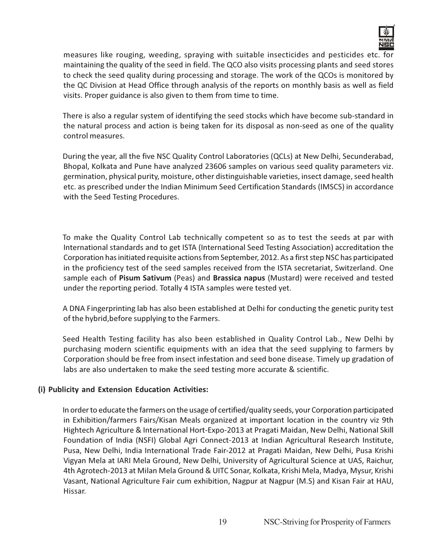

measures like rouging, weeding, spraying with suitable insecticides and pesticides etc. for maintaining the quality of the seed in field. The QCO also visits processing plants and seed stores to check the seed quality during processing and storage. The work of the QCOs is monitored by the QC Division at Head Office through analysis of the reports on monthly basis as well as field visits. Proper guidance is also given to them from time to time.

There is also a regular system of identifying the seed stocks which have become sub-standard in the natural process and action is being taken for its disposal as non-seed as one of the quality control measures.

During the year, all the five NSC Quality Control Laboratories (QCLs) at New Delhi, Secunderabad, Bhopal, Kolkata and Pune have analyzed 23606 samples on various seed quality parameters viz. germination, physical purity, moisture, other distinguishable varieties, insect damage, seed health etc. as prescribed under the Indian Minimum Seed Certification Standards (IMSCS) in accordance with the Seed Testing Procedures.

To make the Quality Control Lab technically competent so as to test the seeds at par with International standards and to get ISTA (International Seed Testing Association) accreditation the Corporation has initiated requisite actions from September, 2012. As a first step NSC has participated in the proficiency test of the seed samples received from the ISTA secretariat, Switzerland. One sample each of Pisum Sativum (Peas) and Brassica napus (Mustard) were received and tested under the reporting period. Totally 4 ISTA samples were tested yet.

A DNA Fingerprinting lab has also been established at Delhi for conducting the genetic purity test of the hybrid,before supplying to the Farmers.

Seed Health Testing facility has also been established in Quality Control Lab., New Delhi by purchasing modern scientific equipments with an idea that the seed supplying to farmers by Corporation should be free from insect infestation and seed bone disease. Timely up gradation of labs are also undertaken to make the seed testing more accurate & scientific.

#### (i) Publicity and Extension Education Activities:

In order to educate the farmers on the usage of certified/quality seeds, your Corporation participated in Exhibition/farmers Fairs/Kisan Meals organized at important location in the country viz 9th Hightech Agriculture & International Hort-Expo-2013 at Pragati Maidan, New Delhi, National Skill Foundation of India (NSFI) Global Agri Connect-2013 at Indian Agricultural Research Institute, Pusa, New Delhi, India International Trade Fair-2012 at Pragati Maidan, New Delhi, Pusa Krishi Vigyan Mela at IARI Mela Ground, New Delhi, University of Agricultural Science at UAS, Raichur, 4th Agrotech-2013 at Milan Mela Ground & UITC Sonar, Kolkata, Krishi Mela, Madya, Mysur, Krishi Vasant, National Agriculture Fair cum exhibition, Nagpur at Nagpur (M.S) and Kisan Fair at HAU, Hissar.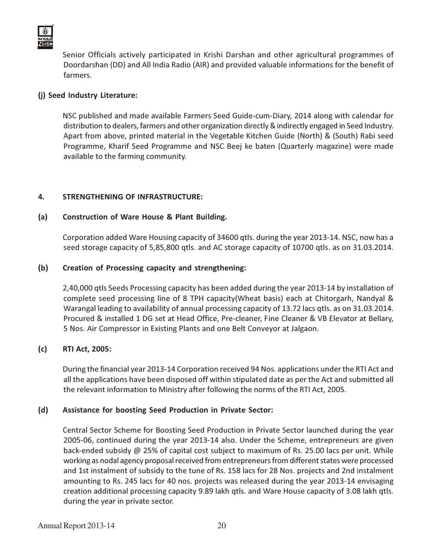

Senior Officials actively participated in Krishi Darshan and other agricultural programmes of Doordarshan (DD) and All India Radio (AIR) and provided valuable informations for the benefit of farmers.

#### (j) Seed Industry Literature:

NSC published and made available Farmers Seed Guide-cum-Diary, 2014 along with calendar for distribution to dealers, farmers and other organization directly & indirectly engaged in Seed Industry. Apart from above, printed material in the Vegetable Kitchen Guide (North) & (South) Rabi seed Programme, Kharif Seed Programme and NSC Beej ke baten (Quarterly magazine) were made available to the farming community.

#### 4. STRENGTHENING OF INFRASTRUCTURE:

#### (a) Construction of Ware House & Plant Building.

Corporation added Ware Housing capacity of 34600 qtls. during the year 2013-14. NSC, now has a seed storage capacity of 5,85,800 qtls. and AC storage capacity of 10700 qtls. as on 31.03.2014.

#### (b) Creation of Processing capacity and strengthening:

2,40,000 qtls Seeds Processing capacity has been added during the year 2013-14 by installation of complete seed processing line of 8 TPH capacity(Wheat basis) each at Chitorgarh, Nandyal & Warangal leading to availability of annual processing capacity of 13.72 lacs qtls. as on 31.03.2014. Procured & installed 1 DG set at Head Office, Pre-cleaner, Fine Cleaner & VB Elevator at Bellary, 5 Nos. Air Compressor in Existing Plants and one Belt Conveyor at Jalgaon.

#### (c) RTI Act, 2005:

During the financial year 2013-14 Corporation received 94 Nos. applications under the RTI Act and all the applications have been disposed off within stipulated date as per the Act and submitted all the relevant information to Ministry after following the norms of the RTI Act, 2005.

#### (d) Assistance for boosting Seed Production in Private Sector:

Central Sector Scheme for Boosting Seed Production in Private Sector launched during the year 2005-06, continued during the year 2013-14 also. Under the Scheme, entrepreneurs are given back-ended subsidy @ 25% of capital cost subject to maximum of Rs. 25.00 lacs per unit. While working as nodal agency proposal received from entrepreneurs from different states were processed and 1st instalment of subsidy to the tune of Rs. 158 lacs for 28 Nos. projects and 2nd instalment amounting to Rs. 245 lacs for 40 nos. projects was released during the year 2013-14 envisaging creation additional processing capacity 9.89 lakh qtls. and Ware House capacity of 3.08 lakh qtls. during the year in private sector.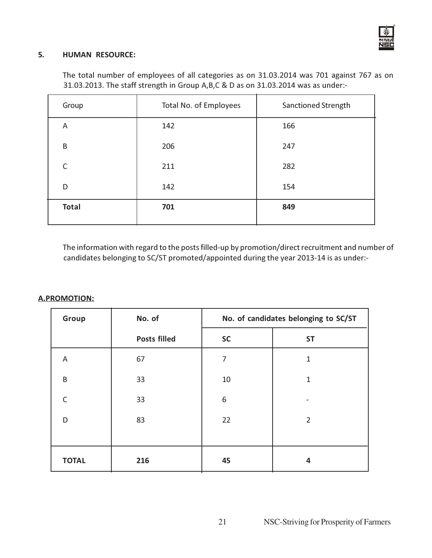

#### 5. HUMAN RESOURCE:

The total number of employees of all categories as on 31.03.2014 was 701 against 767 as on 31.03.2013. The staff strength in Group A,B,C & D as on 31.03.2014 was as under:-

| Group        | Total No. of Employees | Sanctioned Strength |
|--------------|------------------------|---------------------|
| A            | 142                    | 166                 |
| B            | 206                    | 247                 |
| C            | 211                    | 282                 |
| D            | 142                    | 154                 |
| <b>Total</b> | 701                    | 849                 |

The information with regard to the posts filled-up by promotion/direct recruitment and number of candidates belonging to SC/ST promoted/appointed during the year 2013-14 is as under:-

#### A.PROMOTION:

| Group        | No. of              | No. of candidates belonging to SC/ST |                |
|--------------|---------------------|--------------------------------------|----------------|
|              | <b>Posts filled</b> | <b>SC</b>                            | <b>ST</b>      |
| A            | 67                  | 7                                    | $\mathbf{1}$   |
| B            | 33                  | 10                                   | $\mathbf{1}$   |
| $\mathsf{C}$ | 33                  | 6                                    |                |
| D            | 83                  | 22                                   | $\overline{2}$ |
|              |                     |                                      |                |
| <b>TOTAL</b> | 216                 | 45                                   | 4              |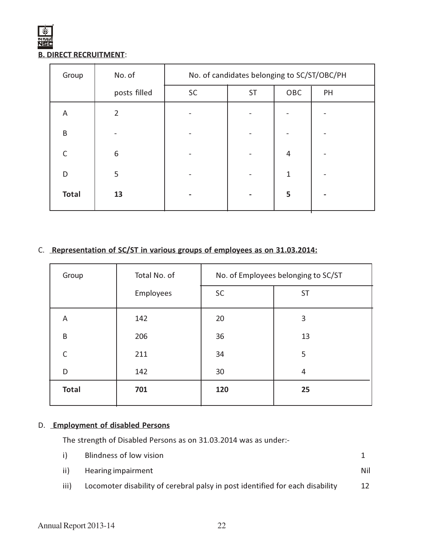#### B. DIRECT RECRUITMENT:

| Group        | No. of       | No. of candidates belonging to SC/ST/OBC/PH |           |     |    |
|--------------|--------------|---------------------------------------------|-----------|-----|----|
|              | posts filled | SC                                          | <b>ST</b> | OBC | PH |
| A            | 2            |                                             |           |     |    |
| B            |              |                                             |           |     |    |
|              | 6            |                                             |           | 4   |    |
| D            | 5            |                                             |           | 1   |    |
| <b>Total</b> | 13           |                                             |           | 5   |    |

# C. Representation of SC/ST in various groups of employees as on 31.03.2014:

| Group        | Total No. of | No. of Employees belonging to SC/ST |           |
|--------------|--------------|-------------------------------------|-----------|
|              | Employees    | SC                                  | <b>ST</b> |
| A            | 142          | 20                                  | 3         |
| B            | 206          | 36                                  | 13        |
| $\subset$    | 211          | 34                                  | 5         |
| D            | 142          | 30                                  | 4         |
| <b>Total</b> | 701          | 120                                 | 25        |

### D. Employment of disabled Persons

The strength of Disabled Persons as on 31.03.2014 was as under:-

| i)   | Blindness of low vision                                                       |     |
|------|-------------------------------------------------------------------------------|-----|
|      | ii) Hearing impairment                                                        | Nil |
| iii) | Locomoter disability of cerebral palsy in post identified for each disability | 12  |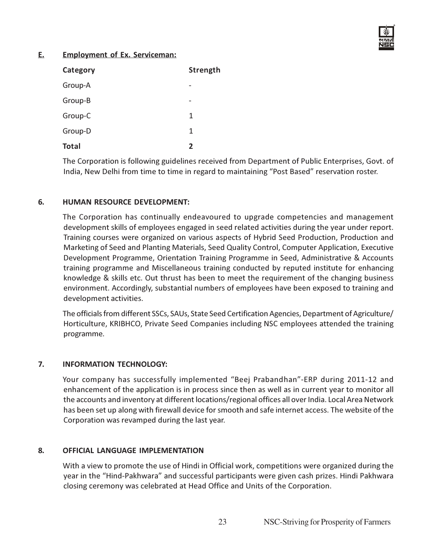

#### E. Employment of Ex. Serviceman:

| Category     | Strength |
|--------------|----------|
| Group-A      |          |
| Group-B      |          |
| Group-C      | 1        |
| Group-D      | 1        |
| <b>Total</b> | 2        |

The Corporation is following guidelines received from Department of Public Enterprises, Govt. of India, New Delhi from time to time in regard to maintaining "Post Based" reservation roster.

#### 6. HUMAN RESOURCE DEVELOPMENT:

The Corporation has continually endeavoured to upgrade competencies and management development skills of employees engaged in seed related activities during the year under report. Training courses were organized on various aspects of Hybrid Seed Production, Production and Marketing of Seed and Planting Materials, Seed Quality Control, Computer Application, Executive Development Programme, Orientation Training Programme in Seed, Administrative & Accounts training programme and Miscellaneous training conducted by reputed institute for enhancing knowledge & skills etc. Out thrust has been to meet the requirement of the changing business environment. Accordingly, substantial numbers of employees have been exposed to training and development activities.

The officials from different SSCs, SAUs, State Seed Certification Agencies, Department of Agriculture/ Horticulture, KRIBHCO, Private Seed Companies including NSC employees attended the training programme.

#### 7. INFORMATION TECHNOLOGY:

Your company has successfully implemented "Beej Prabandhan"-ERP during 2011-12 and enhancement of the application is in process since then as well as in current year to monitor all the accounts and inventory at different locations/regional offices all over India. Local Area Network has been set up along with firewall device for smooth and safe internet access. The website of the Corporation was revamped during the last year.

#### 8. OFFICIAL LANGUAGE IMPLEMENTATION

With a view to promote the use of Hindi in Official work, competitions were organized during the year in the "Hind-Pakhwara" and successful participants were given cash prizes. Hindi Pakhwara closing ceremony was celebrated at Head Office and Units of the Corporation.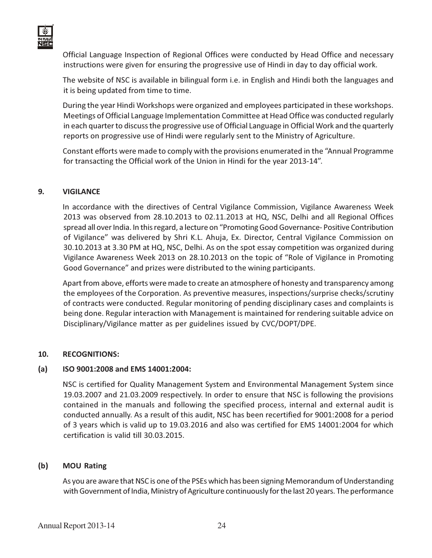

Official Language Inspection of Regional Offices were conducted by Head Office and necessary instructions were given for ensuring the progressive use of Hindi in day to day official work.

The website of NSC is available in bilingual form i.e. in English and Hindi both the languages and it is being updated from time to time.

During the year Hindi Workshops were organized and employees participated in these workshops. Meetings of Official Language Implementation Committee at Head Office was conducted regularly in each quarter to discuss the progressive use of Official Language in Official Work and the quarterly reports on progressive use of Hindi were regularly sent to the Ministry of Agriculture.

Constant efforts were made to comply with the provisions enumerated in the "Annual Programme for transacting the Official work of the Union in Hindi for the year 2013-14".

#### 9. VIGILANCE

In accordance with the directives of Central Vigilance Commission, Vigilance Awareness Week 2013 was observed from 28.10.2013 to 02.11.2013 at HQ, NSC, Delhi and all Regional Offices spread all over India. In this regard, a lecture on "Promoting Good Governance- Positive Contribution of Vigilance" was delivered by Shri K.L. Ahuja, Ex. Director, Central Vigilance Commission on 30.10.2013 at 3.30 PM at HQ, NSC, Delhi. As on the spot essay competition was organized during Vigilance Awareness Week 2013 on 28.10.2013 on the topic of "Role of Vigilance in Promoting Good Governance" and prizes were distributed to the wining participants.

Apart from above, efforts were made to create an atmosphere of honesty and transparency among the employees of the Corporation. As preventive measures, inspections/surprise checks/scrutiny of contracts were conducted. Regular monitoring of pending disciplinary cases and complaints is being done. Regular interaction with Management is maintained for rendering suitable advice on Disciplinary/Vigilance matter as per guidelines issued by CVC/DOPT/DPE.

#### 10. RECOGNITIONS:

#### (a) ISO 9001:2008 and EMS 14001:2004:

NSC is certified for Quality Management System and Environmental Management System since 19.03.2007 and 21.03.2009 respectively. In order to ensure that NSC is following the provisions contained in the manuals and following the specified process, internal and external audit is conducted annually. As a result of this audit, NSC has been recertified for 9001:2008 for a period of 3 years which is valid up to 19.03.2016 and also was certified for EMS 14001:2004 for which certification is valid till 30.03.2015.

#### (b) MOU Rating

As you are aware that NSC is one of the PSEs which has been signing Memorandum of Understanding with Government of India, Ministry of Agriculture continuously for the last 20 years. The performance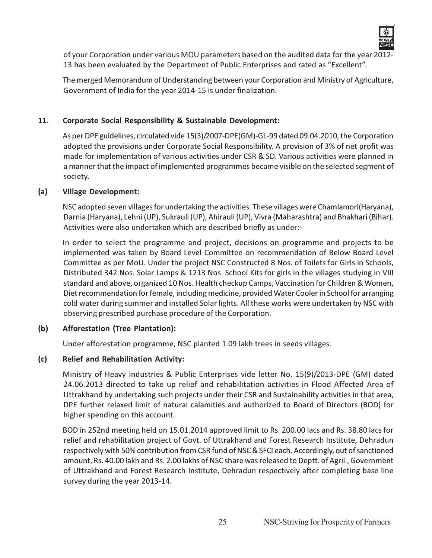

of your Corporation under various MOU parameters based on the audited data for the year 2012- 13 has been evaluated by the Department of Public Enterprises and rated as "Excellent".

The merged Memorandum of Understanding between your Corporation and Ministry of Agriculture, Government of India for the year 2014-15 is under finalization.

#### 11. Corporate Social Responsibility & Sustainable Development:

As per DPE guidelines, circulated vide 15(3)/2007-DPE(GM)-GL-99 dated 09.04.2010, the Corporation adopted the provisions under Corporate Social Responsibility. A provision of 3% of net profit was made for implementation of various activities under CSR & SD. Various activities were planned in a manner that the impact of implemented programmes became visible on the selected segment of society.

#### (a) Village Development:

NSC adopted seven villages for undertaking the activities. These villages were Chamlamori(Haryana), Darnia (Haryana), Lehni (UP), Sukrauli (UP), Ahirauli (UP), Vivra (Maharashtra) and Bhakhari (Bihar). Activities were also undertaken which are described briefly as under:-

In order to select the programme and project, decisions on programme and projects to be implemented was taken by Board Level Committee on recommendation of Below Board Level Committee as per MoU. Under the project NSC Constructed 8 Nos. of Toilets for Girls in Schools, Distributed 342 Nos. Solar Lamps & 1213 Nos. School Kits for girls in the villages studying in VIII standard and above, organized 10 Nos. Health checkup Camps, Vaccination for Children & Women, Diet recommendation for female, including medicine, provided Water Cooler in School for arranging cold water during summer and installed Solar lights. All these works were undertaken by NSC with observing prescribed purchase procedure of the Corporation.

#### (b) Afforestation (Tree Plantation):

Under afforestation programme, NSC planted 1.09 lakh trees in seeds villages.

#### (c) Relief and Rehabilitation Activity:

Ministry of Heavy Industries & Public Enterprises vide letter No. 15(9)/2013-DPE (GM) dated 24.06.2013 directed to take up relief and rehabilitation activities in Flood Affected Area of Uttrakhand by undertaking such projects under their CSR and Sustainability activities in that area, DPE further relaxed limit of natural calamities and authorized to Board of Directors (BOD) for higher spending on this account.

BOD in 252nd meeting held on 15.01.2014 approved limit to Rs. 200.00 lacs and Rs. 38.80 lacs for relief and rehabilitation project of Govt. of Uttrakhand and Forest Research Institute, Dehradun respectively with 50% contribution from CSR fund of NSC & SFCI each. Accordingly, out of sanctioned amount, Rs. 40.00 lakh and Rs. 2.00 lakhs of NSC share was released to Deptt. of Agril., Government of Uttrakhand and Forest Research Institute, Dehradun respectively after completing base line survey during the year 2013-14.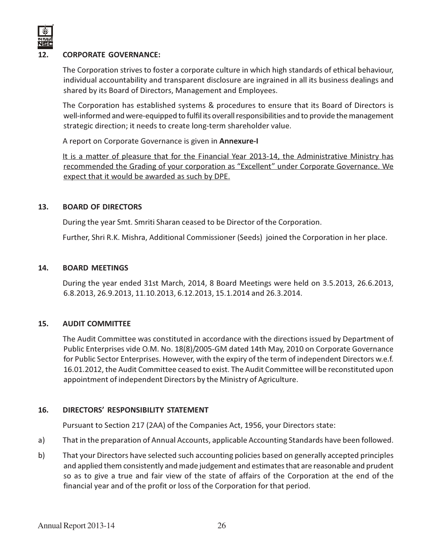

#### 12. CORPORATE GOVERNANCE:

The Corporation strives to foster a corporate culture in which high standards of ethical behaviour, individual accountability and transparent disclosure are ingrained in all its business dealings and shared by its Board of Directors, Management and Employees.

The Corporation has established systems & procedures to ensure that its Board of Directors is well-informed and were-equipped to fulfil its overall responsibilities and to provide the management strategic direction; it needs to create long-term shareholder value.

A report on Corporate Governance is given in Annexure-I

It is a matter of pleasure that for the Financial Year 2013-14, the Administrative Ministry has recommended the Grading of your corporation as "Excellent" under Corporate Governance. We expect that it would be awarded as such by DPE.

#### 13. BOARD OF DIRECTORS

During the year Smt. Smriti Sharan ceased to be Director of the Corporation.

Further, Shri R.K. Mishra, Additional Commissioner (Seeds) joined the Corporation in her place.

#### 14. BOARD MEETINGS

During the year ended 31st March, 2014, 8 Board Meetings were held on 3.5.2013, 26.6.2013, 6.8.2013, 26.9.2013, 11.10.2013, 6.12.2013, 15.1.2014 and 26.3.2014.

#### 15. AUDIT COMMITTEE

The Audit Committee was constituted in accordance with the directions issued by Department of Public Enterprises vide O.M. No. 18(8)/2005-GM dated 14th May, 2010 on Corporate Governance for Public Sector Enterprises. However, with the expiry of the term of independent Directors w.e.f. 16.01.2012, the Audit Committee ceased to exist. The Audit Committee will be reconstituted upon appointment of independent Directors by the Ministry of Agriculture.

#### 16. DIRECTORS' RESPONSIBILITY STATEMENT

Pursuant to Section 217 (2AA) of the Companies Act, 1956, your Directors state:

- a) That in the preparation of Annual Accounts, applicable Accounting Standards have been followed.
- b) That your Directors have selected such accounting policies based on generally accepted principles and applied them consistently and made judgement and estimates that are reasonable and prudent so as to give a true and fair view of the state of affairs of the Corporation at the end of the financial year and of the profit or loss of the Corporation for that period.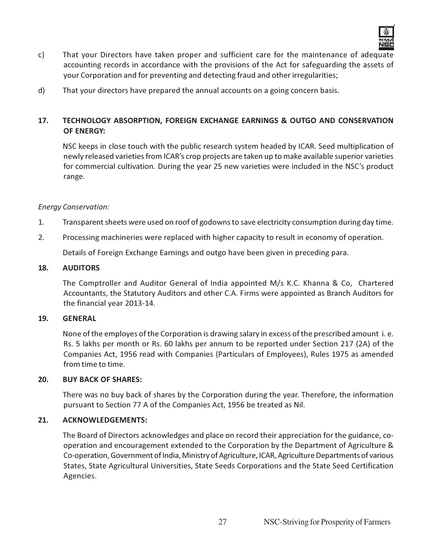

- c) That your Directors have taken proper and sufficient care for the maintenance of adequate accounting records in accordance with the provisions of the Act for safeguarding the assets of your Corporation and for preventing and detecting fraud and other irregularities;
- d) That your directors have prepared the annual accounts on a going concern basis.

#### 17. TECHNOLOGY ABSORPTION, FOREIGN EXCHANGE EARNINGS & OUTGO AND CONSERVATION OF ENERGY:

NSC keeps in close touch with the public research system headed by ICAR. Seed multiplication of newly released varieties from ICAR's crop projects are taken up to make available superior varieties for commercial cultivation. During the year 25 new varieties were included in the NSC's product range.

#### Energy Conservation:

- 1. Transparent sheets were used on roof of godowns to save electricity consumption during day time.
- 2. Processing machineries were replaced with higher capacity to result in economy of operation.

Details of Foreign Exchange Earnings and outgo have been given in preceding para.

#### 18. AUDITORS

The Comptroller and Auditor General of India appointed M/s K.C. Khanna & Co, Chartered Accountants, the Statutory Auditors and other C.A. Firms were appointed as Branch Auditors for the financial year 2013-14.

#### 19. GENERAL

None of the employes of the Corporation is drawing salary in excess of the prescribed amount i. e. Rs. 5 lakhs per month or Rs. 60 lakhs per annum to be reported under Section 217 (2A) of the Companies Act, 1956 read with Companies (Particulars of Employees), Rules 1975 as amended from time to time.

#### 20. BUY BACK OF SHARES:

There was no buy back of shares by the Corporation during the year. Therefore, the information pursuant to Section 77 A of the Companies Act, 1956 be treated as Nil.

#### 21. ACKNOWLEDGEMENTS:

The Board of Directors acknowledges and place on record their appreciation for the guidance, cooperation and encouragement extended to the Corporation by the Department of Agriculture & Co-operation, Government of India, Ministry of Agriculture, ICAR, Agriculture Departments of various States, State Agricultural Universities, State Seeds Corporations and the State Seed Certification Agencies.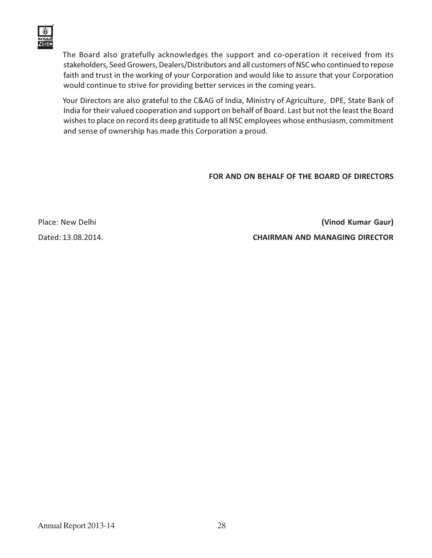

The Board also gratefully acknowledges the support and co-operation it received from its stakeholders, Seed Growers, Dealers/Distributors and all customers of NSC who continued to repose faith and trust in the working of your Corporation and would like to assure that your Corporation would continue to strive for providing better services in the coming years.

Your Directors are also grateful to the C&AG of India, Ministry of Agriculture, DPE, State Bank of India for their valued cooperation and support on behalf of Board. Last but not the least the Board wishes to place on record its deep gratitude to all NSC employees whose enthusiasm, commitment and sense of ownership has made this Corporation a proud.

FOR AND ON BEHALF OF THE BOARD OF DIRECTORS

Place: New Delhi (Vinod Kumar Gaur) Dated: 13.08.2014. CHAIRMAN AND MANAGING DIRECTOR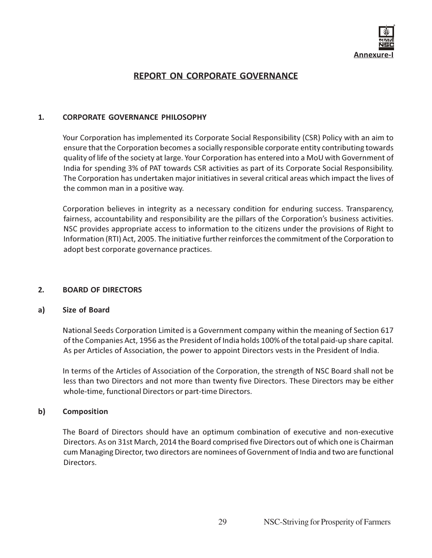

### REPORT ON CORPORATE GOVERNANCE

#### 1. CORPORATE GOVERNANCE PHILOSOPHY

Your Corporation has implemented its Corporate Social Responsibility (CSR) Policy with an aim to ensure that the Corporation becomes a socially responsible corporate entity contributing towards quality of life of the society at large. Your Corporation has entered into a MoU with Government of India for spending 3% of PAT towards CSR activities as part of its Corporate Social Responsibility. The Corporation has undertaken major initiatives in several critical areas which impact the lives of the common man in a positive way.

Corporation believes in integrity as a necessary condition for enduring success. Transparency, fairness, accountability and responsibility are the pillars of the Corporation's business activities. NSC provides appropriate access to information to the citizens under the provisions of Right to Information (RTI) Act, 2005. The initiative further reinforces the commitment of the Corporation to adopt best corporate governance practices.

#### 2. BOARD OF DIRECTORS

#### a) Size of Board

National Seeds Corporation Limited is a Government company within the meaning of Section 617 of the Companies Act, 1956 as the President of India holds 100% of the total paid-up share capital. As per Articles of Association, the power to appoint Directors vests in the President of India.

In terms of the Articles of Association of the Corporation, the strength of NSC Board shall not be less than two Directors and not more than twenty five Directors. These Directors may be either whole-time, functional Directors or part-time Directors.

#### b) Composition

The Board of Directors should have an optimum combination of executive and non-executive Directors. As on 31st March, 2014 the Board comprised five Directors out of which one is Chairman cum Managing Director, two directors are nominees of Government of India and two are functional Directors.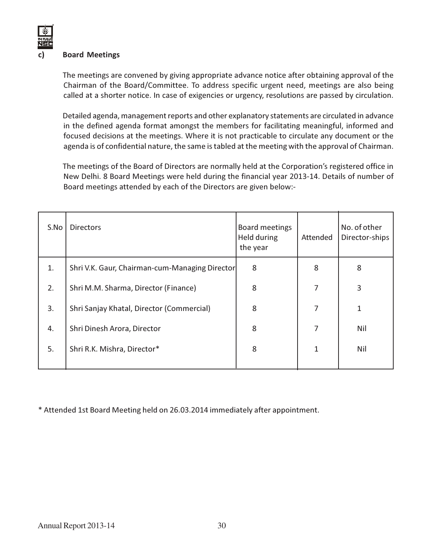#### **Board Meetings**

The meetings are convened by giving appropriate advance notice after obtaining approval of the Chairman of the Board/Committee. To address specific urgent need, meetings are also being called at a shorter notice. In case of exigencies or urgency, resolutions are passed by circulation.

Detailed agenda, management reports and other explanatory statements are circulated in advance in the defined agenda format amongst the members for facilitating meaningful, informed and focused decisions at the meetings. Where it is not practicable to circulate any document or the agenda is of confidential nature, the same is tabled at the meeting with the approval of Chairman.

The meetings of the Board of Directors are normally held at the Corporation's registered office in New Delhi. 8 Board Meetings were held during the financial year 2013-14. Details of number of Board meetings attended by each of the Directors are given below:-

| S.No | <b>Directors</b>                               | Board meetings<br>Held during<br>the year | Attended | No. of other<br>Director-ships |
|------|------------------------------------------------|-------------------------------------------|----------|--------------------------------|
| 1.   | Shri V.K. Gaur, Chairman-cum-Managing Director | 8                                         | 8        | 8                              |
| 2.   | Shri M.M. Sharma, Director (Finance)           | 8                                         | 7        | 3                              |
| 3.   | Shri Sanjay Khatal, Director (Commercial)      | 8                                         | 7        | 1                              |
| 4.   | Shri Dinesh Arora, Director                    | 8                                         | 7        | Nil                            |
| 5.   | Shri R.K. Mishra, Director*                    | 8                                         | 1        | Nil                            |
|      |                                                |                                           |          |                                |

\* Attended 1st Board Meeting held on 26.03.2014 immediately after appointment.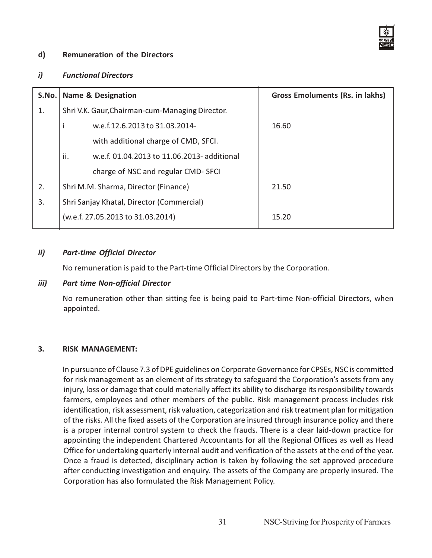

#### d) Remuneration of the Directors

#### i) Functional Directors

|    | S.No.   Name & Designation                         | <b>Gross Emoluments (Rs. in lakhs)</b> |  |  |
|----|----------------------------------------------------|----------------------------------------|--|--|
| 1. | Shri V.K. Gaur, Chairman-cum-Managing Director.    |                                        |  |  |
|    | w.e.f.12.6.2013 to 31.03.2014-                     | 16.60                                  |  |  |
|    | with additional charge of CMD, SFCI.               |                                        |  |  |
|    | ii.<br>w.e.f. 01.04.2013 to 11.06.2013- additional |                                        |  |  |
|    | charge of NSC and regular CMD-SFCI                 |                                        |  |  |
| 2. | Shri M.M. Sharma, Director (Finance)               | 21.50                                  |  |  |
| 3. | Shri Sanjay Khatal, Director (Commercial)          |                                        |  |  |
|    | (w.e.f. 27.05.2013 to 31.03.2014)                  | 15.20                                  |  |  |
|    |                                                    |                                        |  |  |

#### ii) Part-time Official Director

No remuneration is paid to the Part-time Official Directors by the Corporation.

#### iii) Part time Non-official Director

No remuneration other than sitting fee is being paid to Part-time Non-official Directors, when appointed.

#### 3. RISK MANAGEMENT:

In pursuance of Clause 7.3 of DPE guidelines on Corporate Governance for CPSEs, NSC is committed for risk management as an element of its strategy to safeguard the Corporation's assets from any injury, loss or damage that could materially affect its ability to discharge its responsibility towards farmers, employees and other members of the public. Risk management process includes risk identification, risk assessment, risk valuation, categorization and risk treatment plan for mitigation of the risks. All the fixed assets of the Corporation are insured through insurance policy and there is a proper internal control system to check the frauds. There is a clear laid-down practice for appointing the independent Chartered Accountants for all the Regional Offices as well as Head Office for undertaking quarterly internal audit and verification of the assets at the end of the year. Once a fraud is detected, disciplinary action is taken by following the set approved procedure after conducting investigation and enquiry. The assets of the Company are properly insured. The Corporation has also formulated the Risk Management Policy.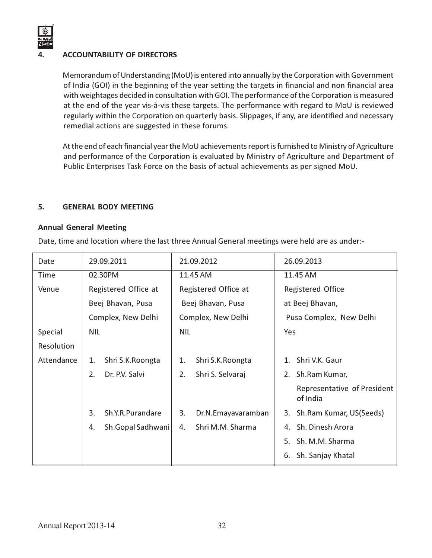

#### 4. ACCOUNTABILITY OF DIRECTORS

Memorandum of Understanding (MoU) is entered into annually by the Corporation with Government of India (GOI) in the beginning of the year setting the targets in financial and non financial area with weightages decided in consultation with GOI. The performance of the Corporation is measured at the end of the year vis-à-vis these targets. The performance with regard to MoU is reviewed regularly within the Corporation on quarterly basis. Slippages, if any, are identified and necessary remedial actions are suggested in these forums.

At the end of each financial year the MoU achievements report is furnished to Ministry of Agriculture and performance of the Corporation is evaluated by Ministry of Agriculture and Department of Public Enterprises Task Force on the basis of actual achievements as per signed MoU.

#### 5. GENERAL BODY MEETING

#### Annual General Meeting

Date, time and location where the last three Annual General meetings were held are as under:-

| Date              | 29.09.2011           |                    | 21.09.2012           |                    | 26.09.2013               |                                         |  |  |
|-------------------|----------------------|--------------------|----------------------|--------------------|--------------------------|-----------------------------------------|--|--|
| Time              | 02.30PM              |                    | 11.45 AM             |                    | 11.45 AM                 |                                         |  |  |
| Venue             | Registered Office at |                    | Registered Office at |                    | <b>Registered Office</b> |                                         |  |  |
| Beej Bhavan, Pusa |                      | Beej Bhavan, Pusa  |                      | at Beej Bhavan,    |                          |                                         |  |  |
|                   |                      | Complex, New Delhi | Complex, New Delhi   |                    | Pusa Complex, New Delhi  |                                         |  |  |
| Special           | <b>NIL</b>           |                    |                      | <b>NIL</b>         |                          | Yes                                     |  |  |
| <b>Resolution</b> |                      |                    |                      |                    |                          |                                         |  |  |
| Attendance        | 1.                   | Shri S.K. Roongta  | 1.                   | Shri S.K. Roongta  | $1_{-}$                  | Shri V.K. Gaur                          |  |  |
|                   | 2.                   | Dr. P.V. Salvi     | 2.                   | Shri S. Selvaraj   | 2.                       | Sh.Ram Kumar,                           |  |  |
|                   |                      |                    |                      |                    |                          | Representative of President<br>of India |  |  |
|                   | 3.                   | Sh.Y.R.Purandare   | 3.                   | Dr.N.Emayavaramban |                          | 3. Sh.Ram Kumar, US(Seeds)              |  |  |
|                   | 4.                   | Sh.Gopal Sadhwani  | 4.                   | Shri M.M. Sharma   | 4.                       | Sh. Dinesh Arora                        |  |  |
|                   |                      |                    |                      |                    | 5.                       | Sh. M.M. Sharma                         |  |  |
|                   |                      |                    |                      |                    | 6.                       | Sh. Sanjay Khatal                       |  |  |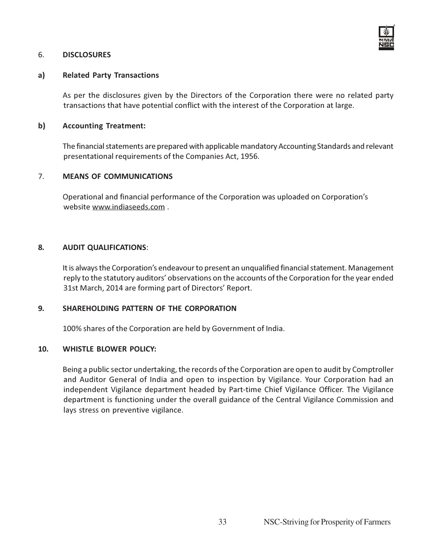

#### 6. DISCLOSURES

#### a) Related Party Transactions

As per the disclosures given by the Directors of the Corporation there were no related party transactions that have potential conflict with the interest of the Corporation at large.

#### b) Accounting Treatment:

The financial statements are prepared with applicable mandatory Accounting Standards and relevant presentational requirements of the Companies Act, 1956.

#### 7. MEANS OF COMMUNICATIONS

Operational and financial performance of the Corporation was uploaded on Corporation's website www.indiaseeds.com .

#### 8. AUDIT QUALIFICATIONS:

It is always the Corporation's endeavour to present an unqualified financial statement. Management reply to the statutory auditors' observations on the accounts of the Corporation for the year ended 31st March, 2014 are forming part of Directors' Report.

#### 9. SHAREHOLDING PATTERN OF THE CORPORATION

100% shares of the Corporation are held by Government of India.

#### 10. WHISTLE BLOWER POLICY:

Being a public sector undertaking, the records of the Corporation are open to audit by Comptroller and Auditor General of India and open to inspection by Vigilance. Your Corporation had an independent Vigilance department headed by Part-time Chief Vigilance Officer. The Vigilance department is functioning under the overall guidance of the Central Vigilance Commission and lays stress on preventive vigilance.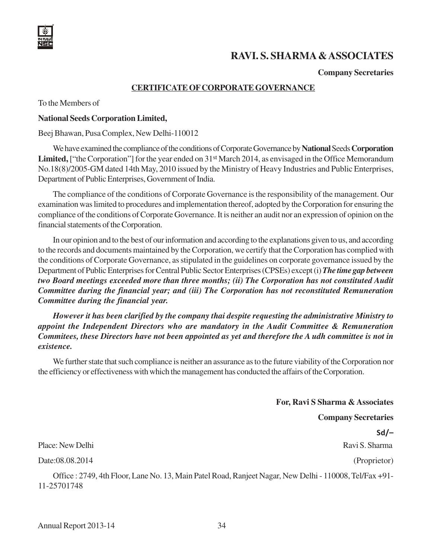# **RAVI. S. SHARMA & ASSOCIATES**

**Company Secretaries**

#### **CERTIFICATE OF CORPORATE GOVERNANCE**

To the Members of

#### **National Seeds Corporation Limited,**

Beej Bhawan, Pusa Complex, New Delhi-110012

We have examined the compliance of the conditions of Corporate Governance by **National** Seeds **Corporation** Limited, ["the Corporation"] for the year ended on 31<sup>st</sup> March 2014, as envisaged in the Office Memorandum No.18(8)/2005-GM dated 14th May, 2010 issued by the Ministry of Heavy Industries and Public Enterprises, Department of Public Enterprises, Government of India.

The compliance of the conditions of Corporate Governance is the responsibility of the management. Our examination was limited to procedures and implementation thereof, adopted by the Corporation for ensuring the compliance of the conditions of Corporate Governance. It is neither an audit nor an expression of opinion on the financial statements of the Corporation.

In our opinion and to the best of our information and according to the explanations given to us, and according to the records and documents maintained by the Corporation, we certify that the Corporation has complied with the conditions of Corporate Governance, as stipulated in the guidelines on corporate governance issued by the Department of Public Enterprises for Central Public Sector Enterprises (CPSEs) except (i) *The time gap between two Board meetings exceeded more than three months; (ii) The Corporation has not constituted Audit Committee during the financial year; and (iii) The Corporation has not reconstituted Remuneration Committee during the financial year.*

*However it has been clarified by the company thai despite requesting the administrative Ministry to appoint the Independent Directors who are mandatory in the Audit Committee & Remuneration Commitees, these Directors have not been appointed as yet and therefore the A udh committee is not in existence.*

We further state that such compliance is neither an assurance as to the future viability of the Corporation nor the efficiency or effectiveness with which the management has conducted the affairs of the Corporation.

**For, Ravi S Sharma & Associates**

**Company Secretaries**

Sd/–

Place: New Delhi Ravi S. Sharma Ravi S. Sharma Ravi S. Sharma Ravi S. Sharma Ravi S. Sharma

Date:08.08.2014 (Proprietor)

Office : 2749, 4th Floor, Lane No. 13, Main Patel Road, Ranjeet Nagar, New Delhi - 110008, Tel/Fax +91- 11-25701748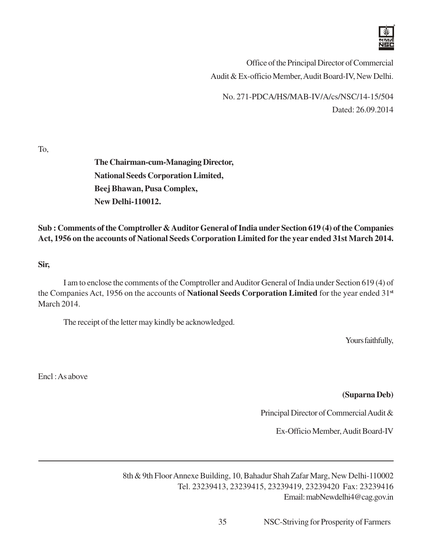

Office of the Principal Director of Commercial Audit & Ex-officio Member, Audit Board-IV, New Delhi.

No. 271-PDCA/HS/MAB-IV/A/cs/NSC/14-15/504 Dated: 26.09.2014

To,

**The Chairman-cum-Managing Director, National Seeds Corporation Limited, Beej Bhawan, Pusa Complex, New Delhi-110012.**

**Sub : Comments of the Comptroller & Auditor General of India under Section 619 (4) of the Companies Act, 1956 on the accounts of National Seeds Corporation Limited for the year ended 31st March 2014.**

**Sir,**

I am to enclose the comments of the Comptroller and Auditor General of India under Section 619 (4) of the Companies Act, 1956 on the accounts of **National Seeds Corporation Limited** for the year ended 31**st** March 2014.

The receipt of the letter may kindly be acknowledged.

Yours faithfully,

Encl : As above

**(Suparna Deb)**

Principal Director of Commercial Audit &

Ex-Officio Member, Audit Board-IV

8th & 9th Floor Annexe Building, 10, Bahadur Shah Zafar Marg, New Delhi-110002 Tel. 23239413, 23239415, 23239419, 23239420 Fax: 23239416 Email: mabNewdelhi4@cag.gov.in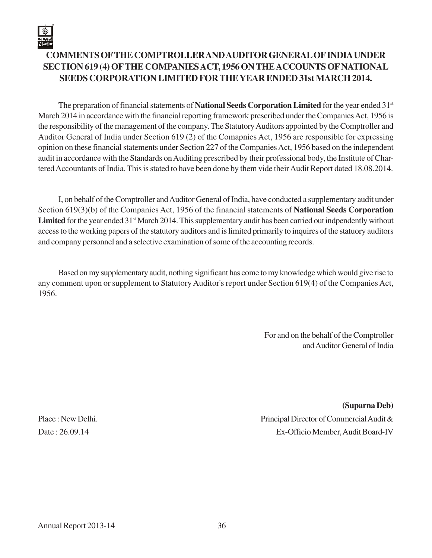# **COMMENTS OF THE COMPTROLLER AND AUDITOR GENERAL OF INDIA UNDER SECTION 619 (4) OF THE COMPANIES ACT, 1956 ON THE ACCOUNTS OF NATIONAL SEEDS CORPORATION LIMITED FOR THE YEAR ENDED 31st MARCH 2014.**

The preparation of financial statements of **National Seeds Corporation Limited** for the year ended 31st March 2014 in accordance with the financial reporting framework prescribed under the Companies Act, 1956 is the responsibility of the management of the company. The Statutory Auditors appointed by the Comptroller and Auditor General of India under Section 619 (2) of the Comapnies Act, 1956 are responsible for expressing opinion on these financial statements under Section 227 of the Companies Act, 1956 based on the independent audit in accordance with the Standards on Auditing prescribed by their professional body, the Institute of Chartered Accountants of India. This is stated to have been done by them vide their Audit Report dated 18.08.2014.

I, on behalf of the Comptroller and Auditor General of India, have conducted a supplementary audit under Section 619(3)(b) of the Companies Act, 1956 of the financial statements of **National Seeds Corporation** Limited for the year ended 31<sup>st</sup> March 2014. This supplementary audit has been carried out indpendently without access to the working papers of the statutory auditors and is limited primarily to inquires of the statuory auditors and company personnel and a selective examination of some of the accounting records.

Based on my supplementary audit, nothing significant has come to my knowledge which would give rise to any comment upon or supplement to Statutory Auditor's report under Section 619(4) of the Companies Act, 1956.

> For and on the behalf of the Comptroller and Auditor General of India

**(Suparna Deb)** Place : New Delhi. Principal Director of Commercial Audit & Date : 26.09.14 Ex-Officio Member, Audit Board-IV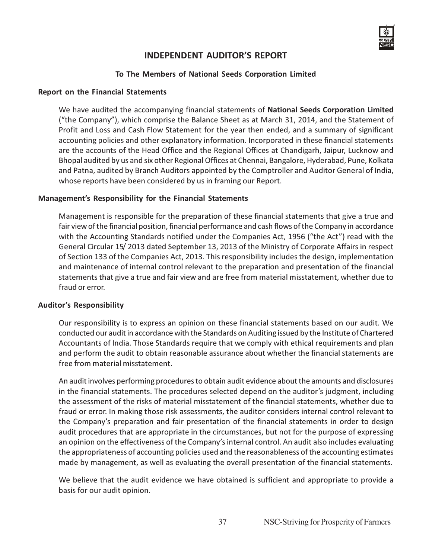#### INDEPENDENT AUDITOR'S REPORT

#### To The Members of National Seeds Corporation Limited

#### Report on the Financial Statements

We have audited the accompanying financial statements of **National Seeds Corporation Limited** ("the Company"), which comprise the Balance Sheet as at March 31, 2014, and the Statement of Profit and Loss and Cash Flow Statement for the year then ended, and a summary of significant accounting policies and other explanatory information. Incorporated in these financial statements are the accounts of the Head Office and the Regional Offices at Chandigarh, Jaipur, Lucknow and Bhopal audited by us and six other Regional Offices at Chennai, Bangalore, Hyderabad, Pune, Kolkata and Patna, audited by Branch Auditors appointed by the Comptroller and Auditor General of India, whose reports have been considered by us in framing our Report.

#### Management's Responsibility for the Financial Statements

Management is responsible for the preparation of these financial statements that give a true and fair view of the financial position, financial performance and cash flows of the Company in accordance with the Accounting Standards notified under the Companies Act, 1956 ("the Act") read with the General Circular 15/ 2013 dated September 13, 2013 of the Ministry of Corporate Affairs in respect of Section 133 of the Companies Act, 2013. This responsibility includes the design, implementation and maintenance of internal control relevant to the preparation and presentation of the financial statements that give a true and fair view and are free from material misstatement, whether due to fraud or error.

#### Auditor's Responsibility

Our responsibility is to express an opinion on these financial statements based on our audit. We conducted our audit in accordance with the Standards on Auditing issued by the Institute of Chartered Accountants of India. Those Standards require that we comply with ethical requirements and plan and perform the audit to obtain reasonable assurance about whether the financial statements are free from material misstatement.

An audit involves performing procedures to obtain audit evidence about the amounts and disclosures in the financial statements. The procedures selected depend on the auditor's judgment, including the assessment of the risks of material misstatement of the financial statements, whether due to fraud or error. In making those risk assessments, the auditor considers internal control relevant to the Company's preparation and fair presentation of the financial statements in order to design audit procedures that are appropriate in the circumstances, but not for the purpose of expressing an opinion on the effectiveness of the Company's internal control. An audit also includes evaluating the appropriateness of accounting policies used and the reasonableness of the accounting estimates made by management, as well as evaluating the overall presentation of the financial statements.

We believe that the audit evidence we have obtained is sufficient and appropriate to provide a basis for our audit opinion.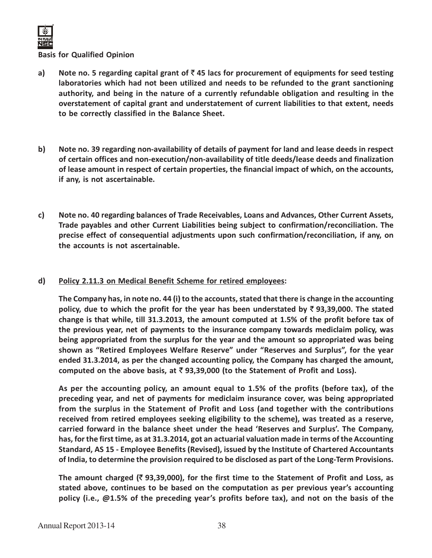

#### Basis for Qualified Opinion

- a) Note no. 5 regarding capital grant of  $\bar{\tau}$  45 lacs for procurement of equipments for seed testing laboratories which had not been utilized and needs to be refunded to the grant sanctioning authority, and being in the nature of a currently refundable obligation and resulting in the overstatement of capital grant and understatement of current liabilities to that extent, needs to be correctly classified in the Balance Sheet.
- b) Note no. 39 regarding non-availability of details of payment for land and lease deeds in respect of certain offices and non-execution/non-availability of title deeds/lease deeds and finalization of lease amount in respect of certain properties, the financial impact of which, on the accounts, if any, is not ascertainable.
- c) Note no. 40 regarding balances of Trade Receivables, Loans and Advances, Other Current Assets, Trade payables and other Current Liabilities being subject to confirmation/reconciliation. The precise effect of consequential adjustments upon such confirmation/reconciliation, if any, on the accounts is not ascertainable.

#### d) Policy 2.11.3 on Medical Benefit Scheme for retired employees:

The Company has, in note no. 44 (i) to the accounts, stated that there is change in the accounting policy, due to which the profit for the year has been understated by  $\bar{\tau}$  93,39,000. The stated change is that while, till 31.3.2013, the amount computed at 1.5% of the profit before tax of the previous year, net of payments to the insurance company towards mediclaim policy, was being appropriated from the surplus for the year and the amount so appropriated was being shown as "Retired Employees Welfare Reserve" under "Reserves and Surplus", for the year ended 31.3.2014, as per the changed accounting policy, the Company has charged the amount, computed on the above basis, at  $\bar{\tau}$  93,39,000 (to the Statement of Profit and Loss).

As per the accounting policy, an amount equal to 1.5% of the profits (before tax), of the preceding year, and net of payments for mediclaim insurance cover, was being appropriated from the surplus in the Statement of Profit and Loss (and together with the contributions received from retired employees seeking eligibility to the scheme), was treated as a reserve, carried forward in the balance sheet under the head 'Reserves and Surplus'. The Company, has, for the first time, as at 31.3.2014, got an actuarial valuation made in terms of the Accounting Standard, AS 15 - Employee Benefits (Revised), issued by the Institute of Chartered Accountants of India, to determine the provision required to be disclosed as part of the Long-Term Provisions.

The amount charged ( $\bar{z}$  93,39,000), for the first time to the Statement of Profit and Loss, as stated above, continues to be based on the computation as per previous year's accounting policy (i.e., @1.5% of the preceding year's profits before tax), and not on the basis of the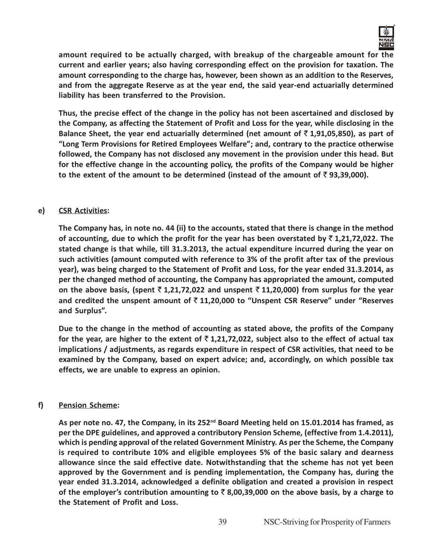

amount required to be actually charged, with breakup of the chargeable amount for the current and earlier years; also having corresponding effect on the provision for taxation. The amount corresponding to the charge has, however, been shown as an addition to the Reserves, and from the aggregate Reserve as at the year end, the said year-end actuarially determined liability has been transferred to the Provision.

Thus, the precise effect of the change in the policy has not been ascertained and disclosed by the Company, as affecting the Statement of Profit and Loss for the year, while disclosing in the Balance Sheet, the year end actuarially determined (net amount of  $\bar{\tau}$  1,91,05,850), as part of "Long Term Provisions for Retired Employees Welfare"; and, contrary to the practice otherwise followed, the Company has not disclosed any movement in the provision under this head. But for the effective change in the accounting policy, the profits of the Company would be higher to the extent of the amount to be determined (instead of the amount of  $\bar{\tau}$  93,39,000).

#### e) CSR Activities:

The Company has, in note no. 44 (ii) to the accounts, stated that there is change in the method of accounting, due to which the profit for the year has been overstated by  $\bar{\tau}$  1,21,72,022. The stated change is that while, till 31.3.2013, the actual expenditure incurred during the year on such activities (amount computed with reference to 3% of the profit after tax of the previous year), was being charged to the Statement of Profit and Loss, for the year ended 31.3.2014, as per the changed method of accounting, the Company has appropriated the amount, computed on the above basis, (spent  $\overline{z}$  1,21,72,022 and unspent  $\overline{z}$  11,20,000) from surplus for the year and credited the unspent amount of  $\bar{\tau}$  11,20,000 to "Unspent CSR Reserve" under "Reserves and Surplus".

Due to the change in the method of accounting as stated above, the profits of the Company for the year, are higher to the extent of  $\bar{\tau}$  1,21,72,022, subject also to the effect of actual tax implications / adjustments, as regards expenditure in respect of CSR activities, that need to be examined by the Company, based on expert advice; and, accordingly, on which possible tax effects, we are unable to express an opinion.

#### f) Pension Scheme:

As per note no. 47, the Company, in its 252<sup>nd</sup> Board Meeting held on 15.01.2014 has framed, as per the DPE guidelines, and approved a contributory Pension Scheme, (effective from 1.4.2011), which is pending approval of the related Government Ministry. As per the Scheme, the Company is required to contribute 10% and eligible employees 5% of the basic salary and dearness allowance since the said effective date. Notwithstanding that the scheme has not yet been approved by the Government and is pending implementation, the Company has, during the year ended 31.3.2014, acknowledged a definite obligation and created a provision in respect of the employer's contribution amounting to  $\bar{\tau}$  8,00,39,000 on the above basis, by a charge to the Statement of Profit and Loss.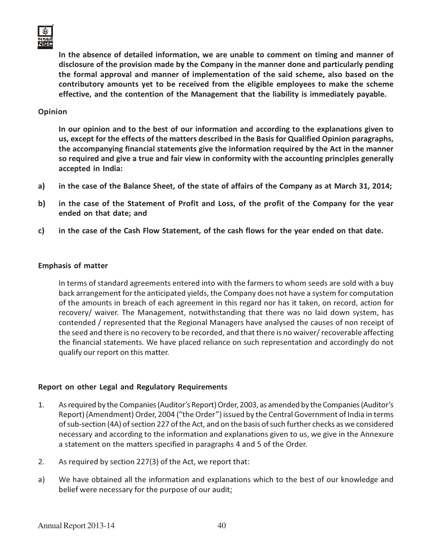

In the absence of detailed information, we are unable to comment on timing and manner of disclosure of the provision made by the Company in the manner done and particularly pending the formal approval and manner of implementation of the said scheme, also based on the contributory amounts yet to be received from the eligible employees to make the scheme effective, and the contention of the Management that the liability is immediately payable.

#### Opinion

In our opinion and to the best of our information and according to the explanations given to us, except for the effects of the matters described in the Basis for Qualified Opinion paragraphs, the accompanying financial statements give the information required by the Act in the manner so required and give a true and fair view in conformity with the accounting principles generally accepted in India:

- a) in the case of the Balance Sheet, of the state of affairs of the Company as at March 31, 2014;
- b) in the case of the Statement of Profit and Loss, of the profit of the Company for the year ended on that date; and
- c) in the case of the Cash Flow Statement, of the cash flows for the year ended on that date.

#### Emphasis of matter

In terms of standard agreements entered into with the farmers to whom seeds are sold with a buy back arrangement for the anticipated yields, the Company does not have a system for computation of the amounts in breach of each agreement in this regard nor has it taken, on record, action for recovery/ waiver. The Management, notwithstanding that there was no laid down system, has contended / represented that the Regional Managers have analysed the causes of non receipt of the seed and there is no recovery to be recorded, and that there is no waiver/ recoverable affecting the financial statements. We have placed reliance on such representation and accordingly do not qualify our report on this matter.

#### Report on other Legal and Regulatory Requirements

- 1. As required by the Companies (Auditor's Report) Order, 2003, as amended by the Companies (Auditor's Report) (Amendment) Order, 2004 ("the Order") issued by the Central Government of India in terms of sub-section (4A) of section 227 of the Act, and on the basis of such further checks as we considered necessary and according to the information and explanations given to us, we give in the Annexure a statement on the matters specified in paragraphs 4 and 5 of the Order.
- 2. As required by section 227(3) of the Act, we report that:
- a) We have obtained all the information and explanations which to the best of our knowledge and belief were necessary for the purpose of our audit;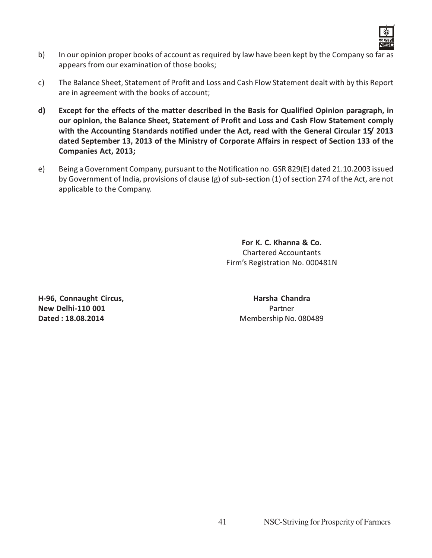

- b) In our opinion proper books of account as required by law have been kept by the Company so far as appears from our examination of those books;
- c) The Balance Sheet, Statement of Profit and Loss and Cash Flow Statement dealt with by this Report are in agreement with the books of account;
- d) Except for the effects of the matter described in the Basis for Qualified Opinion paragraph, in our opinion, the Balance Sheet, Statement of Profit and Loss and Cash Flow Statement comply with the Accounting Standards notified under the Act, read with the General Circular 15/ 2013 dated September 13, 2013 of the Ministry of Corporate Affairs in respect of Section 133 of the Companies Act, 2013;
- e) Being a Government Company, pursuant to the Notification no. GSR 829(E) dated 21.10.2003 issued by Government of India, provisions of clause (g) of sub-section (1) of section 274 of the Act, are not applicable to the Company.

For K. C. Khanna & Co. Chartered Accountants Firm's Registration No. 000481N

H-96, Connaught Circus, The Constantine Constanting Harsha Chandra New Delhi-110 001 **Partner Dated : 18.08.2014** Membership No. 080489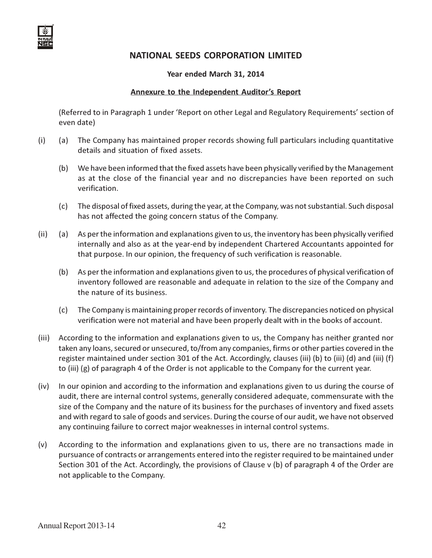#### Year ended March 31, 2014

#### Annexure to the Independent Auditor's Report

(Referred to in Paragraph 1 under 'Report on other Legal and Regulatory Requirements' section of even date)

- (i) (a) The Company has maintained proper records showing full particulars including quantitative details and situation of fixed assets.
	- (b) We have been informed that the fixed assets have been physically verified by the Management as at the close of the financial year and no discrepancies have been reported on such verification.
	- (c) The disposal of fixed assets, during the year, at the Company, was not substantial. Such disposal has not affected the going concern status of the Company.
- (ii) (a) As per the information and explanations given to us, the inventory has been physically verified internally and also as at the year-end by independent Chartered Accountants appointed for that purpose. In our opinion, the frequency of such verification is reasonable.
	- (b) As per the information and explanations given to us, the procedures of physical verification of inventory followed are reasonable and adequate in relation to the size of the Company and the nature of its business.
	- (c) The Company is maintaining proper records of inventory. The discrepancies noticed on physical verification were not material and have been properly dealt with in the books of account.
- (iii) According to the information and explanations given to us, the Company has neither granted nor taken any loans, secured or unsecured, to/from any companies, firms or other parties covered in the register maintained under section 301 of the Act. Accordingly, clauses (iii) (b) to (iii) (d) and (iii) (f) to (iii) (g) of paragraph 4 of the Order is not applicable to the Company for the current year.
- (iv) In our opinion and according to the information and explanations given to us during the course of audit, there are internal control systems, generally considered adequate, commensurate with the size of the Company and the nature of its business for the purchases of inventory and fixed assets and with regard to sale of goods and services. During the course of our audit, we have not observed any continuing failure to correct major weaknesses in internal control systems.
- (v) According to the information and explanations given to us, there are no transactions made in pursuance of contracts or arrangements entered into the register required to be maintained under Section 301 of the Act. Accordingly, the provisions of Clause v (b) of paragraph 4 of the Order are not applicable to the Company.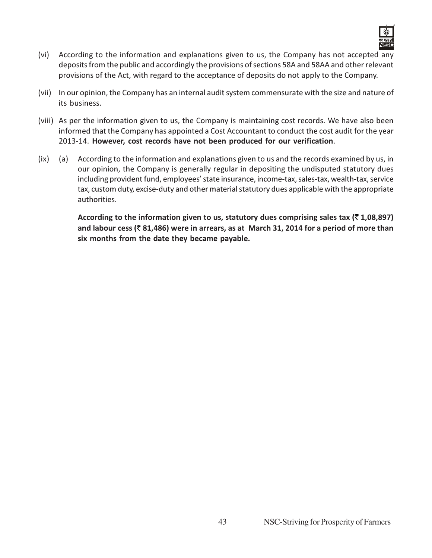

- (vi) According to the information and explanations given to us, the Company has not accepted any deposits from the public and accordingly the provisions of sections 58A and 58AA and other relevant provisions of the Act, with regard to the acceptance of deposits do not apply to the Company.
- (vii) In our opinion, the Company has an internal audit system commensurate with the size and nature of its business.
- (viii) As per the information given to us, the Company is maintaining cost records. We have also been informed that the Company has appointed a Cost Accountant to conduct the cost audit for the year 2013-14. However, cost records have not been produced for our verification.
- (ix) (a) According to the information and explanations given to us and the records examined by us, in our opinion, the Company is generally regular in depositing the undisputed statutory dues including provident fund, employees' state insurance, income-tax, sales-tax, wealth-tax, service tax, custom duty, excise-duty and other material statutory dues applicable with the appropriate authorities.

According to the information given to us, statutory dues comprising sales tax ( $\bar{\tau}$  1,08,897) and labour cess ( $\bar{z}$  81,486) were in arrears, as at March 31, 2014 for a period of more than six months from the date they became payable.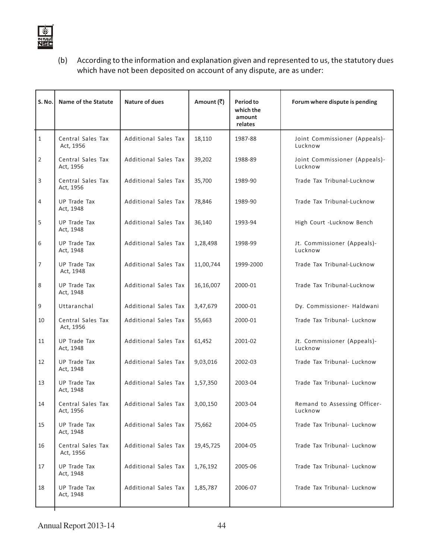

(b) According to the information and explanation given and represented to us, the statutory dues which have not been deposited on account of any dispute, are as under:

| S. No.         | Name of the Statute            | <b>Nature of dues</b> | Amount (₹) | Period to<br>which the<br>amount<br>relates | Forum where dispute is pending           |
|----------------|--------------------------------|-----------------------|------------|---------------------------------------------|------------------------------------------|
| $\mathbf{1}$   | Central Sales Tax<br>Act, 1956 | Additional Sales Tax  | 18,110     | 1987-88                                     | Joint Commissioner (Appeals)-<br>Lucknow |
| 2              | Central Sales Tax<br>Act, 1956 | Additional Sales Tax  | 39,202     | 1988-89                                     | Joint Commissioner (Appeals)-<br>Lucknow |
| 3              | Central Sales Tax<br>Act, 1956 | Additional Sales Tax  | 35,700     | 1989-90                                     | Trade Tax Tribunal-Lucknow               |
| 4              | UP Trade Tax<br>Act, 1948      | Additional Sales Tax  | 78,846     | 1989-90                                     | Trade Tax Tribunal-Lucknow               |
| 5              | UP Trade Tax<br>Act, 1948      | Additional Sales Tax  | 36,140     | 1993-94                                     | High Court -Lucknow Bench                |
| 6              | UP Trade Tax<br>Act, 1948      | Additional Sales Tax  | 1,28,498   | 1998-99                                     | Jt. Commissioner (Appeals)-<br>Lucknow   |
| $\overline{7}$ | UP Trade Tax<br>Act, 1948      | Additional Sales Tax  | 11,00,744  | 1999-2000                                   | Trade Tax Tribunal-Lucknow               |
| 8              | UP Trade Tax<br>Act, 1948      | Additional Sales Tax  | 16,16,007  | 2000-01                                     | Trade Tax Tribunal-Lucknow               |
| 9              | Uttaranchal                    | Additional Sales Tax  | 3,47,679   | 2000-01                                     | Dy. Commissioner- Haldwani               |
| 10             | Central Sales Tax<br>Act, 1956 | Additional Sales Tax  | 55,663     | 2000-01                                     | Trade Tax Tribunal- Lucknow              |
| 11             | UP Trade Tax<br>Act, 1948      | Additional Sales Tax  | 61,452     | 2001-02                                     | Jt. Commissioner (Appeals)-<br>Lucknow   |
| 12             | UP Trade Tax<br>Act, 1948      | Additional Sales Tax  | 9,03,016   | 2002-03                                     | Trade Tax Tribunal- Lucknow              |
| 13             | UP Trade Tax<br>Act, 1948      | Additional Sales Tax  | 1,57,350   | 2003-04                                     | Trade Tax Tribunal- Lucknow              |
| 14             | Central Sales Tax<br>Act, 1956 | Additional Sales Tax  | 3,00,150   | 2003-04                                     | Remand to Assessing Officer-<br>Lucknow  |
| 15             | UP Trade Tax<br>Act, 1948      | Additional Sales Tax  | 75,662     | 2004-05                                     | Trade Tax Tribunal- Lucknow              |
| 16             | Central Sales Tax<br>Act, 1956 | Additional Sales Tax  | 19,45,725  | 2004-05                                     | Trade Tax Tribunal- Lucknow              |
| 17             | UP Trade Tax<br>Act, 1948      | Additional Sales Tax  | 1,76,192   | 2005-06                                     | Trade Tax Tribunal- Lucknow              |
| 18             | UP Trade Tax<br>Act, 1948      | Additional Sales Tax  | 1,85,787   | 2006-07                                     | Trade Tax Tribunal- Lucknow              |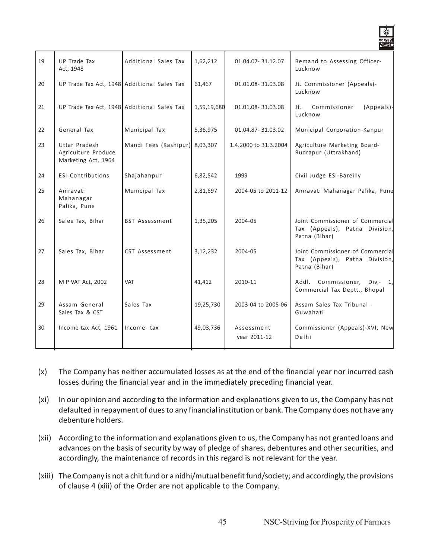| 19 | <b>UP Trade Tax</b><br>Act, 1948                            | Additional Sales Tax           | 1,62,212    | 01.04.07-31.12.07          | Remand to Assessing Officer-<br>Lucknow                                             |
|----|-------------------------------------------------------------|--------------------------------|-------------|----------------------------|-------------------------------------------------------------------------------------|
| 20 | UP Trade Tax Act, 1948 Additional Sales Tax                 |                                | 61,467      | 01.01.08-31.03.08          | Jt. Commissioner (Appeals)-<br>Lucknow                                              |
| 21 | UP Trade Tax Act, 1948 Additional Sales Tax                 |                                | 1,59,19,680 | 01.01.08-31.03.08          | Commissioner<br>(Appeals)-<br>Jt.<br>Lucknow                                        |
| 22 | General Tax                                                 | Municipal Tax                  | 5,36,975    | 01.04.87-31.03.02          | Municipal Corporation-Kanpur                                                        |
| 23 | Uttar Pradesh<br>Agriculture Produce<br>Marketing Act, 1964 | Mandi Fees (Kashipur) 8,03,307 |             | 1.4.2000 to 31.3.2004      | Agriculture Marketing Board-<br>Rudrapur (Uttrakhand)                               |
| 24 | <b>ESI Contributions</b>                                    | Shajahanpur                    | 6,82,542    | 1999                       | Civil Judge ESI-Bareilly                                                            |
| 25 | Amravati<br>Mahanagar<br>Palika, Pune                       | Municipal Tax                  | 2,81,697    | 2004-05 to 2011-12         | Amravati Mahanagar Palika, Pune                                                     |
| 26 | Sales Tax, Bihar                                            | <b>BST Assessment</b>          | 1,35,205    | 2004-05                    | Joint Commissioner of Commercial<br>Tax (Appeals), Patna Division,<br>Patna (Bihar) |
| 27 | Sales Tax, Bihar                                            | CST Assessment                 | 3,12,232    | 2004-05                    | Joint Commissioner of Commercial<br>Tax (Appeals), Patna Division,<br>Patna (Bihar) |
| 28 | M P VAT Act, 2002                                           | <b>VAT</b>                     | 41,412      | 2010-11                    | Addl. Commissioner,<br>$Div. - 1$<br>Commercial Tax Deptt., Bhopal                  |
| 29 | Assam General<br>Sales Tax & CST                            | Sales Tax                      | 19,25,730   | 2003-04 to 2005-06         | Assam Sales Tax Tribunal -<br>Guwahati                                              |
| 30 | Income-tax Act, 1961                                        | Income-tax                     | 49,03,736   | Assessment<br>year 2011-12 | Commissioner (Appeals)-XVI, New<br>Delhi                                            |
|    |                                                             |                                |             |                            |                                                                                     |

- (x) The Company has neither accumulated losses as at the end of the financial year nor incurred cash losses during the financial year and in the immediately preceding financial year.
- (xi) In our opinion and according to the information and explanations given to us, the Company has not defaulted in repayment of dues to any financial institution or bank. The Company does not have any debenture holders.
- (xii) According to the information and explanations given to us, the Company has not granted loans and advances on the basis of security by way of pledge of shares, debentures and other securities, and accordingly, the maintenance of records in this regard is not relevant for the year.
- (xiii) The Company is not a chit fund or a nidhi/mutual benefit fund/society; and accordingly, the provisions of clause 4 (xiii) of the Order are not applicable to the Company.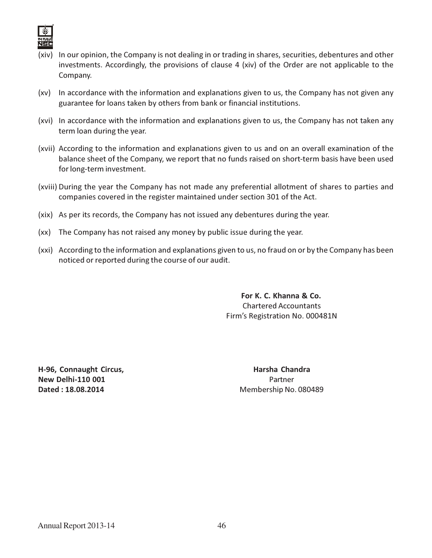

- (xiv) In our opinion, the Company is not dealing in or trading in shares, securities, debentures and other investments. Accordingly, the provisions of clause 4 (xiv) of the Order are not applicable to the Company.
- (xv) In accordance with the information and explanations given to us, the Company has not given any guarantee for loans taken by others from bank or financial institutions.
- (xvi) In accordance with the information and explanations given to us, the Company has not taken any term loan during the year.
- (xvii) According to the information and explanations given to us and on an overall examination of the balance sheet of the Company, we report that no funds raised on short-term basis have been used for long-term investment.
- (xviii) During the year the Company has not made any preferential allotment of shares to parties and companies covered in the register maintained under section 301 of the Act.
- (xix) As per its records, the Company has not issued any debentures during the year.
- (xx) The Company has not raised any money by public issue during the year.
- (xxi) According to the information and explanations given to us, no fraud on or by the Company has been noticed or reported during the course of our audit.

For K. C. Khanna & Co. Chartered Accountants Firm's Registration No. 000481N

H-96, Connaught Circus, The Connection of the Harsha Chandra New Delhi-110 001 **Partner Dated : 18.08.2014** Membership No. 080489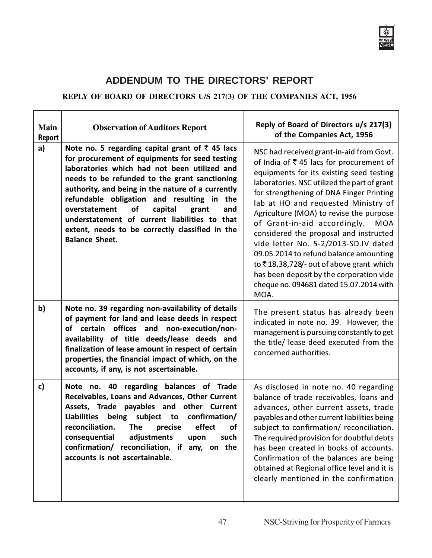

٦

### **ADDENDUM TO THE DIRECTORS' REPORT**

#### **REPLY OF BOARD OF DIRECTORS U/S 217(3) OF THE COMPANIES ACT, 1956**

г

┯

| <b>Main</b><br><b>Report</b> | <b>Observation of Auditors Report</b>                                                                                                                                                                                                                                                                                                                                                                                                                                                        | Reply of Board of Directors u/s 217(3)<br>of the Companies Act, 1956                                                                                                                                                                                                                                                                                                                                                                                                                                                                                                                                                               |
|------------------------------|----------------------------------------------------------------------------------------------------------------------------------------------------------------------------------------------------------------------------------------------------------------------------------------------------------------------------------------------------------------------------------------------------------------------------------------------------------------------------------------------|------------------------------------------------------------------------------------------------------------------------------------------------------------------------------------------------------------------------------------------------------------------------------------------------------------------------------------------------------------------------------------------------------------------------------------------------------------------------------------------------------------------------------------------------------------------------------------------------------------------------------------|
| a)                           | Note no. 5 regarding capital grant of $\bar{z}$ 45 lacs<br>for procurement of equipments for seed testing<br>laboratories which had not been utilized and<br>needs to be refunded to the grant sanctioning<br>authority, and being in the nature of a currently<br>refundable obligation and resulting in the<br>overstatement<br>of<br>capital<br>grant<br>and<br>understatement of current liabilities to that<br>extent, needs to be correctly classified in the<br><b>Balance Sheet.</b> | NSC had received grant-in-aid from Govt.<br>of India of ₹45 lacs for procurement of<br>equipments for its existing seed testing<br>laboratories. NSC utilized the part of grant<br>for strengthening of DNA Finger Printing<br>lab at HO and requested Ministry of<br>Agriculture (MOA) to revise the purpose<br>of Grant-in-aid accordingly.<br><b>MOA</b><br>considered the proposal and instructed<br>vide letter No. 5-2/2013-SD.IV dated<br>09.05.2014 to refund balance amounting<br>to ₹18,38,728/- out of above grant which<br>has been deposit by the corporation vide<br>cheque no. 094681 dated 15.07.2014 with<br>MOA. |
| $\mathbf{b}$                 | Note no. 39 regarding non-availability of details<br>of payment for land and lease deeds in respect<br>of certain offices and non-execution/non-<br>availability of title deeds/lease deeds and<br>finalization of lease amount in respect of certain<br>properties, the financial impact of which, on the<br>accounts, if any, is not ascertainable.                                                                                                                                        | The present status has already been<br>indicated in note no. 39. However, the<br>management is pursuing constantly to get<br>the title/ lease deed executed from the<br>concerned authorities.                                                                                                                                                                                                                                                                                                                                                                                                                                     |
| c)                           | regarding balances of Trade<br>Note no. 40<br>Receivables, Loans and Advances, Other Current<br>Assets, Trade payables and other Current<br><b>Liabilities</b><br>subject to<br>being<br>confirmation/<br>reconciliation.<br><b>The</b><br>effect<br>of<br>precise<br>adjustments<br>consequential<br>such<br>upon<br>confirmation/<br>reconciliation, if<br>any, on the<br>accounts is not ascertainable.                                                                                   | As disclosed in note no. 40 regarding<br>balance of trade receivables, loans and<br>advances, other current assets, trade<br>payables and other current liabilities being<br>subject to confirmation/ reconciliation.<br>The required provision for doubtful debts<br>has been created in books of accounts.<br>Confirmation of the balances are being<br>obtained at Regional office level and it is<br>clearly mentioned in the confirmation                                                                                                                                                                                     |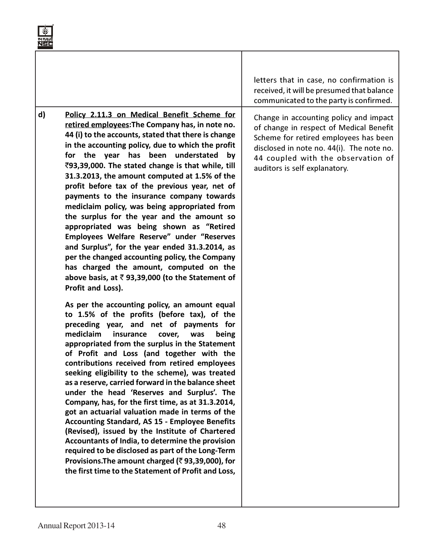|    |                                                                                                                                                                                                                                                                                                                                                                                                                                                                                                                                                                                                                                                                                                                                                                                                                                                                                                                                                                                                                                                                                                                                                                                                                                                                                                                                                                                                                                                                                                                                                                                                                                                                                                                                                                                                                                             | letters that in case, no confirmation is<br>received, it will be presumed that balance<br>communicated to the party is confirmed.                                                                                                              |
|----|---------------------------------------------------------------------------------------------------------------------------------------------------------------------------------------------------------------------------------------------------------------------------------------------------------------------------------------------------------------------------------------------------------------------------------------------------------------------------------------------------------------------------------------------------------------------------------------------------------------------------------------------------------------------------------------------------------------------------------------------------------------------------------------------------------------------------------------------------------------------------------------------------------------------------------------------------------------------------------------------------------------------------------------------------------------------------------------------------------------------------------------------------------------------------------------------------------------------------------------------------------------------------------------------------------------------------------------------------------------------------------------------------------------------------------------------------------------------------------------------------------------------------------------------------------------------------------------------------------------------------------------------------------------------------------------------------------------------------------------------------------------------------------------------------------------------------------------------|------------------------------------------------------------------------------------------------------------------------------------------------------------------------------------------------------------------------------------------------|
| d) | Policy 2.11.3 on Medical Benefit Scheme for<br>retired employees: The Company has, in note no.<br>44 (i) to the accounts, stated that there is change<br>in the accounting policy, due to which the profit<br>for the year has been understated<br>by<br>₹93,39,000. The stated change is that while, till<br>31.3.2013, the amount computed at 1.5% of the<br>profit before tax of the previous year, net of<br>payments to the insurance company towards<br>mediclaim policy, was being appropriated from<br>the surplus for the year and the amount so<br>appropriated was being shown as "Retired<br>Employees Welfare Reserve" under "Reserves<br>and Surplus", for the year ended 31.3.2014, as<br>per the changed accounting policy, the Company<br>has charged the amount, computed on the<br>above basis, at $\overline{\zeta}$ 93,39,000 (to the Statement of<br>Profit and Loss).<br>As per the accounting policy, an amount equal<br>to 1.5% of the profits (before tax), of the<br>preceding year, and net of payments for<br>mediclaim<br>insurance<br>cover,<br>was<br>being<br>appropriated from the surplus in the Statement<br>of Profit and Loss (and together with the<br>contributions received from retired employees<br>seeking eligibility to the scheme), was treated<br>as a reserve, carried forward in the balance sheet<br>under the head 'Reserves and Surplus'. The<br>Company, has, for the first time, as at 31.3.2014,<br>got an actuarial valuation made in terms of the<br><b>Accounting Standard, AS 15 - Employee Benefits</b><br>(Revised), issued by the Institute of Chartered<br>Accountants of India, to determine the provision<br>required to be disclosed as part of the Long-Term<br>Provisions. The amount charged (₹93,39,000), for<br>the first time to the Statement of Profit and Loss, | Change in accounting policy and impact<br>of change in respect of Medical Benefit<br>Scheme for retired employees has been<br>disclosed in note no. 44(i). The note no.<br>44 coupled with the observation of<br>auditors is self explanatory. |
|    |                                                                                                                                                                                                                                                                                                                                                                                                                                                                                                                                                                                                                                                                                                                                                                                                                                                                                                                                                                                                                                                                                                                                                                                                                                                                                                                                                                                                                                                                                                                                                                                                                                                                                                                                                                                                                                             |                                                                                                                                                                                                                                                |

ড়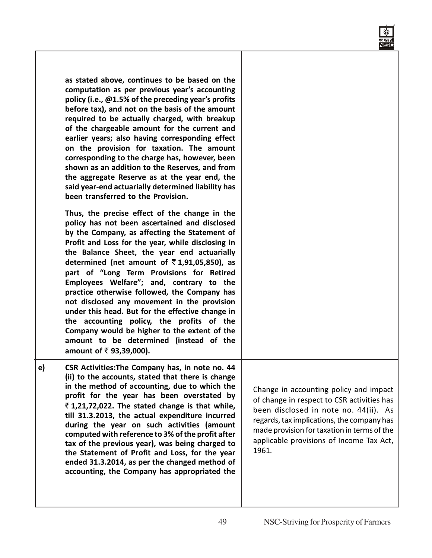| as stated above, continues to be based on the<br>computation as per previous year's accounting<br>policy (i.e., @1.5% of the preceding year's profits<br>before tax), and not on the basis of the amount<br>required to be actually charged, with breakup<br>of the chargeable amount for the current and<br>earlier years; also having corresponding effect<br>on the provision for taxation. The amount<br>corresponding to the charge has, however, been<br>shown as an addition to the Reserves, and from<br>the aggregate Reserve as at the year end, the<br>said year-end actuarially determined liability has<br>been transferred to the Provision.                                                                   |                                                                                                                                                                                                                                                                                 |
|------------------------------------------------------------------------------------------------------------------------------------------------------------------------------------------------------------------------------------------------------------------------------------------------------------------------------------------------------------------------------------------------------------------------------------------------------------------------------------------------------------------------------------------------------------------------------------------------------------------------------------------------------------------------------------------------------------------------------|---------------------------------------------------------------------------------------------------------------------------------------------------------------------------------------------------------------------------------------------------------------------------------|
| Thus, the precise effect of the change in the<br>policy has not been ascertained and disclosed<br>by the Company, as affecting the Statement of<br>Profit and Loss for the year, while disclosing in<br>the Balance Sheet, the year end actuarially<br>determined (net amount of $\bar{\tau}$ 1,91,05,850), as<br>part of "Long Term Provisions for Retired<br>Employees Welfare"; and, contrary to the<br>practice otherwise followed, the Company has<br>not disclosed any movement in the provision<br>under this head. But for the effective change in<br>the accounting policy, the profits of the<br>Company would be higher to the extent of the<br>amount to be determined (instead of the<br>amount of ₹93,39,000). |                                                                                                                                                                                                                                                                                 |
| <b>CSR Activities: The Company has, in note no. 44</b><br>e)<br>(ii) to the accounts, stated that there is change<br>in the method of accounting, due to which the<br>profit for the year has been overstated by<br>₹1,21,72,022. The stated change is that while,<br>till 31.3.2013, the actual expenditure incurred<br>during the year on such activities (amount<br>computed with reference to 3% of the profit after<br>tax of the previous year), was being charged to<br>the Statement of Profit and Loss, for the year<br>ended 31.3.2014, as per the changed method of<br>accounting, the Company has appropriated the                                                                                               | Change in accounting policy and impact<br>of change in respect to CSR activities has<br>been disclosed in note no. 44(ii). As<br>regards, tax implications, the company has<br>made provision for taxation in terms of the<br>applicable provisions of Income Tax Act,<br>1961. |

लखर<br>NSC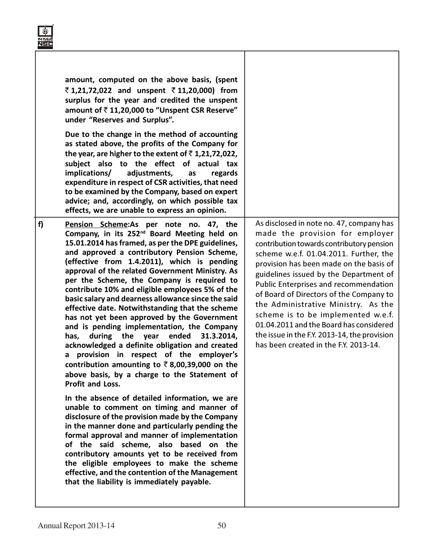|    | amount, computed on the above basis, (spent<br>₹1,21,72,022 and unspent ₹11,20,000) from<br>surplus for the year and credited the unspent<br>amount of ₹11,20,000 to "Unspent CSR Reserve"<br>under "Reserves and Surplus".<br>Due to the change in the method of accounting<br>as stated above, the profits of the Company for<br>the year, are higher to the extent of $\bar{z}$ 1,21,72,022,<br>subject also to the effect of actual tax<br>implications/<br>adjustments,<br>regards<br>as<br>expenditure in respect of CSR activities, that need<br>to be examined by the Company, based on expert<br>advice; and, accordingly, on which possible tax<br>effects, we are unable to express an opinion.                                                                                                                                                                                                |                                                                                                                                                                                                                                                                                                                                                                                                                                                                                                                                                                     |
|----|-----------------------------------------------------------------------------------------------------------------------------------------------------------------------------------------------------------------------------------------------------------------------------------------------------------------------------------------------------------------------------------------------------------------------------------------------------------------------------------------------------------------------------------------------------------------------------------------------------------------------------------------------------------------------------------------------------------------------------------------------------------------------------------------------------------------------------------------------------------------------------------------------------------|---------------------------------------------------------------------------------------------------------------------------------------------------------------------------------------------------------------------------------------------------------------------------------------------------------------------------------------------------------------------------------------------------------------------------------------------------------------------------------------------------------------------------------------------------------------------|
| f) | Pension Scheme:As per note no. 47, the<br>Company, in its 252 <sup>nd</sup> Board Meeting held on<br>15.01.2014 has framed, as per the DPE guidelines,<br>and approved a contributory Pension Scheme,<br>(effective from 1.4.2011), which is pending<br>approval of the related Government Ministry. As<br>per the Scheme, the Company is required to<br>contribute 10% and eligible employees 5% of the<br>basic salary and dearness allowance since the said<br>effective date. Notwithstanding that the scheme<br>has not yet been approved by the Government<br>and is pending implementation, the Company<br>ended<br>during the year<br>31.3.2014,<br>has,<br>acknowledged a definite obligation and created<br>provision in respect of the employer's<br>a<br>contribution amounting to $\bar{\tau}$ 8,00,39,000 on the<br>above basis, by a charge to the Statement of<br><b>Profit and Loss.</b> | As disclosed in note no. 47, company has<br>made the provision for employer<br>contribution towards contributory pension<br>scheme w.e.f. 01.04.2011. Further, the<br>provision has been made on the basis of<br>guidelines issued by the Department of<br><b>Public Enterprises and recommendation</b><br>of Board of Directors of the Company to<br>the Administrative Ministry. As the<br>scheme is to be implemented w.e.f.<br>01.04.2011 and the Board has considered<br>the issue in the F.Y. 2013-14, the provision<br>has been created in the F.Y. 2013-14. |
|    | In the absence of detailed information, we are<br>unable to comment on timing and manner of<br>disclosure of the provision made by the Company<br>in the manner done and particularly pending the<br>formal approval and manner of implementation<br>of the said scheme, also based on the<br>contributory amounts yet to be received from<br>the eligible employees to make the scheme<br>effective, and the contention of the Management<br>that the liability is immediately payable.                                                                                                                                                                                                                                                                                                                                                                                                                  |                                                                                                                                                                                                                                                                                                                                                                                                                                                                                                                                                                     |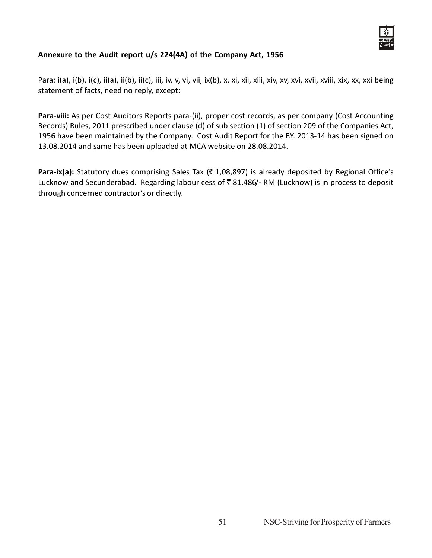

#### Annexure to the Audit report u/s 224(4A) of the Company Act, 1956

Para: i(a), i(b), i(c), ii(a), ii(b), ii(c), iii, iv, v, vi, vii, ix(b), x, xi, xii, xiii, xiv, xv, xvi, xvii, xix, xx, xxi being statement of facts, need no reply, except:

Para-viii: As per Cost Auditors Reports para-(ii), proper cost records, as per company (Cost Accounting Records) Rules, 2011 prescribed under clause (d) of sub section (1) of section 209 of the Companies Act, 1956 have been maintained by the Company. Cost Audit Report for the F.Y. 2013-14 has been signed on 13.08.2014 and same has been uploaded at MCA website on 28.08.2014.

Para-ix(a): Statutory dues comprising Sales Tax ( $\bar{\tau}$  1,08,897) is already deposited by Regional Office's Lucknow and Secunderabad. Regarding labour cess of  $\bar{\tau}$  81,486/- RM (Lucknow) is in process to deposit through concerned contractor's or directly.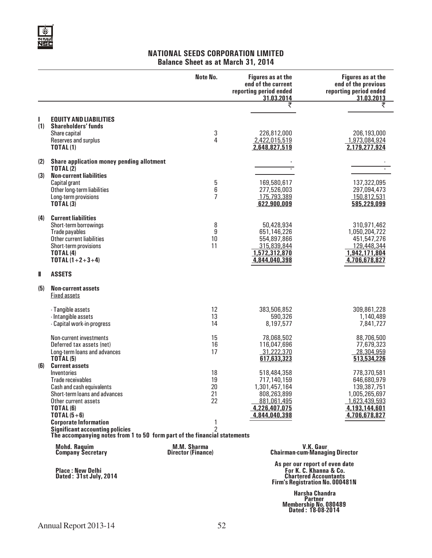

#### NATIONAL SEEDS CORPORATION LIMITED Balance Sheet as at March 31, 2014

|          |                                                                                                                                                                                             | Note No.                                        | <b>Figures as at the</b><br>end of the current<br>reporting period ended<br>31.03.2014                      | <b>Figures as at the</b><br>end of the previous<br>reporting period ended<br>31.03.2013                                     |
|----------|---------------------------------------------------------------------------------------------------------------------------------------------------------------------------------------------|-------------------------------------------------|-------------------------------------------------------------------------------------------------------------|-----------------------------------------------------------------------------------------------------------------------------|
|          |                                                                                                                                                                                             |                                                 | ₹                                                                                                           | ₹                                                                                                                           |
| ı<br>(1) | <b>EQUITY AND LIABILITIES</b><br><b>Shareholders' funds</b><br>Share capital<br>Reserves and surplus<br><b>TOTAL(1)</b>                                                                     | 3<br>4                                          | 226,812,000<br>2,422,015,519<br>2,648,827,519                                                               | 206,193,000<br>1,973,084,924<br>2,179,277,924                                                                               |
| (2)      | Share application money pending allotment                                                                                                                                                   |                                                 |                                                                                                             |                                                                                                                             |
| (3)      | <b>TOTAL(2)</b><br><b>Non-current liabilities</b><br>Capital grant<br>Other long-term liabilities<br>Long-term provisions<br><b>TOTAL(3)</b>                                                | 5<br>6<br>$\overline{7}$                        | 169,580,617<br>277,526,003<br>175,793,389<br>622,900,009                                                    | 137,322,095<br>297,094,473<br>150,812,531<br>585,229,099                                                                    |
| (4)      | <b>Current liabilities</b><br>Short-term borrowings<br>Trade payables<br>Other current liabilities<br>Short-term provisions<br><b>TOTAL (4)</b><br>TOTAL $(1+2+3+4)$                        | 8<br>9<br>10<br>11                              | 50,428,934<br>651,146,226<br>554,897,866<br>315,839,844<br>1,572,312,870<br>4,844,040,398                   | 310,971,462<br>1,050,204,722<br>451,547,276<br>129,448,344<br>1,942,171,804<br>4,706,678,827                                |
| Ш        | <b>ASSETS</b>                                                                                                                                                                               |                                                 |                                                                                                             |                                                                                                                             |
| (5)      | <b>Non-current assets</b><br><b>Fixed assets</b>                                                                                                                                            |                                                 |                                                                                                             |                                                                                                                             |
|          | - Tangible assets<br>- Intangible assets<br>- Capital work-in-progress                                                                                                                      | 12<br>13<br>14                                  | 383,506,852<br>590,326<br>8,197,577                                                                         | 309,861,228<br>1,140,489<br>7,841,727                                                                                       |
|          | <b>Non-current investments</b><br>Deferred tax assets (net)<br>Long-term loans and advances<br><b>TOTAL (5)</b>                                                                             | 15<br>16<br>17                                  | 78,068,502<br>116,047,696<br>31,222,370<br>617,633,323                                                      | 88,706,500<br>77,679,323<br>28,304,959<br>513,534,226                                                                       |
| (6)      | <b>Current assets</b><br>Inventories<br><b>Trade receivables</b><br>Cash and cash equivalents<br>Short-term loans and advances<br>Other current assets<br><b>TOTAL (6)</b><br>TOTAL $(5+6)$ | 18<br>19<br>20<br>21<br>22                      | 518,484,358<br>717,140,159<br>1,301,457,164<br>808,263,899<br>881,061,495<br>4,226,407,075<br>4,844,040,398 | 778,370,581<br>646,680,979<br>139,387,751<br>1,005,265,697<br>1,623,439,593<br>4,193,144,601<br>4,706,678,827               |
|          | <b>Corporate Information</b><br><b>Significant accounting policies</b><br>The accompanying notes from 1 to 50 form part of the financial statements                                         | 1<br>$\overline{2}$                             |                                                                                                             |                                                                                                                             |
|          | <b>Mohd. Raquim</b><br><b>Company Secretary</b>                                                                                                                                             | <b>M.M. Sharma</b><br><b>Director (Finance)</b> |                                                                                                             | V.K. Gaur<br><b>Chairman-cum-Managing Director</b>                                                                          |
|          | <b>Place: New Delhi</b><br>Dated: 31st July, 2014                                                                                                                                           |                                                 |                                                                                                             | As per our report of even date<br>For K. C. Khanna & Co.<br><b>Chartered Accountants</b><br>Firm's Registration No. 000481N |

 Harsha Chandra Partner Membership No. 080489 Dated : 18-08-2014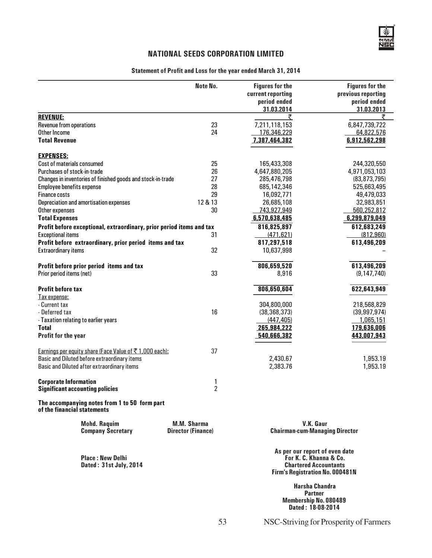#### Statement of Profit and Loss for the year ended March 31, 2014

|                                                                              | Note No.                                 | <b>Figures for the</b><br>current reporting<br>period ended<br>31.03.2014 | <b>Figures for the</b><br>previous reporting<br>period ended<br>31.03.2013 |
|------------------------------------------------------------------------------|------------------------------------------|---------------------------------------------------------------------------|----------------------------------------------------------------------------|
| <b>REVENUE:</b>                                                              |                                          | ₹                                                                         |                                                                            |
| Revenue from operations                                                      | 23                                       | 7,211,118,153                                                             | 6,847,739,722                                                              |
| Other Income                                                                 | 24                                       | 176,346,229                                                               | 64,822,576                                                                 |
| <b>Total Revenue</b>                                                         |                                          | 7,387,464,382                                                             | 6,912,562,298                                                              |
| <b>EXPENSES:</b>                                                             |                                          |                                                                           |                                                                            |
| Cost of materials consumed                                                   | 25                                       | 165,433,308                                                               | 244,320,550                                                                |
| Purchases of stock-in-trade                                                  | 26                                       | 4,647,880,205                                                             | 4,971,053,103                                                              |
| Changes in inventories of finished goods and stock-in-trade                  | 27                                       | 285,476,798                                                               | (83, 873, 795)                                                             |
| Employee benefits expense                                                    | 28                                       | 685,142,346                                                               | 525,663,495                                                                |
| <b>Finance costs</b>                                                         | 29                                       | 16,092,771                                                                | 49,479,033                                                                 |
| Depreciation and amortisation expenses                                       | 12 & 13                                  | 26,685,108                                                                | 32,983,851                                                                 |
| Other expenses                                                               | 30                                       | 743,927,949                                                               | 560,252,812                                                                |
| <b>Total Expenses</b>                                                        |                                          | 6,570,638,485                                                             | 6,299,879,049                                                              |
| Profit before exceptional, extraordinary, prior period items and tax         |                                          | 816,825,897                                                               | 612,683,249                                                                |
| <b>Exceptional items</b>                                                     | 31                                       | (471, 621)                                                                | (812, 960)                                                                 |
| Profit before extraordinary, prior period items and tax                      |                                          | 817,297,518                                                               | 613,496,209                                                                |
| <b>Extraordinary items</b>                                                   | 32                                       | 10,637,998                                                                |                                                                            |
|                                                                              |                                          | 806,659,520                                                               | 613,496,209                                                                |
| Profit before prior period items and tax<br>Prior period items (net)         | 33                                       | 8,916                                                                     | (9, 147, 740)                                                              |
|                                                                              |                                          |                                                                           |                                                                            |
| <b>Profit before tax</b>                                                     |                                          | 806,650,604                                                               | 622,643,949                                                                |
| Tax expense:                                                                 |                                          |                                                                           |                                                                            |
| - Current tax                                                                |                                          | 304,800,000                                                               | 218,568,829                                                                |
| - Deferred tax                                                               | 16                                       | (38, 368, 373)                                                            | (39, 997, 974)                                                             |
| - Taxation relating to earlier years                                         |                                          | (447, 405)                                                                | 1,065,151                                                                  |
| <b>Total</b>                                                                 |                                          | 265,984,222                                                               | 179,636,006                                                                |
| Profit for the year                                                          |                                          | 540,666,382                                                               | 443,007,943                                                                |
| Earnings per equity share (Face Value of ₹1,000 each):                       | 37                                       |                                                                           |                                                                            |
| Basic and Diluted before extraordinary items                                 |                                          | 2,430.67                                                                  | 1,953.19                                                                   |
| Basic and Diluted after extraordinary items                                  |                                          | 2,383.76                                                                  | 1,953.19                                                                   |
| <b>Corporate Information</b>                                                 | 1                                        |                                                                           |                                                                            |
| <b>Significant accounting policies</b>                                       | $\overline{c}$                           |                                                                           |                                                                            |
| The accompanying notes from 1 to 50 form part<br>of the financial statements |                                          |                                                                           |                                                                            |
| <b>Mohd. Raquim</b><br><b>Company Secretary</b>                              | M.M. Sharma<br><b>Director (Finance)</b> | V.K. Gaur<br><b>Chairman-cum-Managing Director</b>                        |                                                                            |
| <b>Place: New Delhi</b><br>Dated: 31st July, 2014                            |                                          | As per our report of even date<br>Firm's Registration No. 000481N         | For K. C. Khanna & Co.<br><b>Chartered Accountants</b>                     |
|                                                                              |                                          | <b>Harsha Chandra</b>                                                     | <b>Dortnor</b>                                                             |

Partner Membership No. 080489 Dated : 18-08-2014

53 NSC-Striving for Prosperity of Farmers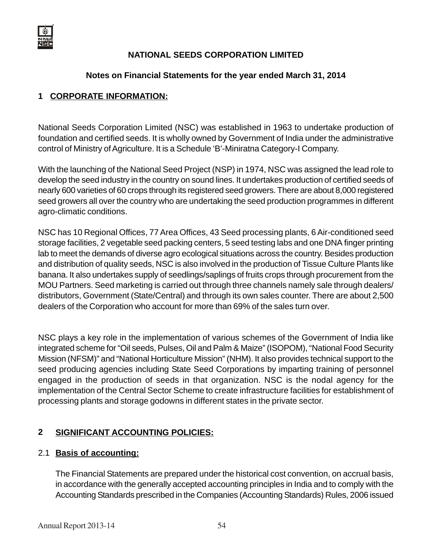

#### **Notes on Financial Statements for the year ended March 31, 2014**

#### **1 CORPORATE INFORMATION:**

National Seeds Corporation Limited (NSC) was established in 1963 to undertake production of foundation and certified seeds. It is wholly owned by Government of India under the administrative control of Ministry of Agriculture. It is a Schedule 'B'-Miniratna Category-I Company.

With the launching of the National Seed Project (NSP) in 1974, NSC was assigned the lead role to develop the seed industry in the country on sound lines. It undertakes production of certified seeds of nearly 600 varieties of 60 crops through its registered seed growers. There are about 8,000 registered seed growers all over the country who are undertaking the seed production programmes in different agro-climatic conditions.

NSC has 10 Regional Offices, 77 Area Offices, 43 Seed processing plants, 6 Air-conditioned seed storage facilities, 2 vegetable seed packing centers, 5 seed testing labs and one DNA finger printing lab to meet the demands of diverse agro ecological situations across the country. Besides production and distribution of quality seeds, NSC is also involved in the production of Tissue Culture Plants like banana. It also undertakes supply of seedlings/saplings of fruits crops through procurement from the MOU Partners. Seed marketing is carried out through three channels namely sale through dealers/ distributors, Government (State/Central) and through its own sales counter. There are about 2,500 dealers of the Corporation who account for more than 69% of the sales turn over.

NSC plays a key role in the implementation of various schemes of the Government of India like integrated scheme for "Oil seeds, Pulses, Oil and Palm & Maize" (ISOPOM), "National Food Security Mission (NFSM)" and "National Horticulture Mission" (NHM). It also provides technical support to the seed producing agencies including State Seed Corporations by imparting training of personnel engaged in the production of seeds in that organization. NSC is the nodal agency for the implementation of the Central Sector Scheme to create infrastructure facilities for establishment of processing plants and storage godowns in different states in the private sector.

#### **2 SIGNIFICANT ACCOUNTING POLICIES:**

#### 2.1 **Basis of accounting:**

The Financial Statements are prepared under the historical cost convention, on accrual basis, in accordance with the generally accepted accounting principles in India and to comply with the Accounting Standards prescribed in the Companies (Accounting Standards) Rules, 2006 issued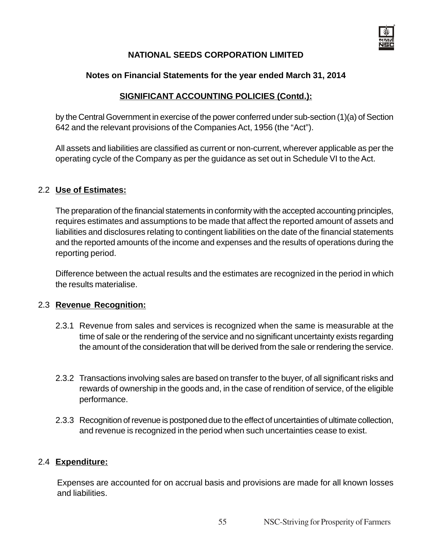

#### **Notes on Financial Statements for the year ended March 31, 2014**

#### **SIGNIFICANT ACCOUNTING POLICIES (Contd.):**

by the Central Government in exercise of the power conferred under sub-section (1)(a) of Section 642 and the relevant provisions of the Companies Act, 1956 (the "Act").

All assets and liabilities are classified as current or non-current, wherever applicable as per the operating cycle of the Company as per the guidance as set out in Schedule VI to the Act.

#### 2.2 **Use of Estimates:**

The preparation of the financial statements in conformity with the accepted accounting principles, requires estimates and assumptions to be made that affect the reported amount of assets and liabilities and disclosures relating to contingent liabilities on the date of the financial statements and the reported amounts of the income and expenses and the results of operations during the reporting period.

Difference between the actual results and the estimates are recognized in the period in which the results materialise.

#### 2.3 **Revenue Recognition:**

- 2.3.1 Revenue from sales and services is recognized when the same is measurable at the time of sale or the rendering of the service and no significant uncertainty exists regarding the amount of the consideration that will be derived from the sale or rendering the service.
- 2.3.2 Transactions involving sales are based on transfer to the buyer, of all significant risks and rewards of ownership in the goods and, in the case of rendition of service, of the eligible performance.
- 2.3.3 Recognition of revenue is postponed due to the effect of uncertainties of ultimate collection, and revenue is recognized in the period when such uncertainties cease to exist.

#### 2.4 **Expenditure:**

Expenses are accounted for on accrual basis and provisions are made for all known losses and liabilities.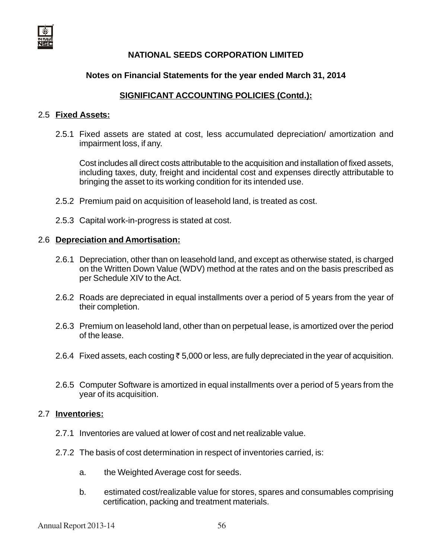

#### **Notes on Financial Statements for the year ended March 31, 2014**

#### **SIGNIFICANT ACCOUNTING POLICIES (Contd.):**

#### 2.5 **Fixed Assets:**

2.5.1 Fixed assets are stated at cost, less accumulated depreciation/ amortization and impairment loss, if any.

Cost includes all direct costs attributable to the acquisition and installation of fixed assets, including taxes, duty, freight and incidental cost and expenses directly attributable to bringing the asset to its working condition for its intended use.

- 2.5.2 Premium paid on acquisition of leasehold land, is treated as cost.
- 2.5.3 Capital work-in-progress is stated at cost.

#### 2.6 **Depreciation and Amortisation:**

- 2.6.1 Depreciation, other than on leasehold land, and except as otherwise stated, is charged on the Written Down Value (WDV) method at the rates and on the basis prescribed as per Schedule XIV to the Act.
- 2.6.2 Roads are depreciated in equal installments over a period of 5 years from the year of their completion.
- 2.6.3 Premium on leasehold land, other than on perpetual lease, is amortized over the period of the lease.
- 2.6.4 Fixed assets, each costing  $\bar{\tau}$  5,000 or less, are fully depreciated in the year of acquisition.
- 2.6.5 Computer Software is amortized in equal installments over a period of 5 years from the year of its acquisition.

#### 2.7 **Inventories:**

- 2.7.1 Inventories are valued at lower of cost and net realizable value.
- 2.7.2 The basis of cost determination in respect of inventories carried, is:
	- a. the Weighted Average cost for seeds.
	- b. estimated cost/realizable value for stores, spares and consumables comprising certification, packing and treatment materials.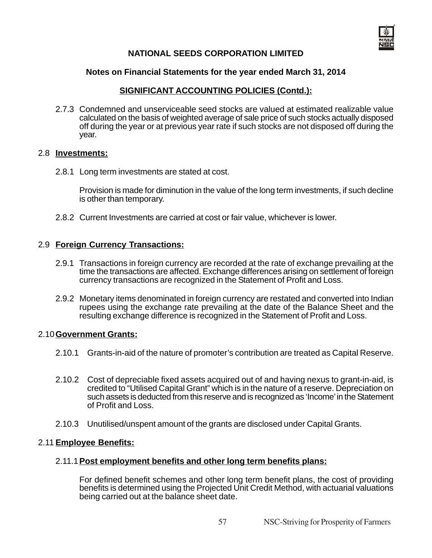#### **Notes on Financial Statements for the year ended March 31, 2014**

#### **SIGNIFICANT ACCOUNTING POLICIES (Contd.):**

2.7.3 Condemned and unserviceable seed stocks are valued at estimated realizable value calculated on the basis of weighted average of sale price of such stocks actually disposed off during the year or at previous year rate if such stocks are not disposed off during the year.

#### 2.8 **Investments:**

2.8.1 Long term investments are stated at cost.

Provision is made for diminution in the value of the long term investments, if such decline is other than temporary.

2.8.2 Current Investments are carried at cost or fair value, whichever is lower.

#### 2.9 **Foreign Currency Transactions:**

- 2.9.1 Transactions in foreign currency are recorded at the rate of exchange prevailing at the time the transactions are affected. Exchange differences arising on settlement of foreign currency transactions are recognized in the Statement of Profit and Loss.
- 2.9.2 Monetary items denominated in foreign currency are restated and converted into Indian rupees using the exchange rate prevailing at the date of the Balance Sheet and the resulting exchange difference is recognized in the Statement of Profit and Loss.

#### 2.10**Government Grants:**

- 2.10.1 Grants-in-aid of the nature of promoter's contribution are treated as Capital Reserve.
- 2.10.2 Cost of depreciable fixed assets acquired out of and having nexus to grant-in-aid, is credited to "Utilised Capital Grant" which is in the nature of a reserve. Depreciation on such assets is deducted from this reserve and is recognized as 'Income' in the Statement of Profit and Loss.
- 2.10.3 Unutilised/unspent amount of the grants are disclosed under Capital Grants.

#### 2.11 **Employee Benefits:**

#### 2.11.1**Post employment benefits and other long term benefits plans:**

For defined benefit schemes and other long term benefit plans, the cost of providing benefits is determined using the Projected Unit Credit Method, with actuarial valuations being carried out at the balance sheet date.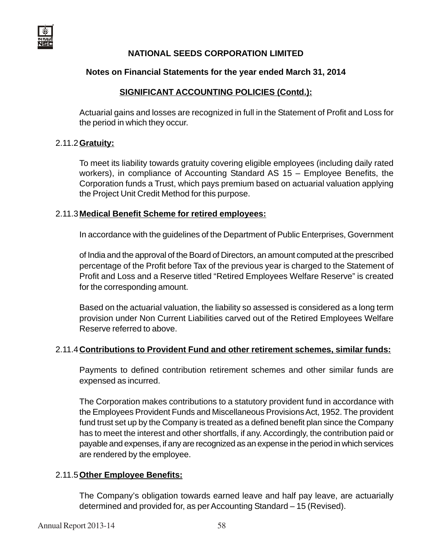#### **Notes on Financial Statements for the year ended March 31, 2014**

#### **SIGNIFICANT ACCOUNTING POLICIES (Contd.):**

Actuarial gains and losses are recognized in full in the Statement of Profit and Loss for the period in which they occur.

#### 2.11.2**Gratuity:**

To meet its liability towards gratuity covering eligible employees (including daily rated workers), in compliance of Accounting Standard AS 15 – Employee Benefits, the Corporation funds a Trust, which pays premium based on actuarial valuation applying the Project Unit Credit Method for this purpose.

#### 2.11.3**Medical Benefit Scheme for retired employees:**

In accordance with the guidelines of the Department of Public Enterprises, Government

of India and the approval of the Board of Directors, an amount computed at the prescribed percentage of the Profit before Tax of the previous year is charged to the Statement of Profit and Loss and a Reserve titled "Retired Employees Welfare Reserve" is created for the corresponding amount.

Based on the actuarial valuation, the liability so assessed is considered as a long term provision under Non Current Liabilities carved out of the Retired Employees Welfare Reserve referred to above.

#### 2.11.4**Contributions to Provident Fund and other retirement schemes, similar funds:**

Payments to defined contribution retirement schemes and other similar funds are expensed as incurred.

The Corporation makes contributions to a statutory provident fund in accordance with the Employees Provident Funds and Miscellaneous Provisions Act, 1952. The provident fund trust set up by the Company is treated as a defined benefit plan since the Company has to meet the interest and other shortfalls, if any. Accordingly, the contribution paid or payable and expenses, if any are recognized as an expense in the period in which services are rendered by the employee.

#### 2.11.5**Other Employee Benefits:**

The Company's obligation towards earned leave and half pay leave, are actuarially determined and provided for, as per Accounting Standard – 15 (Revised).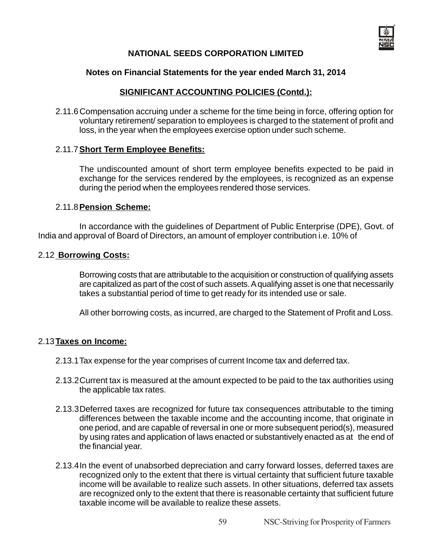

#### **Notes on Financial Statements for the year ended March 31, 2014**

#### **SIGNIFICANT ACCOUNTING POLICIES (Contd.):**

2.11.6Compensation accruing under a scheme for the time being in force, offering option for voluntary retirement/ separation to employees is charged to the statement of profit and loss, in the year when the employees exercise option under such scheme.

#### 2.11.7**Short Term Employee Benefits:**

The undiscounted amount of short term employee benefits expected to be paid in exchange for the services rendered by the employees, is recognized as an expense during the period when the employees rendered those services.

#### 2.11.8**Pension Scheme:**

In accordance with the guidelines of Department of Public Enterprise (DPE), Govt. of India and approval of Board of Directors, an amount of employer contribution i.e. 10% of

#### 2.12 **Borrowing Costs:**

Borrowing costs that are attributable to the acquisition or construction of qualifying assets are capitalized as part of the cost of such assets. A qualifying asset is one that necessarily takes a substantial period of time to get ready for its intended use or sale.

All other borrowing costs, as incurred, are charged to the Statement of Profit and Loss.

#### 2.13**Taxes on Income:**

- 2.13.1Tax expense for the year comprises of current Income tax and deferred tax.
- 2.13.2Current tax is measured at the amount expected to be paid to the tax authorities using the applicable tax rates.
- 2.13.3Deferred taxes are recognized for future tax consequences attributable to the timing differences between the taxable income and the accounting income, that originate in one period, and are capable of reversal in one or more subsequent period(s), measured by using rates and application of laws enacted or substantively enacted as at the end of the financial year.
- 2.13.4In the event of unabsorbed depreciation and carry forward losses, deferred taxes are recognized only to the extent that there is virtual certainty that sufficient future taxable income will be available to realize such assets. In other situations, deferred tax assets are recognized only to the extent that there is reasonable certainty that sufficient future taxable income will be available to realize these assets.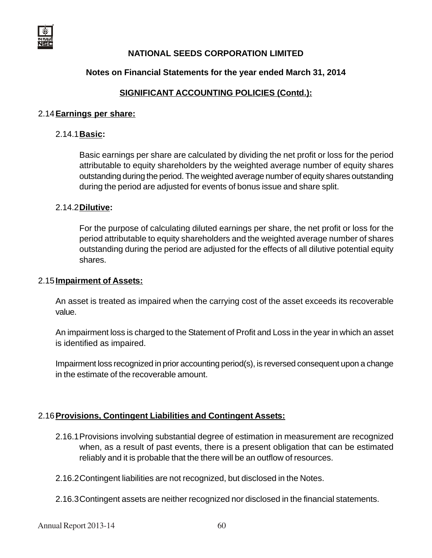

#### **Notes on Financial Statements for the year ended March 31, 2014**

#### **SIGNIFICANT ACCOUNTING POLICIES (Contd.):**

#### 2.14**Earnings per share:**

#### 2.14.1**Basic:**

Basic earnings per share are calculated by dividing the net profit or loss for the period attributable to equity shareholders by the weighted average number of equity shares outstanding during the period. The weighted average number of equity shares outstanding during the period are adjusted for events of bonus issue and share split.

#### 2.14.2**Dilutive:**

For the purpose of calculating diluted earnings per share, the net profit or loss for the period attributable to equity shareholders and the weighted average number of shares outstanding during the period are adjusted for the effects of all dilutive potential equity shares.

#### 2.15**Impairment of Assets:**

An asset is treated as impaired when the carrying cost of the asset exceeds its recoverable value.

An impairment loss is charged to the Statement of Profit and Loss in the year in which an asset is identified as impaired.

Impairment loss recognized in prior accounting period(s), is reversed consequent upon a change in the estimate of the recoverable amount.

#### 2.16**Provisions, Contingent Liabilities and Contingent Assets:**

- 2.16.1Provisions involving substantial degree of estimation in measurement are recognized when, as a result of past events, there is a present obligation that can be estimated reliably and it is probable that the there will be an outflow of resources.
- 2.16.2Contingent liabilities are not recognized, but disclosed in the Notes.
- 2.16.3Contingent assets are neither recognized nor disclosed in the financial statements.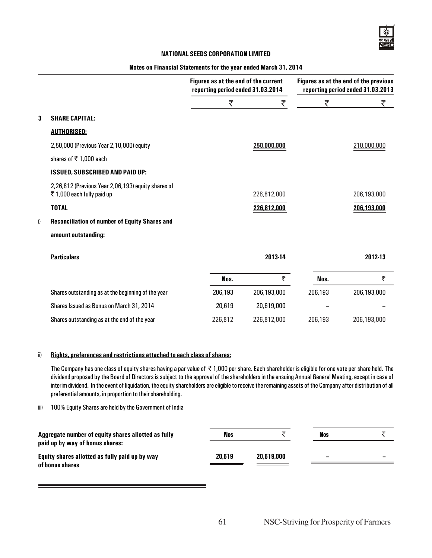|    |                                                                                 |         | Figures as at the end of the current<br>reporting period ended 31.03.2014 |         | Figures as at the end of the previous<br>reporting period ended 31.03.2013 |  |  |
|----|---------------------------------------------------------------------------------|---------|---------------------------------------------------------------------------|---------|----------------------------------------------------------------------------|--|--|
|    |                                                                                 | ₹       | ₹                                                                         | ₹       | ₹                                                                          |  |  |
| 3  | <b>SHARE CAPITAL:</b>                                                           |         |                                                                           |         |                                                                            |  |  |
|    | <b>AUTHORISED:</b>                                                              |         |                                                                           |         |                                                                            |  |  |
|    | 2,50,000 (Previous Year 2,10,000) equity                                        |         | 250,000,000                                                               |         | 210,000,000                                                                |  |  |
|    | shares of $\overline{5}$ 1,000 each                                             |         |                                                                           |         |                                                                            |  |  |
|    | <b>ISSUED, SUBSCRIBED AND PAID UP:</b>                                          |         |                                                                           |         |                                                                            |  |  |
|    | 2,26,812 (Previous Year 2,06,193) equity shares of<br>₹1,000 each fully paid up |         | 226,812,000                                                               |         | 206,193,000                                                                |  |  |
|    | <b>TOTAL</b>                                                                    |         | 226,812,000                                                               |         | 206,193,000                                                                |  |  |
| i) | <b>Reconciliation of number of Equity Shares and</b>                            |         |                                                                           |         |                                                                            |  |  |
|    | amount outstanding:                                                             |         |                                                                           |         |                                                                            |  |  |
|    | <b>Particulars</b>                                                              |         | 2013-14                                                                   |         | 2012-13                                                                    |  |  |
|    |                                                                                 | Nos.    | ₹                                                                         | Nos.    | ₹                                                                          |  |  |
|    | Shares outstanding as at the beginning of the year                              | 206,193 | 206,193,000                                                               | 206,193 | 206,193,000                                                                |  |  |
|    | Shares Issued as Bonus on March 31, 2014                                        | 20,619  | 20,619,000                                                                |         |                                                                            |  |  |
|    | Shares outstanding as at the end of the year                                    | 226,812 | 226,812,000                                                               | 206,193 | 206,193,000                                                                |  |  |
|    |                                                                                 |         |                                                                           |         |                                                                            |  |  |

#### Notes on Financial Statements for the year ended March 31, 2014

#### ii) Rights, preferences and restrictions attached to each class of shares:

The Company has one class of equity shares having a par value of  $\bar{\tau}$  1,000 per share. Each shareholder is eligible for one vote per share held. The dividend proposed by the Board of Directors is subject to the approval of the shareholders in the ensuing Annual General Meeting, except in case of interim dividend. In the event of liquidation, the equity shareholders are eligible to receive the remaining assets of the Company after distribution of all preferential amounts, in proportion to their shareholding.

iii) 100% Equity Shares are held by the Government of India

| Aggregate number of equity shares allotted as fully<br>paid up by way of bonus shares: | Nos    |            | Nos |   |
|----------------------------------------------------------------------------------------|--------|------------|-----|---|
| Equity shares allotted as fully paid up by way                                         | 20,619 | 20,619,000 | -   | - |
| of bonus shares                                                                        |        |            |     |   |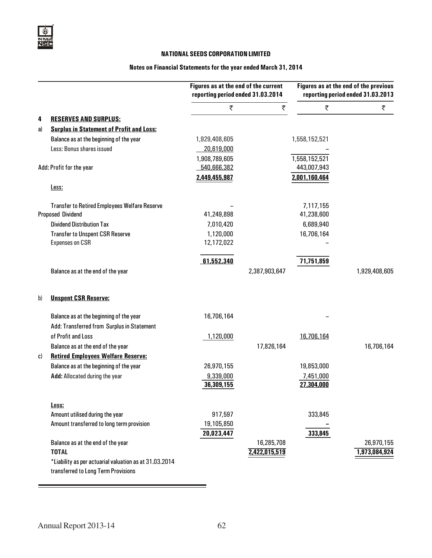#### Notes on Financial Statements for the year ended March 31, 2014

|    |                                                        | Figures as at the end of the current<br>reporting period ended 31.03.2014 |               | Figures as at the end of the previous<br>reporting period ended 31.03.2013 |               |
|----|--------------------------------------------------------|---------------------------------------------------------------------------|---------------|----------------------------------------------------------------------------|---------------|
|    |                                                        | ₹                                                                         | ₹             | ₹                                                                          | ₹             |
| 4  | <b>RESERVES AND SURPLUS:</b>                           |                                                                           |               |                                                                            |               |
| a) | <b>Surplus in Statement of Profit and Loss:</b>        |                                                                           |               |                                                                            |               |
|    | Balance as at the beginning of the year                | 1,929,408,605                                                             |               | 1,558,152,521                                                              |               |
|    | Less: Bonus shares issued                              | 20,619,000                                                                |               |                                                                            |               |
|    |                                                        | 1,908,789,605                                                             |               | 1,558,152,521                                                              |               |
|    | Add: Profit for the year                               | 540,666,382                                                               |               | 443,007,943                                                                |               |
|    |                                                        | 2,449,455,987                                                             |               | 2,001,160,464                                                              |               |
|    | Less:                                                  |                                                                           |               |                                                                            |               |
|    | <b>Transfer to Retired Employees Welfare Reserve</b>   |                                                                           |               | 7,117,155                                                                  |               |
|    | <b>Proposed Dividend</b>                               | 41,249,898                                                                |               | 41,238,600                                                                 |               |
|    | <b>Dividend Distribution Tax</b>                       | 7,010,420                                                                 |               | 6,689,940                                                                  |               |
|    | <b>Transfer to Unspent CSR Reserve</b>                 | 1,120,000                                                                 |               | 16,706,164                                                                 |               |
|    | <b>Expenses on CSR</b>                                 | 12,172,022                                                                |               |                                                                            |               |
|    |                                                        | 61,552,340                                                                |               | 71,751,859                                                                 |               |
|    | Balance as at the end of the year                      |                                                                           | 2,387,903,647 |                                                                            | 1,929,408,605 |
| b) | <b>Unspent CSR Reserve:</b>                            |                                                                           |               |                                                                            |               |
|    | Balance as at the beginning of the year                | 16,706,164                                                                |               |                                                                            |               |
|    | Add: Transferred from Surplus in Statement             |                                                                           |               |                                                                            |               |
|    | of Profit and Loss                                     | 1,120,000                                                                 |               | 16,706,164                                                                 |               |
|    | Balance as at the end of the year                      |                                                                           | 17,826,164    |                                                                            | 16,706,164    |
| C) | <b>Retired Employees Welfare Reserve:</b>              |                                                                           |               |                                                                            |               |
|    | Balance as at the beginning of the year                | 26,970,155                                                                |               | 19,853,000                                                                 |               |
|    | Add: Allocated during the year                         | 9,339,000                                                                 |               | 7,451,000                                                                  |               |
|    |                                                        | 36,309,155                                                                |               | 27,304,000                                                                 |               |
|    | Less:                                                  |                                                                           |               |                                                                            |               |
|    | Amount utilised during the year                        | 917,597                                                                   |               | 333,845                                                                    |               |
|    | Amount transferred to long term provision              | 19,105,850                                                                |               |                                                                            |               |
|    |                                                        | 20,023,447                                                                |               | 333,845                                                                    |               |
|    | Balance as at the end of the year                      |                                                                           | 16,285,708    |                                                                            | 26,970,155    |
|    | <b>TOTAL</b>                                           |                                                                           | 2,422,015,519 |                                                                            | 1,973,084,924 |
|    | *Liability as per actuarial valuation as at 31.03.2014 |                                                                           |               |                                                                            |               |
|    | transferred to Long Term Provisions                    |                                                                           |               |                                                                            |               |

÷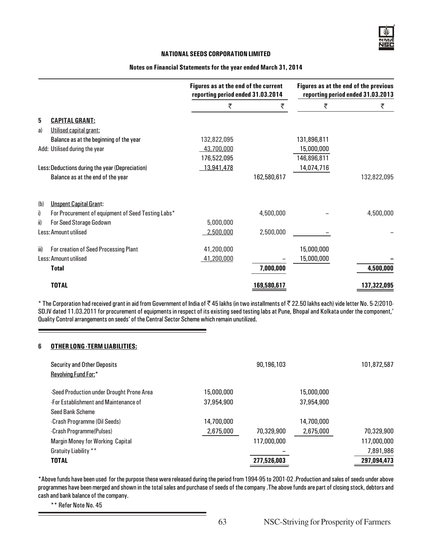#### Notes on Financial Statements for the year ended March 31, 2014

|      |                                                    | Figures as at the end of the current<br>reporting period ended 31.03.2014 |             |             | Figures as at the end of the previous<br>reporting period ended 31.03.2013 |
|------|----------------------------------------------------|---------------------------------------------------------------------------|-------------|-------------|----------------------------------------------------------------------------|
|      |                                                    | ₹                                                                         | ₹           | ₹           | ₹                                                                          |
| 5    | <b>CAPITAL GRANT:</b>                              |                                                                           |             |             |                                                                            |
| a)   | Utilised capital grant:                            |                                                                           |             |             |                                                                            |
|      | Balance as at the beginning of the year            | 132,822,095                                                               |             | 131,896,811 |                                                                            |
|      | Add: Utilised during the year                      | 43,700,000                                                                |             | 15,000,000  |                                                                            |
|      |                                                    | 176,522,095                                                               |             | 146,896,811 |                                                                            |
|      | Less: Deductions during the year (Depreciation)    | 13,941,478                                                                |             | 14,074,716  |                                                                            |
|      | Balance as at the end of the year                  |                                                                           | 162,580,617 |             | 132,822,095                                                                |
| (b)  | <b>Unspent Capital Grant:</b>                      |                                                                           |             |             |                                                                            |
| i)   | For Procurement of equipment of Seed Testing Labs* |                                                                           | 4,500,000   |             | 4,500,000                                                                  |
| ii)  | For Seed Storage Godown                            | 5,000,000                                                                 |             |             |                                                                            |
|      | Less: Amount utilised                              | 2,500,000                                                                 | 2,500,000   |             |                                                                            |
| iii) | For creation of Seed Processing Plant              | 41,200,000                                                                |             | 15,000,000  |                                                                            |
|      | Less: Amount utilised                              | 41,200,000                                                                |             | 15,000,000  |                                                                            |
|      | <b>Total</b>                                       |                                                                           | 7,000,000   |             | 4,500,000                                                                  |
|      | <b>TOTAL</b>                                       |                                                                           | 169,580,617 |             | 137,322,095                                                                |

\* The Corporation had received grant in aid from Government of India of ₹45 lakhs (in two installments of ₹22.50 lakhs each) vide letter No. 5-2/2010-SD.IV dated 11.03.2011 for procurement of equipments in respect of its existing seed testing labs at Pune, Bhopal and Kolkata under the component,' Quality Control arrangements on seeds' of the Central Sector Scheme which remain unutilized.

#### 6 OTHER LONG -TERM LIABILITIES:

| <b>Security and Other Deposits</b><br>Revolving Fund For:* |            | 90,196,103  |            | 101,872,587 |
|------------------------------------------------------------|------------|-------------|------------|-------------|
| -Seed Production under Drought Prone Area                  | 15,000,000 |             | 15,000,000 |             |
| -For Establishment and Maintenance of                      | 37.954.900 |             | 37,954,900 |             |
| Seed Bank Scheme                                           |            |             |            |             |
| -Crash Programme (Oil Seeds)                               | 14,700,000 |             | 14,700,000 |             |
| -Crash Programme(Pulses)                                   | 2,675,000  | 70,329,900  | 2,675,000  | 70,329,900  |
| <b>Margin Money for Working Capital</b>                    |            | 117,000,000 |            | 117,000,000 |
| Gratuity Liability **                                      |            |             |            | 7,891,986   |
| <b>TOTAL</b>                                               |            | 277,526,003 |            | 297,094,473 |

\*Above funds have been used for the purpose these were released during the period from 1994-95 to 2001-02 .Production and sales of seeds under above programmes have been merged and shown in the total sales and purchase of seeds of the company .The above funds are part of closing stock, debtors and cash and bank balance of the company.

\*\* Refer Note No. 45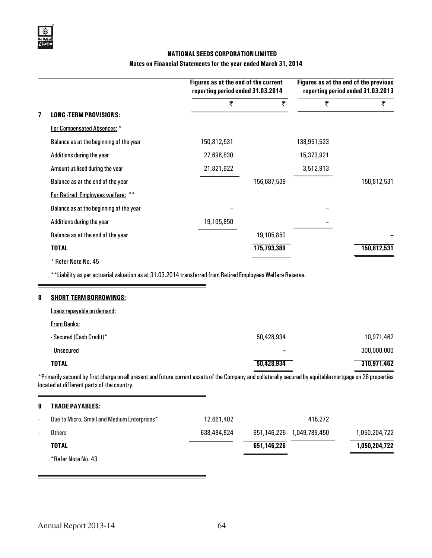#### Notes on Financial Statements for the year ended March 31, 2014

|   |                                                                                                             | Figures as at the end of the current<br>reporting period ended 31.03.2014 |             |             | Figures as at the end of the previous<br>reporting period ended 31.03.2013 |
|---|-------------------------------------------------------------------------------------------------------------|---------------------------------------------------------------------------|-------------|-------------|----------------------------------------------------------------------------|
|   |                                                                                                             | ₹                                                                         | ₹           | ₹           | ₹                                                                          |
| 7 | <b>LONG -TERM PROVISIONS:</b>                                                                               |                                                                           |             |             |                                                                            |
|   | For Compensated Absences: *                                                                                 |                                                                           |             |             |                                                                            |
|   | Balance as at the beginning of the year                                                                     | 150,812,531                                                               |             | 138,951,523 |                                                                            |
|   | Additions during the year                                                                                   | 27,696,630                                                                |             | 15,373,921  |                                                                            |
|   | Amount utilised during the year                                                                             | 21,821,622                                                                |             | 3,512,913   |                                                                            |
|   | Balance as at the end of the year                                                                           |                                                                           | 156,687,539 |             | 150,812,531                                                                |
|   | For Retired Employees welfare: **                                                                           |                                                                           |             |             |                                                                            |
|   | Balance as at the beginning of the year                                                                     |                                                                           |             |             |                                                                            |
|   | Additions during the year                                                                                   | 19,105,850                                                                |             |             |                                                                            |
|   | Balance as at the end of the year                                                                           |                                                                           | 19,105,850  |             |                                                                            |
|   | <b>TOTAL</b>                                                                                                |                                                                           | 175,793,389 |             | 150,812,531                                                                |
|   | * Refer Note No. 45                                                                                         |                                                                           |             |             |                                                                            |
|   | **Liability as per actuarial valuation as at 31.03.2014 transferred from Retired Employees Welfare Reserve. |                                                                           |             |             |                                                                            |
| 8 | <b>SHORT-TERM BORROWINGS:</b>                                                                               |                                                                           |             |             |                                                                            |
|   | Loans repayable on demand:                                                                                  |                                                                           |             |             |                                                                            |
|   | <b>From Banks:</b>                                                                                          |                                                                           |             |             |                                                                            |

| <b>TOTAL</b>             | 50,428,934 | 310,971,462 |
|--------------------------|------------|-------------|
| - Unsecured              | -          | 300,000,000 |
| - Secured (Cash Credit)* | 50,428,934 | 10,971,462  |

\*Primarily secured by first charge on all present and future current assets of the Company and collaterally secured by equitable mortgage on 26 properties located at different parts of the country.

| 9                        | <b>TRADE PAYABLES:</b>                      |             |             |               |               |
|--------------------------|---------------------------------------------|-------------|-------------|---------------|---------------|
| $\sim$                   | Due to Micro, Small and Medium Enterprises* | 12,661,402  |             | 415.272       |               |
| $\overline{\phantom{a}}$ | <b>Others</b>                               | 638,484,824 | 651,146,226 | 1,049,789,450 | 1,050,204,722 |
|                          | <b>TOTAL</b>                                |             | 651,146,226 |               | 1,050,204,722 |
|                          | *Refer Note No. 43                          |             |             |               |               |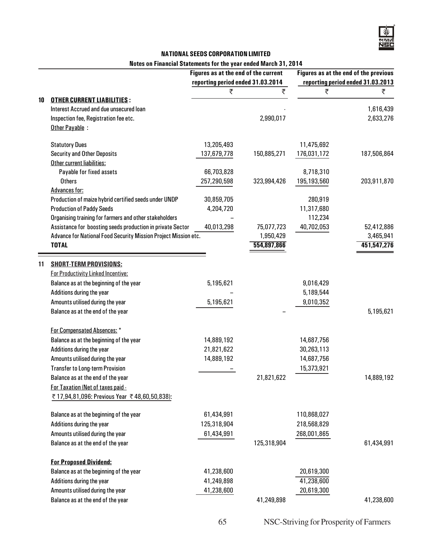#### Notes on Financial Statements for the year ended March 31, 2014

|    |                                                                 | Figures as at the end of the current |             |             | Figures as at the end of the previous |
|----|-----------------------------------------------------------------|--------------------------------------|-------------|-------------|---------------------------------------|
|    |                                                                 | reporting period ended 31.03.2014    |             |             | reporting period ended 31.03.2013     |
|    |                                                                 | ₹                                    | ₹           | ₹           | ₹                                     |
| 10 | <b>OTHER CURRENT LIABILITIES:</b>                               |                                      |             |             |                                       |
|    | Interest Accrued and due unsecured loan                         |                                      |             |             | 1,616,439                             |
|    | Inspection fee, Registration fee etc.                           |                                      | 2,990,017   |             | 2,633,276                             |
|    | Other Payable :                                                 |                                      |             |             |                                       |
|    | <b>Statutory Dues</b>                                           | 13,205,493                           |             | 11,475,692  |                                       |
|    | <b>Security and Other Deposits</b>                              | 137,679,778                          | 150,885,271 | 176,031,172 | 187,506,864                           |
|    | Other current liabilities:                                      |                                      |             |             |                                       |
|    | Payable for fixed assets                                        | 66,703,828                           |             | 8,718,310   |                                       |
|    | <b>Others</b>                                                   | 257,290,598                          | 323,994,426 | 195,193,560 | 203,911,870                           |
|    | <b>Advances for:</b>                                            |                                      |             |             |                                       |
|    | Production of maize hybrid certified seeds under UNDP           | 30,859,705                           |             | 280,919     |                                       |
|    | <b>Production of Paddy Seeds</b>                                | 4,204,720                            |             | 11,317,680  |                                       |
|    | Organising training for farmers and other stakeholders          |                                      |             | 112,234     |                                       |
|    | Assistance for boosting seeds production in private Sector      | 40,013,298                           | 75,077,723  | 40,702,053  | 52,412,886                            |
|    | Advance for National Food Security Mission Project Mission etc. |                                      | 1,950,429   |             | 3,465,941                             |
|    | <b>TOTAL</b>                                                    |                                      | 554,897,866 |             | 451,547,276                           |
| 11 | <b>SHORT-TERM PROVISIONS:</b>                                   |                                      |             |             |                                       |
|    | <b>For Productivity Linked Incentive:</b>                       |                                      |             |             |                                       |
|    | Balance as at the beginning of the year                         | 5,195,621                            |             | 9,016,429   |                                       |
|    | Additions during the year                                       |                                      |             | 5,189,544   |                                       |
|    | Amounts utilised during the year                                | 5,195,621                            |             | 9,010,352   |                                       |
|    | Balance as at the end of the year                               |                                      |             |             | 5,195,621                             |
|    |                                                                 |                                      |             |             |                                       |
|    | For Compensated Absences: *                                     |                                      |             |             |                                       |
|    | Balance as at the beginning of the year                         | 14,889,192                           |             | 14,687,756  |                                       |
|    | Additions during the year                                       | 21,821,622                           |             | 30,263,113  |                                       |
|    | Amounts utilised during the year                                | 14,889,192                           |             | 14,687,756  |                                       |
|    | <b>Transfer to Long-term Provision</b>                          |                                      |             | 15,373,921  |                                       |
|    | Balance as at the end of the year                               |                                      | 21,821,622  |             | 14,889,192                            |
|    | For Taxation (Net of taxes paid -                               |                                      |             |             |                                       |
|    | ₹17,94,81,096: Previous Year ₹48,60,50,838):                    |                                      |             |             |                                       |
|    | Balance as at the beginning of the year                         | 61,434,991                           |             | 110,868,027 |                                       |
|    | Additions during the year                                       | 125,318,904                          |             | 218,568,829 |                                       |
|    | Amounts utilised during the year                                | 61,434,991                           |             | 268,001,865 |                                       |
|    | Balance as at the end of the year                               |                                      | 125,318,904 |             | 61,434,991                            |
|    |                                                                 |                                      |             |             |                                       |
|    | <b>For Proposed Dividend:</b>                                   |                                      |             |             |                                       |
|    | Balance as at the beginning of the year                         | 41,238,600                           |             | 20,619,300  |                                       |
|    | Additions during the year                                       | 41,249,898                           |             | 41,238,600  |                                       |
|    | Amounts utilised during the year                                | 41,238,600                           |             | 20,619,300  |                                       |
|    | Balance as at the end of the year                               |                                      | 41,249,898  |             | 41,238,600                            |
|    |                                                                 |                                      |             |             |                                       |

65 NSC-Striving for Prosperity of Farmers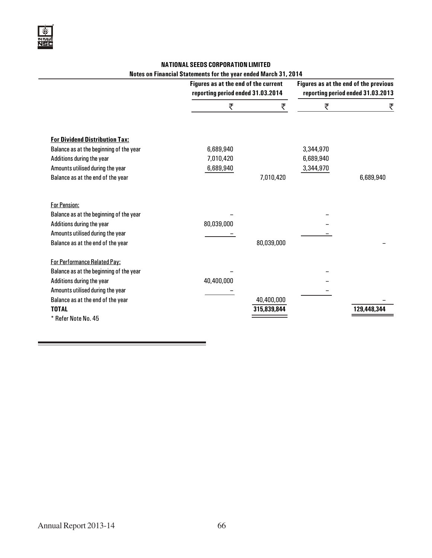#### NATIONAL SEEDS CORPORATION LIMITED Notes on Financial Statements for the year ended March 31, 2014

|                                                                                                                                                                                        | Figures as at the end of the current<br>reporting period ended 31.03.2014 |             |                                     | Figures as at the end of the previous<br>reporting period ended 31.03.2013 |
|----------------------------------------------------------------------------------------------------------------------------------------------------------------------------------------|---------------------------------------------------------------------------|-------------|-------------------------------------|----------------------------------------------------------------------------|
|                                                                                                                                                                                        | ₹                                                                         | ₹           | ₹                                   | ₹                                                                          |
| <b>For Dividend Distribution Tax:</b><br>Balance as at the beginning of the year<br>Additions during the year<br>Amounts utilised during the year<br>Balance as at the end of the year | 6,689,940<br>7,010,420<br>6,689,940                                       | 7,010,420   | 3,344,970<br>6,689,940<br>3,344,970 | 6,689,940                                                                  |
| <b>For Pension:</b><br>Balance as at the beginning of the year<br>Additions during the year                                                                                            | 80,039,000                                                                |             |                                     |                                                                            |
| Amounts utilised during the year<br>Balance as at the end of the year                                                                                                                  |                                                                           | 80,039,000  |                                     |                                                                            |
| For Performance Related Pay:<br>Balance as at the beginning of the year<br>Additions during the year<br>Amounts utilised during the year<br>Balance as at the end of the year          | 40,400,000                                                                | 40,400,000  |                                     |                                                                            |
| <b>TOTAL</b><br>* Refer Note No. 45                                                                                                                                                    |                                                                           | 315,839,844 |                                     | 129,448,344                                                                |

and the control of the control of the control of the control of the control of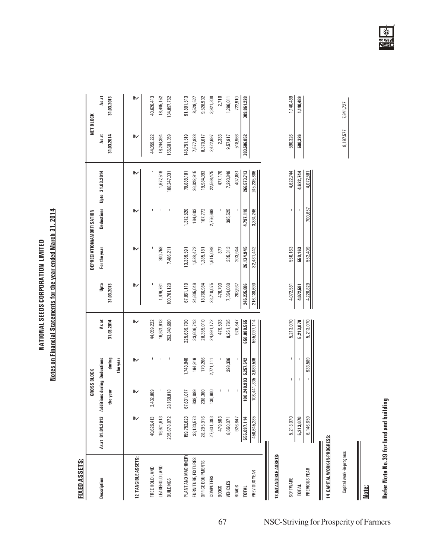Notes on Financial Statements for the year ended March 31, 2014 Notes on Financial Statements for the year ended March 31, 2014 **NATIONAL SEEDS CORPORATION LIMITED** NATIONAL SEEDS CORPORATION LIMITED

## **FIXED ASSETS:** FIXED ASSETS:

|                     |                  | GROSS BLOCK                |                       |             |             | DEPRECIATION/AMORTISATION |           |                            |             | NET BLOCK   |
|---------------------|------------------|----------------------------|-----------------------|-------------|-------------|---------------------------|-----------|----------------------------|-------------|-------------|
| Description         | As at 01.04.2013 | dditions during Deductions |                       | Asat        | g<br>D      | For the year              |           | Deductions Upto 31.03.2014 | Asat        | Asat        |
|                     |                  | the year                   | during<br>the year    | 31.03.2014  | 31.03.2013  |                           |           |                            | 31.03.2014  | 31.03.2013  |
| 12 TANGIBLE ASSETS: |                  | ኲ                          | ₩                     |             | ₩           | ኲ                         | ኲ         |                            | ኲ           | ₩           |
| FREE HOLD LAND      | 40,626,413       | 3,432,809                  |                       | 44,059,222  |             |                           |           |                            | 44,059,222  | 40,626,413  |
| LEASEHOLD LAND      | 19,921,913       |                            |                       | 19,921,913  | 1,476,761   | 200,758                   |           | 1,677,519                  | 18,244,394  | 18,445,152  |
| BUILDINGS           | 235,678,872      | 28,169,818                 | I                     | 263,848,690 | 100,781,120 | 7,466,211                 |           | 108,247,331                | 155,601,359 | 134,897,752 |
|                     |                  |                            |                       |             |             |                           |           |                            |             |             |
| PLANT AND MACHINERY | 159,752,623      | 67,631,017                 | 1,743,940             | 225,639,700 | 67,861,110  | 13,339,591                | ,312,520  | 79,888,181                 | 145,751,519 | 91,891,513  |
| FURNITURE, FIXTURES | 33, 133, 573     | 638,089                    | 164,919               | 33,606,743  | 24,605,046  | 1,588,472                 | 164,603   | 26,028,915                 | 7,577,828   | 8,528,527   |
| OFFICE EQUIPMENTS   | 28,295,916       | 238,360                    | 179,266               | 28,355,010  | 18,766,984  | 1,385,181                 | 167,772   | 19,984,393                 | 8,370,617   | 9,528,932   |
| COMPUTERS           | 27,631,383       | 130,900                    | 2,771,111             | 24,991,172  | 23,710,075  | 1,615,098                 | 2,756,698 | 22,568,475                 | 2,422,697   | 3,921,308   |
| <b>BOOKS</b>        | 479,503          |                            |                       | 479,503     | 476,793     | 377                       |           | 477,170                    | 2,333       | 2,710       |
| VEHICLES            | 8,650,071        |                            | 398,306               | 8,251,765   | 7,354,060   | 335,313                   | 395,525   | 7,293,848                  | 9,57,917    | 1,296,011   |
| <b>ROADS</b>        | 926,847          |                            |                       | 926,847     | 203,937     | 203,944                   |           | 407,881                    | 518,966     | 722,910     |
| TOTAL               | 555,097,114      |                            | 100,240,993 5,257,542 | 650,080,565 | 245,235,886 | 26,134,945                | 4,797,118 | 266,573,713                | 383,506,852 | 309,861,228 |
| PREVIOUS YEAR       | 450,645,285      |                            | 108,441,335 3,989,506 | 555,097,114 | 216,138,690 | 32,431,442                | 3,334,246 | 245,235,886                |             |             |
|                     |                  |                            |                       |             |             |                           |           |                            |             |             |

## 13 INTANGIBLE ASSETS: 13 INTANGIBLE ASSETS:

| <b>SOFTWARE</b>    |                                                  |  | 5,213,07C | 4,072,581 | <b>150,163</b> | 4,622,744 | 590,326       |         |
|--------------------|--------------------------------------------------|--|-----------|-----------|----------------|-----------|---------------|---------|
| <b>TOTAL</b>       | 5, 213, 070<br><b>5, 213, 070</b><br>6, 146, 659 |  | 5,213,07  | 4,072,581 |                | 4,622,74. | <b>30,326</b> | 140,489 |
| <b>REVIOUS YE,</b> |                                                  |  | 5,213,07  |           | 52,40          |           |               |         |
|                    |                                                  |  |           |           |                |           |               |         |
|                    |                                                  |  |           |           |                |           |               |         |

# 14 CAPITAL WORK-IN-PROGRESS: 14 CAPITAL WORK-IN-PROGRESS:

Capital work-in-progress 8,197,577 7,277 7,277 8,197,841,727 7,277 7,277 7,277 7,277 7,277 7,277 7,241,727 7,27 Capital work-in-progress

Note:

Refer Note No.39 for land and building Refer Note No.39 for land and building

7,841,727 8,197,577

 $\parallel$ 

 $1,140,489$ 1,140,489

Ý ल एसस<br>NSC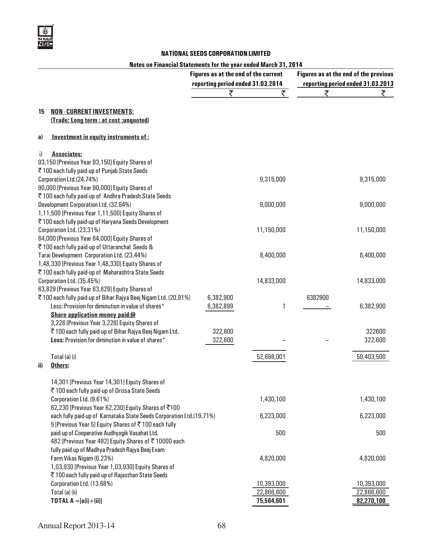

#### Notes on Financial Statements for the year ended March 31, 2014

|                                                                                                         | Figures as at the end of the current<br>reporting period ended 31.03.2014 |            |         | Figures as at the end of the previous<br>reporting period ended 31.03.2013 |
|---------------------------------------------------------------------------------------------------------|---------------------------------------------------------------------------|------------|---------|----------------------------------------------------------------------------|
|                                                                                                         | ₹                                                                         | ₹          | ₹       | ₹                                                                          |
|                                                                                                         |                                                                           |            |         |                                                                            |
| <b>NON-CURRENT INVESTMENTS:</b><br>15<br>(Trade: Long term : at cost : unquoted)                        |                                                                           |            |         |                                                                            |
| Investment in equity instruments of:<br>a)                                                              |                                                                           |            |         |                                                                            |
| <b>Associates:</b><br>i)                                                                                |                                                                           |            |         |                                                                            |
| 93,150 [Previous Year 93,150] Equity Shares of                                                          |                                                                           |            |         |                                                                            |
| ₹ 100 each fully paid-up of Punjab State Seeds                                                          |                                                                           |            |         |                                                                            |
| Corporation Ltd.(24.74%)                                                                                |                                                                           | 9,315,000  |         | 9,315,000                                                                  |
| 90,000 [Previous Year 90,000] Equity Shares of<br>₹100 each fully paid-up of Andhra Pradesh State Seeds |                                                                           |            |         |                                                                            |
| Development Corporation Ltd. (32.64%)                                                                   |                                                                           | 9,000,000  |         | 9,000,000                                                                  |
| 1,11,500 [Previous Year 1,11,500] Equity Shares of                                                      |                                                                           |            |         |                                                                            |
| ₹100 each fully paid-up of Haryana Seeds Development                                                    |                                                                           |            |         |                                                                            |
| Corporation Ltd. (23.31%)                                                                               |                                                                           | 11,150,000 |         | 11,150,000                                                                 |
| 84,000 [Previous Year 84,000] Equity Shares of                                                          |                                                                           |            |         |                                                                            |
| ₹100 each fully paid-up of Uttaranchal Seeds &                                                          |                                                                           |            |         |                                                                            |
| Tarai Development Corporation Ltd. (23.44%)                                                             |                                                                           | 8,400,000  |         | 8,400,000                                                                  |
| 1,48,330 [Previous Year 1,48,330] Equity Shares of                                                      |                                                                           |            |         |                                                                            |
| ₹ 100 each fully paid-up of Maharashtra State Seeds                                                     |                                                                           |            |         |                                                                            |
| Corporation Ltd. (35.45%)<br>63,829 [Previous Year 63,829] Equity Shares of                             |                                                                           | 14,833,000 |         | 14,833,000                                                                 |
| ₹100 each fully paid-up of Bihar Rajya Beej Nigam Ltd. (20.91%)                                         | 6,382,900                                                                 |            | 6382900 |                                                                            |
| Less: Provision for diminution in value of shares*                                                      | 6,382,899                                                                 | 1          |         | 6,382,900                                                                  |
| Share application money paid:@                                                                          |                                                                           |            |         |                                                                            |
| 3,226 [Previous Year 3,226] Equity Shares of                                                            |                                                                           |            |         |                                                                            |
| ₹100 each fully paid-up of Bihar Rajya Beej Nigam Ltd.                                                  | 322,600                                                                   |            |         | 322600                                                                     |
| Less: Provision for diminution in value of shares*                                                      | 322,600                                                                   |            |         | 322,600                                                                    |
| Total (a) (i)                                                                                           |                                                                           | 52,698,001 |         | 59,403,500                                                                 |
| Others:<br>ii)                                                                                          |                                                                           |            |         |                                                                            |
| 14,301 [Previous Year 14,301] Equity Shares of                                                          |                                                                           |            |         |                                                                            |
| ₹100 each fully paid-up of Orissa State Seeds                                                           |                                                                           |            |         |                                                                            |
| Corporation Ltd. (9.61%)                                                                                |                                                                           | 1,430,100  |         | 1,430,100                                                                  |
| 62,230 [Previous Year 62,230] Equity Shares of ₹100                                                     |                                                                           |            |         |                                                                            |
| each fully paid-up of Karnataka State Seeds Corporation Ltd.(19.71%)                                    |                                                                           | 6,223,000  |         | 6,223,000                                                                  |
| 5 [Previous Year 5] Equity Shares of ₹100 each fully                                                    |                                                                           |            |         |                                                                            |
| paid-up of Cooperative Audhyogik Vasahat Ltd.                                                           |                                                                           | 500        |         | 500                                                                        |
| 482 [Previous Year 482] Equity Shares of ₹10000 each                                                    |                                                                           |            |         |                                                                            |
| fully paid-up of Madhya Pradesh Rajya Beej Evam<br>Farm Vikas Nigam (6.23%)                             |                                                                           | 4,820,000  |         | 4,820,000                                                                  |
| 1,03,930 [Previous Year 1,03,930] Equity Shares of                                                      |                                                                           |            |         |                                                                            |
| ₹ 100 each fully paid-up of Rajasthan State Seeds                                                       |                                                                           |            |         |                                                                            |
| Corporation Ltd. (13.68%)                                                                               |                                                                           | 10,393,000 |         | 10,393,000                                                                 |
| Total (a) (ii)                                                                                          |                                                                           | 22,866,600 |         | 22,866,600                                                                 |
| <b>TOTAL A</b> = $[a(i) + (ii)]$                                                                        |                                                                           | 75,564,601 |         | 82,270,100                                                                 |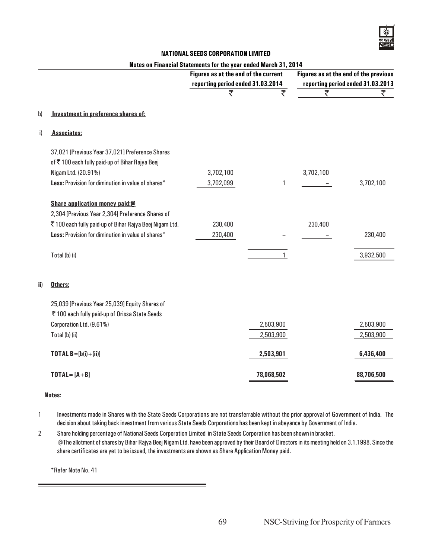#### Notes on Financial Statements for the year ended March 31, 2014

|     |                                                         | Figures as at the end of the current<br>reporting period ended 31.03.2014 |              |           | Figures as at the end of the previous<br>reporting period ended 31.03.2013 |
|-----|---------------------------------------------------------|---------------------------------------------------------------------------|--------------|-----------|----------------------------------------------------------------------------|
|     |                                                         | ₹                                                                         | ₹            | ₹         | ₹                                                                          |
| b)  | Investment in preference shares of:                     |                                                                           |              |           |                                                                            |
| i)  | <b>Associates:</b>                                      |                                                                           |              |           |                                                                            |
|     | 37,021 [Previous Year 37,021] Preference Shares         |                                                                           |              |           |                                                                            |
|     | of ₹100 each fully paid-up of Bihar Rajya Beej          |                                                                           |              |           |                                                                            |
|     | Nigam Ltd. (20.91%)                                     | 3,702,100                                                                 |              | 3,702,100 |                                                                            |
|     | Less: Provision for diminution in value of shares*      | 3,702,099                                                                 | $\mathbf{1}$ |           | 3,702,100                                                                  |
|     | Share application money paid:@                          |                                                                           |              |           |                                                                            |
|     | 2,304 [Previous Year 2,304] Preference Shares of        |                                                                           |              |           |                                                                            |
|     | ₹ 100 each fully paid-up of Bihar Rajya Beej Nigam Ltd. | 230,400                                                                   |              | 230,400   |                                                                            |
|     | Less: Provision for diminution in value of shares*      | 230,400                                                                   |              |           | 230,400                                                                    |
|     | Total (b) (i)                                           |                                                                           | 1            |           | 3,932,500                                                                  |
| ii) | Others:                                                 |                                                                           |              |           |                                                                            |
|     | 25,039 [Previous Year 25,039] Equity Shares of          |                                                                           |              |           |                                                                            |
|     | ₹ 100 each fully paid-up of Orissa State Seeds          |                                                                           |              |           |                                                                            |
|     | Corporation Ltd. (9.61%)                                |                                                                           | 2,503,900    |           | 2,503,900                                                                  |
|     | Total (b) (ii)                                          |                                                                           | 2,503,900    |           | 2,503,900                                                                  |
|     | <b>TOTAL B</b> = $[b(i)+(ii)]$                          |                                                                           | 2,503,901    |           | 6,436,400                                                                  |
|     | $TOTAL = [A + B]$                                       |                                                                           | 78,068,502   |           | 88,706,500                                                                 |

#### Notes:

- 1 Investments made in Shares with the State Seeds Corporations are not transferrable without the prior approval of Government of India. The decision about taking back investment from various State Seeds Corporations has been kept in abeyance by Government of India.
- 2 Share holding percentage of National Seeds Corporation Limited in State Seeds Corporation has been shown in bracket. @The allotment of shares by Bihar Rajya Beej Nigam Ltd. have been approved by their Board of Directors in its meeting held on 3.1.1998. Since the share certificates are yet to be issued, the investments are shown as Share Application Money paid.

\*Refer Note No. 41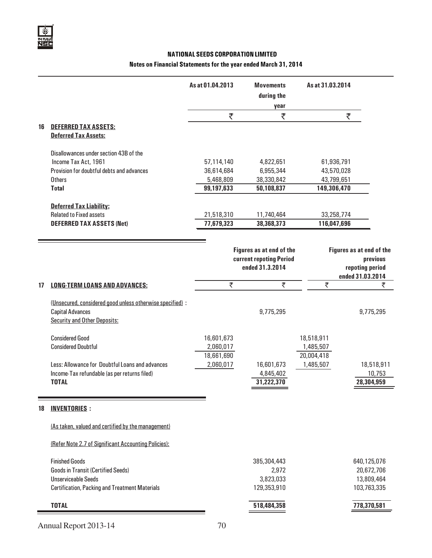#### Notes on Financial Statements for the year ended March 31, 2014

|    |                                                                                                                                                           | As at 01.04.2013                                    | <b>Movements</b><br>during the<br>year                                 | As at 31.03.2014                                      |                                                                             |
|----|-----------------------------------------------------------------------------------------------------------------------------------------------------------|-----------------------------------------------------|------------------------------------------------------------------------|-------------------------------------------------------|-----------------------------------------------------------------------------|
|    |                                                                                                                                                           | ₹                                                   | ₹                                                                      | ₹                                                     |                                                                             |
| 16 | <b>DEFERRED TAX ASSETS:</b><br><b>Deferred Tax Assets:</b>                                                                                                |                                                     |                                                                        |                                                       |                                                                             |
|    | Disallowances under section 43B of the<br>Income Tax Act, 1961<br>Provision for doubtful debts and advances<br>Others<br><b>Total</b>                     | 57,114,140<br>36,614,684<br>5,468,809<br>99,197,633 | 4,822,651<br>6,955,344<br>38,330,842<br>50,108,837                     | 61,936,791<br>43,570,028<br>43,799,651<br>149,306,470 |                                                                             |
|    | <b>Deferred Tax Liability:</b><br><b>Related to Fixed assets</b><br><b>DEFERRED TAX ASSETS (Net)</b>                                                      | 21,518,310<br>77,679,323                            | 11,740,464<br>38,368,373                                               | 33,258,774<br>116,047,696                             |                                                                             |
|    |                                                                                                                                                           |                                                     | Figures as at end of the<br>current repoting Period<br>ended 31.3.2014 |                                                       | Figures as at end of the<br>previous<br>repoting period<br>ended 31.03.2014 |
| 17 | <b>LONG-TERM LOANS AND ADVANCES:</b>                                                                                                                      | ₹                                                   | ₹                                                                      | ₹                                                     | ₹                                                                           |
|    | (Unsecured, considered good unless otherwise specified) :<br><b>Capital Advances</b><br><b>Security and Other Deposits:</b>                               |                                                     | 9,775,295                                                              |                                                       | 9,775,295                                                                   |
|    | <b>Considered Good</b><br><b>Considered Doubtful</b>                                                                                                      | 16,601,673<br>2,060,017<br>18,661,690               |                                                                        | 18,518,911<br>1,485,507<br>20,004,418                 |                                                                             |
|    | Less: Allowance for Doubtful Loans and advances<br>Income-Tax refundable (as per returns filed)<br><b>TOTAL</b>                                           | 2,060,017                                           | 16,601,673<br>4,845,402<br>31,222,370                                  | 1,485,507                                             | 18,518,911<br>10,753<br>28,304,959                                          |
| 18 | <b>INVENTORIES:</b>                                                                                                                                       |                                                     |                                                                        |                                                       |                                                                             |
|    | (As taken, valued and certified by the management)                                                                                                        |                                                     |                                                                        |                                                       |                                                                             |
|    | (Refer Note 2.7 of Significant Accounting Policies):                                                                                                      |                                                     |                                                                        |                                                       |                                                                             |
|    | <b>Finished Goods</b><br><b>Goods in Transit (Certified Seeds)</b><br><b>Unserviceable Seeds</b><br><b>Certification, Packing and Treatment Materials</b> |                                                     | 385,304,443<br>2,972<br>3,823,033<br>129,353,910                       |                                                       | 640,125,076<br>20,672,706<br>13,809,464<br>103,763,335                      |

| <b>TOTAL</b>          | 518,484,358 | 778,370,581 |
|-----------------------|-------------|-------------|
| Annual Report 2013-14 | 70          |             |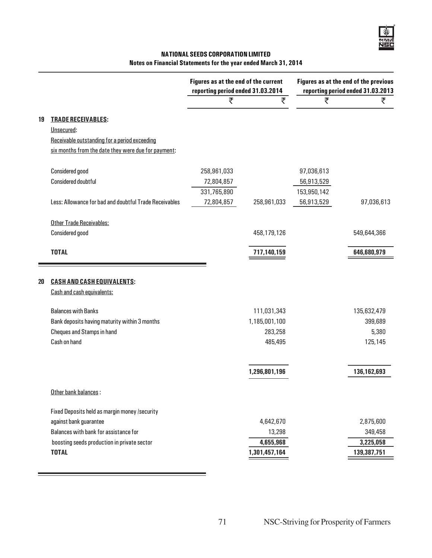#### NATIONAL SEEDS CORPORATION LIMITED Notes on Financial Statements for the year ended March 31, 2014

|    |                                                        | Figures as at the end of the current<br>reporting period ended 31.03.2014 |               | Figures as at the end of the previous<br>reporting period ended 31.03.2013 |             |
|----|--------------------------------------------------------|---------------------------------------------------------------------------|---------------|----------------------------------------------------------------------------|-------------|
|    |                                                        | ₹                                                                         | ₹             | ₹                                                                          | ₹           |
| 19 | <b>TRADE RECEIVABLES:</b>                              |                                                                           |               |                                                                            |             |
|    | Unsecured:                                             |                                                                           |               |                                                                            |             |
|    | Receivable outstanding for a period exceeding          |                                                                           |               |                                                                            |             |
|    | six months from the date they were due for payment:    |                                                                           |               |                                                                            |             |
|    | <b>Considered good</b>                                 | 258,961,033                                                               |               | 97,036,613                                                                 |             |
|    | <b>Considered doubtful</b>                             | 72,804,857                                                                |               | 56,913,529                                                                 |             |
|    |                                                        | 331,765,890                                                               |               | 153,950,142                                                                |             |
|    | Less: Allowance for bad and doubtful Trade Receivables | 72,804,857                                                                | 258,961,033   | 56,913,529                                                                 | 97,036,613  |
|    | <b>Other Trade Receivables:</b>                        |                                                                           |               |                                                                            |             |
|    | <b>Considered good</b>                                 |                                                                           | 458,179,126   |                                                                            | 549,644,366 |
|    | <b>TOTAL</b>                                           |                                                                           | 717,140,159   |                                                                            | 646,680,979 |
|    |                                                        |                                                                           |               |                                                                            |             |
| 20 | <b>CASH AND CASH EQUIVALENTS:</b>                      |                                                                           |               |                                                                            |             |
|    | Cash and cash equivalents:                             |                                                                           |               |                                                                            |             |
|    | <b>Balances with Banks</b>                             |                                                                           | 111,031,343   |                                                                            | 135,632,479 |
|    | Bank deposits having maturity within 3 months          |                                                                           | 1,185,001,100 |                                                                            | 399,689     |
|    | <b>Cheques and Stamps in hand</b>                      |                                                                           | 283,258       |                                                                            | 5,380       |
|    | Cash on hand                                           |                                                                           | 485,495       |                                                                            | 125,145     |
|    |                                                        |                                                                           | 1,296,801,196 |                                                                            | 136,162,693 |
|    |                                                        |                                                                           |               |                                                                            |             |
|    | Other bank balances:                                   |                                                                           |               |                                                                            |             |
|    | Fixed Deposits held as margin money /security          |                                                                           |               |                                                                            |             |
|    | against bank guarantee                                 |                                                                           | 4,642,670     |                                                                            | 2,875,600   |
|    | Balances with bank for assistance for                  |                                                                           | 13,298        |                                                                            | 349,458     |
|    | boosting seeds production in private sector            |                                                                           | 4,655,968     |                                                                            | 3,225,058   |
|    | <b>TOTAL</b>                                           |                                                                           | 1,301,457,164 |                                                                            | 139,387,751 |

۰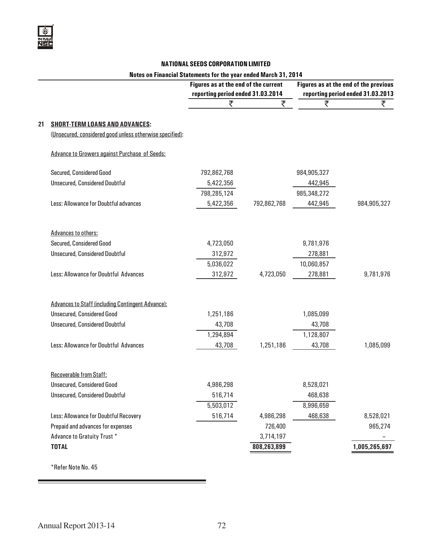#### Notes on Financial Statements for the year ended March 31, 2014

|    |                                                          | Figures as at the end of the current<br>reporting period ended 31.03.2014 |             | Figures as at the end of the previous<br>reporting period ended 31.03.2013 |               |
|----|----------------------------------------------------------|---------------------------------------------------------------------------|-------------|----------------------------------------------------------------------------|---------------|
|    |                                                          | ₹                                                                         | ₹           | ₹                                                                          | ₹             |
| 21 | <b>SHORT-TERM LOANS AND ADVANCES:</b>                    |                                                                           |             |                                                                            |               |
|    | (Unsecured, considered good unless otherwise specified): |                                                                           |             |                                                                            |               |
|    | Advance to Growers against Purchase of Seeds:            |                                                                           |             |                                                                            |               |
|    | Secured, Considered Good                                 | 792,862,768                                                               |             | 984,905,327                                                                |               |
|    | <b>Unsecured, Considered Doubtful</b>                    | 5,422,356                                                                 |             | 442,945                                                                    |               |
|    |                                                          | 798,285,124                                                               |             | 985,348,272                                                                |               |
|    | Less: Allowance for Doubtful advances                    | 5,422,356                                                                 | 792,862,768 | 442,945                                                                    | 984,905,327   |
|    | <b>Advances to others:</b>                               |                                                                           |             |                                                                            |               |
|    | Secured, Considered Good                                 | 4,723,050                                                                 |             | 9,781,976                                                                  |               |
|    | <b>Unsecured, Considered Doubtful</b>                    | 312,972                                                                   |             | 278,881                                                                    |               |
|    |                                                          | 5,036,022                                                                 |             | 10,060,857                                                                 |               |
|    | Less: Allowance for Doubtful Advances                    | 312,972                                                                   | 4,723,050   | 278,881                                                                    | 9,781,976     |
|    | <b>Advances to Staff (including Contingent Advance):</b> |                                                                           |             |                                                                            |               |
|    | <b>Unsecured, Considered Good</b>                        | 1,251,186                                                                 |             | 1,085,099                                                                  |               |
|    | <b>Unsecured, Considered Doubtful</b>                    | 43,708                                                                    |             | 43,708                                                                     |               |
|    |                                                          | 1,294,894                                                                 |             | 1,128,807                                                                  |               |
|    | Less: Allowance for Doubtful Advances                    | 43,708                                                                    | 1,251,186   | 43,708                                                                     | 1,085,099     |
|    | <b>Recoverable from Staff:</b>                           |                                                                           |             |                                                                            |               |
|    | <b>Unsecured, Considered Good</b>                        | 4,986,298                                                                 |             | 8,528,021                                                                  |               |
|    | <b>Unsecured, Considered Doubtful</b>                    | 516,714                                                                   |             | 468,638                                                                    |               |
|    |                                                          | 5,503,012                                                                 |             | 8,996,659                                                                  |               |
|    | Less: Allowance for Doubtful Recovery                    | 516,714                                                                   | 4,986,298   | 468,638                                                                    | 8,528,021     |
|    | Prepaid and advances for expenses                        |                                                                           | 726,400     |                                                                            | 965,274       |
|    | Advance to Gratuity Trust *                              |                                                                           | 3,714,197   |                                                                            |               |
|    | <b>TOTAL</b>                                             |                                                                           | 808,263,899 |                                                                            | 1,005,265,697 |
|    |                                                          |                                                                           |             |                                                                            |               |

\*Refer Note No. 45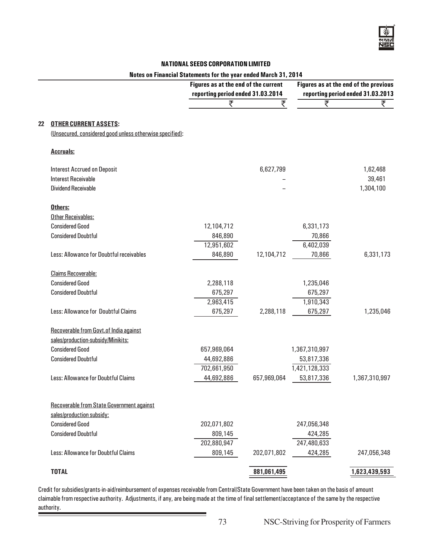#### Notes on Financial Statements for the year ended March 31, 2014

|    |                                                          | Figures as at the end of the current<br>reporting period ended 31.03.2014 |             |                        | Figures as at the end of the previous<br>reporting period ended 31.03.2013 |
|----|----------------------------------------------------------|---------------------------------------------------------------------------|-------------|------------------------|----------------------------------------------------------------------------|
|    |                                                          | ₹                                                                         | ₹           | ₹                      | ₹                                                                          |
| 22 | <b>OTHER CURRENT ASSETS:</b>                             |                                                                           |             |                        |                                                                            |
|    | (Unsecured, considered good unless otherwise specified): |                                                                           |             |                        |                                                                            |
|    |                                                          |                                                                           |             |                        |                                                                            |
|    | <b>Accruals:</b>                                         |                                                                           |             |                        |                                                                            |
|    | <b>Interest Accrued on Deposit</b>                       |                                                                           | 6,627,799   |                        | 1,62,468                                                                   |
|    | <b>Interest Receivable</b>                               |                                                                           |             |                        | 39,461                                                                     |
|    | <b>Dividend Receivable</b>                               |                                                                           |             |                        | 1,304,100                                                                  |
|    | Others:                                                  |                                                                           |             |                        |                                                                            |
|    | <b>Other Receivables:</b>                                |                                                                           |             |                        |                                                                            |
|    | <b>Considered Good</b>                                   | 12,104,712                                                                |             | 6,331,173              |                                                                            |
|    | <b>Considered Doubtful</b>                               | 846,890                                                                   |             | 70,866                 |                                                                            |
|    |                                                          | 12,951,602                                                                |             | 6,402,039              |                                                                            |
|    | Less: Allowance for Doubtful receivables                 | 846,890                                                                   | 12,104,712  | 70,866                 | 6,331,173                                                                  |
|    | <b>Claims Recoverable:</b>                               |                                                                           |             |                        |                                                                            |
|    | <b>Considered Good</b>                                   | 2,288,118                                                                 |             | 1,235,046              |                                                                            |
|    | <b>Considered Doubtful</b>                               | 675,297                                                                   |             | 675,297                |                                                                            |
|    |                                                          | 2,963,415                                                                 |             | 1,910,343              |                                                                            |
|    | Less: Allowance for Doubtful Claims                      | 675,297                                                                   | 2,288,118   | 675,297                | 1,235,046                                                                  |
|    | Recoverable from Govt.of India against                   |                                                                           |             |                        |                                                                            |
|    | sales/production-subsidy/Minikits:                       |                                                                           |             |                        |                                                                            |
|    | <b>Considered Good</b>                                   | 657,969,064                                                               |             | 1,367,310,997          |                                                                            |
|    | <b>Considered Doubtful</b>                               | 44,692,886                                                                |             | 53,817,336             |                                                                            |
|    |                                                          | 702,661,950                                                               |             | 1,421,128,333          |                                                                            |
|    | Less: Allowance for Doubtful Claims                      | 44,692,886                                                                | 657,969,064 | 53,817,336             | 1,367,310,997                                                              |
|    |                                                          |                                                                           |             |                        |                                                                            |
|    | Recoverable from State Government against                |                                                                           |             |                        |                                                                            |
|    | sales/production subsidy:<br><b>Considered Good</b>      |                                                                           |             |                        |                                                                            |
|    | <b>Considered Doubtful</b>                               | 202,071,802                                                               |             | 247,056,348<br>424,285 |                                                                            |
|    |                                                          | 809,145<br>202,880,947                                                    |             | 247,480,633            |                                                                            |
|    | Less: Allowance for Doubtful Claims                      | 809,145                                                                   | 202,071,802 | 424,285                |                                                                            |
|    |                                                          |                                                                           |             |                        | 247,056,348                                                                |
|    | <b>TOTAL</b>                                             |                                                                           | 881,061,495 |                        | 1,623,439,593                                                              |

Credit for subsidies/grants-in-aid/reimbursement of expenses receivable from Central/State Government have been taken on the basis of amount claimable from respective authority. Adjustments, if any, are being made at the time of final settlement/acceptance of the same by the respective authority.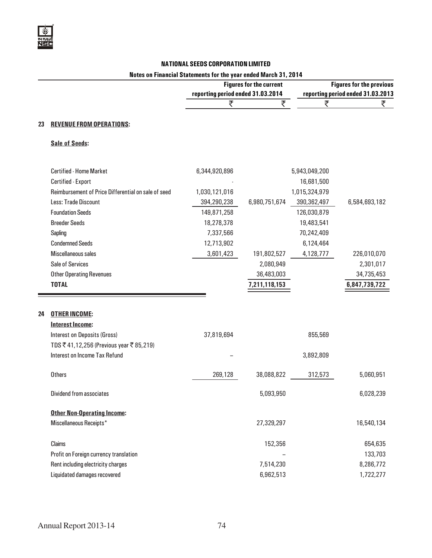## Notes on Financial Statements for the year ended March 31, 2014

|    |                                                     | <b>Figures for the current</b>    |               | <b>Figures for the previous</b> |                                   |
|----|-----------------------------------------------------|-----------------------------------|---------------|---------------------------------|-----------------------------------|
|    |                                                     | reporting period ended 31.03.2014 |               |                                 | reporting period ended 31.03.2013 |
|    |                                                     | ₹                                 | ₹             | ₹                               | ₹                                 |
| 23 | <b>REVENUE FROM OPERATIONS:</b>                     |                                   |               |                                 |                                   |
|    | <b>Sale of Seeds:</b>                               |                                   |               |                                 |                                   |
|    | <b>Certified - Home Market</b>                      | 6,344,920,896                     |               | 5,943,049,200                   |                                   |
|    | Certified - Export                                  |                                   |               | 16,681,500                      |                                   |
|    | Reimbursement of Price Differential on sale of seed | 1,030,121,016                     |               | 1,015,324,979                   |                                   |
|    | <b>Less: Trade Discount</b>                         | 394,290,238                       | 6,980,751,674 | 390,362,497                     | 6,584,693,182                     |
|    | <b>Foundation Seeds</b>                             | 149,871,258                       |               | 126,030,879                     |                                   |
|    | <b>Breeder Seeds</b>                                | 18,278,378                        |               | 19,483,541                      |                                   |
|    | Sapling                                             | 7,337,566                         |               | 70,242,409                      |                                   |
|    | <b>Condemned Seeds</b>                              | 12,713,902                        |               | 6,124,464                       |                                   |
|    | Miscellaneous sales                                 | 3,601,423                         | 191,802,527   | 4,128,777                       | 226,010,070                       |
|    | <b>Sale of Services</b>                             |                                   | 2,080,949     |                                 | 2,301,017                         |
|    | <b>Other Operating Revenues</b>                     |                                   | 36,483,003    |                                 | 34,735,453                        |
|    | <b>TOTAL</b>                                        |                                   | 7,211,118,153 |                                 | 6,847,739,722                     |
|    |                                                     |                                   |               |                                 |                                   |
| 24 | <b>OTHER INCOME:</b>                                |                                   |               |                                 |                                   |
|    | <b>Interest Income:</b>                             |                                   |               |                                 |                                   |
|    | <b>Interest on Deposits (Gross)</b>                 | 37,819,694                        |               | 855,569                         |                                   |
|    | TDS ₹41,12,256 (Previous year ₹85,219)              |                                   |               |                                 |                                   |
|    | <b>Interest on Income Tax Refund</b>                |                                   |               | 3,892,809                       |                                   |
|    | <b>Others</b>                                       | 269,128                           | 38,088,822    | 312,573                         | 5,060,951                         |
|    | Dividend from associates                            |                                   | 5,093,950     |                                 | 6,028,239                         |
|    | <b>Other Non-Operating Income:</b>                  |                                   |               |                                 |                                   |
|    | Miscellaneous Receipts*                             |                                   | 27,329,297    |                                 | 16,540,134                        |
|    | Claims                                              |                                   | 152,356       |                                 | 654,635                           |
|    | Profit on Foreign currency translation              |                                   |               |                                 | 133,703                           |
|    | Rent including electricity charges                  |                                   | 7,514,230     |                                 | 8,286,772                         |
|    | Liquidated damages recovered                        |                                   | 6,962,513     |                                 | 1,722,277                         |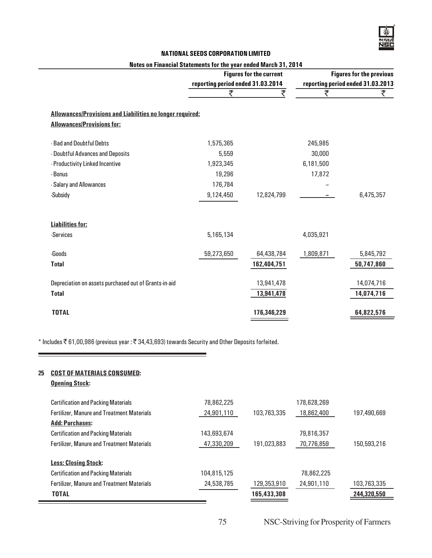#### Notes on Financial Statements for the year ended March 31, 2014

|                                   |                                                                  |                                                            | <b>Figures for the previous</b>   |
|-----------------------------------|------------------------------------------------------------------|------------------------------------------------------------|-----------------------------------|
| reporting period ended 31.03.2014 |                                                                  |                                                            | reporting period ended 31.03.2013 |
| ₹                                 | ₹                                                                | ₹                                                          | ₹                                 |
|                                   |                                                                  |                                                            |                                   |
|                                   |                                                                  |                                                            |                                   |
| 1,575,365                         |                                                                  | 245,985                                                    |                                   |
| 5,559                             |                                                                  | 30,000                                                     |                                   |
| 1,923,345                         |                                                                  | 6,181,500                                                  |                                   |
| 19,296                            |                                                                  | 17,872                                                     |                                   |
| 176,784                           |                                                                  |                                                            |                                   |
| 9,124,450                         | 12,824,799                                                       |                                                            | 6,475,357                         |
|                                   |                                                                  |                                                            |                                   |
|                                   |                                                                  |                                                            |                                   |
| 5,165,134                         |                                                                  | 4,035,921                                                  |                                   |
| 59,273,650                        | 64,438,784                                                       | 1,809,871                                                  | 5,845,792                         |
|                                   | 162,404,751                                                      |                                                            | 50,747,860                        |
|                                   |                                                                  |                                                            | 14,074,716                        |
|                                   |                                                                  |                                                            | 14,074,716                        |
|                                   |                                                                  |                                                            |                                   |
|                                   | 176,346,229                                                      |                                                            | 64,822,576                        |
|                                   | <b>Allowances/Provisions and Liabilities no longer required:</b> | <b>Figures for the current</b><br>13,941,478<br>13,941,478 |                                   |

\* Includes  $\bar{\tau}$  61,00,986 (previous year:  $\bar{\tau}$  34,43,693) towards Security and Other Deposits forfeited.

## 25 COST OF MATERIALS CONSUMED:

|  | <b>Opening Stock:</b> |
|--|-----------------------|
|  |                       |

| <b>Certification and Packing Materials</b>        | 78,862,225  |             | 178,628,269 |             |
|---------------------------------------------------|-------------|-------------|-------------|-------------|
| <b>Fertilizer, Manure and Treatment Materials</b> | 24,901,110  | 103,763,335 | 18,862,400  | 197,490,669 |
| <b>Add: Purchases:</b>                            |             |             |             |             |
| <b>Certification and Packing Materials</b>        | 143,693,674 |             | 79,816,357  |             |
| <b>Fertilizer, Manure and Treatment Materials</b> | 47,330,209  | 191,023,883 | 70,776,859  | 150,593,216 |
| <b>Less: Closing Stock:</b>                       |             |             |             |             |
| <b>Certification and Packing Materials</b>        | 104,815,125 |             | 78,862,225  |             |
| <b>Fertilizer, Manure and Treatment Materials</b> | 24,538,785  | 129,353,910 | 24,901,110  | 103,763,335 |
| <b>TOTAL</b>                                      |             | 165,433,308 |             | 244,320,550 |

75 NSC-Striving for Prosperity of Farmers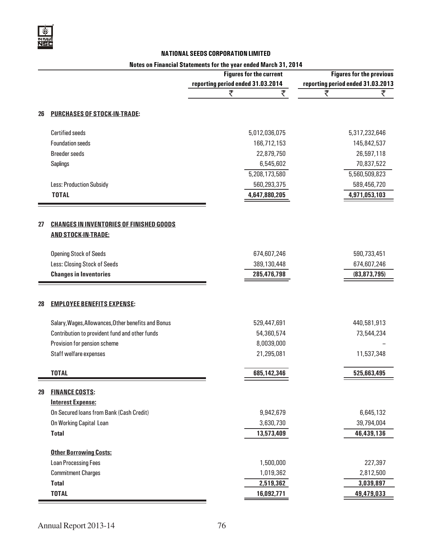## Notes on Financial Statements for the year ended March 31, 2014

|    |                                                                               | <b>Figures for the current</b>    | <b>Figures for the previous</b>   |  |
|----|-------------------------------------------------------------------------------|-----------------------------------|-----------------------------------|--|
|    |                                                                               | reporting period ended 31.03.2014 | reporting period ended 31.03.2013 |  |
|    |                                                                               | ₹<br>₹                            | ₹<br>₹                            |  |
| 26 | <b>PURCHASES OF STOCK-IN-TRADE:</b>                                           |                                   |                                   |  |
|    | <b>Certified seeds</b>                                                        | 5,012,036,075                     | 5,317,232,646                     |  |
|    | <b>Foundation seeds</b>                                                       | 166,712,153                       | 145,842,537                       |  |
|    | <b>Breeder seeds</b>                                                          | 22,879,750                        | 26,597,118                        |  |
|    | <b>Saplings</b>                                                               | 6,545,602                         | 70,837,522                        |  |
|    |                                                                               | 5,208,173,580                     | 5,560,509,823                     |  |
|    | Less: Production Subsidy                                                      | 560,293,375                       | 589,456,720                       |  |
|    | <b>TOTAL</b>                                                                  | 4,647,880,205                     | 4,971,053,103                     |  |
| 27 | <b>CHANGES IN INVENTORIES OF FINISHED GOODS</b><br><b>AND STOCK-IN-TRADE:</b> |                                   |                                   |  |
|    | <b>Opening Stock of Seeds</b>                                                 | 674,607,246                       | 590,733,451                       |  |
|    | Less: Closing Stock of Seeds                                                  | 389,130,448                       | 674,607,246                       |  |
|    | <b>Changes in Inventories</b>                                                 | 285,476,798                       | (83, 873, 795)                    |  |
| 28 | <b>EMPLOYEE BENEFITS EXPENSE:</b>                                             |                                   |                                   |  |
|    | Salary, Wages, Allowances, Other benefits and Bonus                           | 529,447,691                       | 440,581,913                       |  |
|    | Contribution to provident fund and other funds                                | 54,360,574                        | 73,544,234                        |  |
|    | Provision for pension scheme                                                  | 8,0039,000                        |                                   |  |
|    | Staff welfare expenses                                                        | 21,295,081                        | 11,537,348                        |  |
|    | <b>TOTAL</b>                                                                  | 685,142,346                       | 525,663,495                       |  |
| 29 | <b>FINANCE COSTS:</b>                                                         |                                   |                                   |  |
|    | <b>Interest Expense:</b>                                                      |                                   |                                   |  |
|    | On Secured Ioans from Bank (Cash Credit)                                      | 9,942,679                         | 6,645,132                         |  |
|    | On Working Capital Loan                                                       | 3,630,730                         | 39,794,004                        |  |
|    | <b>Total</b>                                                                  | 13,573,409                        | 46,439,136                        |  |
|    | <b>Other Borrowing Costs:</b>                                                 |                                   |                                   |  |
|    | <b>Loan Processing Fees</b>                                                   | 1,500,000                         | 227,397                           |  |
|    | <b>Commitment Charges</b>                                                     | 1,019,362                         | 2,812,500                         |  |
|    | <b>Total</b>                                                                  | 2,519,362                         | 3,039,897                         |  |
|    | <b>TOTAL</b>                                                                  | 16,092,771                        | 49,479,033                        |  |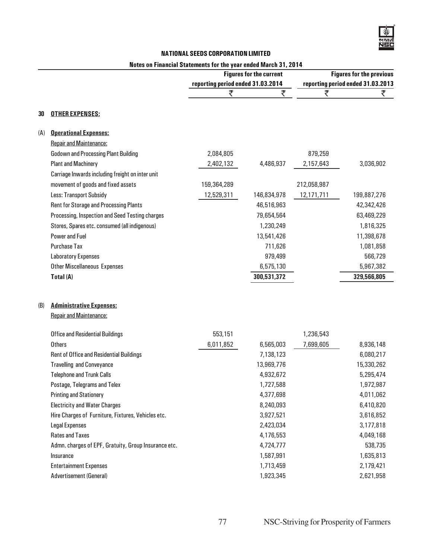## Notes on Financial Statements for the year ended March 31, 2014

|     |                                                                   | <b>Figures for the current</b>    |             | <b>Figures for the previous</b> |                                   |
|-----|-------------------------------------------------------------------|-----------------------------------|-------------|---------------------------------|-----------------------------------|
|     |                                                                   | reporting period ended 31.03.2014 |             |                                 | reporting period ended 31.03.2013 |
|     |                                                                   | ₹                                 | ₹           | ₹                               | ₹                                 |
| 30  | <b>OTHER EXPENSES:</b>                                            |                                   |             |                                 |                                   |
| (A) | <b>Operational Expenses:</b>                                      |                                   |             |                                 |                                   |
|     | <b>Repair and Maintenance:</b>                                    |                                   |             |                                 |                                   |
|     | <b>Godown and Processing Plant Building</b>                       | 2,084,805                         |             | 879,259                         |                                   |
|     | <b>Plant and Machinery</b>                                        | 2,402,132                         | 4,486,937   | 2,157,643                       | 3,036,902                         |
|     | Carriage Inwards including freight on inter unit                  |                                   |             |                                 |                                   |
|     | movement of goods and fixed assets                                | 159,364,289                       |             | 212,058,987                     |                                   |
|     | Less: Transport Subsidy                                           | 12,529,311                        | 146,834,978 | 12,171,711                      | 199,887,276                       |
|     | Rent for Storage and Processing Plants                            |                                   | 46,516,963  |                                 | 42,342,426                        |
|     | Processing, Inspection and Seed Testing charges                   |                                   | 79,654,564  |                                 | 63,469,229                        |
|     | Stores, Spares etc. consumed (all indigenous)                     |                                   | 1,230,249   |                                 | 1,816,325                         |
|     | <b>Power and Fuel</b>                                             |                                   | 13,541,426  |                                 | 11,398,678                        |
|     | <b>Purchase Tax</b>                                               |                                   | 711,626     |                                 | 1,081,858                         |
|     | <b>Laboratory Expenses</b>                                        |                                   | 979,499     |                                 | 566,729                           |
|     | <b>Other Miscellaneous Expenses</b>                               |                                   | 6,575,130   |                                 | 5,967,382                         |
|     | Total (A)                                                         |                                   | 300,531,372 |                                 | 329,566,805                       |
| (B) | <b>Administrative Expenses:</b><br><b>Repair and Maintenance:</b> |                                   |             |                                 |                                   |
|     | <b>Office and Residential Buildings</b>                           | 553,151                           |             | 1,236,543                       |                                   |
|     | <b>Others</b>                                                     | 6,011,852                         | 6,565,003   | 7,699,605                       | 8,936,148                         |
|     | <b>Rent of Office and Residential Buildings</b>                   |                                   | 7,138,123   |                                 | 6,080,217                         |
|     | <b>Travelling and Conveyance</b>                                  |                                   | 13,969,776  |                                 | 15,330,262                        |
|     | <b>Telephone and Trunk Calls</b>                                  |                                   | 4,932,672   |                                 | 5,295,474                         |
|     | Postage, Telegrams and Telex                                      |                                   | 1,727,588   |                                 | 1,972,987                         |
|     | <b>Printing and Stationery</b>                                    |                                   | 4,377,698   |                                 | 4,011,062                         |
|     | <b>Electricity and Water Charges</b>                              |                                   | 8,240,093   |                                 | 6,410,820                         |
|     | Hire Charges of Furniture, Fixtures, Vehicles etc.                |                                   | 3,927,521   |                                 | 3,616,852                         |
|     | <b>Legal Expenses</b>                                             |                                   | 2,423,034   |                                 | 3,177,818                         |
|     | <b>Rates and Taxes</b>                                            |                                   | 4,176,553   |                                 | 4,049,168                         |
|     | Admn. charges of EPF, Gratuity, Group Insurance etc.              |                                   | 4,724,777   |                                 | 538,735                           |
|     | Insurance                                                         |                                   | 1,587,991   |                                 | 1,635,813                         |
|     | <b>Entertainment Expenses</b>                                     |                                   | 1,713,459   |                                 | 2,179,421                         |
|     | Advertisement (General)                                           |                                   | 1,923,345   |                                 | 2,621,958                         |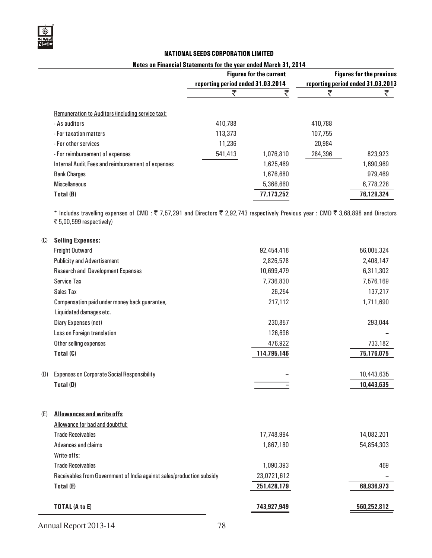#### Notes on Financial Statements for the year ended March 31, 2014

|                                                   | <b>Figures for the current</b><br>reporting period ended 31.03.2014 |            | <b>Figures for the previous</b><br>reporting period ended 31.03.2013 |            |
|---------------------------------------------------|---------------------------------------------------------------------|------------|----------------------------------------------------------------------|------------|
|                                                   |                                                                     |            |                                                                      |            |
| Remuneration to Auditors (including service tax): |                                                                     |            |                                                                      |            |
| - As auditors                                     | 410,788                                                             |            | 410,788                                                              |            |
| - For taxation matters                            | 113,373                                                             |            | 107,755                                                              |            |
| - For other services                              | 11,236                                                              |            | 20,984                                                               |            |
| - For reimbursement of expenses                   | 541,413                                                             | 1,076,810  | 284,396                                                              | 823,923    |
| Internal Audit Fees and reimbursement of expenses |                                                                     | 1,625,469  |                                                                      | 1,690,969  |
| <b>Bank Charges</b>                               |                                                                     | 1,676,680  |                                                                      | 979,469    |
| <b>Miscellaneous</b>                              |                                                                     | 5,366,660  |                                                                      | 6,778,228  |
| Total (B)                                         |                                                                     | 77,173,252 |                                                                      | 76,129,324 |

\* Includes travelling expenses of CMD :  $\bar{\tau}$  7,57,291 and Directors  $\bar{\tau}$  2,92,743 respectively Previous year : CMD  $\bar{\tau}$  3,68,898 and Directors  $\overline{\mathfrak{F}}$  5,00,599 respectively)

| (C) | <b>Selling Expenses:</b>                                              |             |             |
|-----|-----------------------------------------------------------------------|-------------|-------------|
|     | Freight Outward                                                       | 92,454,418  | 56,005,324  |
|     | <b>Publicity and Advertisement</b>                                    | 2,826,578   | 2,408,147   |
|     | <b>Research and Development Expenses</b>                              | 10,699,479  | 6,311,302   |
|     | <b>Service Tax</b>                                                    | 7,736,830   | 7,576,169   |
|     | Sales Tax                                                             | 26,254      | 137,217     |
|     | Compensation paid under money back guarantee,                         | 217,112     | 1,711,690   |
|     | Liquidated damages etc.                                               |             |             |
|     | Diary Expenses (net)                                                  | 230,857     | 293,044     |
|     | Loss on Foreign translation                                           | 126,696     |             |
|     | Other selling expenses                                                | 476,922     | 733,182     |
|     | Total (C)                                                             | 114,795,146 | 75,176,075  |
|     |                                                                       |             |             |
| (D) | <b>Expenses on Corporate Social Responsibility</b>                    |             | 10,443,635  |
|     | Total (D)                                                             |             | 10,443,635  |
|     |                                                                       |             |             |
|     |                                                                       |             |             |
| (E) | <b>Allowances and write offs</b>                                      |             |             |
|     | Allowance for bad and doubtful:                                       |             |             |
|     | <b>Trade Receivables</b>                                              | 17,748,994  | 14,082,201  |
|     | Advances and claims                                                   | 1,867,180   | 54,854,303  |
|     | Write-offs:                                                           |             |             |
|     | <b>Trade Receivables</b>                                              | 1,090,393   | 469         |
|     | Receivables from Government of India against sales/production subsidy | 23,0721,612 |             |
|     | Total (E)                                                             | 251,428,179 | 68,936,973  |
|     |                                                                       |             |             |
|     | <b>TOTAL (A to E)</b>                                                 | 743,927,949 | 560,252,812 |
|     |                                                                       |             |             |

Annual Report 2013-14 78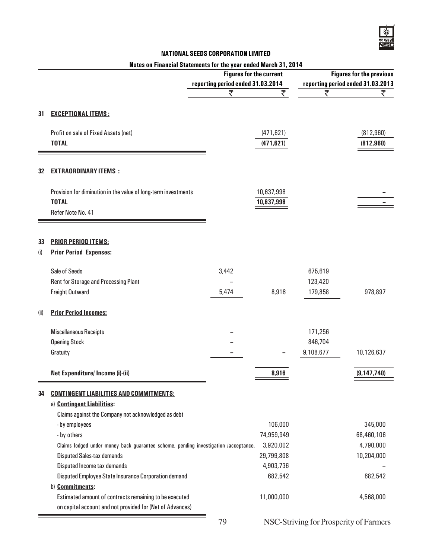## Notes on Financial Statements for the year ended March 31, 2014

|      |                                                                                     | <b>Figures for the current</b><br>reporting period ended 31.03.2014 |                          | <b>Figures for the previous</b><br>reporting period ended 31.03.2013 |               |
|------|-------------------------------------------------------------------------------------|---------------------------------------------------------------------|--------------------------|----------------------------------------------------------------------|---------------|
|      |                                                                                     | ₹                                                                   | ₹                        | ₹                                                                    | ₹             |
|      |                                                                                     |                                                                     |                          |                                                                      |               |
| 31   | <b>EXCEPTIONAL ITEMS:</b>                                                           |                                                                     |                          |                                                                      |               |
|      | Profit on sale of Fixed Assets (net)<br><b>TOTAL</b>                                |                                                                     | (471, 621)<br>(471, 621) |                                                                      | (812, 960)    |
|      |                                                                                     |                                                                     |                          |                                                                      | (812, 960)    |
| 32   | <b>EXTRAORDINARY ITEMS:</b>                                                         |                                                                     |                          |                                                                      |               |
|      | Provision for diminution in the value of long-term investments                      |                                                                     | 10,637,998               |                                                                      |               |
|      | <b>TOTAL</b><br>Refer Note No. 41                                                   |                                                                     | 10,637,998               |                                                                      |               |
|      |                                                                                     |                                                                     |                          |                                                                      |               |
| 33   | <b>PRIOR PERIOD ITEMS:</b>                                                          |                                                                     |                          |                                                                      |               |
| (i)  | <b>Prior Period Expenses:</b>                                                       |                                                                     |                          |                                                                      |               |
|      | Sale of Seeds                                                                       | 3,442                                                               |                          | 675,619                                                              |               |
|      | Rent for Storage and Processing Plant                                               |                                                                     |                          | 123,420                                                              |               |
|      | Freight Outward                                                                     | 5,474                                                               | 8,916                    | 179,858                                                              | 978,897       |
| (ii) | <b>Prior Period Incomes:</b>                                                        |                                                                     |                          |                                                                      |               |
|      | <b>Miscellaneous Receipts</b>                                                       |                                                                     |                          | 171,256                                                              |               |
|      | <b>Opening Stock</b>                                                                |                                                                     |                          | 846,704                                                              |               |
|      | Gratuity                                                                            |                                                                     |                          | 9,108,677                                                            | 10,126,637    |
|      | Net Expenditure/ Income (i)-(ii)                                                    |                                                                     | 8,916                    |                                                                      | (9, 147, 740) |
| 34   | <b>CONTINGENT LIABILITIES AND COMMITMENTS:</b>                                      |                                                                     |                          |                                                                      |               |
|      | a) Contingent Liabilities:                                                          |                                                                     |                          |                                                                      |               |
|      | Claims against the Company not acknowledged as debt                                 |                                                                     |                          |                                                                      |               |
|      | - by employees                                                                      |                                                                     | 106,000                  |                                                                      | 345,000       |
|      | - by others                                                                         |                                                                     | 74,959,949               |                                                                      | 68,460,106    |
|      | Claims lodged under money back guarantee scheme, pending investigation /acceptance. |                                                                     | 3,920,002                |                                                                      | 4,790,000     |
|      | <b>Disputed Sales-tax demands</b>                                                   |                                                                     | 29,799,808               |                                                                      | 10,204,000    |
|      | Disputed Income tax demands                                                         |                                                                     | 4,903,736                |                                                                      |               |
|      | Disputed Employee State Insurance Corporation demand                                |                                                                     | 682,542                  |                                                                      | 682,542       |
|      | b) Commitments:                                                                     |                                                                     |                          |                                                                      |               |
|      | Estimated amount of contracts remaining to be executed                              |                                                                     | 11,000,000               |                                                                      | 4,568,000     |
|      | on capital account and not provided for (Net of Advances)                           |                                                                     |                          |                                                                      |               |

79 NSC-Striving for Prosperity of Farmers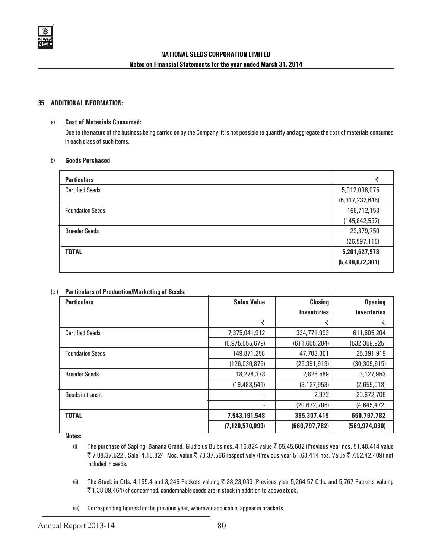

#### 35 ADDITIONAL INFORMATION:

#### a) Cost of Materials Consumed:

Due to the nature of the business being carried on by the Company, it is not possible to quantify and aggregate the cost of materials consumed in each class of such items.

#### b) Goods Purchased

| <b>Particulars</b>      |                 |
|-------------------------|-----------------|
| <b>Certified Seeds</b>  | 5,012,036,075   |
|                         | (5,317,232,646) |
| <b>Foundation Seeds</b> | 166,712,153     |
|                         | (145, 842, 537) |
| <b>Breeder Seeds</b>    | 22,879,750      |
|                         | (26, 597, 118)  |
| <b>TOTAL</b>            | 5,201,627,978   |
|                         | (5,489,672,301) |

### (c ) Particulars of Production/Marketing of Seeds:

| <b>Particulars</b>      | <b>Closing</b><br><b>Sales Value</b> |                                  | <b>Opening</b>     |
|-------------------------|--------------------------------------|----------------------------------|--------------------|
|                         |                                      | <i><u><b>Inventories</b></u></i> | <b>Inventories</b> |
|                         | ₹                                    | ₹                                | ₹                  |
| <b>Certified Seeds</b>  | 7,375,041,912                        | 334,771,993                      | 611,605,204        |
|                         | (6,975,055,679)                      | (611, 605, 204)                  | (532, 359, 925)    |
| <b>Foundation Seeds</b> | 149,871,258                          | 47,703,861                       | 25,391,919         |
|                         | (126,030,879)                        | (25, 391, 919)                   | (30, 309, 615)     |
| <b>Breeder Seeds</b>    | 18,278,378                           | 2,828,589                        | 3,127,953          |
|                         | (19, 483, 541)                       | (3, 127, 953)                    | (2,659,018)        |
| Goods in transit        |                                      | 2,972                            | 20,672,706         |
|                         |                                      | (20,672,706)                     | (4,645,472)        |
| <b>TOTAL</b>            | 7,543,191,548                        | 385,307,415                      | 660,797,782        |
|                         | (7, 120, 570, 099)                   | (660, 797, 782)                  | (569, 974, 030)    |

Notes:

- (i) The purchase of Sapling, Banana Grand, Gludiolus Bulbs nos. 4,16,824 value  $\bar{\tilde{z}}$  65,45,602 (Previous year nos. 51,48,414 value ₹ 7,08,37,522), Sale 4,16,824 Nos. value ₹ 73,37,566 respectively (Previous year 51,63,414 nos. Value ₹ 7,02,42,409) not included in seeds.
- (ii) The Stock in Qtls. 4,155.4 and 3,246 Packets valuing  $\overline{3}$  38,23,033 (Previous year 5,264.57 Qtls. and 5,767 Packets valuing  $\bar{\tau}$  1,38,09,464) of condemned/ condemnable seeds are in stock in addition to above stock.
- (iii) Corresponding figures for the previous year, wherever applicable, appear in brackets.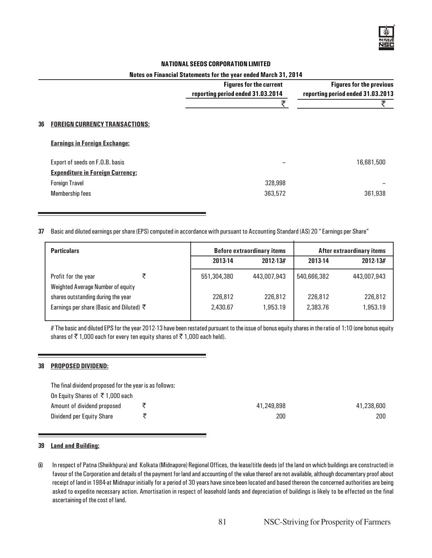

#### Notes on Financial Statements for the year ended March 31, 2014

|    |                                         | <b>Figures for the current</b><br>reporting period ended 31.03.2014 | <b>Figures for the previous</b><br>reporting period ended 31.03.2013 |
|----|-----------------------------------------|---------------------------------------------------------------------|----------------------------------------------------------------------|
|    |                                         | チ                                                                   | ₹                                                                    |
| 36 | <b>FOREIGN CURRENCY TRANSACTIONS:</b>   |                                                                     |                                                                      |
|    | <b>Earnings in Foreign Exchange:</b>    |                                                                     |                                                                      |
|    | Export of seeds on F.O.B. basis         |                                                                     | 16,681,500                                                           |
|    | <b>Expenditure in Foreign Currency:</b> |                                                                     |                                                                      |
|    | <b>Foreign Travel</b>                   | 328,998                                                             |                                                                      |
|    | <b>Membership fees</b>                  | 363,572                                                             | 361,938                                                              |

#### 37 Basic and diluted earnings per share (EPS) computed in accordance with pursuant to Accounting Standard (AS) 20 " Earnings per Share"

| <b>Particulars</b>                       |  |             | <b>Before extraordinary items</b> |             | After extraordinary items |  |
|------------------------------------------|--|-------------|-----------------------------------|-------------|---------------------------|--|
|                                          |  | 2013-14     | 2012-13#                          | 2013-14     | 2012-13#                  |  |
| Profit for the year                      |  | 551,304,380 | 443,007,943                       | 540,666,382 | 443,007,943               |  |
| Weighted Average Number of equity        |  |             |                                   |             |                           |  |
| shares outstanding during the year       |  | 226,812     | 226,812                           | 226,812     | 226,812                   |  |
| Earnings per share (Basic and Diluted) ₹ |  | 2.430.67    | 1,953.19                          | 2,383.76    | 1,953.19                  |  |
|                                          |  |             |                                   |             |                           |  |

# The basic and diluted EPS for the year 2012-13 have been restated pursuant to the issue of bonus equity shares in the ratio of 1:10 (one bonus equity shares of  $\bar{\tau}$  1,000 each for every ten equity shares of  $\bar{\tau}$  1,000 each held).

#### 38 PROPOSED DIVIDEND:

The final dividend proposed for the year is as follows:

| On Equity Shares of $\bar{\tau}$ 1,000 each |            |            |
|---------------------------------------------|------------|------------|
| Amount of dividend proposed                 | 41,249,898 | 41,238,600 |
| Dividend per Equity Share                   | 200        | 200        |

### 39 Land and Building:

(i) In respect of Patna (Sheikhpura) and Kolkata (Midnapore) Regional Offices, the lease/title deeds (of the land on which buildings are constructed) in favour of the Corporation and details of the payment for land and accounting of the value thereof are not available, although documentary proof about receipt of land in 1984 at Midnapur initially for a period of 30 years have since been located and based thereon the concerned authorities are being asked to expedite necessary action. Amortisation in respect of leasehold lands and depreciation of buildings is likely to be effected on the final ascertaining of the cost of land.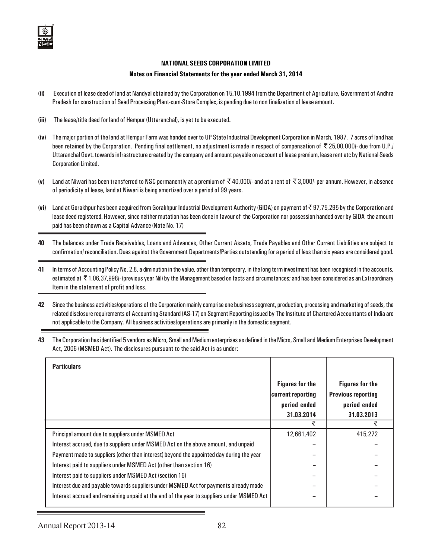#### Notes on Financial Statements for the year ended March 31, 2014

- (ii) Execution of lease deed of land at Nandyal obtained by the Corporation on 15.10.1994 from the Department of Agriculture, Government of Andhra Pradesh for construction of Seed Processing Plant-cum-Store Complex, is pending due to non finalization of lease amount.
- (iii) The lease/title deed for land of Hempur (Uttaranchal), is yet to be executed.
- (iv) The major portion of the land at Hempur Farm was handed over to UP State Industrial Development Corporation in March, 1987. 7 acres of land has been retained by the Corporation. Pending final settlement, no adjustment is made in respect of compensation of ` 25,00,000/- due from U.P./ Uttaranchal Govt. towards infrastructure created by the company and amount payable on account of lease premium, lease rent etc by National Seeds Corporation Limited.
- (v) Land at Niwari has been transferred to NSC permanently at a premium of  $\bar{\tau}$  40,000/- and at a rent of  $\bar{\tau}$  3,000/- per annum. However, in absence of periodicity of lease, land at Niwari is being amortized over a period of 99 years.
- (vi) Land at Gorakhpur has been acquired from Gorakhpur Industrial Development Authority (GIDA) on payment of ` 97,75,295 by the Corporation and lease deed registered. However, since neither mutation has been done in favour of the Corporation nor possession handed over by GIDA the amount paid has been shown as a Capital Advance (Note No. 17)
- 40 The balances under Trade Receivables, Loans and Advances, Other Current Assets, Trade Payables and Other Current Liabilities are subject to confirmation/ reconciliation. Dues against the Government Departments/Parties outstanding for a period of less than six years are considered good.
- 41 In terms of Accounting Policy No. 2.8, a diminution in the value, other than temporary, in the long term investment has been recognised in the accounts, estimated at ₹1,06,37,998/- (previous year Nil) by the Management based on facts and circumstances; and has been considered as an Extraordinary Item in the statement of profit and loss.
- 42 Since the business activities/operations of the Corporation mainly comprise one business segment, production, processing and marketing of seeds, the related disclosure requirements of Accounting Standard (AS-17) on Segment Reporting issued by The Institute of Chartered Accountants of India are not applicable to the Company. All business activities/operations are primarily in the domestic segment.
- 43 The Corporation has identified 5 vendors as Micro, Small and Medium enterprises as defined in the Micro, Small and Medium Enterprises Development Act, 2006 (MSMED Act). The disclosures pursuant to the said Act is as under:

| <b>Particulars</b>                                                                        |                                                             |                                                                     |
|-------------------------------------------------------------------------------------------|-------------------------------------------------------------|---------------------------------------------------------------------|
|                                                                                           | <b>Figures for the</b><br>current reporting<br>period ended | <b>Figures for the</b><br><b>Previous reporting</b><br>period ended |
|                                                                                           | 31.03.2014<br>₹                                             | 31.03.2013                                                          |
| Principal amount due to suppliers under MSMED Act                                         | 12,661,402                                                  | 415,272                                                             |
| Interest accrued, due to suppliers under MSMED Act on the above amount, and unpaid        |                                                             |                                                                     |
| Payment made to suppliers (other than interest) beyond the appointed day during the year  |                                                             |                                                                     |
| Interest paid to suppliers under MSMED Act (other than section 16)                        |                                                             |                                                                     |
| Interest paid to suppliers under MSMED Act (section 16)                                   |                                                             |                                                                     |
| Interest due and payable towards suppliers under MSMED Act for payments already made      |                                                             |                                                                     |
| Interest accrued and remaining unpaid at the end of the year to suppliers under MSMED Act |                                                             |                                                                     |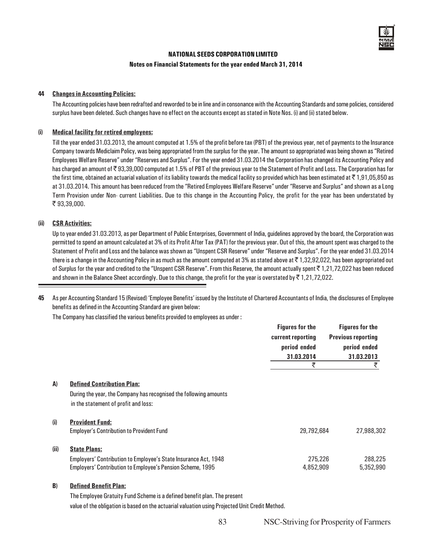

#### Notes on Financial Statements for the year ended March 31, 2014

#### 44 Changes in Accounting Policies:

The Accounting policies have been redrafted and reworded to be in line and in consonance with the Accounting Standards and some policies, considered surplus have been deleted. Such changes have no effect on the accounts except as stated in Note Nos. (i) and (ii) stated below.

### (i) Medical facility for retired employees:

Till the year ended 31.03.2013, the amount computed at 1.5% of the profit before tax (PBT) of the previous year, net of payments to the Insurance Company towards Mediclaim Policy, was being appropriated from the surplus for the year. The amount so appropriated was being shown as "Retired Employees Welfare Reserve" under "Reserves and Surplus". For the year ended 31.03.2014 the Corporation has changed its Accounting Policy and has charged an amount of  $\bar{\tau}$  93,39,000 computed at 1.5% of PBT of the previous year to the Statement of Profit and Loss. The Corporation has for the first time, obtained an actuarial valuation of its liability towards the medical facility so provided which has been estimated at  $\bar{\tau}$  1,91,05,850 as at 31.03.2014. This amount has been reduced from the "Retired Employees Welfare Reserve" under "Reserve and Surplus" and shown as a Long Term Provision under Non- current Liabilities. Due to this change in the Accounting Policy, the profit for the year has been understated by ₹93,39,000.

#### (ii) CSR Activities:

Up to year ended 31.03.2013, as per Department of Public Enterprises, Government of India, guidelines approved by the board, the Corporation was permitted to spend an amount calculated at 3% of its Profit After Tax (PAT) for the previous year. Out of this, the amount spent was charged to the Statement of Profit and Loss and the balance was shown as "Unspent CSR Reserve" under "Reserve and Surplus". For the year ended 31.03.2014 there is a change in the Accounting Policy in as much as the amount computed at 3% as stated above at  $\bar{\tau}$  1,32,92,022, has been appropriated out of Surplus for the year and credited to the "Unspent CSR Reserve". From this Reserve, the amount actually spent  $\bar{\tau}$  1, 21, 72, 022 has been reduced and shown in the Balance Sheet accordingly. Due to this change, the profit for the year is overstated by  $\bar{\tau}$  1,21,72,022.

45 As per Accounting Standard 15 (Revised) 'Employee Benefits' issued by the Institute of Chartered Accountants of India, the disclosures of Employee benefits as defined in the Accounting Standard are given below:

The Company has classified the various benefits provided to employees as under :

|      |                                                                                                                                                      | <b>Figures for the</b><br>current reporting<br>period ended<br>31.03.2014<br>₹ | <b>Figures for the</b><br><b>Previous reporting</b><br>period ended<br>31.03.2013<br>₹ |
|------|------------------------------------------------------------------------------------------------------------------------------------------------------|--------------------------------------------------------------------------------|----------------------------------------------------------------------------------------|
| A)   | <b>Defined Contribution Plan:</b><br>During the year, the Company has recognised the following amounts<br>in the statement of profit and loss:       |                                                                                |                                                                                        |
| (i)  | <b>Provident Fund:</b><br><b>Employer's Contribution to Provident Fund</b>                                                                           | 29,792,684                                                                     | 27,988,302                                                                             |
| (ii) | <b>State Plans:</b><br>Employers' Contribution to Employee's State Insurance Act, 1948<br>Employers' Contribution to Employee's Pension Scheme, 1995 | 275,226<br>4,852,909                                                           | 288,225<br>5,352,990                                                                   |

#### B) Defined Benefit Plan:

The Employee Gratuity Fund Scheme is a defined benefit plan. The present

value of the obligation is based on the actuarial valuation using Projected Unit Credit Method.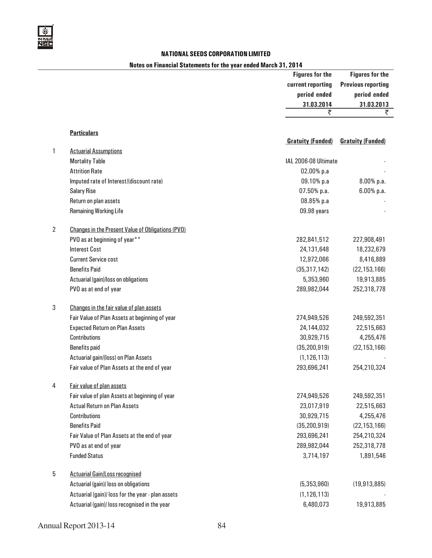

## Notes on Financial Statements for the year ended March 31, 2014

|                |                                                          | <b>Figures for the</b>   | <b>Figures for the</b>    |
|----------------|----------------------------------------------------------|--------------------------|---------------------------|
|                |                                                          | current reporting        | <b>Previous reporting</b> |
|                |                                                          | period ended             | period ended              |
|                |                                                          | 31.03.2014               | 31.03.2013                |
|                |                                                          | ₹                        | ₹                         |
|                | <b>Particulars</b>                                       |                          |                           |
|                |                                                          | <b>Gratuity (Funded)</b> | <b>Gratuity (Funded)</b>  |
| 1              | <b>Actuarial Assumptions</b>                             |                          |                           |
|                | <b>Mortality Table</b>                                   | IAL 2006-08 Ultimate     |                           |
|                | <b>Attrition Rate</b>                                    | 02.00% p.a               |                           |
|                | Imputed rate of Interest/(discount rate)                 | 09.10% p.a               | 8.00% p.a.                |
|                | <b>Salary Rise</b>                                       | 07.50% p.a.              | $6.00%$ p.a.              |
|                | Return on plan assets                                    | 08.85% p.a               |                           |
|                | <b>Remaining Working Life</b>                            | 09.98 years              |                           |
| $\overline{2}$ | <b>Changes in the Present Value of Obligations (PVO)</b> |                          |                           |
|                | PVO as at beginning of year**                            | 282,841,512              | 227,908,491               |
|                | <b>Interest Cost</b>                                     | 24,131,648               | 18,232,679                |
|                | <b>Current Service cost</b>                              | 12,972,066               | 8,416,889                 |
|                | <b>Benefits Paid</b>                                     | (35, 317, 142)           | (22, 153, 166)            |
|                | Actuarial (gain)/loss on obligations                     | 5,353,960                | 19,913,885                |
|                | PVO as at end of year                                    | 289,982,044              | 252,318,778               |
| 3              | Changes in the fair value of plan assets                 |                          |                           |
|                | Fair Value of Plan Assets at beginning of year           | 274,949,526              | 249,592,351               |
|                | <b>Expected Return on Plan Assets</b>                    | 24,144,032               | 22,515,663                |
|                | <b>Contributions</b>                                     | 30,929,715               | 4,255,476                 |
|                | <b>Benefits paid</b>                                     | (35, 200, 919)           | (22, 153, 166)            |
|                | Actuarial gain/(loss) on Plan Assets                     | (1, 126, 113)            |                           |
|                | Fair value of Plan Assets at the end of year             | 293,696,241              | 254,210,324               |
|                |                                                          |                          |                           |
| 4              | Fair value of plan assets                                |                          |                           |
|                | Fair value of plan Assets at beginning of year           | 274,949,526              | 249,592,351               |
|                | <b>Actual Return on Plan Assets</b>                      | 23,017,919               | 22,515,663                |
|                | <b>Contributions</b>                                     | 30,929,715               | 4,255,476                 |
|                | <b>Benefits Paid</b>                                     | (35, 200, 919)           | (22, 153, 166)            |
|                | Fair Value of Plan Assets at the end of year             | 293,696,241              | 254,210,324               |
|                | PVO as at end of year                                    | 289,982,044              | 252,318,778               |
|                | <b>Funded Status</b>                                     | 3,714,197                | 1,891,546                 |
| 5              | <b>Actuarial Gain/Loss recognised</b>                    |                          |                           |
|                | Actuarial (gain)/ loss on obligations                    | (5,353,960)              | (19,913,885)              |
|                | Actuarial (gain)/ loss for the year - plan assets        | (1, 126, 113)            |                           |
|                | Actuarial (gain)/ loss recognised in the year            | 6,480,073                | 19,913,885                |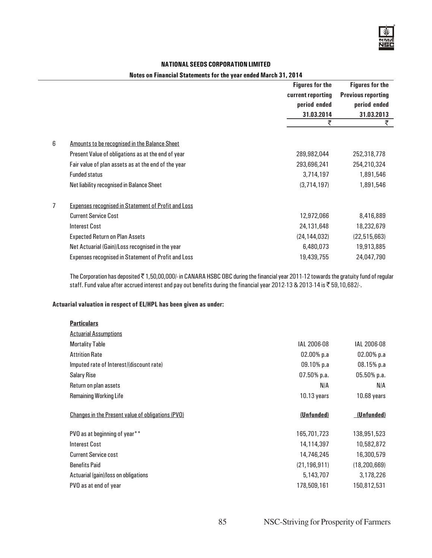## Notes on Financial Statements for the year ended March 31, 2014

|                |                                                            | <b>Figures for the</b> | <b>Figures for the</b>    |  |
|----------------|------------------------------------------------------------|------------------------|---------------------------|--|
|                |                                                            | current reporting      | <b>Previous reporting</b> |  |
|                |                                                            | period ended           | period ended              |  |
|                |                                                            | 31.03.2014             | 31.03.2013                |  |
|                |                                                            | ₹                      | ₹                         |  |
| 6              | Amounts to be recognised in the Balance Sheet              |                        |                           |  |
|                | Present Value of obligations as at the end of year         | 289,982,044            | 252,318,778               |  |
|                | Fair value of plan assets as at the end of the year        | 293,696,241            | 254,210,324               |  |
|                | <b>Funded status</b>                                       | 3,714,197              | 1,891,546                 |  |
|                | Net liability recognised in Balance Sheet                  | (3, 714, 197)          | 1,891,546                 |  |
| $\overline{7}$ | <b>Expenses recognised in Statement of Profit and Loss</b> |                        |                           |  |
|                | <b>Current Service Cost</b>                                | 12,972,066             | 8,416,889                 |  |
|                | <b>Interest Cost</b>                                       | 24,131,648             | 18,232,679                |  |
|                | <b>Expected Return on Plan Assets</b>                      | (24, 144, 032)         | (22, 515, 663)            |  |
|                | Net Actuarial (Gain)/Loss recognised in the year           | 6,480,073              | 19,913,885                |  |
|                | <b>Expenses recognised in Statement of Profit and Loss</b> | 19,439,755             | 24,047,790                |  |

The Corporation has deposited ₹1,50,00,000/- in CANARA HSBC OBC during the financial year 2011-12 towards the gratuity fund of regular staff. Fund value after accrued interest and pay out benefits during the financial year 2012-13 & 2013-14 is ₹ 59,10,682/-.

### Actuarial valuation in respect of EL/HPL has been given as under:

| <b>Particulars</b> |  |
|--------------------|--|
|                    |  |

| <b>Actuarial Assumptions</b>                      |                |                |
|---------------------------------------------------|----------------|----------------|
| <b>Mortality Table</b>                            | IAL 2006-08    | IAL 2006-08    |
| <b>Attrition Rate</b>                             | $02.00\%$ p.a  | 02.00% p.a     |
| Imputed rate of Interest/(discount rate)          | $09.10\%$ p.a  | 08.15% p.a     |
| <b>Salary Rise</b>                                | $07.50%$ p.a.  | 05.50% p.a.    |
| Return on plan assets                             | NIA            | N/A            |
| <b>Remaining Working Life</b>                     | $10.13$ years  | $10.68$ years  |
|                                                   |                |                |
| Changes in the Present value of obligations (PVO) | (Unfunded)     | (Unfunded)     |
| PVO as at beginning of year**                     | 165,701,723    | 138,951,523    |
| <b>Interest Cost</b>                              | 14,114,397     | 10,582,872     |
| <b>Current Service cost</b>                       | 14,746,245     | 16,300,579     |
| <b>Benefits Paid</b>                              | (21, 196, 911) | (18, 200, 669) |
| Actuarial (gain)/loss on obligations              | 5,143,707      | 3,178,226      |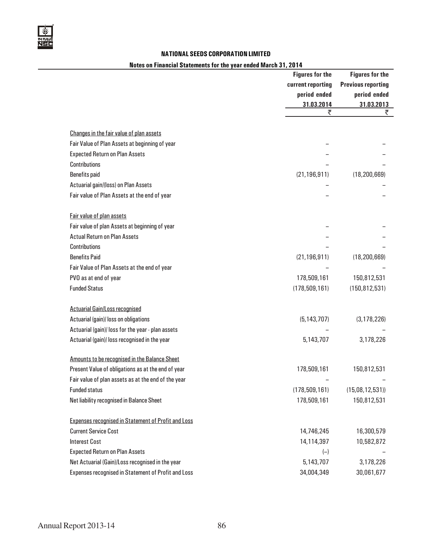

## Notes on Financial Statements for the year ended March 31, 2014

|                                                            | <b>Figures for the</b><br>current reporting<br>period ended | <b>Figures for the</b><br><b>Previous reporting</b><br>period ended |
|------------------------------------------------------------|-------------------------------------------------------------|---------------------------------------------------------------------|
|                                                            | 31.03.2014                                                  | 31.03.2013                                                          |
|                                                            | ₹                                                           | ₹                                                                   |
| Changes in the fair value of plan assets                   |                                                             |                                                                     |
| Fair Value of Plan Assets at beginning of year             |                                                             |                                                                     |
| <b>Expected Return on Plan Assets</b>                      |                                                             |                                                                     |
| <b>Contributions</b>                                       |                                                             |                                                                     |
| <b>Benefits paid</b>                                       | (21, 196, 911)                                              | (18, 200, 669)                                                      |
| Actuarial gain/(loss) on Plan Assets                       |                                                             |                                                                     |
| Fair value of Plan Assets at the end of year               |                                                             |                                                                     |
|                                                            |                                                             |                                                                     |
| Fair value of plan assets                                  |                                                             |                                                                     |
| Fair value of plan Assets at beginning of year             |                                                             |                                                                     |
| <b>Actual Return on Plan Assets</b>                        |                                                             |                                                                     |
| Contributions                                              |                                                             |                                                                     |
| <b>Benefits Paid</b>                                       | (21, 196, 911)                                              | (18, 200, 669)                                                      |
| Fair Value of Plan Assets at the end of year               |                                                             |                                                                     |
| PVO as at end of year                                      | 178,509,161                                                 | 150,812,531                                                         |
| <b>Funded Status</b>                                       | (178, 509, 161)                                             | (150, 812, 531)                                                     |
|                                                            |                                                             |                                                                     |
| <b>Actuarial Gain/Loss recognised</b>                      |                                                             |                                                                     |
| Actuarial (gain)/ loss on obligations                      | (5, 143, 707)                                               | (3, 178, 226)                                                       |
| Actuarial (gain)/ loss for the year - plan assets          |                                                             |                                                                     |
| Actuarial (gain)/ loss recognised in the year              | 5,143,707                                                   | 3,178,226                                                           |
| Amounts to be recognised in the Balance Sheet              |                                                             |                                                                     |
| Present Value of obligations as at the end of year         | 178,509,161                                                 | 150,812,531                                                         |
| Fair value of plan assets as at the end of the year        |                                                             |                                                                     |
| <b>Funded status</b>                                       | (178, 509, 161)                                             | (15,08,12,531)                                                      |
| Net liability recognised in Balance Sheet                  | 178,509,161                                                 | 150,812,531                                                         |
|                                                            |                                                             |                                                                     |
| <b>Expenses recognised in Statement of Profit and Loss</b> |                                                             |                                                                     |
| <b>Current Service Cost</b>                                | 14,746,245                                                  | 16,300,579                                                          |
| <b>Interest Cost</b>                                       | 14,114,397                                                  | 10,582,872                                                          |
| <b>Expected Return on Plan Assets</b>                      | $(-)$                                                       |                                                                     |
| Net Actuarial (Gain)/Loss recognised in the year           | 5,143,707                                                   | 3,178,226                                                           |
| Expenses recognised in Statement of Profit and Loss        | 34,004,349                                                  | 30,061,677                                                          |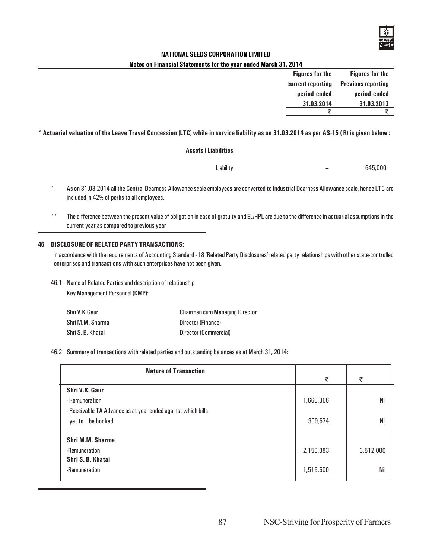

#### Notes on Financial Statements for the year ended March 31, 2014

| <b>Figures for the</b> | <b>Figures for the</b>    |
|------------------------|---------------------------|
| current reporting      | <b>Previous reporting</b> |
| period ended           | period ended              |
| 31.03.2014             | 31.03.2013                |
|                        |                           |

#### \* Actuarial valuation of the Leave Travel Concession (LTC) while in service liability as on 31.03.2014 as per AS-15 ( R) is given below :

## Assets / Liabilities

| Liability | 645,000 |
|-----------|---------|
|           |         |

- \* As on 31.03.2014 all the Central Dearness Allowance scale employees are converted to Industrial Dearness Allowance scale, hence LTC are included in 42% of perks to all employees.
- \*\* The difference between the present value of obligation in case of gratuity and EL/HPL are due to the difference in actuarial assumptions in the current year as compared to previous year

### 46 DISCLOSURE OF RELATED PARTY TRANSACTIONS:

In accordance with the requirements of Accounting Standard - 18 'Related Party Disclosures' related party relationships with other state-controlled enterprises and transactions with such enterprises have not been given.

46.1 Name of Related Parties and description of relationship

Key Management Personnel (KMP):

| Shri V.K.Gaur     | <b>Chairman cum Managing Director</b> |
|-------------------|---------------------------------------|
| Shri M.M. Sharma  | Director (Finance)                    |
| Shri S. B. Khatal | Director (Commercial)                 |

#### 46.2 Summary of transactions with related parties and outstanding balances as at March 31, 2014:

| <b>Nature of Transaction</b>                                 |           |           |
|--------------------------------------------------------------|-----------|-----------|
|                                                              | ₹         | ₹         |
| Shri V.K. Gaur                                               |           |           |
| - Remuneration                                               | 1,660,366 | Nil       |
| - Receivable TA Advance as at year ended against which bills |           |           |
| be booked<br>yet to                                          | 309,574   | Nil       |
| Shri M.M. Sharma                                             |           |           |
| -Remuneration                                                | 2,150,383 | 3,512,000 |
| Shri S. B. Khatal                                            |           |           |
| -Remuneration                                                | 1,519,500 | Nil       |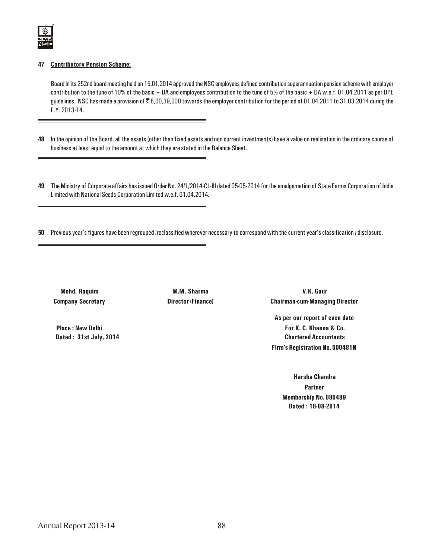

### 47 Contributory Pension Scheme:

Board in its 252nd board meeting held on 15.01.2014 approved the NSC employees defined contribution superannuation pension scheme with employer contribution to the tune of 10% of the basic + DA and employees contribution to the tune of 5% of the basic + DA w.e.f. 01.04.2011 as per DPE guidelines. NSC has made a provision of ₹8,00,39,000 towards the employer contribution for the period of 01.04.2011 to 31.03.2014 during the F.Y. 2013-14.

- 48 In the opinion of the Board, all the assets (other than fixed assets and non current investments) have a value on realisation in the ordinary course of business at least equal to the amount at which they are stated in the Balance Sheet.
- 49 The Ministry of Corporate affairs has issued Order No. 24/1/2014-CL-III dated 05-05-2014 for the amalgamation of State Farms Corporation of India Limited with National Seeds Corporation Limited w.e.f. 01.04.2014.
- 50 Previous year's figures have been regrouped /reclassified wherever necessary to correspond with the current year's classification / disclosure.

Mohd. Raquim M.M. Sharma V.K. Gaur Company Secretary Director (Finance) Chairman-cum-Managing Director

As per our report of even date Place : New Delhi **For K. C. Khanna & Co.**  Dated : 31st July, 2014 Chartered Accountants Firm's Registration No. 000481N

> Harsha Chandra **Partner** Membership No. 080489 Dated : 18-08-2014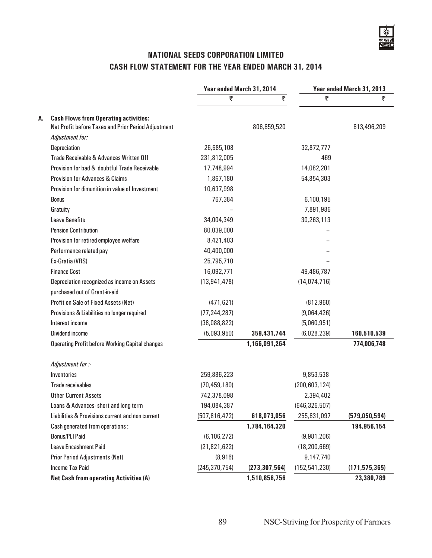## NATIONAL SEEDS CORPORATION LIMITED CASH FLOW STATEMENT FOR THE YEAR ENDED MARCH 31, 2014

|    |                                                        | Year ended March 31, 2014 |                 |                 | Year ended March 31, 2013 |  |
|----|--------------------------------------------------------|---------------------------|-----------------|-----------------|---------------------------|--|
|    |                                                        | ₹                         | ₹               | ₹               | ₹                         |  |
| A. | <b>Cash Flows from Operating activities:</b>           |                           |                 |                 |                           |  |
|    | Net Profit before Taxes and Prior Period Adjustment    |                           | 806,659,520     |                 | 613,496,209               |  |
|    | Adjustment for:                                        |                           |                 |                 |                           |  |
|    | Depreciation                                           | 26,685,108                |                 | 32,872,777      |                           |  |
|    | Trade Receivable & Advances Written Off                | 231,812,005               |                 | 469             |                           |  |
|    | Provision for bad & doubtful Trade Receivable          | 17,748,994                |                 | 14,082,201      |                           |  |
|    | <b>Provision for Advances &amp; Claims</b>             | 1,867,180                 |                 | 54,854,303      |                           |  |
|    | Provision for dimunition in value of Investment        | 10,637,998                |                 |                 |                           |  |
|    | <b>Bonus</b>                                           | 767,384                   |                 | 6,100,195       |                           |  |
|    | Gratuity                                               |                           |                 | 7,891,986       |                           |  |
|    | <b>Leave Benefits</b>                                  | 34,004,349                |                 | 30,263,113      |                           |  |
|    | <b>Pension Contribution</b>                            | 80,039,000                |                 |                 |                           |  |
|    | Provision for retired employee welfare                 | 8,421,403                 |                 |                 |                           |  |
|    | Performance related pay                                | 40,400,000                |                 |                 |                           |  |
|    | Ex-Gratia (VRS)                                        | 25,795,710                |                 |                 |                           |  |
|    | <b>Finance Cost</b>                                    | 16,092,771                |                 | 49,486,787      |                           |  |
|    | Depreciation recognized as income on Assets            | (13, 941, 478)            |                 | (14, 074, 716)  |                           |  |
|    | purchased out of Grant-in-aid                          |                           |                 |                 |                           |  |
|    | Profit on Sale of Fixed Assets (Net)                   | (471, 621)                |                 | (812,960)       |                           |  |
|    | Provisions & Liabilities no longer required            | (77, 244, 287)            |                 | (9,064,426)     |                           |  |
|    | Interest income                                        | (38,088,822)              |                 | (5,060,951)     |                           |  |
|    | Dividend income                                        | (5,093,950)               | 359,431,744     | (6,028,239)     | 160,510,539               |  |
|    | <b>Operating Profit before Working Capital changes</b> |                           | 1,166,091,264   |                 | 774,006,748               |  |
|    | Adjustment for :-                                      |                           |                 |                 |                           |  |
|    | Inventories                                            | 259,886,223               |                 | 9,853,538       |                           |  |
|    | <b>Trade receivables</b>                               | (70, 459, 180)            |                 | (200, 603, 124) |                           |  |
|    | <b>Other Current Assets</b>                            | 742,378,098               |                 | 2,394,402       |                           |  |
|    | Loans & Advances-short and long term                   | 194,084,387               |                 | (646, 326, 507) |                           |  |
|    | Liabilities & Provisions current and non current       | (507, 816, 472)           | 618,073,056     | 255,631,097     | (579, 050, 594)           |  |
|    | Cash generated from operations :                       |                           | 1,784,164,320   |                 | 194,956,154               |  |
|    | <b>Bonus/PLI Paid</b>                                  | (6, 106, 272)             |                 | (9,981,206)     |                           |  |
|    | Leave Encashment Paid                                  | (21, 821, 622)            |                 | (18, 200, 669)  |                           |  |
|    | <b>Prior Period Adjustments (Net)</b>                  | (8,916)                   |                 | 9,147,740       |                           |  |
|    | <b>Income Tax Paid</b>                                 | (245, 370, 754)           | (273, 307, 564) | (152, 541, 230) | (171, 575, 365)           |  |
|    | <b>Net Cash from operating Activities (A)</b>          |                           | 1,510,856,756   |                 | 23,380,789                |  |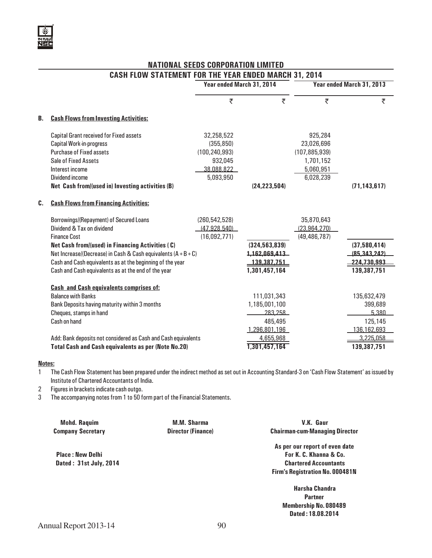## NATIONAL SEEDS CORPORATION LIMITED CASH FLOW STATEMENT FOR THE YEAR ENDED MARCH 31, 2014

| Year ended March 31, 2014<br>₹<br>B.<br><b>Cash Flows from Investing Activities:</b><br><b>Capital Grant received for Fixed assets</b><br>32,258,522<br>Capital Work-in-progress<br>(355, 850)<br><b>Purchase of Fixed assets</b><br>(100, 240, 993)<br>Sale of Fixed Assets<br>932,045<br>Interest income<br>38,088,822<br>Dividend income<br>5,093,950 |                 |                           |
|----------------------------------------------------------------------------------------------------------------------------------------------------------------------------------------------------------------------------------------------------------------------------------------------------------------------------------------------------------|-----------------|---------------------------|
|                                                                                                                                                                                                                                                                                                                                                          |                 | Year ended March 31, 2013 |
|                                                                                                                                                                                                                                                                                                                                                          | ₹<br>₹          | ₹                         |
|                                                                                                                                                                                                                                                                                                                                                          |                 |                           |
|                                                                                                                                                                                                                                                                                                                                                          | 925,284         |                           |
|                                                                                                                                                                                                                                                                                                                                                          | 23,026,696      |                           |
|                                                                                                                                                                                                                                                                                                                                                          | (107, 885, 939) |                           |
|                                                                                                                                                                                                                                                                                                                                                          | 1,701,152       |                           |
|                                                                                                                                                                                                                                                                                                                                                          | 5,060,951       |                           |
|                                                                                                                                                                                                                                                                                                                                                          | 6,028,239       |                           |
| Net Cash from/(used in) Investing activities (B)                                                                                                                                                                                                                                                                                                         | (24, 223, 504)  | (71, 143, 617)            |
| C.<br><b>Cash Flows from Financing Activities:</b>                                                                                                                                                                                                                                                                                                       |                 |                           |
| Borrowings/(Repayment) of Secured Loans<br>(260, 542, 528)                                                                                                                                                                                                                                                                                               | 35,870,643      |                           |
| Dividend & Tax on dividend<br>(47, 928, 540)                                                                                                                                                                                                                                                                                                             | (23,964,270)    |                           |
| <b>Finance Cost</b><br>(16,092,771)                                                                                                                                                                                                                                                                                                                      | (49, 486, 787)  |                           |
| (324, 563, 839)<br>Net Cash from/(used) in Financing Activities (C)                                                                                                                                                                                                                                                                                      |                 | (37,580,414)              |
| Net Increase/(Decrease) in Cash & Cash equivalents $(A + B + C)$                                                                                                                                                                                                                                                                                         | 1,162,069,413   | (85.343, 242)             |
| Cash and Cash equivalents as at the beginning of the year                                                                                                                                                                                                                                                                                                | 139,387,751     | 224,730,993               |
| 1,301,457,164<br>Cash and Cash equivalents as at the end of the year                                                                                                                                                                                                                                                                                     |                 | 139,387,751               |
| <b>Cash and Cash equivalents comprises of:</b>                                                                                                                                                                                                                                                                                                           |                 |                           |
| <b>Balance with Banks</b>                                                                                                                                                                                                                                                                                                                                | 111,031,343     | 135,632,479               |
| Bank Deposits having maturity within 3 months<br>1,185,001,100                                                                                                                                                                                                                                                                                           |                 | 399,689                   |
| Cheques, stamps in hand                                                                                                                                                                                                                                                                                                                                  | 283 258         | 5.380                     |
| Cash on hand                                                                                                                                                                                                                                                                                                                                             | 485,495         | 125,145                   |
|                                                                                                                                                                                                                                                                                                                                                          | 1.296.801.196   | 136,162,693               |
| Add: Bank deposits not considered as Cash and Cash equivalents                                                                                                                                                                                                                                                                                           | 4,655,968       | 3 225 058                 |
| 1,301,457,164<br><b>Total Cash and Cash equivalents as per (Note No.20)</b>                                                                                                                                                                                                                                                                              |                 | 139,387,751               |

#### Notes:

1 The Cash Flow Statement has been prepared under the indirect method as set out in Accounting Standard-3 on 'Cash Flow Statement' as issued by Institute of Chartered Accountants of India.

2 Figures in brackets indicate cash outgo.

3 The accompanying notes from 1 to 50 form part of the Financial Statements.

| <b>Mohd. Raquim</b>      | <b>M.M. Sharma</b>        | V.K. Gaur                              |
|--------------------------|---------------------------|----------------------------------------|
| <b>Company Secretary</b> | <b>Director (Finance)</b> | <b>Chairman-cum-Managing Director</b>  |
|                          |                           | As per our report of even date         |
| <b>Place: New Delhi</b>  |                           | For K. C. Khanna & Co.                 |
| Dated: 31st July, 2014   |                           | <b>Chartered Accountants</b>           |
|                          |                           | <b>Firm's Registration No. 000481N</b> |
|                          |                           | <b>Harsha Chandra</b>                  |
|                          |                           | <b>Partner</b>                         |
|                          |                           | <b>Membership No. 080489</b>           |
|                          |                           | Dated: 18.08.2014                      |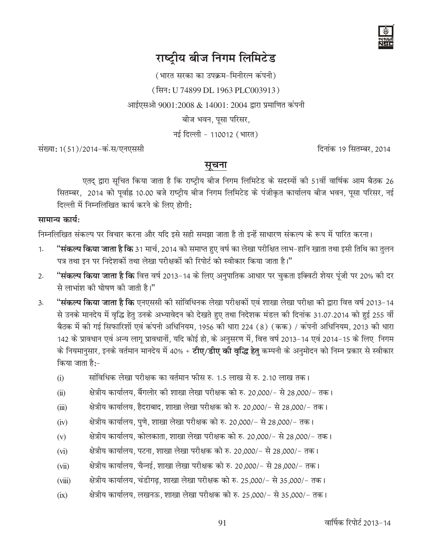

# राष्ट्रीय बीज निगम लिमिटेड

(भारत सरका का उपक्रम-मिनीरत्न कंपनी)

(सिन: U 74899 DL 1963 PLC003913)

आईएसओ 9001:2008 & 14001: 2004 द्वारा प्रमाणित कंपनी

बीज भवन, पूसा परिसर,

नई दिल्ली - 110012 (भारत)

संख्या: 1(51)/2014-कं.स/एनएससी

दिनांक 19 सितम्बर, 2014

## सूचना

एतद द्वारा सूचित किया जाता है कि राष्ट्रीय बीज निगम लिमिटेड के सदस्यों की 51वीं वार्षिक आम बैठक 26 सितम्बर, 2014 को पूर्वाह्न 10.00 बजे राष्ट्रीय बीज निगम लिमिटेड के पंजीकृत कार्यालय बीज भवन, पूसा परिसर, नई दिल्ली में निम्नलिखित कार्य करने के लिए होगी:

## सामान्य कार्य:

निम्नलिखित संकल्प पर विचार करना और यदि इसे सही समझा जाता है तो इन्हें साधारण संकल्प के रूप में पारित करना।

- "<mark>संकल्प किया जाता है कि</mark> 31 मार्च, 2014 को समाप्त हुए वर्ष का लेखा परीक्षित लाभ–हानि खाता तथा इसी तिथि का तुलन  $1.$ पत्र तथा इन पर निदेशकों तथा लेखा परीक्षकों की रिपोर्ट को स्वीकार किया जाता है।"
- "**संकल्प किया जाता है कि** वित्त वर्ष 2013–14 के लिए अनुपातिक आधार पर चुकता इक्विटी शेयर पूंजी पर 20% की दर  $2.$ से लाभांश की घोषण की जाती है।"
- "**संकल्प किया जाता है कि** एनएससी की सांविधिनक लेखा परीक्षकों एवं शाखा लेखा परीक्षा की द्वारा वित्त वर्ष 2013–14  $3.$ से उनके मानदेय में वृद्धि हेतु उनके अभ्यावेदन को देखते हुए तथा निदेशक मंडल की दिनांक 31.07.2014 को हुई 255 वीं बैठक में की गई सिफारिशों एवं कंपनी अधिनियम, 1956 की धारा 224 (8) (कक) / कंपनी अधिनियम, 2013 की धारा 142 के प्रावधान एवं अन्य लागू प्रावधानों, यदि कोई हो, के अनुसरण में, वित्त वर्ष 2013-14 एवं 2014-15 के लिए निगम के नियमानुसार, इनके वर्तमान मानदेय में 40% + **टीए/डीए की वृद्धि हेत्** कम्पनी के अनुमोदन को निम्न प्रकार से स्वीकार किया जाता है:-
	- सांविधिक लेखा परीक्षक का वर्तमान फोस रु. 1.5 लाख से रु. 2.10 लाख तक।  $(i)$
	- क्षेत्रीय कार्यालय. बैंगलोर की शाखा लेखा परीक्षक को रु. 20,000/- से 28,000/- तक।  $(ii)$
	- क्षेत्रीय कार्यालय, हैदराबाद, शाखा लेखा परीक्षक को रु. 20,000/- से 28,000/- तक।  $(iii)$
	- क्षेत्रीय कार्यालय, पुणे, शाखा लेखा परीक्षक को रु. 20,000/- से 28,000/- तक।  $(iv)$
	- क्षेत्रीय कार्यालय, कोलकाता, शाखा लेखा परीक्षक को रु. 20,000/- से 28,000/- तक।  $(v)$
	- क्षेत्रीय कार्यालय, पटना, शाखा लेखा परीक्षक को रु. 20,000/- से 28,000/- तक।  $(v<sub>i</sub>)$
	- क्षेत्रीय कार्यालय, चैन्नई, शाखा लेखा परीक्षक को रु. 20,000/- से 28,000/- तक।  $(vii)$
	- क्षेत्रीय कार्यालय, चंडीगढ़, शाखा लेखा परीक्षक को रु. 25,000/– से 35,000/– तक।  $(viii)$
	- क्षेत्रीय कार्यालय, लखनऊ, शाखा लेखा परीक्षक को रु. 25,000/- से 35,000/- तक।  $(ix)$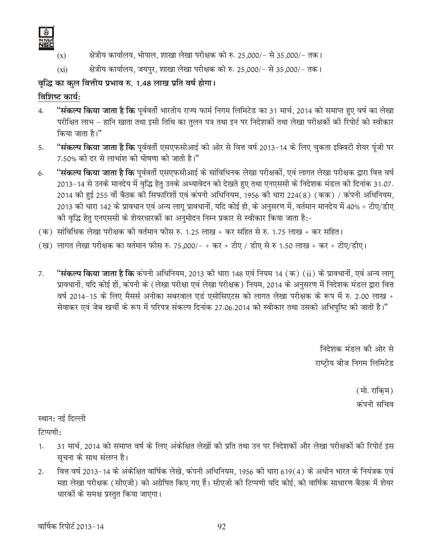

- क्षेत्रीय कार्यालय, भोपाल, शाखा लेखा परीक्षक को रु. 25,000/- से 35,000/- तक।  $(x)$
- क्षेत्रीय कार्यालय, जयपुर, शाखा लेखा परीक्षक को रु. 25,000/- से 35,000/- तक।  $(xi)$

## वृद्धि का कुल वित्तीय प्रभाव रु. 1.48 लाख प्रति वर्ष होगा।

## विशिष्ट कार्य:

- "**संकल्प किया जाता है कि** पर्ववर्ती भारतीय राज्य फार्म निगम लिमिटेड का 31 मार्च, 2014 को समाप्त हुए वर्ष का लेखा  $\overline{4}$ . परीक्षित लाभ – हानि खाता तथा इसी तिथि का तुलन पत्र तथा इन पर निदेशकों तथा लेखा परीक्षकों की रिपोर्ट को स्वीकार किया जाता है।"
- "**संकल्प किया जाता है कि** पूर्ववर्ती एसएफसीआई की ओर से वित्त वर्ष 2013–14 के लिए चुकता इक्विटी शेयर पूंजी पर 5. 7.50% की दर से लाभांश की घोषणा की जाती है।"
- "**संकल्प किया जाता है कि** पर्ववर्ती एसएफसीआई के सांविधिनक लेखा परीक्षकों, एवं लागत लेखा परीक्षक द्वारा वित्त वर्ष  $6.$ 2013-14 से उनके मानदेय में वृद्धि हेतु उनके अभ्यावेदन को देखते हुए तथा एनएससी के निदेशक मंडल की दिनांक 31.07. 2014 को हुई 255 वीं बैठक की सिफारिशों एवं कंपनी अधिनियम, 1956 की धारा 224(8) (कक) / कंपनी अधिनियम, 2013 की धारा 142 के प्रावधान एवं अन्य लागू प्रावधानों, यदि कोई हो, के अनुसरण में, वर्तमान मानदेय में 40% + टीए/डीए की वृद्धि हेतु एनएससी के शेयरधारकों का अनुमोदन निम्न प्रकार से स्वीकार किया जाता है:-
- (क) सांविधिक लेखा परीक्षक की वर्तमान फोस रु. 1.25 लाख + कर सहित से रु. 1.75 लाख + कर सहित।
- (ख) लागत लेखा परीक्षक का वर्तमान फौस रु. 75,000/- + कर + टीए / डीए से रु 1.50 लाख + कर + टीए/डीए।
- "**संकल्प किया जाता है कि** कंपनी अधिनियम, 2013 की धारा 148 एवं नियम 14 (क) (ii) के प्रावधानों, एवं अन्य लागू  $7.$ प्रावधानों, यदि कोई हों, कंपनी के (लेखा परीक्षा एवं लेखा परीक्षक) नियम, 2014 के अनुसरण में निदेशक मंडल द्वारा वित्त वर्ष 2014-15 के लिए मैसर्स अनीका सबरवाल एडं एसोसिएटस को लागत लेखा परीक्षक के रूप में रु. 2.00 लाख + सेवाकर एवं जेब खर्ची के रूप में परिपत्र संकल्प दिनांक 27.06.2014 को स्वीकार तथा उसकी अभिपुष्टि की जाती है।"

निदेशक मंडल की ओर से राष्ट्रीय बीज निगम लिमिटेड

> (मो. राकिम) कंपनी सचिव

स्थान: नई दिल्ली

टिप्पणी:

- 31 मार्च, 2014 को समाप्त वर्ष के लिए अंकेक्षित लेखों की प्रति तथा उन पर निदेशकों और लेखा परीक्षकों की रिपोर्ट इस  $1.$ सूचना के साथ संलग्न है।
- वित्त वर्ष 2013-14 के अंकेक्षित वार्षिक लेखे, कंपनी अधिनियम, 1956 की धारा 619(4) के अधीन भारत के नियंत्रक एवं  $2.$ महा लेखा परीक्षक (सीएजी) को अग्रेषित किए गए हैं। सीएजी की टिप्पणी यदि कोई, को वार्षिक साधारण बैठक में शेयर धारकों के समक्ष प्रस्तुत किया जाएगा।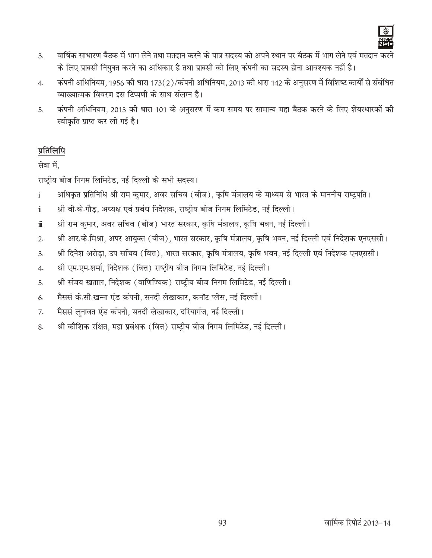

- वार्षिक साधारण बैठक में भाग लेने तथा मतदान करने के पात्र सदस्य को अपने स्थान पर बैठक में भाग लेने एवं मतदान करने  $\overline{3}$ . के लिए प्राक्सी नियुक्त करने का अधिकार है तथा प्राक्सी को लिए कंपनी का सदस्य होना आवश्यक नहीं है।
- कंपनी अधिनियम, 1956 की धारा 173(2)/कंपनी अधिनियम, 2013 की धारा 142 के अनुसरण में विशिष्ट कार्यों से संबंधित  $4.$ व्याख्यात्मक विवरण इस टिप्पणी के साथ संलग्न है।
- कंपनी अधिनियम, 2013 की धारा 101 के अनुसरण में कम समय पर सामान्य महा बैठक करने के लिए शेयरधारकों की 5. स्वीकृति प्राप्त कर ली गई है।

## प्रतिलिपि

सेवा में.

राष्ट्रीय बीज निगम लिमिटेड, नई दिल्ली के सभी सदस्य।

- अधिकृत प्रतिनिधि श्री राम कुमार, अवर सचिव (बीज), कृषि मंत्रालय के माध्यम से भारत के माननीय राष्ट्रपति।  $\mathbf{i}$
- श्री वी.के.गौड़, अध्यक्ष एवं प्रबंध निदेशक, राष्ट्रीय बीज निगम लिमिटेड, नई दिल्ली।  $\ddot{\mathbf{i}}$
- श्री राम कुमार, अवर सचिव (बीज) भारत सरकार, कृषि मंत्रालय, कृषि भवन, नई दिल्ली।  $\ddot{\text{m}}$
- श्री आर.के.मिश्रा, अपर आयुक्त (बीज), भारत सरकार, कृषि मंत्रालय, कृषि भवन, नई दिल्ली एवं निदेशक एनएससी।  $2.$
- श्री दिनेश अरोड़ा, उप सचिव (वित्त), भारत सरकार, कृषि मंत्रालय, कृषि भवन, नई दिल्ली एवं निदेशक एनएससी।  $\overline{3}$ .
- श्री एम.एम.शर्मा, निदेशक (वित्त) राष्ट्रीय बीज निगम लिमिटेड, नई दिल्ली।  $4.$
- श्री संजय खताल, निदेशक (वाणिज्यिक) राष्ट्रीय बीज निगम लिमिटेड, नई दिल्ली।  $5.$
- मैसर्स के.सी.खन्ना एंड कंपनी, सनदी लेखाकार, कनॉट प्लेस, नई दिल्ली।  $6.$
- मैसर्स लुनावत एंड कंपनी, सनदी लेखाकार, दरियागंज, नई दिल्ली। 7.
- श्री कौशिक रक्षित, महा प्रबंधक (वित्त) राष्ट्रीय बीज निगम लिमिटेड, नई दिल्ली। 8.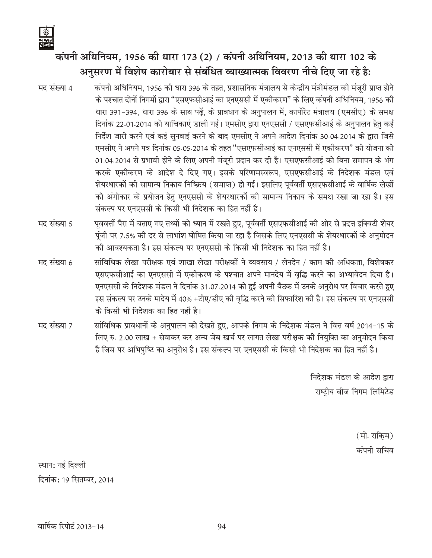# कंपनी अधिनियम, 1956 की धारा 173 (2) / कंपनी अधिनियम, 2013 की धारा 102 के अनसरण में विशेष कारोबार से संबंधित व्याख्यात्मक विवरण नीचे दिए जा रहे है<del>.</del>

- मद संख्या 4 कंपनी अधिनियम, 1956 की धारा 396 के तहत, प्रशासनिक मंत्रालय से केन्द्रीय मंत्रीमंडल की मंजूरी प्राप्त होने के पश्चात दोनों निगमों द्वारा "एसएफसीआई का एनएससी में एकीकरण" के लिए कंपनी अधिनियम, 1956 की धारा 391-394, धारा 396 के साथ पढ़ें, के प्रावधान के अनुपालन में, कार्पोरेट मंत्रालय (एमसीए) के समक्ष दिनांक 22.01.2014 को याचिकाएं डाली गई। एमसीए द्वारा एनएससी / एसएफसीआई के अनुपालन हेतु कई निर्देश जारी करने एवं कई सुनवाई करने के बाद एमसीए ने अपने आदेश दिनांक 30.04.2014 के द्वारा जिसे एमसीए ने अपने पत्र दिनांक 05.05.2014 के तहत "एसएफसीआई का एनएससी में एकीकरण" की योजना को 01.04.2014 से प्रभावी होने के लिए अपनी मंजुरी प्रदान कर दी है। एसएफसीआई को बिना समापन के भंग करके एकीकरण के आदेश दे दिए गए। इसके परिणामस्वरूप, एसएफसीआई के निदेशक मंडल एवं शेयरधारकों की सामान्य निकाय निष्क्रिय (समाप्त) हो गई। इसलिए पूर्ववर्ती एसएफसीआई के वार्षिक लेखों को अंगीकार के प्रयोजन हेतु एनएससी के शेयरधारकों की सामान्य निकाय के समक्ष रखा जा रहा है। इस संकल्प पर एनएससी के किसी भी निदेशक का हित नहीं है।
- मद संख्या 5 पूववर्त्ती पैरा में बताए गए तथ्यों को ध्यान में रखते हुए, पूर्ववर्ती एसएफसीआई की ओर से प्रदत्त इक्विटी शेयर पूंजी पर 7.5% की दर से लाभांश घोषित किया जा रहा है जिसके लिए एनएससी के शेयरधारकों के अनुमोदन की आवश्यकता है। इस संकल्प पर एनएससी के किसी भी निदेशक का हित नहीं है।
- मद संख्या 6 सांविधिक लेखा परीक्षक एवं शाखा लेखा परीक्षकों ने व्यवसाय / लेनदेन / काम की अधिकता. विशेषकर एसएफसीआई का एनएससी में एकीकरण के पश्चात अपने मानदेय में वृद्धि करने का अभ्यावेदन दिया है। एनएससी के निदेशक मंडल ने दिनांक 31.07.2014 को हुई अपनी बैठक में उनके अनुरोध पर विचार करते हुए इस संकल्प पर उनके मादेय में 40% +टीए/डीए की वृद्धि करने की सिफारिश की है। इस संकल्प पर एनएससी के किसी भी निदेशक का हित नहीं है।
- मद संख्या 7 सांविधिक प्रावधानों के अनुपालन को देखते हुए, आपके निगम के निदेशक मंडल ने वित्त वर्ष 2014-15 के लिए रु. 2.00 लाख + सेवाकर कर अन्य जेब खर्च पर लागत लेखा परीक्षक की नियुक्ति का अनुमोदन किया है जिस पर अभिपुष्टि का अनुरोध है। इस संकल्प पर एनएससी के किसी भी निदेशक का हित नहीं है।

निदेशक मंडल के आदेश द्वारा राष्ट्रीय बीज निगम लिमिटेड

> (मो. राकिम) कंपनी सचिव

स्थान: नई दिल्ली दिनांक: 19 सितम्बर, 2014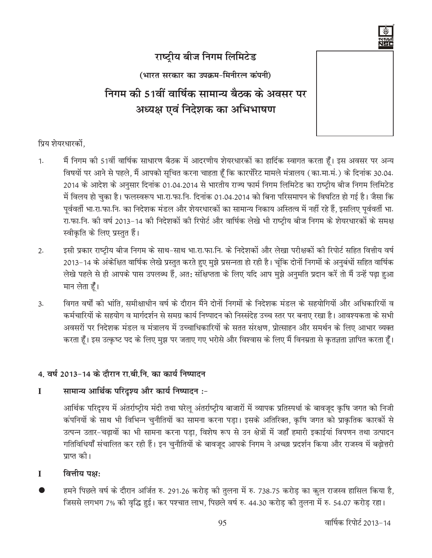

# राष्ट्रीय बीज निगम लिमिटेड

(भारत सरकार का उपक्रम-मिनीरत्न कंपनी)

निगम की 51वीं वार्षिक सामान्य बैठक के अवसर पर अध्यक्ष एवं निदेशक का अभिभाषण

प्रिय शेयरधारकों.

- मैं निगम की 51वीं वार्षिक साधारण बैठक में आदरणीय शेयरधारकों का हार्दिक स्वागत करता हूँ। इस अवसर पर अन्य  $\mathbf{1}$ . विषयों पर आने से पहले, मैं आपको सूचित करना चाहता हूँ कि कारपोरेट मामले मंत्रालय (का.मा.मं.) के दिनांक 30.04. 2014 के आदेश के अनुसार दिनांक 01.04.2014 से भारतीय राज्य फार्म निगम लिमिटेड का राष्ट्रीय बीज निगम लिमिटेड में विलय हो चुका है। फलस्वरूप भा रा फा नि. दिनांक 01.04.2014 को बिना परिसमापन के विघटित हो गई है। जैसा कि पूर्ववर्ती भा.रा.फा.नि. का निदेशक मंडल और शेयरधारकों का सामान्य निकाय अस्तित्व में नहीं रहे हैं, इसलिए पूर्ववर्ती भा. रा.फा.नि. की वर्ष 2013-14 की निदेशकों की रिपोर्ट और वार्षिक लेखे भी राष्ट्रीय बीज निगम के शेयरधारकों के समक्ष स्वीकृति के लिए प्रस्तुत हैं।
- इसी प्रकार राष्ट्रीय बीज निगम के साथ-साथ भा.रा.फा.नि. के निदेशकों और लेखा परीक्षकों की रिपोर्ट सहित वित्तीय वर्ष  $2.$ 2013–14 के अंकेक्षित वार्षिक लेखे प्रस्तुत करते हुए मुझे प्रसन्नता हो रही है। चूंकि दोनों निगमों के अनुबंधों सहित वार्षिक लेखे पहले से ही आपके पास उपलब्ध हैं, अत: संक्षिप्तता के लिए यदि आप मुझे अनुमति प्रदान करें तो मैं उन्हें पढ़ा हुआ मान लेता हैं।
- विगत वर्षों की भांति. समीक्षाधीन वर्ष के दौरान मैंने दोनों निगमों के निदेशक मंडल के सहयोगियों और अधिकारियों व  $\overline{3}$ . कर्मचारियों के सहयोग व मार्गदर्शन से समग्र कार्य निष्पादन को निस्संदेह उच्च स्तर पर बनाए रखा है। आवश्यकता के सभी अवसरों पर निदेशक मंडल व मंत्रालय में उच्चाधिकारियों के सतत संरक्षण. प्रोत्साहन और समर्थन के लिए आभार व्यक्त करता हूँ। इस उत्कृष्ट पद के लिए मुझ पर जताए गए भरोसे और विश्वास के लिए मैं विनम्रता से कृतज्ञता ज्ञापित करता हूँ।

## 4. वर्ष 2013-14 के दौरान रा.बी.नि. का कार्य निष्पादन

#### सामान्य आर्थिक परिदृश्य और कार्य निष्पादन :- $\mathbf{I}$

आर्थिक परिदृश्य में अंतर्राष्ट्रीय मंदी तथा घरेलू अंतर्राष्ट्रीय बाजारों में व्यापक प्रतिस्पर्धा के बावजूद कृषि जगत को निजी कंपनियों के साथ भी विभिन्न चुनौतियों का सामना करना पड़ा। इसके अतिरिक्त, कृषि जगत को प्राकृतिक कारकों से उत्पन्न उतार-चढ़ावों का भी सामना करना पड़ा, विशेष रूप से उन क्षेत्रों में जहाँ हमारी इकाईयां विपणन तथा उत्पादन गतिविधियाँ संचालित कर रही हैं। इन चुनौतियों के बावजूद आपके निगम ने अच्छा प्रदर्शन किया और राजस्व में बढ़ोत्तरी प्राप्त की।

- $\mathbf{I}$ वित्तीय पक्ष:
- हमने पिछले वर्ष के दौरान अर्जित रु. 291.26 करोड़ की तुलना में रु. 738.75 करोड़ का कुल राजस्व हासिल किया है, जिससे लगभग 7% की वृद्धि हुई। कर पश्चात लाभ, पिछले वर्ष रु. 44.30 करोड़ की तुलना में रु. 54.07 करोड़ रहा।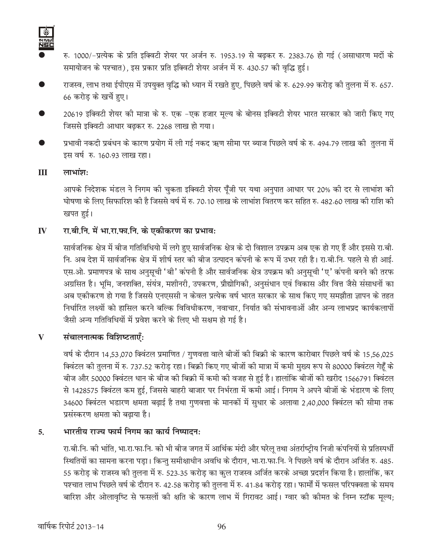

- रु. 1000/-प्रत्येक के प्रति इक्विटी शेयर पर अर्जन रु. 1953.19 से बढ़कर रु. 2383.76 हो गई (असाधारण मदों के समायोजन के पश्चात), इस प्रकार प्रति इक्विटी शेयर अर्जन में रु. 430.57 की वृद्धि हुई।
- राजस्व, लाभ तथा ईपीएस में उपयुक्त वृद्धि को ध्यान में रखते हुए, पिछले वर्ष के रु. 629.99 करोड़ की तुलना में रु. 657. 66 करोड़ के खर्चे हए।
- 20619 इक्विटी शेयर की मात्रा के रु. एक -एक हजार मूल्य के बोनस इक्विटी शेयर भारत सरकार को जारी किए गए जिससे इक्विटी आधार बढ़कर रु. 2268 लाख हो गया।
- प्रभावी नकदी प्रबंधन के कारण प्रयोग में ली गई नकद ऋण सीमा पर ब्याज पिछले वर्ष के रु. 494.79 लाख की तुलना में इस वर्ष रु. 160.93 लाख रहा।

#### $III$  $m$ भांश:

आपके निदेशक मंडल ने निगम की चुकता इक्विटी शेयर पूँजी पर यथा अनुपात आधार पर 20% की दर से लाभांश की घोषणा के लिए सिफारिश की है जिससे वर्ष में रु. 70.10 लाख के लाभांश वितरण कर सहित रु. 482.60 लाख की राशि की खपत हई।

#### रा.बी.नि. में भा.रा.फा.नि. के एकीकरण का प्रभाव:  $\mathbf{I}$

सार्वजनिक क्षेत्र में बीज गतिविधियो में लगे हुए सार्वजनिक क्षेत्र के दो विशाल उपक्रम अब एक हो गए हैं और इससे रा.बी. नि. अब देश में सार्वजनिक क्षेत्र में शीर्ष स्तर की बीज उत्पादन कंपनी के रूप में उभर रही है। रा.बी.नि. पहले से ही आई. एस.ओ. प्रमाणपत्र के साथ अनुसूची 'बी' कंपनी है और सार्वजनिक क्षेत्र उपक्रम की अनुसूची 'ए' कंपनी बनने की तरफ अग्रसित है। भूमि, जनशक्ति, संयंत्र, मशीनरी, उपकरण, प्रौद्योगिकी, अनुसंधान एवं विकास और वित्त जैसे संसाधनों का अब एकीकरण हो गया है जिससे एनएससी न केवल प्रत्येक वर्ष भारत सरकार के साथ किए गए समझौता ज्ञापन के तहत निर्धारित लक्ष्यों को हासिल करने बल्कि विविधीकरण, नवाचार, निर्यात की संभावनाओं और अन्य लाभप्रद कार्यकलापों जैसी अन्य गतिविधियों में प्रवेश करने के लिए भी सक्षम हो गई है।

#### संचालनात्मक विशिष्टताएँ:  $\mathbf{V}$

वर्ष के दौरान 14,53,070 क्विंटल प्रमाणित / गुणवत्ता वाले बीजों की बिक्री के कारण कारोबार पिछले वर्ष के 15,56,025 क्विंटल की तुलना में रु. 737.52 करोड़ रहा। बिक्री किए गए बीजों की मात्रा में कमी मुख्य रूप से 80000 क्विंटल गेहँ के बीज और 50000 क्विंटल धान के बीज की बिक्री में कमी की वजह से हुई है। हालांकि बीजों की खरीद 1566791 क्विंटल से 1428575 क्विंटल कम हुई, जिससे बाहरी बाजार पर निर्भरता में कमी आई। निगम ने अपने बीजों के भंडारण के लिए 34600 क्विंटल भडारण क्षमता बढ़ाई है तथा गुणवत्ता के मानकों में सुधार के अलावा 2,40,000 क्विंटल की सीमा तक प्रसंस्करण क्षमता को बढाया है।

#### भारतीय राज्य फार्म निगम का कार्य निष्पादन:  $5<sub>1</sub>$

रा.बी.नि. की भांति, भा.रा.फा.नि. को भी बीज जगत में आर्थिक मंदी और घरेलू तथा अंतर्राष्ट्रीय निजी कंपनियों से प्रतिस्पर्धी स्थितियों का सामना करना पड़ा। किन्तु समीक्षाधीन अवधि के दौरान, भा.रा.फा.नि. ने पिछले वर्ष के दौरान अर्जित रु. 485. 55 करोड़ के राजस्व की तुलना में रु. 523.35 करोड़ का कुल राजस्व अर्जित करके अच्छा प्रदर्शन किया है। हालांकि, कर पश्चात लाभ पिछले वर्ष के दौरान रु. 42.58 करोड़ की तुलना में रु. 41.84 करोड़ रहा। फार्मों में फसल परिपक्वता के समय बारिश और ओलावृष्टि से फसलों की क्षति के कारण लाभ में गिरावट आई। ग्वार की कीमत के निम्न स्टॉक मूल्य;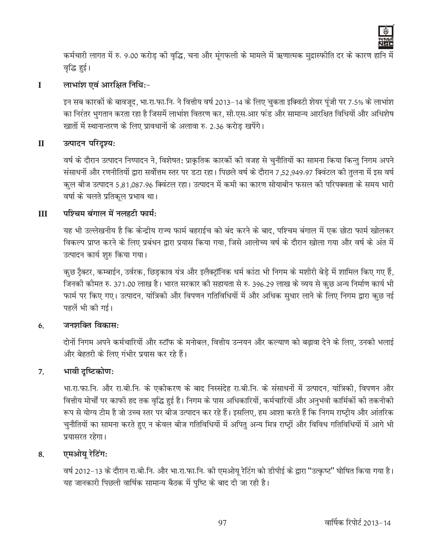

कर्मचारी लागत में रु. 9.00 करोड़ की वृद्धि, चना और मुंगफली के मामले में ऋणात्मक मुद्रास्फीति दर के कारण हानि में वृद्धि हुई।

#### लाभांश एवं आरक्षित निधिः- $\mathbf{I}$

इन सब कारकों के बावजूद, भा.रा.फा.नि. ने वित्तीय वर्ष 2013–14 के लिए चुकता इक्विटी शेयर पूंजी पर 7.5% के लाभांश का निरंतर भुगतान करता रहा है जिसमें लाभांश वितरण कर, सी.एस.आर फंड और सामान्य आरक्षित विधियों और अधिशेष खातों में स्थानान्तरण के लिए प्रावधानों के अलावा रु. 2.36 करोड खपेंगे।

#### $\mathbf{I}$ उत्पादन परिदृश्य:

वर्ष के दौरान उत्पादन निष्पादन ने, विशेषत: प्राकृतिक कारकों की वजह से चुनौतियों का सामना किया किन्तु निगम अपने संसाधनों और रणनीतियों द्वारा सर्वोत्तम स्तर पर डटा रहा। पिछले वर्ष के दौरान 7,52,949.97 क्विंटल की तुलना में इस वर्ष क़्ल बीज उत्पादन 5,81,087.96 क्विंटल रहा। उत्पादन में कमी का कारण सोयाबीन फसल की परिपक्वता के समय भारी वर्षा के चलते प्रतिकूल प्रभाव था।

#### $\mathbf{H}$ पश्चिम बंगाल में नलहटी फार्म:

यह भी उल्लेखनीय है कि केन्द्रीय राज्य फार्म बहराईच को बंद करने के बाद. पश्चिम बंगाल में एक छोटा फार्म खोलकर विकल्प प्राप्त करने के लिए प्रबंधन द्वारा प्रयास किया गया, जिसे आलोच्य वर्ष के दौरान खोला गया और वर्ष के अंत मे उत्पादन कार्य शुरु किया गया।

कुछ ट्रैक्टर, कम्बाईन, उर्वरक, छिडकाव यंत्र और इलैक्ट्रॉनिक धर्म कांटा भी निगम के मशीरी बेडे में शामिल किए गए हैं, जिनकी कीमत रु. 371.00 लाख है। भारत सरकार की सहायता से रु. 396.29 लाख के व्यय से कुछ अन्य निर्माण कार्य भी फार्म पर किए गए। उत्पादन, यांत्रिकी और विपणन गतिविधियों में और अधिक सुधार लाने के लिए निगम द्वारा कुछ नई पहलें भी की गई।

#### जनशक्ति विकास:  $6.$

दोनों निगम अपने कर्मचारियों और स्टॉफ के मनोबल, वित्तीय उन्नयन और कल्याण को बढावा देने के लिए, उनकी भलाई और बेहतरी के लिए गंभीर प्रयास कर रहे हैं।

#### भावी दृष्टिकोण:  $\overline{7}$ .

भा.रा.फा.नि. और रा.बी.नि. के एकीकरण के बाद निस्संदेह रा.बी.नि. के संसाधनों में उत्पादन, यांत्रिकी, विपणन और वित्तीय मोर्चों पर काफी हद तक वृद्धि हुई है। निगम के पास अधिकारियों, कर्मचारियों और अनुभवी कार्मिकों की तकनीकी रूप से योग्य टीम है जो उच्च स्तर पर बीज उत्पादन कर रहे हैं। इसलिए, हम आशा करते हैं कि निगम राष्ट्रीय और आंतरिक चुनौतियों का सामना करते हुए न केवल बीज गतिविधियों में अपितु अन्य मित्र राष्ट्रों और विविध गतिविधियों में आगे भी प्रयासरत रहेगा।

#### एमओयु रेटिंग: 8.

वर्ष 2012-13 के दौरान रा.बी.नि. और भा.रा.फा.नि. की एमओयू रेटिंग को डीपीई के द्वारा "उत्कृष्ट" घोषित किया गया है। यह जानकारी पिछली वार्षिक सामान्य बैठक में पुष्टि के बाद दी जा रही है।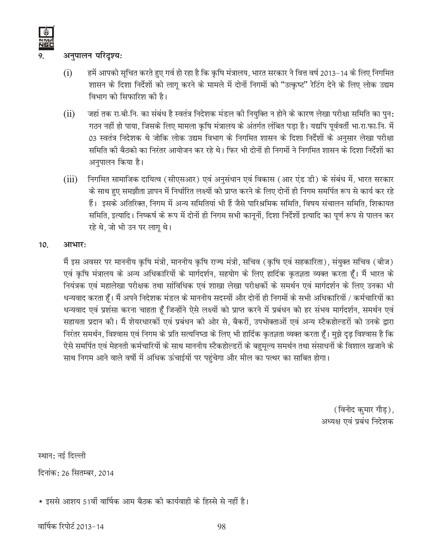## अनुपालन परिदृश्य:

- हमें आपको सूचित करते हुए गर्व हो रहा है कि कृषि मंत्रालय, भारत सरकार ने वित्त वर्ष 2013–14 के लिए निगमित  $(i)$ शासन के दिशा निर्देशों को लागू करने के मामले में दोनों निगमों को "उत्कृष्ट" रेटिंग देने के लिए लोक उद्यम विभाग को सिफारिश की है।
- जहां तक रा.बी.नि. का संबंध है स्वतंत्र निदेशक मंडल की नियुक्ति न होने के कारण लेखा परीक्षा समिति का पुन:  $(ii)$ गठन नहीं हो पाया, जिसके लिए मामला कृषि मंत्रालय के अंतर्गत लंबित पड़ा है। यद्यपि पूर्ववर्ती भा.रा.फा.नि. में 03 स्वतंत्र निदेशक थे जोकि लोक उद्यम विभाग के निगमित शासन के दिशा निर्देशों के अनुसार लेखा परीक्षा समिति की बैठको का निरंतर आयोजन कर रहे थे। फिर भी दोनों ही निगमों ने निगमित शासन के दिशा निर्देशों का अनुपालन किया है।
- निगमित सामाजिक दायित्व (सीएसआर) एवं अनुसंधान एवं विकास (आर एंड डी) के संबंध में, भारत सरकार  $(iii)$ के साथ हुए समझौता ज्ञापन में निर्धारित लक्ष्यों को प्राप्त करने के लिए दोनों ही निगम समर्पित रूप से कार्य कर रहे हैं। इसके अतिरिक्त, निगम में अन्य समितियां भी हैं जैसे पारिश्रमिक समिति, विषय संचालन समिति, शिकायत समिति, इत्यादि। निष्कर्ष के रूप में दोनों ही निगम सभी कानूनों, दिशा निर्देशों इत्यादि का पूर्ण रूप से पालन कर रहे थे, जो भी उन पर लाग थे।

#### 10. आभार:

मैं इस अवसर पर माननीय कृषि मंत्री, माननीय कृषि राज्य मंत्री, सचिव (कृषि एवं सहकारिता), संयुक्त सचिव (बीज) एवं कृषि मंत्रालय के अन्य अधिकारियों के मार्गदर्शन, सहयोग के लिए हार्दिक कृतज्ञता व्यक्त करता हैं। मैं भारत के नियंत्रक एवं महालेखा परीक्षक तथा सांविधिक एवं शाखा लेखा परीक्षकों के समर्थन एवं मार्गदर्शन के लिए उनका भी धन्यवाद करता हूँ। मैं अपने निदेशक मंडल के माननीय सदस्यों और दोनों ही निगमों के सभी अधिकारियों / कर्मचारियों का धन्यवाद एवं प्रशंसा करना चाहता हैं जिन्होंने ऐसे लक्ष्यों को प्राप्त करने में प्रबंधन को हर संभव मार्गदर्शन, समर्थन एवं सहायता प्रदान की। मैं शेयरधारकों एवं प्रबंधन की ओर से, बैकरों, उपभोक्ताओं एवं अन्य स्टैकहोल्डरों को उनके द्वारा निरंतर समर्थन, विश्वास एवं निगम के प्रति सत्यनिष्ठा के लिए भी हार्दिक कृतज्ञता व्यक्त करता हैं। मुझे दृढ़ विश्वास है कि ऐसे समर्पित एवं मेहनती कर्मचारियों के साथ माननीय स्टैकहोल्डरों के बहुमूल्य समर्थन तथा संसाधनों के विशाल खजाने के साथ निगम आने वाले वर्षो में अधिक ऊंचाईयों पर पहुंचेगा और मील का पत्थर का साबित होगा।

> (विनोद कुमार गौड़), अध्यक्ष एवं प्रबंध निदेशक

स्थान: नई दिल्ली दिनांक: 26 सितम्बर, 2014

★ इससे आशय 51वीं वार्षिक आम बैठक की कार्यवाही के हिस्से से नहीं है।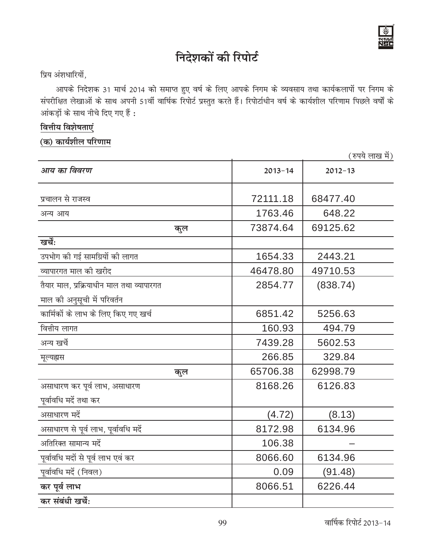

# निदेशकों की रिपोर्ट

## प्रिय अंशधारियों,

आपके निदेशक 31 मार्च 2014 को समाप्त हुए वर्ष के लिए आपके निगम के व्यवसाय तथा कार्यकलापों पर निगम के संपरीक्षित लेखाओं के साथ अपनी 51वीं वार्षिक रिपोर्ट प्रस्तुत करते हैं। रिपोर्टाधीन वर्ष के कार्यशील परिणाम पिछले वर्षों के आंकड़ों के साथ नीचे दिए गए हैं :

## वित्तीय विशेषताएं

(क) कार्यशील परिणाम

(रुपये लाख में)

| आय का विवरण                               | $2013 - 14$ | $2012 - 13$ |
|-------------------------------------------|-------------|-------------|
| प्रचालन से राजस्व                         | 72111.18    | 68477.40    |
| अन्य आय                                   | 1763.46     | 648.22      |
| कुल                                       | 73874.64    | 69125.62    |
| खर्चें:                                   |             |             |
| उपभोग की गई सामग्रियों की लागत            | 1654.33     | 2443.21     |
| व्यापारगत माल की खरीद                     | 46478.80    | 49710.53    |
| तैयार माल, प्रक्रियाधीन माल तथा व्यापारगत | 2854.77     | (838.74)    |
| माल की अनुसूची में परिवर्तन               |             |             |
| कार्मिकों के लाभ के लिए किए गए खर्च       | 6851.42     | 5256.63     |
| वित्तीय लागत                              | 160.93      | 494.79      |
| अन्य खर्चे                                | 7439.28     | 5602.53     |
| मूल्यह्नस                                 | 266.85      | 329.84      |
| कुल                                       | 65706.38    | 62998.79    |
| असाधारण कर पूर्व लाभ, असाधारण             | 8168.26     | 6126.83     |
| पूर्वावधि मदें तथा कर                     |             |             |
| असाधारण मदें                              | (4.72)      | (8.13)      |
| असाधारण से पूर्व लाभ, पूर्वावधि मर्दे     | 8172.98     | 6134.96     |
| अतिरिक्त सामान्य मर्दे                    | 106.38      |             |
| पूर्वावधि मदों से पूर्व लाभ एवं कर        | 8066.60     | 6134.96     |
| पूर्वावधि मदें (निवल)                     | 0.09        | (91.48)     |
| कर पूर्व लाभ                              | 8066.51     | 6226.44     |
| कर संबंधी खर्चे:                          |             |             |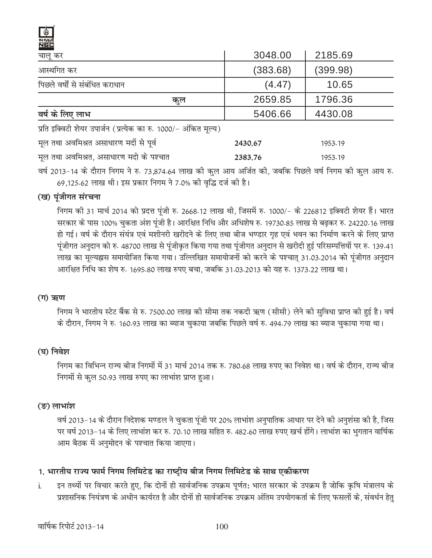| चालू कर                                                         | 3048.00  | 2185.69  |  |  |
|-----------------------------------------------------------------|----------|----------|--|--|
| आस्थगित कर                                                      | (383.68) | (399.98) |  |  |
| पिछले वर्षों से संबंधित कराधान                                  | (4.47)   | 10.65    |  |  |
| कूल                                                             | 2659.85  | 1796.36  |  |  |
| वर्ष के लिए लाभ                                                 | 5406.66  | 4430.08  |  |  |
| प्रति इक्विटी शेयर उपार्जन (प्रत्येक का रु. 1000/- अंकित मूल्य) |          |          |  |  |

| मूल तथा अवमिश्रत असाधारण मदों से पूर्व  | 2430.67 | 1953.19 |
|-----------------------------------------|---------|---------|
| मूल तथा अवमिश्रत, असाधारण मदो के पश्चात | 2383.76 | 1953.19 |

वर्ष 2013-14 के दौरान निगम ने रु. 73,874.64 लाख की कुल आय अर्जित की, जबकि पिछले वर्ष निगम की कुल आय रु. 69,125.62 लाख थी। इस प्रकार निगम ने 7.0% की वृद्धि दर्ज की है।

## (ख) पूंजीगत संरचना

निगम की 31 मार्च 2014 को प्रदत्त पूंजी रु. 2668.12 लाख थी, जिसमें रु. 1000/- के 226812 इक्विटी शेयर हैं। भारत सरकार के पास 100% चुकता अंश पूंजी है। आरक्षित निधि और अधिशेष रु. 19730.85 लाख से बढ़कर रु. 24220.16 लाख हो गई। वर्ष के दौरान संयंत्र एवं मशीनरी खरीदने के लिए तथा बीज भण्डार गृह एवं भवन का निर्माण करने के लिए प्राप्त पूंजीगत अनुदान को रु. 48700 लाख से पूंजीकृत किया गया तथा पूंजीगत अनुदान से खरीदी हुई परिसम्पत्तियों पर रु. 139.41 लाख का मुल्यह्नास समायोजित किया गया। उल्लिखित समायोजनों को करने के पश्चात् 31.03.2014 को पंजीगत अनुदान आरक्षित निधि का शेष रु. 1695.80 लाख रुपए बचा. जबकि 31.03.2013 को यह रु. 1373.22 लाख था।

## (ग) ऋण

निगम ने भारतीय स्टेट बैंक से रु. 7500.00 लाख की सीमा तक नकदी ऋण (सीसी) लेने की सुविधा प्राप्त की हुई है। वर्ष के दौरान, निगम ने रु. 160.93 लाख का ब्याज चुकाया जबकि पिछले वर्ष रु. 494.79 लाख का ब्याज चुकाया गया था।

## (घ) निवेश

निगम का विभिन्न राज्य बीज निगमों में 31 मार्च 2014 तक रु. 780.68 लाख रुपए का निवेश था। वर्ष के दौरान, राज्य बीज निगमों से कुल 50.93 लाख रुपए का लाभांश प्राप्त हुआ।

## (ङ) लाभांश

वर्ष 2013–14 के दौरान निदेशक मण्डल ने चुकता पूंजी पर 20% लाभांश अनुपातिक आधार पर देने की अनुशंसा की है, जिस पर वर्ष 2013–14 के लिए लाभांश कर रु. 70.10 लाख सहित रु. 482.60 लाख रुपए खर्च होंगे। लाभांश का भुगतान वार्षिक आम बैठक में अनुमोदन के पश्चात किया जाएगा।

## 1. भारतीय राज्य फार्म निगम लिमिटेड का राष्ट्रीय बीज निगम लिमिटेड के साथ एकीकरण

इन तथ्यों पर विचार करते हुए, कि दोनों ही सार्वजनिक उपक्रम पूर्णत: भारत सरकार के उपक्रम है जोकि कृषि मंत्रालय के  $\mathbf{i}$ . प्रशासनिक नियंत्रण के अधीन कार्यरत है और दोनों ही सार्वजनिक उपक्रम अंतिम उपयोगकर्ता के लिए फसलों के, संवर्धन हेतु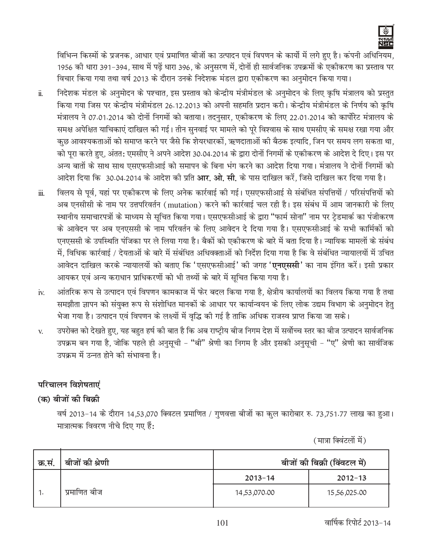

विभिन्न किस्मों के प्रजनक, आधार एवं प्रमाणित बीजों का उत्पादन एवं विपणन के कार्यो में लगे हुए है। कंपनी अधिनियम, 1956 की धारा 391-394, साथ में पढ़ें धारा 396, के अनुसरण में, दोनों ही सार्वजनिक उपक्रमों के एकीकरण का प्रस्ताव पर विचार किया गया तथा वर्ष 2013 के दौरान उनके निदेशक मंडल द्वारा एकीकरण का अनुमोदन किया गया।

- निदेशक मंडल के अनुमोदन के पश्चात, इस प्रस्ताव को केन्द्रीय मंत्रीमंडल के अनुमोदन के लिए कृषि मंत्रालय को प्रस्तुत  $\ddot{\mathbf{n}}$ . किया गया जिस पर केन्द्रीय मंत्रीमंडल 26.12.2013 को अपनी सहमति प्रदान करी। केन्द्रीय मंत्रीमंडल के निर्णय को कृषि मंत्रालय ने 07.01.2014 को दोनों निगमों को बताया। तदनुसार, एकीकरण के लिए 22.01.2014 को कार्पोरेट मंत्रालय के समक्ष अपेक्षित याचिकाएं दाखिल की गई। तीन सुनवाई पर मामले को पूरे विश्वास के साथ एमसीए के समक्ष रखा गया और कुछ आवश्यकताओं को समाप्त करने पर जैसे कि शेयरधारकों, ऋणदाताओं की बैठक इत्यादि, जिन पर समय लग सकता था, को पूरा करते हुए, अंतत: एमसीए ने अपने आदेश 30.04.2014 के द्वारा दोनों निगमों के एकीकरण के आदेश दे दिए। इस पर अन्य बातों के साथ साथ एसएफसीआई को समापन के बिना भंग करने का आदेश दिया गया। मंत्रालय ने दोनों निगमों को आदेश दिया कि 30.04.2014 के आदेश की प्रति **आर. ओ. सी.** के पास दाखिल करें, जिसे दाखिल कर दिया गया है।
- विलय से पूर्व, यहां पर एकीकरण के लिए अनेक कार्रवाई की गई। एसएफसीआई से संबंधित संपत्तियों / परिसंपत्तियों को  $\dddot{\mathbf{m}}$ . अब एनसीसी के नाम पर उत्तपरिवर्तन (mutation) करने की कार्रवाई चल रही है। इस संबंध में आम जानकारी के लिए स्थानीय समाचारपत्रों के माध्यम से सूचित किया गया। एसएफसीआई के द्वारा "फार्म सोना" नाम पर टेडमार्क का पंजीकरण के आवेदन पर अब एनएससी के नाम परिवर्तन के लिए आवेदन दे दिया गया है। एसएफसीआई के सभी कार्मिकों को एनएससी के उपस्थिति पंजिका पर ले लिया गया है। बैकों को एकीकरण के बारे में बता दिया है। न्यायिक मामलों के संबंध में, विधिक कार्रवाई / देयताओं के बारे में संबंधित अधिवक्ताओं को निर्देश दिया गया है कि वे संबंधित न्यायालयों में उचित आवेदन दाखिल करके न्यायालयों को बताए कि 'एसएफसीआई' की जगह '**एनएससी**' का नाम इंगित करें। इसी प्रकार आयकर एवं अन्य कराधान प्राधिकरणों को भी तथ्यों के बारे में सूचित किया गया है।
- आंतरिक रूप से उत्पादन एवं विपणन कामकाज में फेर बदल किया गया है, क्षेत्रीय कार्यालयों का विलय किया गया है तथा iv. समझौता ज्ञापन को संयुक्त रूप से संशोधित मानकों के आधार पर कार्यान्वयन के लिए लोक उद्यम विभाग के अनुमोदन हेतु भेजा गया है। उत्पादन एवं विपणन के लक्ष्यों में वृद्धि की गई है ताकि अधिक राजस्व प्राप्त किया जा सके।
- उपरोक्त को देखते हुए, यह बहुत हर्ष की बात है कि अब राष्ट्रीय बीज निगम देश में सर्वोच्च स्तर का बीज उत्पादन सार्वजनिक V. उपक्रम बन गया है, जोकि पहले ही अनुसूची - "बी" श्रेणी का निगम है और इसकी अनुसूची - "ए" श्रेणी का सार्वजिक उपक्रम में उन्नत होने की संभावना है।

## परिचालन विशेषताएं

## (क) बीजों की बिक्री

वर्ष 2013-14 के दौरान 14,53,070 क्विटल प्रमाणित / गुणवत्ता बीजों का कुल कारोबार रु. 73,751.77 लाख का हुआ। मात्रात्मक विवरण नीचे दिए गए हैं:

(मात्रा क्विंटलों में)

| क्र.सं. | बीजों की श्रेणी | बीजों की बिक्री (विंवटल में) |              |  |
|---------|-----------------|------------------------------|--------------|--|
|         |                 | $2013 - 14$                  | $2012 - 13$  |  |
|         | प्रमाणित बीज    | 14,53,070.00                 | 15,56,025.00 |  |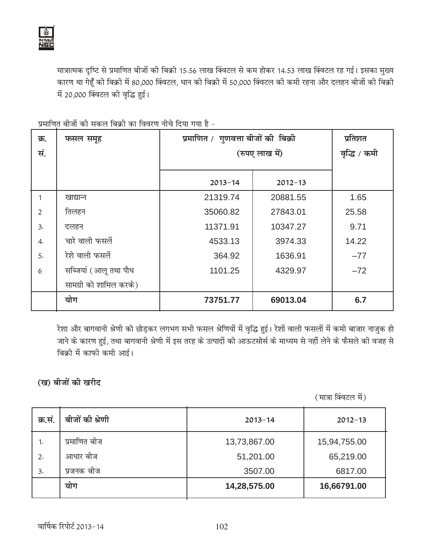मात्रात्मक दृष्टि से प्रमाणित बीजों की बिक्री 15.56 लाख क्विंटल से कम होकर 14.53 लाख क्विंटल रह गई। इसका मुख्य कारण था गेहूँ की बिक्री में 80,000 क्विंटल, धान की बिक्री में 50,000 क्विंटल की कमी रहना और दलहन बीजों की बिक्री में 20,000 क्विंटल की वृद्धि हुई।

| क्र.           | फसल समूह               | प्रमाणित / गुणवत्ता बीजों की बिक्री | प्रतिशत     |              |
|----------------|------------------------|-------------------------------------|-------------|--------------|
| सं.            |                        | (रुपए लाख में)                      |             | वृद्धि / कमी |
|                |                        |                                     |             |              |
|                |                        | $2013 - 14$                         | $2012 - 13$ |              |
| 1              | खाद्यान्न              | 21319.74                            | 20881.55    | 1.65         |
| $\overline{2}$ | तिलहन                  | 35060.82                            | 27843.01    | 25.58        |
| 3.             | दलहन                   | 11371.91                            | 10347.27    | 9.71         |
| 4.             | चारे वाली फसलें        | 4533.13                             | 3974.33     | 14.22        |
| 5.             | रेशे वाली फसलें        | 364.92                              | 1636.91     | $-77$        |
| 6              | सब्जियां (आलू तथा पौध  | 1101.25                             | 4329.97     | $-72$        |
|                | सामग्री को शामिल करके) |                                     |             |              |
|                | योग                    | 73751.77                            | 69013.04    | 6.7          |

<u>प्रमाणित बीजों की सकल बिक्री का विवरण नीचे दिया गया है -</u>

रेशा और बागवानी श्रेणी को छोड़कर लगभग सभी फसल श्रेणियों में वृद्धि हुई। रेशों वाली फसलों में कमी बाजार नाजुक हो जाने के कारण हुई, तथा बागवानी श्रेणी में इस तरह के उत्पादों को आऊटसोर्स के माध्यम से नहीं लेने के फैसले की वजह से बिक्री में काफी कमी आई।

(ख) बीजों की खरी**द** 

(मात्रा क्विंटल में)

| क्र.सं. | बीजों की श्रेणी | $2013 - 14$  | $2012 - 13$  |
|---------|-----------------|--------------|--------------|
| 1.      | प्रमाणित बीज    | 13,73,867.00 | 15,94,755.00 |
| 2.      | आधार बीज        | 51,201.00    | 65,219.00    |
| 3.      | प्रजनक बीज      | 3507.00      | 6817.00      |
|         | योग             | 14,28,575.00 | 16,66791.00  |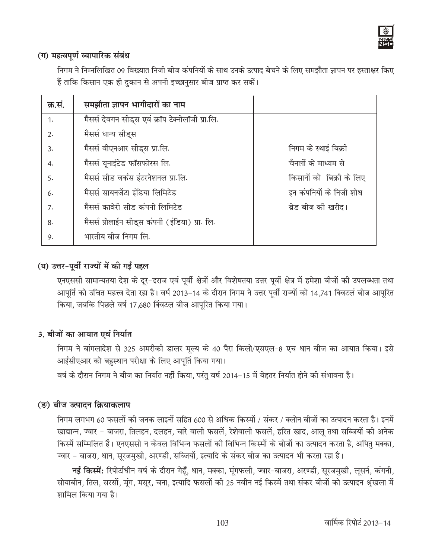

## (ग) महत्वपूर्ण व्यापारिक संबंध

निगम ने निम्नलिखित 09 विख्यात निजी बीज कंपनियों के साथ उनके उत्पाद बेचने के लिए समझौता ज्ञापन पर हस्ताक्षर किए हैं ताकि किसान एक ही दुकान से अपनी इच्छानुसार बीज प्राप्त कर सकें।

| क्र.सं. | समझौता ज्ञापन भागीदारों का नाम                   |                           |
|---------|--------------------------------------------------|---------------------------|
| 1.      | मैसर्स देवगन सीड्स एवं क्रॉप टेक्नोलॉजी प्रा.लि. |                           |
| 2.      | मैसर्स धान्य सीड्स                               |                           |
| 3.      | मैसर्स वीएनआर सीड्स प्रा.लि.                     | निगम के स्थाई बिक्री      |
| 4.      | मैसर्स यूनाईटेड फॉसफोरस लि.                      | चैनलों के माध्यम से       |
| 5.      | मैसर्स सीड वर्कस इंटरनेशनल प्रा.लि.              | किसानों को  बिक्री के लिए |
| 6.      | मैसर्स सायनजेंटा इंडिया लिमिटेड                  | इन कंपनियों के निजी शोध   |
| 7.      | मैसर्स कावेरी सीड कंपनी लिमिटेड                  | ब्रेड बीज की खरीद।        |
| 8.      | मैसर्स प्रोलाईन सीड्स कंपनी (इंडिया) प्रा. लि.   |                           |
| 9.      | भारतीय बीज निगम लि.                              |                           |

## (घ) उत्तर-पूर्वी राज्यों में की गई पहल

एनएससी सामान्यतया देश के दूर-दराज एवं पूर्वी क्षेत्रों और विशेषतया उत्तर पूर्वी क्षेत्र में हमेशा बीजों की उपलब्धता तथा आपूर्ति को उचित महत्त्व देता रहा है। वर्ष 2013-14 के दौरान निगम ने उत्तर पूर्वी राज्यों को 14,741 क्विटलं बीज आपूरित किया, जबकि पिछले वर्ष 17,680 क्विंटल बीज आपूरित किया गया।

## 3. बीजों का आयात एवं निर्यात

निगम ने बांगलादेश से 325 अमरीकी डालर मूल्य के 40 पैरा किलो/एसएल-8 एच धान बीज का आयात किया। इसे आईसीएआर को बहुस्थान परीक्षा के लिए आपूर्ति किया गया।

वर्ष के दौरान निगम ने बीज का निर्यात नहीं किया, परंतु वर्ष 2014-15 में बेहतर निर्यात होने की संभावना है।

## (ङ) बीज उत्पादन क्रियाकलाप

निगम लगभग 60 फसलों की जनक लाइनों सहित 600 से अधिक किस्मों / संकर / क्लोन बीजों का उत्पादन करता है। इनमें खाद्यान्न, ज्वार - बाजरा, तिलहन, दलहन, चारे वाली फसलें, रेशेवाली फसलें, हरित खाद, आलू तथा सब्जियों की अनेक किस्में सम्मिलित हैं। एनएससी न केवल विभिन्न फसलों की विभिन्न किस्मों के बीजों का उत्पादन करता है, अपितु मक्का, ज्वार - बाजरा, धान, सूरजमुखी, अरण्डी, सब्जियों, इत्यादि के संकर बीज का उत्पादन भी करता रहा है।

**नई किस्में:** रिपोर्टाधीन वर्ष के दौरान गेहूँ, धान, मक्का, मूंगफली, ज्वार-बाजरा, अरण्डी, सूरजमुखी, लूसर्न, कंगनी, सोयाबीन, तिल, सरसों, मूंग, मसूर, चना, इत्यादि फसलों की 25 नवीन नई किस्में तथा संकर बीजों को उत्पादन श्रृंखला में शामिल किया गया है।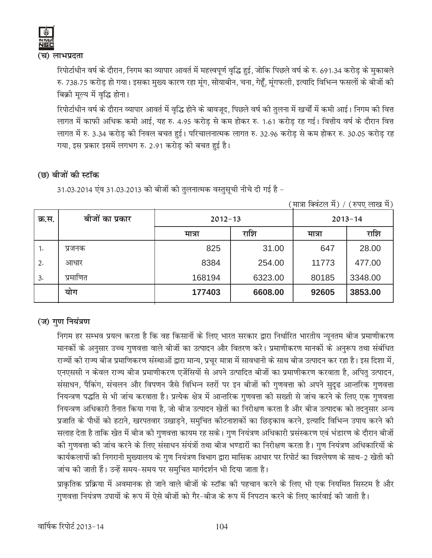

(च) लाभप्रदता

रिपोर्टाधीन वर्ष के दौरान, निगम का व्यापार आवर्त में महत्त्वपूर्ण वृद्धि हुई, जोकि पिछले वर्ष के रु. 691.34 करोड़ के मुकाबले रु. 738.75 करोड़ हो गया। इसका मुख्य कारण रहा मूंग, सोयाबीन, चना, गेहूँ, मूंगफली, इत्यादि विभिन्न फसलों के बोजों की बिक्री मूल्य में वृद्धि होना।

रिपोर्टाधीन वर्ष के दौरान व्यापार आवर्त में वृद्धि होने के बावजूद, पिछले वर्ष की तुलना में खर्चों में कमी आई। निगम की वित्त लागत में काफी अधिक कमी आई, यह रु. 4.95 करोड़ से कम होकर रु. 1.61 करोड़ रह गई। वित्तीय वर्ष के दौरान वित्त लागत में रु. 3.34 करोड़ की निवल बचत हुई। परिचालनात्मक लागत रु. 32.96 करोड़ से कम होकर रु. 30.05 करोड़ रह गया, इस प्रकार इसमें लगभग रु. 2.91 करोड़ की बचत हुई है।

## (छ) बीजों की स्टॉक

31.03.2014 एंव 31.03.2013 को बीजों की तुलनात्मक वस्तुसूची नीचे दी गई है -

| क्र.स. | बीजों का प्रकार | $2012 - 13$ |         | $2013 - 14$ |         |
|--------|-----------------|-------------|---------|-------------|---------|
|        |                 | मात्रा      | राशि    | मात्रा      | राशि    |
| 1.     | प्रजनक          | 825         | 31.00   | 647         | 28.00   |
| 2.     | आधार            | 8384        | 254.00  | 11773       | 477.00  |
| 3.     | प्रमाणित        | 168194      | 6323.00 | 80185       | 3348.00 |
|        | योग             | 177403      | 6608.00 | 92605       | 3853.00 |

(मात्रा क्विंटल में) / (रुपए लाख में)

## (ज) गुण नियंत्रण

निगम हर सम्भव प्रयत्न करता है कि वह किसानों के लिए भारत सरकार द्वारा निर्धारित भारतीय न्यूनतम बीज प्रमाणीकरण मानकों के अनुसार उच्च गुणवत्ता वाले बीजों का उत्पादन और वितरण करे। प्रमाणीकरण मानकों के अनुरूप तथा संबंधित राज्यों की राज्य बीज प्रमाणिकरण संस्थाओं द्वारा मान्य, प्रचूर मात्रा में सावधानी के साथ बीज उत्पादन कर रहा है। इस दिशा में, एनएससी न केवल राज्य बीज प्रमाणीकरण एजेंसियों से अपने उत्पादित बीजों का प्रमाणीकरण करवाता है, अपितु उत्पादन, संसाधन, पैकिंग, संचलन और विपणन जैसे विभिन्न स्तरों पर इन बीजों की गुणवत्ता को अपने सुदृढ आन्तरिक गुणवत्ता नियन्त्रण पद्धति से भी जांच करवाता है। प्रत्येक क्षेत्र में आन्तरिक गुणवत्ता की सख्ती से जांच करने के लिए एक गुणवत्ता नियन्त्रण अधिकारी तैनात किया गया है, जो बीज उत्पादन खेतों का निरीक्षण करता है और बीज उत्पादक को तदनुसार अन्य प्रजाति के पौधों को हटाने, खरपतवार उखाड़ने, समुचित कीटनाशकों का छिड़काव करने, इत्यादि विभिन्न उपाय करने की सलाह देता है ताकि खेत में बीज की गुणवत्ता कायम रह सके। गुण नियंत्रण अधिकारी प्रसंस्करण एवं भंडारण के दौरान बीजो की गुणवत्ता की जांच करने के लिए संसाधन संयंत्रों तथा बीज भण्डारों का निरीक्षण करता है। गुण नियंत्रण अधिकारियों के कार्यकलापों की निगरानी मुख्यालय के गुण नियंत्रण विभाग द्वारा मासिक आधार पर रिपोर्ट का विश्लेषण के साथ-2 खेती की जांच की जाती हैं। उन्हें समय-समय पर समुचित मार्गदर्शन भी दिया जाता है।

प्राकृतिक प्रक्रिया में अवमानक हो जाने वाले बीजों के स्टॉक की पहचान करने के लिए भी एक नियमित सिस्टम है और गुणवत्ता नियंत्रण उपायों के रूप में ऐसे बीजों को गैर-बीज के रूप में निपटान करने के लिए कार्रवाई की जाती है।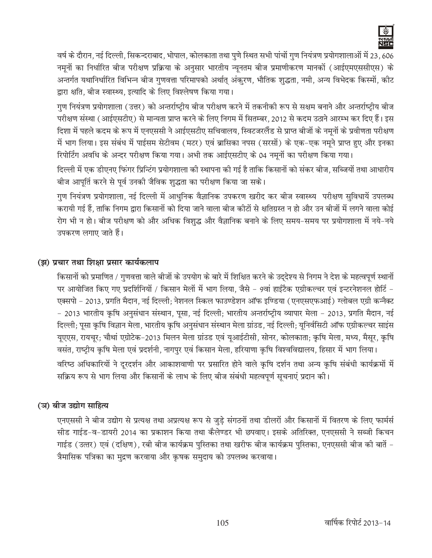

वर्ष के दौरान, नई दिल्ली, सिकन्दराबाद, भोपाल, कोलकाता तथा पुणे स्थित सभी पांचों गुण नियंत्रण प्रयोगशालाओं में 23, 606 नमूनों का निर्धारित बीज परीक्षण प्रक्रिया के अनुसार भारतीय न्यूनतम बीज प्रमाणीकरण मानकों (आईएमएससीएस) के अन्तर्गत यथानिर्धारित विभिन्न बीज गुणवत्ता परिमापको अर्थात् अंकरण, भौतिक शुद्धता, नमी, अन्य विभेदक किस्मों, कीट द्वारा क्षति, बीज स्वास्थ्य, इत्यादि के लिए विश्लेषण किया गया।

गुण नियंत्रण प्रयोगशाला (उत्तर) को अन्तर्राष्ट्रीय बीज परीक्षण करने में तकनीकी रूप से सक्षम बनाने और अन्तर्राष्ट्रीय बीज परीक्षण संस्था (आईएसटीए) से मान्यता प्राप्त करने के लिए निगम में सितम्बर, 2012 से कदम उठाने आरम्भ कर दिए हैं। इस दिशा में पहले कदम के रूप में एनएससी ने आईएसटीए सचिवालय, स्विटजरलैंड से प्राप्त बीजों के नमूनों के प्रवीणता परीक्षण में भाग लिया। इस संबंध में पाईसम सेटीवम (मटर) एवं ब्रासिका नपस (सरसों) के एक-एक नमूने प्राप्त हुए और इनका रिपोर्टिंग अवधि के अन्दर परीक्षण किया गया। अभी तक आईएसटीए के 04 नमनों का परीक्षण किया गया।

दिल्ली में एक डीएनए फिंगर प्रिन्टिंग प्रयोगशाला की स्थापना की गई है ताकि किसानों को संकर बीज, सब्जियों तथा आधारीय बीज आपूर्ति करने से पूर्व उनकी जैविक शुद्धता का परीक्षण किया जा सके।

गुण नियंत्रण प्रयोगशाला, नई दिल्ली में आधुनिक वैज्ञानिक उपकरण खरीद कर बीज स्वास्थ्य परीक्षण सुविधायें उपलब्ध करायी गई हैं, ताकि निगम द्वारा किसानों को दिया जाने वाला बीज कीटों से क्षतिग्रस्त न हो और उन बीजों में लगने वाला कोई रोग भी न हो। बीज परीक्षण को और अधिक विशुद्ध और वैज्ञानिक बनाने के लिए समय–समय पर प्रयोगशाला में नये–नये उपकरण लगाए जाते हैं।

## (झ) प्रचार तथा शिक्षा प्रसार कार्यकलाप

किसानों को प्रमाणित / गुणवत्ता वाले बीजों के उपयोग के बारे में शिक्षित करने के उद्देश्य से निगम ने देश के महत्वपूर्ण स्थानों पर आयोजित किए गए प्रदर्शिनियों / किसान मेलों में भाग लिया, जैसे - 9वां हाईटैक एग्रीकल्चर एवं इन्टरनेशनल होर्टि एक्सपो - 2013, प्रगति मैदान, नई दिल्ली; नेशनल स्किल फाउण्डेशन ऑफ इण्डिया (एनएसएफआई) ग्लोबल एग्री कन्नैक्ट - 2013 भारतीय कृषि अनुसंधान संस्थान, पूसा, नई दिल्ली; भारतीय अन्तर्राष्ट्रीय व्यापार मेला - 2013, प्रगति मैदान, नई दिल्ली; पूसा कृषि विज्ञान मेला, भारतीय कृषि अनुसंधान संस्थान मेला ग्रांउड, नई दिल्ली; यूनिर्वसिटी ऑफ एग्रीकल्चर साइंस यूएएस, रायचूर; चौथां एग्रोटेक-2013 मिलन मेला ग्रांउड एवं यूआईटीसी, सोनर, कोलकाता; कृषि मेला, मध्य, मैसूर, कृषि वसंत, राष्ट्रीय कृषि मेला एवं प्रदर्शनी, नागपुर एवं किसान मेला, हरियाणा कृषि विश्वविद्यालय, हिसार में भाग लिया। वरिष्ठ अधिकारियों ने दूरदर्शन और आकाशवाणी पर प्रसारित होने वाले कृषि दर्शन तथा अन्य कृषि संबंधी कार्यक्रमों में सक्रिय रूप से भाग लिया और किसानों के लाभ के लिए बीज संबंधी महत्वपूर्ण सूचनाएं प्रदान की।

## (ञ) बीज उद्योग साहित्य

एनएससी ने बीज उद्योग से प्रत्यक्ष तथा अप्रत्यक्ष रूप से जुडे संगठनों तथा डीलरों और किसानों में वितरण के लिए फार्मर्स सीड गाईड-व-डायरी 2014 का प्रकाशन किया तथा कैलेण्डर भी छपवाए। इसके अतिरिक्त, एनएससी ने सब्जी किचन गाईड (उत्तर) एवं (दक्षिण), रबी बीज कार्यक्रम पुस्तिका तथा खरीफ बीज कार्यक्रम पुस्तिका, एनएससी बीज की बातें – त्रैमासिक पत्रिका का मुद्रण करवाया और कृषक समुदाय को उपलब्ध करवाया।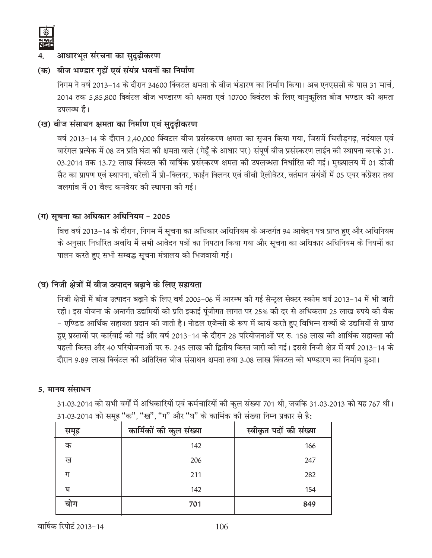

## आधारभूत संरचना का सुदूढ़ीकरण

## (क) बीज भण्डार गृहों एवं संयंत्र भवनों का निर्माण

fनगम ने वर्ष 2013–14 के दौरान 34600 क्विंटल क्षमता के बीज भंडारण का निर्माण किया। अब एनएससी के पास 31 मार्च, 2014 तक 5,85,800 क्विंटल बीज भण्डारण की क्षमता एवं 10700 क्विंटल के लिए वानुकूलित बीज भण्डार की क्षमता उपलब्ध हैं।

## (ख) बीज संसाधन क्षमता का निर्माण एवं सुदूढ़ीकरण

वर्ष 2013-14 के दौरान 2,40,000 क्विंटल बीज प्रसंस्करण क्षमता का सृजन किया गया, जिसमें चित्तौड़गढ़, नदंयाल एवं वारंगल प्रत्येक में 08 टन प्रति घंटा की क्षमता वाले (गेहूँ के आधार पर) संपूर्ण बीज प्रसंस्करण लाईन की स्थापना करके 31. 03.2014 तक 13.72 लाख क्विंटल की वार्षिक प्रसंस्करण क्षमता की उपलब्धता निर्धारित की गई। मुख्यालय में 01 डीजी सैट का प्रापण एवं स्थापना, बरेली में प्री-क्लिनर, फाईन क्लिनर एवं वीबी ऐलीवेटर, वर्तमान संयंत्रों में 05 एयर कंप्रेशर तथा जलगांव में 01 वैल्ट कनवेयर की स्थापना की गई।

## **(x) lwpuk dk vfËkdkj vfËkfu;e & 2005**

वित्त वर्ष 2013-14 के दौरान, निगम में सूचना का अधिकार अधिनियम के अन्तर्गत 94 आवेदन पत्र प्राप्त हुए और अधिनियम के अनुसार निर्धारित अवधि में सभी आवेदन पत्रों का निपटान किया गया और सूचना का अधिकार अधिनियम के नियमों का पालन करते हुए सभी सम्बद्ध सूचना मंत्रालय को भिजवायी गई।

## (घ) निजी क्षेत्रों में बीज उत्पादन बढ़ाने के लिए सहायता

fनजी क्षेत्रों में बीज उत्पादन बढ़ाने के लिए वर्ष 2005-06 में आरम्भ की गई सेन्ट्रल सेक्टर स्कीम वर्ष 2013-14 में भी जारी रही। इस योजना के अन्तर्गत उद्यमियों को प्रति इकाई पूंजीगत लागत पर 25% की दर से अधिकतम 25 लाख रुपये की बैक - एण्डिड आर्थिक सहायता प्रदान की जाती है। नोडल एजेन्सी के रूप में कार्य करते हुए विभिन्न राज्यों के उद्यमियों से प्राप्त हुए प्रस्तावों पर कार्रवाई की गई और वर्ष 2013-14 के दौरान 28 परियोजनाओं पर रु. 158 लाख की आर्थिक सहायता की पहली किस्त और 40 परियोजनाओं पर रु. 245 लाख की द्वितीय किस्त जारी की गई। इससे निजी क्षेत्र में वर्ष 2013-14 के दौरान 9.89 लाख क्विंटल की अतिरिक्त बीज संसाधन क्षमता तथा 3.08 लाख क्विंटल को भण्डारण का निर्माण हुआ।

## 5. मानव संसाधन

31.03.2014 को सभी वर्गों में अधिकारियों एवं कर्मचारियों की कुल संख्या 701 थी, जबकि 31.03.2013 को यह 767 थी। 31.03.2014 को समूह "क", "ख", "ग" और "घ" के कार्मिक की संख्या निम्न प्रकार से है:

| समूह | कार्मिकों की कुल संख्या | स्वीकृत पदों की संख्या |
|------|-------------------------|------------------------|
| क    | 142                     | 166                    |
| ख    | 206                     | 247                    |
| ग    | 211                     | 282                    |
| घ    | 142                     | 154                    |
| योग  | 701                     | 849                    |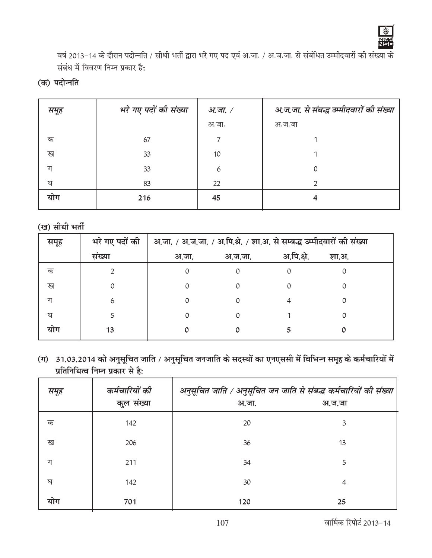

वर्ष 2013-14 के दौरान पदोन्नति / सीधी भर्ती द्वारा भरे गए पद एवं अ.जा. / अ.ज.जा. से संबंधित उम्मीदवारों की संख्या के संबंध में विवरण निम्न प्रकार है:

(क) पदोन्नति

| समूह | भरे गए पदों की संख्या | अ.जा. / | अ.ज.जा. से संबद्ध उम्मीदवारों की संख्या |
|------|-----------------------|---------|-----------------------------------------|
|      |                       | अ.जा.   | अ.ज.जा                                  |
| क    | 67                    |         |                                         |
| ख    | 33                    | 10      |                                         |
| ग    | 33                    | 6       | 0                                       |
| घ    | 83                    | 22      | ∍                                       |
| याग  | 216                   | 45      | 4                                       |
|      |                       |         |                                         |

(ख) सीधी भर्ती

| समूह | भरे गए पदों की | अ.जा. / अ.ज.जा. / अ.पि.श्रे. / शा.अ. से सम्बद्ध उम्मीदवारों की संख्या |          |            |       |  |
|------|----------------|-----------------------------------------------------------------------|----------|------------|-------|--|
|      | संख्या         | अ.जा.                                                                 | अ.ज.जा.  | अ.पि.क्षे. | शा.अ. |  |
| क    |                | 0                                                                     | $\Omega$ |            |       |  |
| ख    |                |                                                                       | 0        |            |       |  |
| ग    | 6              |                                                                       |          |            |       |  |
| ঘ    |                |                                                                       | Ω        |            |       |  |
| याग  | 13             |                                                                       |          |            |       |  |

(ग) 31.03.2014 को अनुसूचित जाति / अनुसूचित जनजाति के सदस्यों का एनएससी में विभिन्न समूह के कर्मचारियों में प्रतिनिधित्व निम्न प्रकार से है:

| समूह | कर्मचारियों की<br>कुल संख्या | अनुसूचित जाति / अनुसूचित जन जाति से संबद्ध कर्मचारियों की संख्या<br>अ.जा. | अ.ज.जा |
|------|------------------------------|---------------------------------------------------------------------------|--------|
| क    | 142                          | 20                                                                        | 3      |
| ख    | 206                          | 36                                                                        | 13     |
| ग    | 211                          | 34                                                                        | 5      |
| ঘ    | 142                          | 30                                                                        | 4      |
| योग  | 701                          | 120                                                                       | 25     |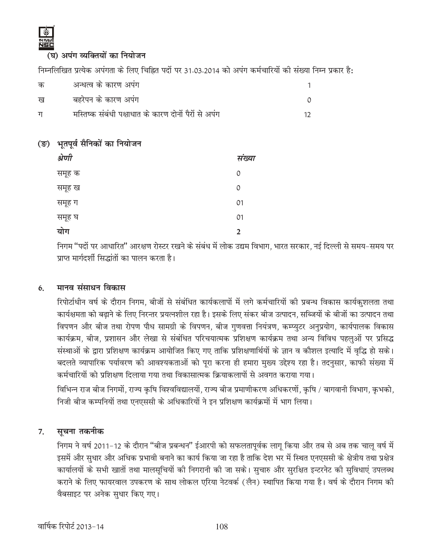(घ) अपंग व्यक्तियों का नियोजन

निम्नलिखित प्रत्येक अपंगता के लिए चिह्नित पदों पर 31.03.2014 को अपंग कर्मचारियों की संख्या निम्न प्रकार है:

| क | अन्धत्व के कारण अपंग                                 |  |
|---|------------------------------------------------------|--|
| ख | बहरेपन के कारण अपंग                                  |  |
| ग | मस्तिष्क संबंधी पक्षाधात के कारण दोनों पैरों से अपंग |  |

## (ङ) भूतपूर्व सैनिकों का नियोजन

| श्रेणी | संख्या |
|--------|--------|
| समूह क | 0      |
| समूह ख | 0      |
| समूह ग | 01     |
| समूह घ | 01     |
| योग    | 2      |

निगम ''पदों पर आधारित'' आरक्षण रोस्टर रखने के संबंध में लोक उद्यम विभाग, भारत सरकार, नई दिल्ली से समय–समय पर प्राप्त मार्गदर्शी सिद्धांतों का पालन करता है।

#### मानव संसाधन विकास 6.

रिपोर्टाधीन वर्ष के दौरान निगम, बीजों से संबंधित कार्यकलापों में लगे कर्मचारियों की प्रबन्ध विकास कार्यकुशलता तथा कार्यक्षमता को बढाने के लिए निरन्तर प्रयत्नशील रहा है। इसके लिए संकर बीज उत्पादन, सब्जियों के बीजों का उत्पादन तथा विपणन और बीज तथा रोपण पौध सामग्री के विपणन, बीज गुणवत्ता नियंत्रण, कम्प्युटर अनुप्रयोग, कार्यपालक विकास कार्यक्रम, बीज, प्रशासन और लेखा से संबंधित परिचयात्मक प्रशिक्षण कार्यक्रम तथा अन्य विविध पहलुओं पर प्रसिद्ध संस्थाओं के द्वारा प्रशिक्षण कार्यक्रम आयोजित किए गए ताकि प्रशिक्षणार्थियों के ज्ञान व कौशल इत्यादि में वृद्धि हो सके। बदलते व्यापारिक पर्यावरण की आवश्यकताओं को पूरा करना ही हमारा मुख्य उद्देश्य रहा है। तदनुसार, काफी संख्या में कर्मचारियों को प्रशिक्षण दिलाया गया तथा विकासात्मक क्रियाकलापों से अवगत कराया गया।

विभिन्न राज बीज निगमों, राज्य कृषि विश्वविद्यालयों, राज्य बीज प्रमाणीकरण अधिकरणों, कृषि / बागवानी विभाग, कृभको, निजी बीज कम्पनियों तथा एनएससी के अधिकारियों ने इन प्रशिक्षण कार्यक्रमों में भाग लिया।

#### सूचना तकनीक 7.

निगम ने वर्ष 2011-12 के दौरान "बीज प्रबन्धन" ईआरपी को सफलतापूर्वक लागू किया और तब से अब तक चालु वर्ष में इसमें और सुधार और अधिक प्रभावी बनाने का कार्य किया जा रहा है ताकि देश भर में स्थित एनएससी के क्षेत्रीय तथा प्रक्षेत्र कार्यालयों के सभी खातों तथा मालसूचियों की निगरानी की जा सके। सूचारु और सुरक्षित इन्टरनेट की सुविधाएं उपलब्ध कराने के लिए फायरवाल उपकरण के साथ लोकल एरिया नेटवर्क (लैन) स्थापित किया गया है। वर्ष के दौरान निगम की वैबसाइट पर अनेक सुधार किए गए।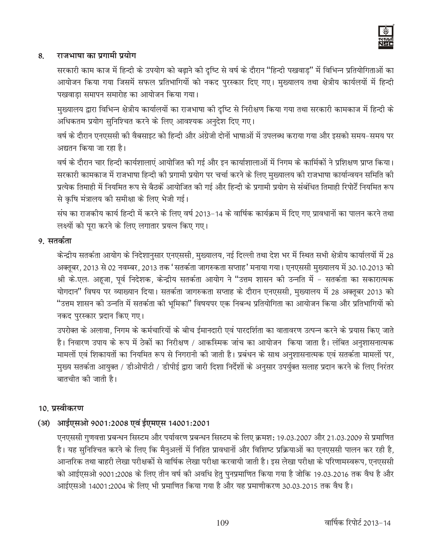#### राजभाषा का प्रगामी प्रयोग 8.

सरकारी काम काज में हिन्दी के उपयोग को बढ़ाने की दृष्टि से वर्ष के दौरान "हिन्दी पखवाड़" में विभिन्न प्रतियोगिताओं का आयोजन किया गया जिसमें सफल प्रतिभागियों को नकद पुरस्कार दिए गए। मुख्यालय तथा क्षेत्रीय कार्यलयों में हिन्दी पखवाडा समापन समारोह का आयोजन किया गया।

मुख्यालय द्वारा विभिन्न क्षेत्रीय कार्यालयों का राजभाषा की दृष्टि से निरीक्षण किया गया तथा सरकारी कामकाज में हिन्दी के अधिकतम प्रयोग सुनिश्चित करने के लिए आवश्यक अनुदेश दिए गए।

वर्ष के दौरान एनएससी की वैबसाइट को हिन्दी और अंग्रेजी दोनों भाषाओं में उपलब्ध कराया गया और इसको समय-समय पर अद्यतन किया जा रहा है।

वर्ष के दौरान चार हिन्दी कार्यशालाएं आयोजित की गई और इन कार्याशालाओं में निगम के कार्मिकों ने प्रशिक्षण प्राप्त किया। सरकारी कामकाज में राजभाषा हिन्दी की प्रगामी प्रयोग पर चर्चा करने के लिए मुख्यालय की राजभाषा कार्यान्वयन समिति की प्रत्येक तिमाही में नियमित रूप से बैठकें आयोजित की गई और हिन्दी के प्रगामी प्रयोग से संबंधित तिमाही रिपोर्टें नियमित रूप से कृषि मंत्रालय की समीक्षा के लिए भेजी गई।

संघ का राजकीय कार्य हिन्दी में करने के लिए वर्ष 2013-14 के वार्षिक कार्यक्रम में दिए गए प्रावधानों का पालन करने तथा लक्ष्यों को पुरा करने के लिए लगातार प्रयत्न किए गए।

#### 9. सतर्कता

केन्द्रीय सतर्कता आयोग के निदेशानुसार एनएससी, मुख्यालय, नई दिल्ली तथा देश भर में स्थित सभी क्षेत्रीय कार्यालयों में 28 अक्तूबर, 2013 से 02 नवम्बर, 2013 तक 'सतर्कता जागरुकता सप्ताह' मनाया गया। एनएससी मुख्यालय में 30.10.2013 को श्री के.एल. अहूजा, पूर्व निदेशक, केन्द्रीय सतर्कता आयोग ने "उत्तम शासन की उन्नति में – सतर्कता का सकारात्मक योगदान" विषय पर व्याख्यान दिया। सतर्कता जागरुकता सप्ताह के दौरान एनएससी, मुख्यालय में 28 अक्तूबर 2013 को "उत्तम शासन की उन्नति में सतर्कता की भूमिका" विषयपर एक निबन्ध प्रतियोगिता का आयोजन किया और प्रतिभागियों को नकद पुरस्कार प्रदान किए गए।

उपरोक्त के अलावा, निगम के कर्मचारियों के बीच ईमानदारी एवं पारदर्शिता का वातावरण उत्पन्न करने के प्रयास किए जाते है। निवारण उपाय के रूप में ठेकों का निरीक्षण / आकस्मिक जांच का आयोजन किया जाता है। लंबित अनुशासनात्मक मामलों एवं शिकायतों का नियमित रूप से निगरानी की जाती है। प्रबंधन के साथ अनुशासनात्मक एवं सतर्कता मामलों पर, मुख्य सतर्कता आयुक्त / डीओपीटी / डीपीई द्वारा जारी दिशा निर्देशों के अनुसार उपर्युक्त सलाह प्रदान करने के लिए निरंतर बातचीत की जाती है।

#### 10. प्रस्वीकरण

## (अ) आईएसओ 9001:2008 एवं ईएमएस 14001:2001

एनएससी गुणवत्ता प्रबन्धन सिस्टम और पर्यावरण प्रबन्धन सिस्टम के लिए क्रमश: 19.03.2007 और 21.03.2009 से प्रमाणित है। यह सुनिश्चित करने के लिए कि मैनुअलों में निहित प्रावधानों और विशिष्ट प्रक्रियाओं का एनएससी पालन कर रही है, आन्तरिक तथा बाहरी लेखा परीक्षकों से वार्षिक लेखा परीक्षा करवायी जाती है। इस लेखा परीक्षा के परिणामस्वरूप, एनएससी को आईएसओ 9001:2008 के लिए तीन वर्ष की अवधि हेतु पुनप्रमाणित किया गया है जोकि 19.03.2016 तक वैध है और आईएसओ 14001:2004 के लिए भी प्रमाणित किया गया है और यह प्रमाणीकरण 30.03.2015 तक वैध है।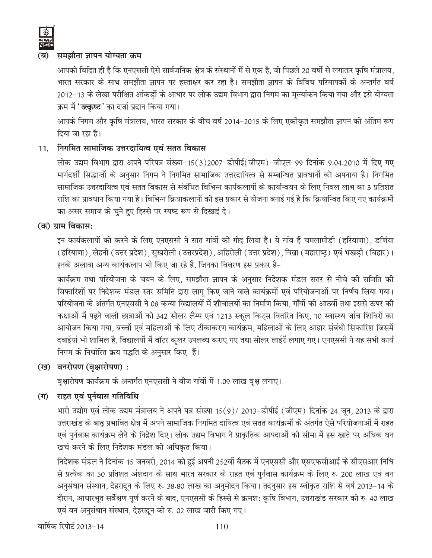

#### समझौता जापन योग्यता क्रम (ब)

आपको विदित ही है कि एनएससी ऐसे सार्वजनिक क्षेत्र के संस्थानों में से एक है, जो पिछले 20 वर्षो से लगातार कृषि मंत्रालय, भारत सरकार के साथ समझौता ज्ञापन पर हस्ताक्षर कर रहा है। समझौता ज्ञापन के विविध परिमापकों के अन्तर्गत वर्ष 2012-13 के लेखा परीक्षित आंकड़ों के आधार पर लोक उद्यम विभाग द्वारा निगम का मूल्यांकन किया गया और इसे योग्यता क्रम में '**उत्कृष्ट'** का दर्जा प्रदान किया गया।

आपके निगम और कृषि मंत्रालय, भारत सरकार के बीच वर्ष 2014-2015 के लिए एकीकृत समझौता ज्ञापन को अंतिम रूप दिया जा रहा है।

## 11. निगमित सामाजिक उत्तरदायित्व एवं सतत विकास

लोक उद्यम विभाग द्वारा अपने परिपत्र संख्या-15(3)2007-डीपीई(जीएम)-जीएल-99 दिनांक 9.04.2010 में दिए गए मार्गदर्शी सिद्धान्तों के अनुसार निगम ने निगमित सामाजिक उत्तरदायित्व से सम्बन्धित प्रावधानों को अपनाया है। निगमित सामाजिक उत्तरदायित्व एवं सतत विकास से संबंधित विभिन्न कार्यकलापों के कार्यान्वयन के लिए निवल लाभ का 3 प्रतिशत राशि का प्रावधान किया गया है। विभिन्न क्रियाकलापों की इस प्रकार से योजना बनाई गई है कि क्रियान्वित किए गए कार्यक्रमों का असर समाज के चुने हुए हिस्से पर स्पष्ट रूप से दिखाई दे।

(क) ग्राम विकास:

इन कार्यकलापों को करने के लिए एनएससी ने सात गांवों को गोद लिया है। ये गांव हैं चमलामोड़ी (हरियाणा), डर्णिया (हरियाणा), लेहनी (उत्तर प्रदेश), सुखरोली (उत्तरप्रदेश), अहिरोली (उत्तर प्रदेश), विव्रा (महाराष्ट्) एवं भखड़ी (बिहार)। इनके अलावा अन्य कार्यकलाप भी किए जा रहे हैं, जिनका विवरण इस प्रकार है-

कार्यक्रम तथा परियोजना के चयन के लिए, समझौता ज्ञापन के अनुसार निदेशक मंडल सतर से नीचे की समिति की सिफारिशों पर निदेशक मंडल स्तर समिति द्वारा लागू किए जाने वाले कार्यक्रमों एवं परियोजनाओं पर निर्णय लिया गया। परियोजना के अंतर्गत एनएससी ने 08 कन्या विद्यालयों में शौचालयों का निर्माण किया, गाँवों की आठवीं तथा इससे ऊपर की कक्षाओं में पढ़ने वाली छात्राओं को 342 सोलर लैम्प एवं 1213 स्कूल किट्स वितरित किए, 10 स्वास्थ्य जांच शिविरों का आयोजन किया गया, बच्चों एवं महिलाओं के लिए टीकाकरण कार्यक्रम, महिलाओं के लिए आहार संबंधी सिफारिश जिसमें दवाईयां भी शामिल है, विद्यालयों में वॉटर कुलर उपलब्ध कराए गए तथा सोलर लाईटें लगाए गए। एनएससी ने यह सभी कार्य निगम के निर्धारित क्रय पद्धति के अनुसार किए हैं।

(ख) वनरोपण (वृक्षारोपण):

वृक्षारोपण कार्यक्रम के अन्तर्गत एनएससी ने बीज गांवों में 1.09 लाख वृक्ष लगाए।

## (ग) राहत एवं पुर्नवास गतिविधि

भारी उद्योग एवं लोक उद्यम मंत्रालय ने अपने पत्र संख्या 15(9)/ 2013-डीपीई (जीएम) दिनांक 24 जून, 2013 के द्वारा उत्तराखंड के बाढ़ प्रभावित क्षेत्र में अपने सामाजिक निगमित दायित्व एवं सतत कार्यक्रमों के अंतर्गत ऐसे परियोजनाओं में राहत एवं पुर्नवास कार्यक्रम लेने के निद्रेश दिए। लोक उद्यम विभाग ने प्राकृतिक आपदाओं की सीमा में इस खाते पर अधिक धन खर्च करने के लिए निदेशक मंडल को अधिकृत किया।

निदेशक मंडल ने दिनांक 15 जनवरी, 2014 को हुई अपनी 252वीं बैठक में एनएससी और एसएफसीआई के सीएसआर निधि से प्रत्येक का 50 प्रतिशत अंशदान के साथ भारत सरकार के राहत एवं पुर्नवास कार्यक्रम के लिए रु. 200 लाख एवं वन अनुसंधान संस्थान, देहरादून के लिए रु. 38.80 लाख का अनुमोदन किया। तदनुसार इस स्वीकृत राशि से वर्ष 2013-14 के दौरान, आधारभूत सर्वेक्षण पूर्ण करने के बाद, एनएससी के हिस्से से क्रमश: कृषि विभाग, उत्तराखंड सरकार को रु. 40 लाख एवं वन अनुसंधान संस्थान, देहरादून को रु. 02 लाख जारी किए गए।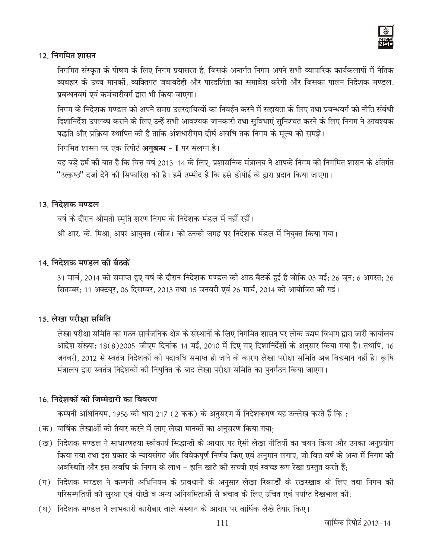

#### 12. निगमित शासन

निगमित संस्कृत के पोषण के लिए निगम प्रयासरत है, जिसके अन्तर्गत निगम अपने सभी व्यापारिक कार्यकलापों में नैतिक व्यवहार के उच्च मानकों, व्यक्तिगत जवाबदेही और पारदर्शिता का समावेश करेगी और जिसका पालन निदेशक मण्डल, प्रबन्धनवर्ग एवं कर्मचारीवर्ग द्वारा भी किया जाएगा।

निगम के निदेशक मण्डल को अपने समग्र उत्तरदायित्वों का निवर्हन करने में सहायता के लिए तथा प्रबन्धवर्ग को नीति संबंधी दिशानिर्देश उपलब्ध कराने के लिए उन्हें सभी आवश्यक जानकारी तथा सुविधाएं सुनिश्चत करने के लिए निगम ने आवश्यक पद्धति और प्रक्रिया स्थापित की है ताकि अंशधारीगण दीर्घ अवधि तक निगम के मुल्य को समझे।

निगमित शासन पर एक रिपोर्ट अनुबन्ध - I पर संलग्न है।

यह बड़े हर्ष की बात है कि वित्त वर्ष 2013–14 के लिए, प्रशासनिक मंत्रालय ने आपके निगम को निगमित शासन के अंतर्गत "उत्कृष्ठ" दर्जा देने की सिफारिश की है। हमें उम्मीद है कि इसे डीपीई के द्वारा प्रदान किया जाएगा।

#### 13. निदेशक मण्डल

वर्ष के दौरान श्रीमती स्मृति शरण निगम के निदेशक मंडल में नहीं रहीं।

श्री आर. के. मिश्रा, अपर आयुक्त (बीज) को उनकी जगह पर निदेशक मंडल में नियुक्त किया गया।

#### 14. निदेशक मण्डल की बैठकें

31 मार्च, 2014 को समाप्त हुए वर्ष के दौरान निदेशक मण्डल की आठ बैठकें हुई है जोकि 03 मई; 26 जून; 6 अगस्त; 26 सितम्बर; 11 अक्टबूर, 06 दिसम्बर, 2013 तथा 15 जनवरी एवं 26 मार्च, 2014 को आयोजित की गई।

#### 15. लेखा परीक्षा समिति

लेखा परीक्षा समिति का गठन सार्वजनिक क्षेत्र के संस्थानों के लिए निगमित शासन पर लोक उद्यम विभाग द्वारा जारी कार्यालय आदेश संख्या: 18(8)2005-जीएम दिनांक 14 मई, 2010 में दिए गए दिशानिर्देशों के अनुसार किया गया है। तथापि, 16 जनवरी, 2012 से स्वतंत्र निदेशकों की पदावधि समाप्त हो जाने के कारण लेखा परीक्षा समिति अब विद्यमान नहीं है। कृषि मंत्रालय द्वारा स्वतंत्र निदेशकों की नियुक्ति के बाद लेखा परीक्षा समिति का पुनर्गठन किया जाएगा।

#### 16. निदेशकों की जिम्मेदारी का विवरण

कम्पनी अधिनियम, 1956 की धारा 217 (2 कक) के अनुसरण में निदेशकगण यह उल्लेख करते हैं कि:

- (क) वार्षिक लेखाओं को तैयार करने में लागू लेखा मानकों का अनुसरण किया गया;
- (ख) निदेशक मण्डल ने साधारणतया स्वीकार्य सिद्धान्तों के आधार पर ऐसी लेखा नीतियों का चयन किया और उनका अनुप्रयोग किया गया तथा इस प्रकार के न्यायसंगत और विवेकपूर्ण निर्णय किए एवं अनुमान लगाए, जो वित्त वर्ष के अन्त में निगम की अवस्थिति और इस अवधि के निगम के लाभ - हानि खाते की सच्ची एवं स्वच्छ रूप रेखा प्रस्तुत करते हैं:
- (ग) निदेशक मण्डल ने कम्पनी अधिनियम के प्रावधानों के अनुसार लेखा रिकार्डों के रखरखाव के लिए तथा निगम की परिसम्पतियों की सुरक्षा एवं धोखे व अन्य अनियमिताओं से बचाव के लिए उचित एवं पर्याप्त देखभाल की;
- (घ) निदेशक मण्डल ने लाभकारी कारोबार वाले संस्थान के आधार पर वार्षिक लेखे तैयार किए।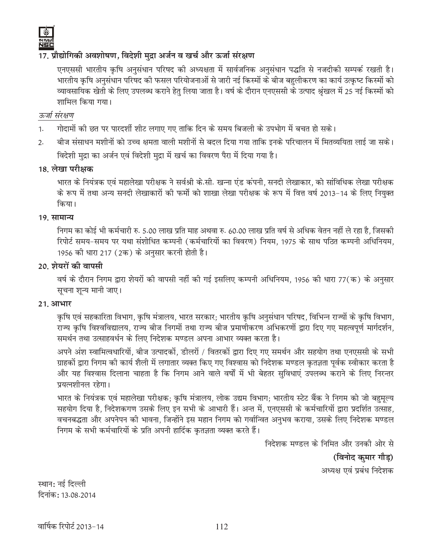## 17. प्रौद्योगिकी अवशोषण, विदेशी मुद्रा अर्जन व खर्च और ऊर्जा संरक्षण

एनएससी भारतीय कृषि अनुसंधान परिषद की अध्यक्षता में सार्वजनिक अनुसंधान पद्धति से नजदीकी सम्पर्क रखती है। भारतीय कृषि अनुसंधान परिषद की फसल परियोजनाओं से जारी नई किस्मों के बीज बहलीकरण का कार्य उत्कृष्ट किस्मों को व्यावसायिक खेतों के लिए उपलब्ध कराने हेतु लिया जाता है। वर्ष के दौरान एनएससी के उत्पाद श्रृंखल में 25 नई किस्मों को शामिल किया गया।

## ऊर्जा संरक्षण

- गोदामों की छत पर पारदर्शी शीट लगाए गए ताकि दिन के समय बिजली के उपभोग में बचत हो सके।  $1.$
- बीज संसाधन मशीनों को उच्च क्षमता वाली मशीनों से बदल दिया गया ताकि इनके परिचालन में मितव्ययिता लाई जा सके।  $2.$ विदेशी मद्रा का अर्जन एवं विदेशी मद्रा में खर्च का विवरण पैरा में दिया गया है।

#### 18. लेखा परीक्षक

भारत के नियंत्रक एवं महालेखा परीक्षक ने सर्वश्री के सी. खन्ना एंड कंपनी, सनदी लेखाकार, को सांविधिक लेखा परीक्षक के रूप में तथा अन्य सनदी लेखाकारों की फर्मो को शाखा लेखा परीक्षक के रूप में वित्त वर्ष 2013-14 के लिए नियुक्त किया।

#### 19. सामान्य

निगम का कोई भी कर्मचारी रु. 5.00 लाख प्रति माह अथवा रु. 60.00 लाख प्रति वर्ष से अधिक वेतन नहीं ले रहा है, जिसकी रिपोर्ट समय-समय पर यथा संशोधित कम्पनी (कर्मचारियों का विवरण) नियम, 1975 के साथ पठित कम्पनी अधिनियम, 1956 को धारा 217 (2क) के अनुसार करनी होती है।

#### 20. शेयरों की वापसी

वर्ष के दौरान निगम द्वारा शेयरों की वापसी नहीं की गई इसलिए कम्पनी अधिनियम, 1956 की धारा 77(क) के अनुसार सूचना शून्य मानी जाए।

#### 21. आभार

कृषि एवं सहकारिता विभाग, कृषि मंत्रालय, भारत सरकार; भारतीय कृषि अनुसंधान परिषद, विभिन्न राज्यों के कृषि विभाग, राज्य कृषि विश्वविद्यालय, राज्य बीज निगमों तथा राज्य बीज प्रमाणीकरण अभिकरणों द्वारा दिए गए महत्वपूर्ण मार्गदर्शन, समर्थन तथा उत्साहवर्धन के लिए निदेशक मण्डल अपना आभार व्यक्त करता है।

अपने अंश स्वामित्वधारियों, बीज उत्पादकों, डीलरों / वितरकों द्वारा दिए गए समर्थन और सहयोग तथा एनएससी के सभी ग्राहकों द्वारा निगम की कार्य शैली में लगातार व्यक्त किए गए विश्वास को निदेशक मण्डल कृतज्ञता पूर्वक स्वीकार करता है और यह विश्वास दिलाना चाहता है कि निगम आने वाले वर्षों में भी बेहतर सुविधाएं उपलब्ध कराने के लिए निरन्तर प्रयत्नशीनल रहेगा।

भारत के नियंत्रक एवं महालेखा परीक्षक; कृषि मंत्रालय, लोक उद्यम विभाग; भारतीय स्टेट बैंक ने निगम को जो बहुमूल्य सहयोग दिया है, निदेशकगण उसके लिए इन सभी के आभारी हैं। अन्त में, एनएससी के कर्मचारियों द्वारा प्रदर्शित उत्साह, वचनबद्धता और अपनेपन की भावना, जिन्होंने इस महान निगम को गर्वान्वित अनुभव कराया, उसके लिए निदेशक मण्डल निगम के सभी कर्मचारियों के प्रति अपनी हार्दिक कृतज्ञता व्यक्त करते हैं।

> निदेशक मण्डल के निमित और उनकी ओर से (विनोद कमार गौड़) अध्यक्ष एवं प्रबंध निदेशक

स्थान: नई दिल्ली दिनांक: 13.08.2014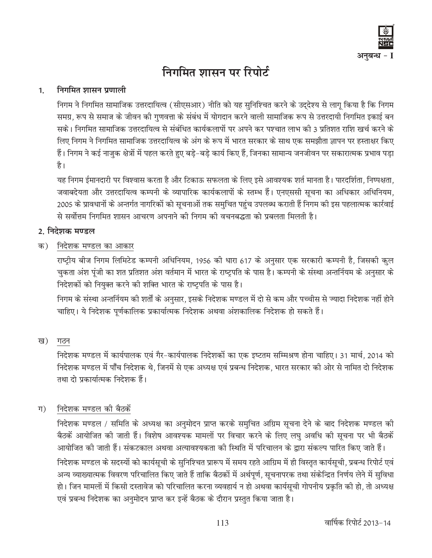

# निगमित शासन पर रिपोर्ट

#### निगमित शासन प्रणाली  $1<sub>1</sub>$

निगम ने निगमित सामाजिक उत्तरदायित्व (सीएसआर) नीति को यह सुनिश्चित करने के उददेश्य से लागू किया है कि निगम समग्र, रूप से समाज के जीवन की गुणवत्ता के संबंध में योगदान करने वाली सामाजिक रूप से उत्तरदायी निगमित इकाई बन सके। निगमित सामाजिक उत्तरदायित्व से संबंधित कार्यकलापों पर अपने कर पश्चात लाभ की 3 प्रतिशत राशि खर्च करने के लिए निगम ने निगमित सामाजिक उत्तरदायित्व के अंग के रूप में भारत सरकार के साथ एक समझौता ज्ञापन पर हस्ताक्षर किए हैं। निगम ने कई नाज़ुक क्षेत्रों में पहल करते हुए बड़े-बड़े कार्य किए हैं, जिनका सामान्य जनजीवन पर सकारात्मक प्रभाव पड़ा है।

यह निगम ईमानदारी पर विश्वास करता है और टिकाऊ सफलता के लिए इसे आवश्यक शर्त मानता है। पारदर्शिता, निष्पक्षता, जवाबदेयता और उत्तरदायित्व कम्पनी के व्यापारिक कार्यकलापों के स्तम्भ हैं। एनएससी सूचना का अधिकार अधिनियम, 2005 के प्रावधानों के अन्तर्गत नागरिकों को सूचनाओं तक समुचित पहुंच उपलब्ध कराती हैं निगम की इस पहलात्मक कार्रवाई से सर्वोत्तम निगमित शासन आचरण अपनाने को निगम को वचनबद्धता को प्रबलता मिलती है।

## 2. निदेशक मण्डल

क) निदेशक मण्डल का आकार

राष्ट्रीय बीज निगम लिमिटेड कम्पनी अधिनियम, 1956 की धारा 617 के अनुसार एक सरकारी कम्पनी है, जिसकी कुल चुकता अंश पूंजी का शत प्रतिशत अंश वर्तमान में भारत के राष्ट्रपति के पास है। कम्पनी के संस्था अन्तर्नियम के अनुसार के निदेशकों को नियुक्त करने की शक्ति भारत के राष्ट्रपति के पास है।

निगम के संस्था अन्तर्नियम की शर्तों के अनुसार, इसके निदेशक मण्डल में दो से कम और पच्चीस से ज्यादा निदेशक नहीं होने चाहिए। ये निदेशक पूर्णकालिक प्रकार्यात्मक निदेशक अथवा अंशकालिक निदेशक हो सकते हैं।

#### ख) गठन

निदेशक मण्डल में कार्यपालक एवं गैर-कार्यपालक निदेशकों का एक इष्टतम सम्मिश्रण होना चाहिए। 31 मार्च, 2014 को निदेशक मण्डल में पाँच निदेशक थे, जिनमें से एक अध्यक्ष एवं प्रबन्ध निदेशक, भारत सरकार की ओर से नामित दो निदेशक तथा दो प्रकार्यात्मक निदेशक हैं।

#### निदेशक मण्डल की बैठकें ग)

निदेशक मण्डल / समिति के अध्यक्ष का अनुमोदन प्राप्त करके समुचित अग्रिम सूचना देने के बाद निदेशक मण्डल की बैठकें आयोजित की जाती हैं। विशेष आवश्यक मामलों पर विचार करने के लिए लघु अवधि की सूचना पर भी बैठकें आयोजित को जाती हैं। संकटकाल अथवा अत्यावश्यकता की स्थिति में परिचालन के द्वारा संकल्प पारित किए जाते हैं। निदेशक मण्डल के सदस्यों को कार्यसूची के सुनिश्चित प्रारूप में समय रहते आग्रिम में ही विस्तृत कार्यसूची, प्रबन्ध रिपोर्ट एवं अन्य व्याख्यात्मक विवरण परिचालित किए जाते हैं ताकि बैठकों में अर्थपूर्ण, सूचनापरक तथा संकेन्द्रित निर्णय लेने में सुविधा हो। जिन मामलों में किसी दस्तावेज को परिचालित करना व्यवहार्य न हो अथवा कार्यसूची गोपनीय प्रकृति की हो, तो अध्यक्ष एवं प्रबन्ध निदेशक का अनुमोदन प्राप्त कर इन्हें बैठक के दौरान प्रस्तुत किया जाता है।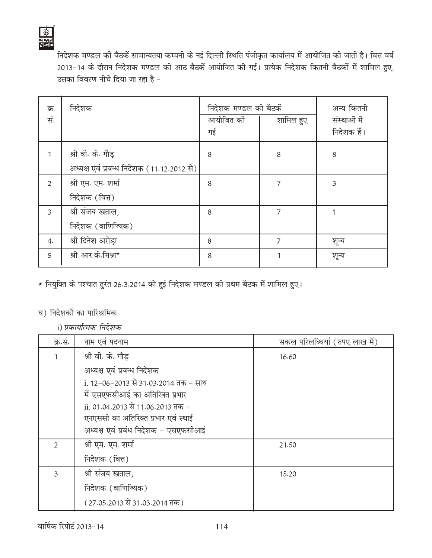

निदेशक मण्डल की बैठकें सामान्यतया कम्पनी के नई दिल्ली स्थिति पंजीकृत कार्यालय में आयोजित की जाती है। वित्त वर्ष 2013-14 के दौरान निदेशक मण्डल की आठ बैठकें आयोजित की गई। प्रत्येक निदेशक कितनी बैठकों में शामिल हुए, उसका विवरण नीचे दिया जा रहा है -

| क्र.<br>सं.  | निदेशक                                                          | निदेशक मण्डल की बैठकें<br>आयोजित की<br>गई | शामिल हुए | अन्य कितनी<br>संस्थाओं में<br>निदेशक हैं। |
|--------------|-----------------------------------------------------------------|-------------------------------------------|-----------|-------------------------------------------|
| 1            | श्री वी. के. गौड़<br>अध्यक्ष एवं प्रबन्ध निदेशक (11.12.2012 से) | 8                                         | 8         | 8                                         |
| 2            | श्री एम. एम. शर्मा<br>निदेशक (वित्त)                            | 8                                         | 7         | 3                                         |
| $\mathbf{3}$ | श्री संजय खताल,<br>निदेशक (वाणिज्यिक)                           | 8                                         | 7         |                                           |
| 4.           | श्री दिनेश अरोड़ा                                               | 8                                         | 7         | शून्य                                     |
| 5            | श्री आर.के.मिश्रा*                                              | 8                                         | 1         | शून्य                                     |

★ नियुक्ति के पश्चात तुरंत 26.3.2014 को हुई निदेशक मण्डल की प्रथम बैठक में शामिल हुए।

## घ) निदेशकों का पारिश्रमिक

i) प्रकार्यात्मक निर्देशक

| क्र.सं.        | नाम एवं पदनाम                        | सकल परिलब्धियां (रुपए लाख में) |
|----------------|--------------------------------------|--------------------------------|
|                | श्री वी. के. गौड़                    | 16.60                          |
|                | अध्यक्ष एवं प्रबन्ध निदेशक           |                                |
|                | i. 12-06-2013 से 31.03.2014 तक - साथ |                                |
|                | में एसएफसीआई का अतिरिक्त प्रभार      |                                |
|                | ii. 01.04.2013 से 11.06.2013 तक -    |                                |
|                | एनएससी का अतिरिक्त प्रभार एवं स्थाई  |                                |
|                | अध्यक्ष एवं प्रबंध निदेशक - एसएफसीआई |                                |
| $\mathfrak{D}$ | श्री एम. एम. शर्मा                   | 21.50                          |
|                | निदेशक (वित्त)                       |                                |
| 3              | श्री संजय खताल,                      | 15.20                          |
|                | निदेशक (वाणिज्यिक)                   |                                |
|                | (27.05.2013 से 31.03.2014 तक)        |                                |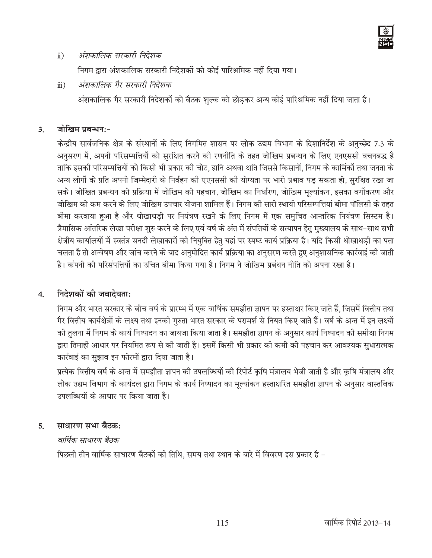

#### अंशकालिक सरकारी निर्देशक  $\ddot{\mathbf{n}})$

निगम द्वारा अंशकालिक सरकारी निदेशकों को कोई पारिश्रमिक नहीं दिया गया।

 $\dddot{\mathbf{m}})$ अंशकालिक गैर सरकारी निदेशक

अंशकालिक गैर सरकारी निदेशकों को बैठक शुल्क को छोडकर अन्य कोई पारिश्रमिक नहीं दिया जाता है।

#### जोखिम प्रबन्धन:- $3<sub>1</sub>$

केन्द्रीय सार्वजनिक क्षेत्र के संस्थानों के लिए निगमित शासन पर लोक उद्यम विभाग के दिशानिर्देश के अनुच्छेद 7.3 के अनुसरण में, अपनी परिसम्पत्तियों को सुरक्षित करने की रणनीति के तहत जोखिम प्रबन्धन के लिए एनएससी वचनबद्ध है ताकि इसकी परिसम्पत्तियों को किसी भी प्रकार की चोट, हानि अथवा क्षति जिससे किसानों, निगम के कार्मिकों तथा जनता के अन्य लोगों के प्रति अपनी जिम्मेदारी के निर्वहन की एएनससी की योग्यता पर भारी प्रभाव पड सकता हो, सुरक्षित रखा जा सके। जोखित प्रबन्धन की प्रक्रिया में जोखिम की पहचान, जोखिम का निर्धारण, जोखिम मुल्यांकन, इसका वर्गीकरण और जोखिम को कम करने के लिए जोखिम उपचार योजना शामिल हैं। निगम की सारी स्थायी परिसम्पत्तियां बीमा पॉलिसी के तहत बीमा करवाया हुआ है और धोखाधड़ी पर नियंत्रण रखने के लिए निगम में एक समुचित आन्तरिक नियंत्रण सिस्टम है। त्रैमासिक आंतरिक लेखा परीक्षा शुरु करने के लिए एवं वर्ष के अंत में संपतियों के सत्यापन हेतु मुख्यालय के साथ–साथ सभी क्षेत्रीय कार्यालयों में स्वतंत्र सनदी लेखाकारों की नियुक्ति हेतु यहां पर स्पष्ट कार्य प्रक्रिया है। यदि किसी धोखाधड़ी का पता चलता है तो अन्वेषण और जांच करने के बाद अनुमोदित कार्य प्रक्रिया का अनुसरण करते हुए अनुशासनिक कार्रवाई की जाती है। कंपनी की परिसंपत्तियों का उचित बीमा किया गया है। निगम ने जोखिम प्रबंधन नीति को अपना रखा है।

#### निदेशकों की जवादेयता:  $\overline{4}$ .

निगम और भारत सरकार के बीच वर्ष के प्रारम्भ में एक वार्षिक समझौता ज्ञापन पर हस्ताक्षर किए जाते हैं, जिसमें वित्तीय तथा गैर वित्तीय कार्यक्षेत्रों के लक्ष्य तथा इनकी गुरुता भारत सरकार के परामर्श से नियत किए जाते हैं। वर्ष के अन्त में इन लक्ष्यों की तुलना में निगम के कार्य निष्पादन का जायजा किया जाता है। समझौता ज्ञापन के अनुसार कार्य निष्पादन की समीक्षा निगम द्वारा तिमाही आधार पर नियमित रूप से की जाती है। इसमें किसी भी प्रकार की कमी की पहचान कर आवश्यक सुधारात्मक कार्रवाई का सुझाव इन फोरमों द्वारा दिया जाता है।

प्रत्येक वित्तीय वर्ष के अन्त में समझौता ज्ञापन की उपलब्धियों की रिपोर्ट कृषि मंत्रालय भेजी जाती है और कृषि मंत्रालय और लोक उद्यम विभाग के कार्यदल द्वारा निगम के कार्य निष्पादन का मूल्यांकन हस्ताक्षरित समझौता ज्ञापन के अनुसार वास्तविक उपलब्धियों के आधार पर किया जाता है।

#### साधारण सभा बैठक: 5.

#### वार्षिक साधारण बैठक

पिछली तीन वार्षिक साधारण बैठकों की तिथि. समय तथा स्थान के बारे में विवरण इस प्रकार है –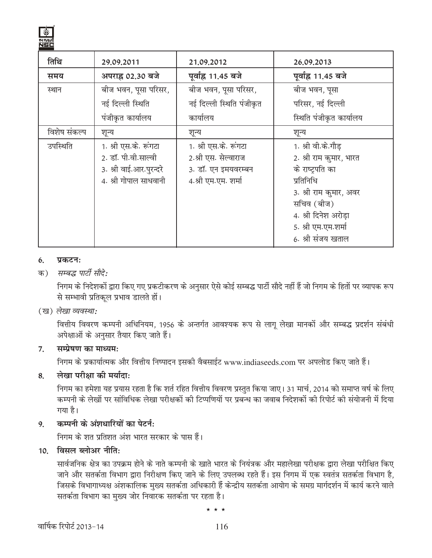

| तिथि         | 29.09.2011                                                                                       | 21,09,2012                                                                                  | 26.09.2013                                                                                                                                                                                 |
|--------------|--------------------------------------------------------------------------------------------------|---------------------------------------------------------------------------------------------|--------------------------------------------------------------------------------------------------------------------------------------------------------------------------------------------|
| समय          | अपराह्न 02.30 बजे                                                                                | पूर्वाह्न 11.45 बजे                                                                         | पूर्वाह्न 11.45 बजे                                                                                                                                                                        |
| स्थान        | बीज भवन, पूसा परिसर,                                                                             | बीज भवन, पूसा परिसर,                                                                        | बीज भवन, पूसा                                                                                                                                                                              |
|              | नई दिल्ली स्थिति                                                                                 | नई दिल्ली स्थिति पंजीकृत                                                                    | परिसर, नई दिल्ली                                                                                                                                                                           |
|              | पंजीकृत कार्यालय                                                                                 | कार्यालय                                                                                    | स्थिति पंजीकृत कार्यालय                                                                                                                                                                    |
| विशेष संकल्प | शून्य                                                                                            | शून्य                                                                                       | शून्य                                                                                                                                                                                      |
| उपस्थिति     | 1. श्री एस.के. रूंगटा<br>2. डॉ. पी.वी.साल्वी<br>3. श्री वाई.आर.पुरन्दरे<br>4. श्री गोपाल साधवानी | 1. श्री एस.के. रूंगटा<br>2.श्री एस. सेल्वाराज<br>3. डॉ. एन इमयवरम्बन<br>4.श्री एम.एम. शर्मा | 1. श्री वी.के.गौड़<br>2. श्री राम कूमार, भारत<br>के राष्ट्रपति का<br>प्रतिनिधि<br>3. श्री राम कुमार, अवर<br>सचिव (बीज)<br>4. श्री दिनेश अरोड़ा<br>5. श्री एम.एम.शर्मा<br>6. श्री संजय खताल |

#### प्रकटनः 6.

#### सम्बद्ध पार्टी सौदे: क)

निगम के निदेशकों द्वारा किए गए प्रकटीकरण के अनुसार ऐसे कोई सम्बद्ध पार्टी सौदे नहीं हैं जो निगम के हितों पर व्यापक रूप से सम्भावी प्रतिकूल प्रभाव डालते हों।

#### (ख) लेखा व्यवस्था:

वित्तीय विवरण कम्पनी अधिनियम, 1956 के अन्तर्गत आवश्यक रूप से लागू लेखा मानकों और सम्बद्ध प्रदर्शन संबंधी अपेक्षाओं के अनुसार तैयार किए जाते हैं।

#### सम्प्रेषण का माध्यम: 7.

निगम के प्रकार्यात्मक और वित्तीय निष्पादन इसकी वैबसाईट www.indiaseeds.com पर अपलोड किए जाते हैं।

#### लेखा परीक्षा की मर्यादा: 8.

निगम का हमेशा यह प्रयास रहता है कि शर्त रहित वित्तीय विवरण प्रस्तुत किया जाए। 31 मार्च, 2014 को समाप्त वर्ष के लिए कम्पनी के लेखों पर सांविधिक लेखा परीक्षकों की टिप्पणियों पर प्रबन्ध का जवाब निदेशकों की रिपोर्ट की संयोजनी में दिया गया है।

#### कम्पनी के अंशधारियों का पेटर्न:  $9<sub>1</sub>$

निगम के शत प्रतिशत अंश भारत सरकार के पास हैं।

## $10$  विसल ब्लोअर नीति:

सार्वजनिक क्षेत्र का उपक्रम होने के नाते कम्पनी के खाते भारत के नियंत्रक और महालेखा परीक्षक द्वारा लेखा परीक्षित किए जाने और सतर्कता विभाग द्वारा निरीक्षण किए जाने के लिए उपलब्ध रहते हैं। इस निगम में एक स्वतंत्र सतर्कता विभाग है, जिसके विभागाध्यक्ष अंशकालिक मुख्य सतर्कता अधिकारी हैं केन्द्रीय सतर्कता आयोग के समग्र मार्गदर्शन में कार्य करने वाले सतर्कता विभाग का मुख्य जोर निवारक सतर्कता पर रहता है।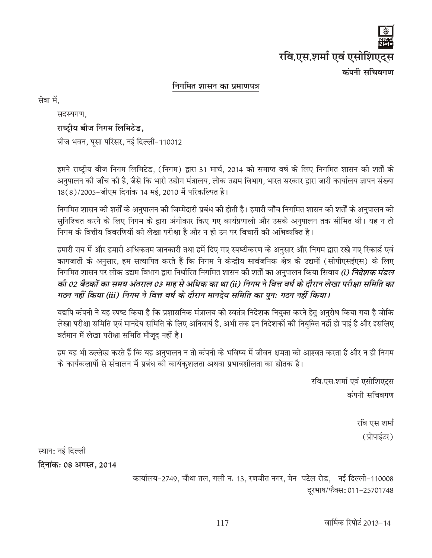

#### निगमित शासन का प्रमाणपत्र

सेवा में.

सदस्यगण.

#### राष्ट्रीय बीज निगम लिमिटेड,

बीज भवन, पूसा परिसर, नई दिल्ली-110012

हमने राष्ट्रीय बीज निगम लिमिटेड, (निगम) द्वारा 31 मार्च, 2014 को समाप्त वर्ष के लिए निगमित शासन की शर्तों के अनुपालन की जाँच की है, जैसे कि भारी उद्योग मंत्रालय, लोक उद्यम विभाग, भारत सरकार द्वारा जारी कार्यालय ज्ञापन संख्या 18(8)/2005-जीएम दिनांक 14 मई, 2010 में परिकल्पित है।

निगमित शासन की शर्तों के अनुपालन की जिम्मेदारी प्रबंध की होती है। हमारी जाँच निगमित शासन की शर्तों के अनुपालन को सुनिश्चित करने के लिए निगम के द्वारा अंगीकार किए गए कार्यप्रणाली और उसके अनुपालन तक सीमित थी। यह न तो निगम के वित्तीय विवरणियों की लेखा परीक्षा है और न ही उन पर विचारों की अभिव्यक्ति है।

हमारी राय में और हमारी अधिकतम जानकारी तथा हमें दिए गए स्पष्टीकरण के अनुसार और निगम द्वारा रखे गए रिकार्ड एवं कागजातों के अनुसार, हम सत्यापित करते हैं कि निगम ने केन्द्रीय सार्वजनिक क्षेत्र के उद्यमों (सीपीएसईएस) के लिए निगमित शासन पर लोक उद्यम विभाग द्वारा निर्धारित निगमित शासन की शर्तों का अनुपालन किया सिवाय *(i) निदेशक मंडल* की 02 बैठकों का समय अंतराल 03 माह से अधिक का था (ii) निगम ने वित्त वर्ष के दौरान लेखा परीक्षा समिति का गठन नहीं किया (iii) निगम ने वित्त वर्ष के दौरान मानदेय समिति का पन: गठन नहीं किया।

यद्यपि कंपनी ने यह स्पष्ट किया है कि प्रशासनिक मंत्रालय को स्वतंत्र निदेशक नियुक्त करने हेतु अनुरोध किया गया है जोकि लेखा परीक्षा समिति एवं मानदेय समिति के लिए अनिवार्य है, अभी तक इन निदेशकों की नियुक्ति नहीं हो पाई है और इसलिए वर्तमान में लेखा परीक्षा समिति मौजुद नहीं है।

हम यह भी उल्लेख करते हैं कि यह अनुपालन न तो कंपनी के भविष्य में जीवन क्षमता को आश्वत करता है और न ही निगम के कार्यकलापों से संचालन में प्रबंध की कार्यकुशलता अथवा प्रभावशीलता का द्योतक है।

> रवि एस शर्मा एवं एसोशिएट्स कंपनी सचिवगण

> > रवि एस शर्मा (प्रोपाईटर)

स्थान: नई दिल्ली दिनांक: 08 अगस्त, 2014

> कार्यालय-2749, चौथा तल, गली न. 13, रणजीत नगर, मेन पटेल रोड, नई दिल्ली-110008 दूरभाष/फैक्स: 011-25701748

> > वार्षिक रिपोर्ट 2013-14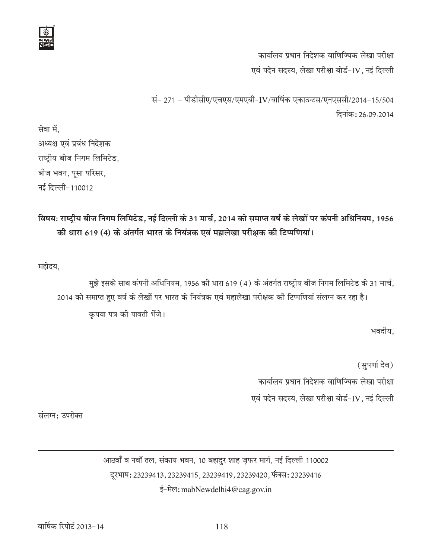

कार्यालय प्रधान निदेशक वाणिज्यिक लेखा परीक्षा एवं पदेन सदस्य. लेखा परीक्षा बोर्ड-IV. नई दिल्ली

सं- 271 - पीडीसीए/एचएस/एमएबी-IV/वार्षिक एकाउन्टस/एनएससी/2014-15/504 दिनांक: 26.09.2014

सेवा में. अध्यक्ष एवं प्रबंध निदेशक राष्ट्रीय बीज निगम लिमिटेड, बीज भवन, पूसा परिसर, नई दिल्ली-110012

## विषय: राष्ट्रीय बीज निगम लिमिटेड, नई दिल्ली के 31 मार्च, 2014 को समाप्त वर्ष के लेखों पर कंपनी अधिनियम, 1956 की धारा 619 (4) के अंतर्गत भारत के नियंत्रक एवं महालेखा परीक्षक की टिप्पणियां।

महोदय,

मुझे इसके साथ कंपनी अधिनियम, 1956 की धारा 619 (4) के अंतर्गत राष्ट्रीय बीज निगम लिमिटेड के 31 मार्च, 2014 को समाप्त हुए वर्ष के लेखों पर भारत के नियंत्रक एवं महालेखा परीक्षक की टिप्पणियां संलग्न कर रहा है। कृपया पत्र की पावती भेंजे।

भवदीय,

(सुपर्णा देव)

कार्यालय प्रधान निदेशक वाणिज्यिक लेखा परीक्षा

एवं पदेन सदस्य, लेखा परीक्षा बोर्ड-IV, नई दिल्ली

संलग्न: उपरोक्त

आठवाँ व नवाँ तल, संकाय भवन, 10 बहादुर शाह ज़फर मार्ग, नई दिल्ली 110002 दूरभाष: 23239413, 23239415, 23239419, 23239420, फैक्स: 23239416 ई-मेल: mabNewdelhi4@cag.gov.in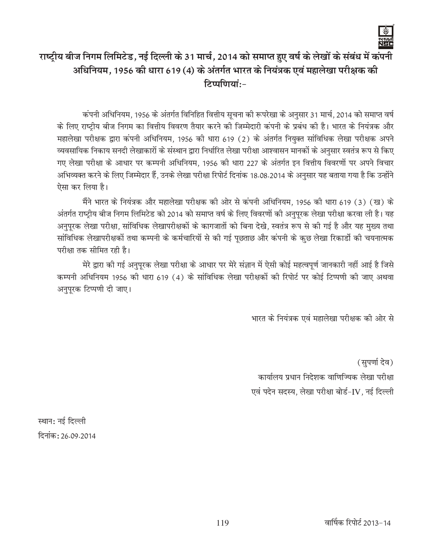

# राष्ट्रीय बीज निगम लिमिटेड, नई दिल्ली के 31 मार्च, 2014 को समाप्त हुए वर्ष के लेखों के संबंध में कंपनी अधिनियम, 1956 की धारा 619 (4) के अंतर्गत भारत के नियंत्रक एवं महालेखा परीक्षक की  $F$ र्प्याणियां $\cdot$ -

कंपनी अधिनियम, 1956 के अंतर्गत विनिहित वित्तीय सूचना की रूपरेखा के अनुसार 31 मार्च, 2014 को समाप्त वर्ष के लिए राष्ट्रीय बीज निगम का वित्तीय विवरण तैयार करने की जिम्मेदारी कंपनी के प्रबंध की है। भारत के नियंत्रक और महालेखा परीक्षक द्वारा कंपनी अधिनियम, 1956 की धारा 619 (2) के अंतर्गत नियुक्त सांविधिक लेखा परीक्षक अपने व्यवसायिक निकाय सनदी लेखाकारों के संस्थान द्वारा निर्धारित लेखा परीक्षा आश्वासन मानकों के अनुसार स्वतंत्र रूप से किए गए लेखा परीक्षा के आधार पर कम्पनी अधिनियम, 1956 की धारा 227 के अंतर्गत इन वित्तीय विवरणों पर अपने विचार अभिव्यक्त करने के लिए जिम्मेदार हैं, उनके लेखा परीक्षा रिपोर्ट दिनांक 18.08.2014 के अनुसार यह बताया गया है कि उन्होंने ऐसा कर लिया है।

मैंने भारत के नियंत्रक और महालेखा परीक्षक की ओर से कंपनी अधिनियम. 1956 की धारा 619 (3) (ख) के अंतर्गत राष्ट्रीय बीज निगम लिमिटेड को 2014 को समाप्त वर्ष के लिए विवरणों की अनुपूरक लेखा परीक्षा करवा ली है। यह अनुपूरक लेखा परीक्षा, सांविधिक लेखापरीक्षकों के कागजातों को बिना देखे, स्वतंत्र रूप से की गई है और यह मुख्य तथा सांविधिक लेखापरीक्षकों तथा कम्पनी के कर्मचारियों से की गई पूछताछ और कंपनी के कुछ लेखा रिकार्डो की चयनात्मक परीक्षा तक सीमित रही है।

मेरे द्वारा की गई अनुपुरक लेखा परीक्षा के आधार पर मेरे संज्ञान में ऐसी कोई महत्वपूर्ण जानकारी नहीं आई है जिसे कम्पनी अधिनियम 1956 की धारा 619 (4) के सांविधिक लेखा परीक्षकों की रिपोर्ट पर कोई टिप्पणी की जाए अथवा अनुपुरक टिप्पणी दी जाए।

भारत के नियंत्रक एवं महालेखा परीक्षक की ओर से

(सपर्णा देव) कार्यालय प्रधान निदेशक वाणिज्यिक लेखा परीक्षा एवं पदेन सदस्य, लेखा परीक्षा बोर्ड-IV, नई दिल्ली

स्थान: नई दिल्ली दिनांक: 26.09.2014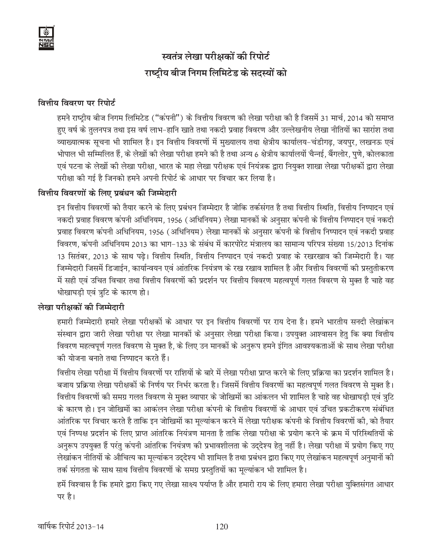# स्वतंत्र लेखा परीक्षकों की रिपोर्ट राष्ट्रीय बीज निगम लिमिटेड के सदस्यों को

## वित्तीय विवरण पर रिपोर्ट

हमने राष्ट्रीय बीज निगम लिमिटेड ("कंपनी") के वित्तीय विवरण की लेखा परीक्षा की है जिसमें 31 मार्च, 2014 को समाप्त हुए वर्ष के तुलनपत्र तथा इस वर्ष लाभ-हानि खाते तथा नकदी प्रवाह विवरण और उल्लेखनीय लेखा नीतियों का सारांश तथा व्याख्यात्मक सूचना भी शामिल है। इन वित्तीय विवरणों में मुख्यालय तथा क्षेत्रीय कार्यालय-चंडीगढ़, जयपुर, लखनऊ एवं भोपाल भी सम्मिलित हैं, के लेखों की लेखा परीक्षा हमने की है तथा अन्य 6 क्षेत्रीय कार्यालयों चैन्नई, बैंगलोर, पुणे, कोलकाता एवं पटना के लेखों की लेखा परीक्षा, भारत के महा लेखा परीक्षक एवं नियंत्रक द्वारा नियुक्त शाखा लेखा परीक्षकों द्वारा लेखा परीक्षा की गई है जिनको हमने अपनी रिपोर्ट के आधार पर विचार कर लिया है।

## वित्तीय विवरणों के लिए प्रबंधन की जिम्मेदारी

इन वित्तीय विवरणों को तैयार करने के लिए प्रबंधन जिम्मेदार है जोकि तर्कसंगत है तथा वित्तीय स्थिति, वित्तीय निष्पादन एवं नकदी प्रवाह विवरण कंपनी अधिनियम, 1956 (अधिनियम) लेखा मानकों के अनुसार कंपनी के वित्तीय निष्पादन एवं नकदी प्रवाह विवरण कंपनी अधिनियम, 1956 (अधिनियम) लेखा मानकों के अनुसार कंपनी के वित्तीय निष्पादन एवं नकदी प्रवाह विवरण, कंपनी अधिनियम 2013 का भाग-133 के संबंध में कारपोरेट मंत्रालय का सामान्य परिपत्र संख्या 15/2013 दिनांक 13 सितंबर, 2013 के साथ पढे। वित्तीय स्थिति, वित्तीय निष्पादन एवं नकदी प्रवाह के रखरखाव की जिम्मेदारी है। यह जिम्मेदारी जिसमें डिजाईन, कार्यान्वयन एवं आंतरिक नियंत्रण के रख रखाव शामिल है और वित्तीय विवरणों की प्रस्तुतीकरण में सही एवं उचित विचार तथा वित्तीय विवरणों की प्रदर्शन पर वित्तीय विवरण महत्वपूर्ण गलत विवरण से मुक्त है चाहे वह धोखाघड़ी एवं त्रुटि के कारण हो।

## लेखा परीक्षकों की जिम्मेदारी

हमारी जिम्मेदारी हमारे लेखा परीक्षकों के आधार पर इन वित्तीय विवरणों पर राय देना है। हमने भारतीय सनदी लेखांकन संस्थान द्वारा जारी लेखा परीक्षा पर लेखा मानकों के अनुसार लेखा परीक्षा किया। उपयुक्त आश्वासन हेतु कि क्या वित्तीय विवरण महत्वपूर्ण गलत विवरण से मुक्त है, के लिए उन मानकों के अनुरूप हमने इंगित आवश्यकताओं के साथ लेखा परीक्षा की योजना बनाते तथा निष्पादन करते हैं।

वित्तीय लेखा परीक्षा में वित्तीय विवरणों पर राशियों के बारे में लेखा परीक्षा प्राप्त करने के लिए प्रक्रिया का प्रदर्शन शामिल है। बजाय प्रक्रिया लेखा परीक्षकों के निर्णय पर निर्भर करता है। जिसमें वित्तीय विवरणों का महत्वपूर्ण गलत विवरण से मुक्त है। वित्तीय विवरणों की समग्र गलत विवरण से मुक्त व्यापार के जोखिमों का आंकलन भी शामिल है चाहे वह धोखाघडी एवं त्रूटि के कारण हो। इन जोखिमों का आकंलन लेखा परीक्षा कंपनी के वित्तीय विवरणों के आधार एवं उचित प्रकटीकरण संबंधित आंतरिक पर विचार करते है ताकि इन जोखिमों का मूल्यांकन करने में लेखा परीक्षक कंपनी के वित्तीय विवरणों की, को तैयार एवं निष्पक्ष प्रदर्शन के लिए प्राप्त आंतरिक नियंत्रण मानता है ताकि लेखा परीक्षा के प्रयोग करने के क्रम में परिस्थितियों के अनुरूप उपयुक्त हैं परंतु कंपनी आंतरिक नियंत्रण की प्रभावशीलता के उद्देश्य हेतु नहीं है। लेखा परीक्षा में प्रयोग किए गए लेखांकन नीतियों के औचित्य का मूल्यांकन उद्देश्य भी शामिल है तथा प्रबंधन द्वारा किए गए लेखांकन महत्वपूर्ण अनुमानों की तर्क संगतता के साथ साथ वित्तीय विवरणों के समग्र प्रस्तुतियों का मूल्यांकन भी शामिल है।

हमें विश्वास है कि हमारे द्वारा किए गए लेखा साक्ष्य पर्याप्त है और हमारी राय के लिए हमारा लेखा परीक्षा युक्तिसंगत आधार पर है।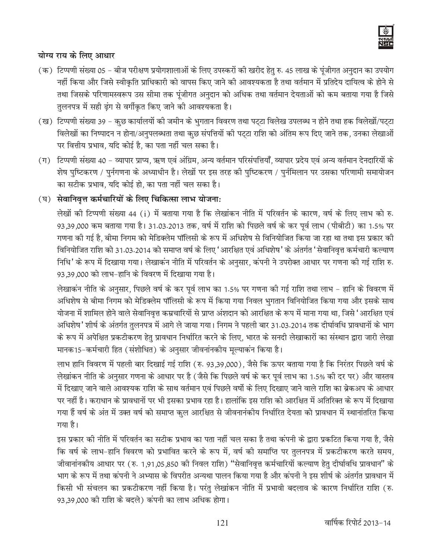

#### योग्य राय के लिए आधार

- (क) टिप्पणी संख्या 05 बीज परीक्षण प्रयोगशालाओं के लिए उपस्करों की खरीद हेतु रु. 45 लाख के पूंजीगत अनुदान का उपयोग नहीं किया और जिसे स्वीकृति प्राधिकारी को वापस किए जाने की आवश्यकता है तथा वर्तमान में प्रतिदेय दायित्व के होने से तथा जिसके परिणामस्वरूप उस सीमा तक पूंजीगत अनुदान को अधिक तथा वर्तमान देयताओं को कम बताया गया है जिसे तुलनपत्र में सही ढ़ंग से वर्गीकृत किए जाने की आवश्यकता है।
- (ख) टिप्पणी संख्या 39 कुछ कार्यालयों की जमीन के भुगतान विवरण तथा पट्टा विलेख उपलब्ध न होने तथा हक विलेखों/पट्टा विलेखों का निष्पादन न होना/अनुपलब्धता तथा कुछ संपत्तियों की पट्टा राशि को अंतिम रूप दिए जाने तक, उनका लेखाओं पर वित्तीय प्रभाव, यदि कोई है, का पता नहीं चल सका है।
- (ग) टिप्पणी संख्या 40 व्यापार प्राप्य, ऋण एवं अंग्रिम, अन्य वर्तमान परिसंपत्तियाँ, व्यापार प्रदेय एवं अन्य वर्तमान देनदारियों के शेष पुष्टिकरण / पुर्नगणना के अध्याधीन है। लेखों पर इस तरह की पुष्टिकरण / पुर्नमिलान पर उसका परिणामी समायोजन का सटीक प्रभाव, यदि कोई हो, का पता नहीं चल सका है।

## (घ) सेवानिवृत्त कर्मचारियों के लिए चिकित्सा लाभ योजना:

लेखों की टिप्पणी संख्या 44 (i) में बताया गया है कि लेखांकन नीति में परिवर्तन के कारण, वर्ष के लिए लाभ को रु. 93,39,000 कम बताया गया है। 31.03.2013 तक, वर्ष में राशि को पिछले वर्ष के कर पूर्व लाभ (पीबीटी) का 1.5% पर गणना की गई है, बीमा निगम को मेडिक्लेम पॉलिसी के रूप में अधिशेष से विनियोजित किया जा रहा था तथा इस प्रकार की विनियोजित राशि को 31.03.2014 को समाप्त वर्ष के लिए 'आरक्षित एवं अधिशेष' के अंतर्गत 'सेवानिवृत्त कर्मचारी कल्याण निधि' के रूप में दिखाया गया। लेखाकन नीति में परिवर्तन के अनुसार, कंपनी ने उपरोक्त आधार पर गणना की गई राशि रु. 93,39,000 को लाभ-हानि के विवरण में दिखाया गया है।

लेखाकन नीति के अनुसार, पिछले वर्ष के कर पूर्व लाभ का 1.5% पर गणना की गई राशि तथा लाभ – हानि के विवरण में अधिशेष से बीमा निगम को मेडिक्लेम पॉलिसी के रूप में किया गया निवल भुगतान विनियोजित किया गया और इसके साथ योजना में शामिल होने वाले सेवानिवृत्त कम्रचारियों से प्राप्त अंशदान को आरक्षित के रूप में माना गया था, जिसे 'आरक्षित एवं अधिशेष' शीर्ष के अंतर्गत तुलनपत्र में आगे ले जाया गया। निगम ने पहली बार 31.03.2014 तक दीर्घावधि प्रावधानों के भाग के रूप में अपेक्षित प्रकटीकरण हेतु प्रावधान निर्धारित करने के लिए, भारत के सनदी लेखाकारों का संस्थान द्वारा जारी लेखा मानक15-कर्मचारी हित (संशोधित) के अनुसार जीवनांनकीय मूल्याकंन किया है।

लाभ हानि विवरण में पहली बार दिखाई गई राशि (रु. 93,39,000), जैसे कि ऊपर बताया गया है कि निरंतर पिछले वर्ष के लेखांकन नीति के अनुसार गणना के आधार पर है (जैसे कि पिछले वर्ष के कर पूर्व लाभ का 1.5% की दर पर) और वास्तव में दिखाए जाने वाले आवश्यक राशि के साथ वर्तमान एवं पिछले वर्षो के लिए दिखाए जाने वाले राशि का ब्रेकअप के आधार पर नहीं है। कराधान के प्रावधानों पर भी इसका प्रभाव रहा है। हालांकि इस राशि को आरक्षित में अतिरिक्त के रूप में दिखाया गया हैं वर्ष के अंत में उक्त वर्ष को समाप्त कुल आरक्षित से जीवनानंकीय निर्धारित देयता को प्रावधान में स्थानांतरित किया गया है।

इस प्रकार को नीति में परिवर्तन का सटीक प्रभाव का पता नहीं चल सका है तथा कंपनी के द्वारा प्रकटित किया गया है, जैसे कि वर्ष के लाभ-हानि विवरण को प्रभावित करने के रूप में, वर्ष की समाप्ति पर तुलनपत्र में प्रकटीकरण करते समय, जीवानांनकीय आधार पर (रु. 1,91,05,850 की निवल राशि) "सेवानिवृत्त कर्मचारियों कल्याण हेतु दीर्घावधि प्रावधान" के भाग के रूप में तथा कंपनी ने अभ्यास के विपरीत अन्यथा पालन किया गया है और कंपनी ने इस शीर्ष के अंतर्गत प्रावधान में किसी भी संचलन का प्रकटीकरण नहीं किया है। परंतु लेखांकन नीति में प्रभावी बदलाव के कारण निर्धारित राशि (रु. 93,39,000 की राशि के बदले) कंपनी का लाभ अधिक होगा।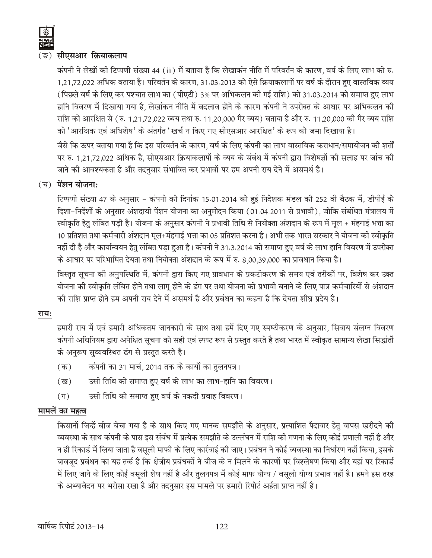

#### (ङ) सीएसआर क्रियाकलाप

कंपनी ने लेखों की टिप्पणी संख्या 44 (ii) में बताया है कि लेखाकन नीति में परिवर्तन के कारण, वर्ष के लिए लाभ को रु 1,21,72,022 अधिक बताया है। परिवर्तन के कारण, 31.03.2013 को ऐसे क्रियाकलापों पर वर्ष के दौरान हुए वास्तविक व्यय (पिछले वर्ष के लिए कर पश्चात लाभ का (पीएटी) 3% पर अभिकलन की गई राशि) को 31.03.2014 को समाप्त हुए लाभ हानि विवरण में दिखाया गया है, लेखांकन नीति में बदलाव होने के कारण कंपनी ने उपरोक्त के आधार पर अभिकलन की राशि को आरक्षित से (रु. 1,21,72,022 व्यय तथा रु. 11,20,000 गैर व्यय) बताया है और रु. 11,20,000 की गैर व्यय राशि को 'आरक्षिक एवं अधिशेष' के अंतर्गत 'खर्च न किए गए सीएसआर आरक्षित' के रूप को जमा दिखाया है। जैसे कि ऊपर बताया गया है कि इस परिवर्तन के कारण, वर्ष के लिए कंपनी का लाभ वास्तविक कराधान/समायोजन की शर्तों पर रु. 1,21,72,022 अधिक है, सीएसआर क्रियाकलापों के व्यय के संबंध में कंपनी द्वारा विशेषज्ञों की सलाह पर जांच की

#### $(\overline{u})$  पेंशन योजना:

टिप्पणी संख्या 47 के अनुसार - कंपनी की दिनांक 15.01.2014 को हुई निदेशक मंडल की 252 वी बैठक में, डीपीई के दिशा-निर्देशों के अनुसार अंशदायी पेंशन योजना का अनुमोदन किया (01.04.2011 से प्रभावी), जोकि संबंधित मंत्रालय में स्वीकृति हेतु लंबित पड़ी है। योजना के अनुसार कंपनी ने प्रभावी तिथि से नियोक्ता अंशदान के रूप में मूल + मंहगाई भत्ता का 10 प्रतिशत तथा कर्मचारी अंशदान मूल+मंहगाई भत्ता का 05 प्रतिशत करना है। अभी तक भारत सरकार ने योजना की स्वीकृति नहीं दी है और कार्यान्वयन हेतु लंबित पड़ा हुआ है। कंपनी ने 31.3.2014 को समाप्त हुए वर्ष के लाभ हानि विवरण में उपरोक्त के आधार पर परिभाषित देयता तथा नियोक्ता अंशदान के रूप में रु. 8,00,39,000 का प्रावधान किया है।

जाने की आवश्यकता है और तदनुसार संभावित कर प्रभावों पर हम अपनी राय देने में असमर्थ है।

विस्तृत सूचना की अनुपस्थिति में, कंपनी द्वारा किए गए प्रावधान के प्रकटीकरण के समय एवं तरीकों पर, विशेष कर उक्त योजना की स्वीकृति लंबित होने तथा लागू होने के ढंग पर तथा योजना को प्रभावी बनाने के लिए पात्र कर्मचारियों से अंशदान की राशि प्राप्त होने हम अपनी राय देने में असमर्थ है और प्रबंधन का कहना है कि देयता शीघ्र प्रदेय है।

#### राय:

हमारी राय में एवं हमारी अधिकतम जानकारी के साथ तथा हमें दिए गए स्पष्टीकरण के अनुसार, सिवाय संलग्न विवरण कंपनी अधिनियम द्वारा अपेक्षित सूचना को सही एवं स्पष्ट रूप से प्रस्तुत करते है तथा भारत में स्वीकृत सामान्य लेखा सिद्धांतों के अनुरूप सुव्यवस्थित ढंग से प्रस्तुत करते है।

- कंपनी का 31 मार्च, 2014 तक के कार्यों का तुलनपत्र।  $(\overline{a})$
- उसी तिथि को समाप्त हुए वर्ष के लाभ का लाभ-हानि का विवरण। (ख)
- उसी तिथि को समाप्त हुए वर्ष के नकदी प्रवाह विवरण।  $(\Pi)$

#### मामलें का महत्व

किसानों जिन्हें बीज बेचा गया है के साथ किए गए मानक समझौते के अनुसार, प्रत्याशित पैदावार हेतु वापस खरीदने की व्यवस्था के साथ कंपनी के पास इस संबंध में प्रत्येक समझौते के उल्लंघन में राशि की गणना के लिए कोई प्रणाली नहीं है और न ही रिकार्ड में लिया जाता है वसूली माफी के लिए कार्रवाई की जाए। प्रबंधन ने कोई व्यवस्था का निर्धारण नहीं किया, इसके बावजूद प्रबंधन का यह तर्क है कि क्षेत्रीय प्रबंधकों ने बीज के न मिलने के कारणों पर विश्लेषण किया और यहां पर रिकार्ड में लिए जाने के लिए कोई वसूली शेष नहीं है और तुलनपत्र में कोई माफ योग्य / वसूली योग्य प्रभाव नहीं है। हमने इस तरह के अभ्यावेदन पर भरोसा रखा है और तदनुसार इस मामले पर हमारी रिपोर्ट अर्हता प्राप्त नहीं है।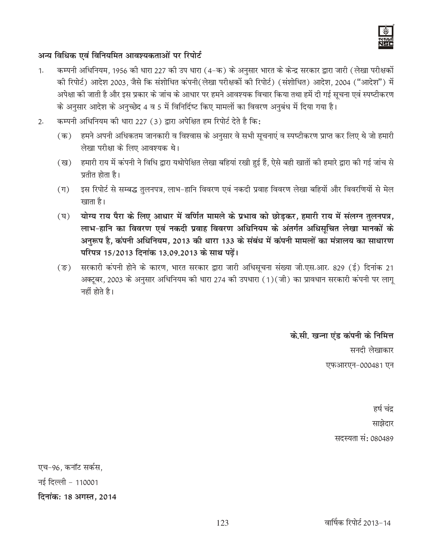

#### अन्य विधिक एवं विनियमित आवश्यकताओं पर रिपोर्ट

- कम्पनी अधिनियम, 1956 की धारा 227 की उप धारा (4-क) के अनुसार भारत के केन्द्र सरकार द्वारा जारी (लेखा परीक्षकों  $1.$ की रिपोर्ट) आदेश 2003, जैसे कि संशोधित कंपनी(लेखा परीक्षकों की रिपोर्ट) (संशोधित) आदेश, 2004 ("आदेश") में अपेक्षा की जाती है और इस प्रकार के जांच के आधार पर हमने आवश्यक विचार किया तथा हमें दी गई सूचना एवं स्पष्टीकरण के अनुसार आदेश के अनुच्छेद 4 व 5 में विनिर्दिष्ट किए मामलों का विवरण अनुबंध में दिया गया है।
- कम्पनी अधिनियम की धारा 227 (3) द्वारा अपेक्षित हम रिपोर्ट देते है कि:  $2.$ 
	- (क) हमने अपनी अधिकतम जानकारी व विश्वास के अनुसार वे सभी सूचनाएं व स्पष्टीकरण प्राप्त कर लिए थे जो हमारी लेखा परीक्षा के लिए आवश्यक थे।
	- हमारी राय में कंपनी ने विधि द्वारा यथोपेक्षित लेखा बहियां रखी हुई हैं, ऐसे बही खातों की हमारे द्वारा की गई जांच से (ख) प्रतीत होता है।
	- इस रिपोर्ट से सम्बद्ध तुलनपत्र, लाभ-हानि विवरण एवं नकदी प्रवाह विवरण लेखा बहियों और विवरणियों से मेल  $(\Pi)$ खाता है।
	- योग्य राय पैरा के लिए आधार में वर्णित मामले के प्रभाव को छोड़कर, हमारी राय में संलग्न तुलनपत्र,  $(\nabla)$ लाभ-हानि का विवरण एवं नकदी प्रवाह विवरण अधिनियम के अंतर्गत अधिसूचित लेखा मानकों के अनुरूप है, कंपनी अधिनियम, 2013 की धारा 133 के संबंध में कंपनी मामलों का मंत्रालय का साधारण परिपत्र 15/2013 दिनांक 13.09.2013 के साथ पढें।
	- सरकारी कंपनी होने के कारण, भारत सरकार द्वारा जारी अधिसूचना संख्या जी एस आर. 829 (ई) दिनांक 21  $(\overline{\mathbb{S}})$ अक्टूबर, 2003 के अनुसार अधिनियम की धारा 274 की उपधारा (1)(जी) का प्रावधान सरकारी कंपनी पर लागू नहीं होते है।

के.सी. खन्ना एंड कंपनी के निमित्त

सनदी लेखाकार एफआरएन-000481 एन

> हर्ष चंद्र साझेदार सदस्यता सं: 080489

एच-96. कनॉट सर्कस. नई दिल्ली - 110001 दिनांक: 18 अगस्त, 2014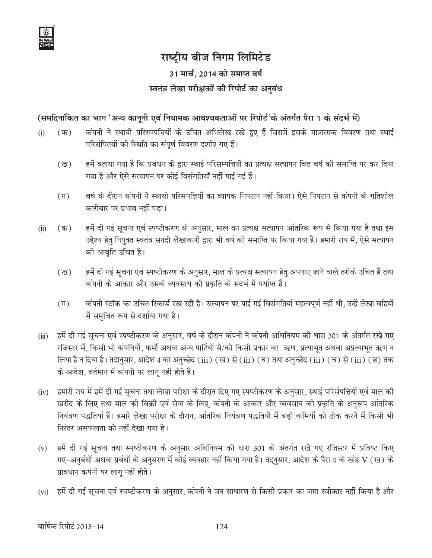

## 31 मार्च, 2014 को समाप्त वर्ष स्वतंत्र लेखा परीक्षकों की रिपोर्ट का अनुबंध

## (समदिनांकित का भाग 'अन्य कानूनी एवं नियामक आवश्यकताओं पर रिपोर्ट'के अंतर्गत पैरा 1 के संदर्भ में)

- कंपनी ने स्थायी परिसम्पत्तियों के उचित अभिलेख रखे हुए हैं जिसमें इसके मात्रात्मक विवरण तथा स्थाई  $(i)$  $(\overline{\Phi})$ परिसंपितयों की स्थिति का संपूर्ण विवरण दर्शाए गए हैं।
	- हमें बताया गया है कि प्रबंधन के द्वारा स्थाई परिसम्पत्तियों का प्रत्यक्ष सत्यापन वित्त वर्ष की समाप्ति पर कर दिया  $(\overline{g})$ गया है और ऐसे सत्यापन पर कोई विसंगतियाँ नहीं पाई गई हैं।
	- वर्ष के दौरान कंपनी ने स्थायी परिसंपत्तियों का व्यापक निपटान नहीं किया। ऐसे निपटान से कंपनी के गतिशील  $(\Pi)$ कारोबार पर प्रभाव नहीं पडा।
- हमें दी गई सूचना एवं स्पष्टीकरण के अनुसार, माल का प्रत्यक्ष सत्यापन आंतरिक रूप से किया गया है तथा इस  $(ii)$  $(\overline{a})$ उद्देश्य हेतु नियुक्त स्वतंत्र सनदी लेखाकारों द्वारा भी वर्ष की समाप्ति पर किया गया है। हमारी राय में, ऐसे सत्यापन की आवृति उचित है।
	- हमें दी गई सूचना एवं स्पष्टीकरण के अनुसार, माल के प्रत्यक्ष सत्यापन हेतु अपनाए जाने वाले तरीके उचित हैं तथा  $(\overline{g})$ कंपनी के आकार और उसके व्यवसाय की प्रकृति के संदर्भ में पर्याप्त हैं।
	- कंपनी स्टॉक का उचित रिकार्ड रख रही है। सत्यापन पर पाई गई विसंगतियां महत्वपूर्ण नहीं थी, उन्हें लेखा बहियों  $(\Pi)$ में समुचित रूप से दर्शाया गया है।
- हमें दी गई सूचना एवं स्पष्टीकरण के अनुसार, वर्ष के दौरान कंपनी ने कंपनी अधिनियम की धारा 301 के अंतर्गत रखे गए  $(iii)$ रजिस्टर में, किसी भी कंपनियों, फर्मो अथवा अन्य पार्टियों से/को किसी प्रकार का ऋण, प्रत्याभूत अथवा अप्रत्याभूत ऋण न लिया है न दिया है। तदानुसार, आदेश 4 का अनुच्छेद (iii) (ख) से (iii) (घ) तथा अनुच्छेद (iii) (च) से (iii) (छ) तक के आदेश, वर्तमान में कंपनी पर लागू नहीं होते है।
- (iv) हमारी राय में हमें दी गई सूचना तथा लेखा परीक्षा के दौरान दिए गए स्पष्टीकरण के अनुसार, स्थाई परिसंपत्तियों एवं माल की खरीद के लिए तथा माल की बिक्री एवं सेवा के लिए, कंपनी के आकार और व्यवसाय की प्रकृति के अनुरूप आंतरिक नियंत्रण पद्धतियां हैं। हमारे लेखा परीक्षा के दौरान, आंतरिक नियंत्रण पद्धतियों में बडी कमियों को ठीक करने में किसी भी निरंतर असफलता को नहीं देखा गया है।
- हमें दी गई सूचना तथा स्पष्टीकरण के अनुसार अधिनियम की धारा 301 के अंतर्गत रखे गए रजिस्टर में प्रविष्ट किए  $(v)$ गए-अनुबंधों अथवा प्रबंधों के अनुसरण में कोई व्यवहार नहीं किया गया है। तद्नुसार, आदेश के पैरा 4 के खंड V (ख) के प्रावधान कपंनी पर लागू नहीं होते।
- (vi) हमें दी गई सूचना एवं स्पष्टीकरण के अनुसार, कंपनी ने जन साधारण से किसी प्रकार का जमा स्वीकार नहीं किया है और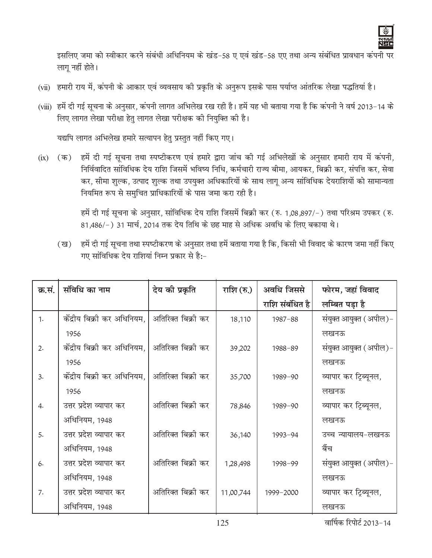

इसलिए जमा को स्वीकार करने संबंधी अधिनियम के खंड-58 ए एवं खंड-58 एए तथा अन्य संबंधित प्रावधान कंपनी पर लागू नहीं होते।

- (vii) हमारी राय में, कंपनी के आकार एवं व्यवसाय की प्रकृति के अनुरूप इसके पास पर्याप्त आंतरिक लेखा पद्धतियां है।
- (viii) हमें दी गई सूचना के अनुसार, कंपनी लागत अभिलेख रख रही है। हमें यह भी बताया गया है कि कंपनी ने वर्ष 2013-14 के लिए लागत लेखा परीक्षा हेतु लागत लेखा परीक्षक की नियुक्ति की है।

यद्यपि लागत अभिलेख हमारे सत्यापन हेतु प्रस्तुत नहीं किए गए।

(ix) (क) हमें दी गई सूचना तथा स्पष्टीकरण एवं हमारे द्वारा जांच की गई अभिलेखों के अनुसार हमारी राय में कंपनी, निर्विवादित सांविधिक देय राशि जिसमें भविष्य निधि, कर्मचारी राज्य बीमा, आयकर, बिक्री कर, संपत्ति कर, सेवा कर, सीमा शुल्क, उत्पाद शुल्क तथा उपयुक्त अधिकारियों के साथ लागू अन्य सांविधिक देयराशियों को सामान्यता नियमित रूप से समुचित प्राधिकारियों के पास जमा करा रही है।

> हमें दी गई सूचना के अनुसार, सांविधिक देय राशि जिसमें बिक्री कर (रु. 1,08,897/-) तथा परिश्रम उपकर (रु. 81,486/-) 31 मार्च, 2014 तक देय तिथि के छह माह से अधिक अवधि के लिए बकाया थे।

(ख) हमें दी गई सूचना तथा स्पष्टीकरण के अनुसार तथा हमें बताया गया है कि, किसी भी विवाद के कारण जमा नहीं किए गए सांविधिक देय राशियां निम्न प्रकार से है:-

| क्र.सं. | संविधि का नाम               | देय की प्रकृति     | राशि (रु.) | अवधि जिससे      | फोरम, जहां विवाद       |
|---------|-----------------------------|--------------------|------------|-----------------|------------------------|
|         |                             |                    |            | राशि संबंधित है | लम्बित पड़ा है         |
| 1.      | केंद्रीय बिक्री कर अधिनियम, | अतिरिक्त बिक्री कर | 18,110     | $1987 - 88$     | संयुक्त आयुक्त (अपील)- |
|         | 1956                        |                    |            |                 | लखनऊ                   |
| 2.      | केंद्रीय बिक्री कर अधिनियम, | अतिरिक्त बिक्री कर | 39,202     | 1988-89         | संयुक्त आयुक्त (अपील)- |
|         | 1956                        |                    |            |                 | लखनऊ                   |
| 3.      | केंद्रीय बिक्री कर अधिनियम, | अतिरिक्त बिक्री कर | 35,700     | 1989-90         | व्यापार कर ट्रिब्यूनल, |
|         | 1956                        |                    |            |                 | लखनऊ                   |
| 4.      | उत्तर प्रदेश व्यापार कर     | अतिरिक्त बिक्री कर | 78,846     | 1989-90         | व्यापार कर ट्रिब्यूनल, |
|         | अधिनियम, 1948               |                    |            |                 | लखनऊ                   |
| 5.      | उत्तर प्रदेश व्यापार कर     | अतिरिक्त बिक्री कर | 36,140     | 1993-94         | उच्च न्यायालय-लखनऊ     |
|         | अधिनियम, 1948               |                    |            |                 | बैंच                   |
| 6.      | उत्तर प्रदेश व्यापार कर     | अतिरिक्त बिक्री कर | 1,28,498   | 1998-99         | संयुक्त आयुक्त (अपील)- |
|         | अधिनियम, 1948               |                    |            |                 | लखनऊ                   |
| 7.      | उत्तर प्रदेश व्यापार कर     | अतिरिक्त बिक्री कर | 11,00,744  | 1999-2000       | व्यापार कर ट्रिब्यूनल, |
|         | अधिनियम, 1948               |                    |            |                 | लखनऊ                   |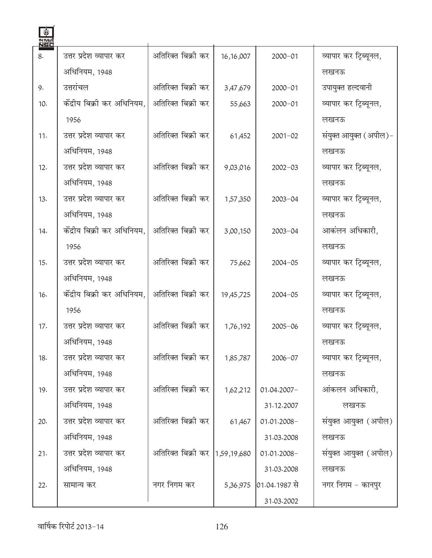| <u>लखर्स</u><br>NSC |                             |                    |             |               |                        |
|---------------------|-----------------------------|--------------------|-------------|---------------|------------------------|
| 8.                  | उत्तर प्रदेश व्यापार कर     | अतिरिक्त बिक्री कर | 16, 16, 007 | $2000 - 01$   | व्यापार कर ट्रिब्यूनल, |
|                     | अधिनियम, 1948               |                    |             |               | लखनऊ                   |
| 9.                  | उत्तरांचल                   | अतिरिक्त बिक्री कर | 3,47,679    | $2000 - 01$   | उपायुक्त हल्दवानी      |
| 10.                 | केंद्रीय बिक्री कर अधिनियम, | अतिरिक्त बिक्री कर | 55,663      | $2000 - 01$   | व्यापार कर ट्रिब्यूनल, |
|                     | 1956                        |                    |             |               | लखनऊ                   |
| 11.                 | उत्तर प्रदेश व्यापार कर     | अतिरिक्त बिक्री कर | 61,452      | $2001 - 02$   | संयुक्त आयुक्त (अपील)- |
|                     | अधिनियम, 1948               |                    |             |               | लखनऊ                   |
| 12.                 | उत्तर प्रदेश व्यापार कर     | अतिरिक्त बिक्री कर | 9,03,016    | $2002 - 03$   | व्यापार कर ट्रिब्यूनल, |
|                     | अधिनियम, 1948               |                    |             |               | लखनऊ                   |
| 13.                 | उत्तर प्रदेश व्यापार कर     | अतिरिक्त बिक्री कर | 1,57,350    | $2003 - 04$   | व्यापार कर टिब्यूनल,   |
|                     | अधिनियम, 1948               |                    |             |               | लखनऊ                   |
| 14.                 | केंद्रीय बिक्री कर अधिनियम, | अतिरिक्त बिक्री कर | 3,00,150    | $2003 - 04$   | आकंलन अधिकारी,         |
|                     | 1956                        |                    |             |               | लखनऊ                   |
| 15.                 | उत्तर प्रदेश व्यापार कर     | अतिरिक्त बिक्री कर | 75,662      | $2004 - 05$   | व्यापार कर ट्रिब्यूनल, |
|                     | अधिनियम, 1948               |                    |             |               | लखनऊ                   |
| 16.                 | केंद्रीय बिक्री कर अधिनियम, | अतिरिक्त बिक्री कर | 19,45,725   | $2004 - 05$   | व्यापार कर ट्रिब्यूनल, |
|                     | 1956                        |                    |             |               | लखनऊ                   |
| 17.                 | उत्तर प्रदेश व्यापार कर     | अतिरिक्त बिक्री कर | 1,76,192    | $2005 - 06$   | व्यापार कर ट्रिब्यूनल, |
|                     | अधिनियम, 1948               |                    |             |               | लखनऊ                   |
| 18.                 | उत्तर प्रदेश व्यापार कर     | अतिरिक्त बिक्री कर | 1,85,787    | $2006 - 07$   | व्यापार कर ट्रिब्यूनल, |
|                     | अधिनियम, 1948               |                    |             |               | लखनऊ                   |
| 19.                 | उत्तर प्रदेश व्यापार कर     | अतिरिक्त बिक्री कर | 1,62,212    | 01.04.2007-   | आंकलन अधिकारी.         |
|                     | अधिनियम, 1948               |                    |             | 31.12.2007    | लखनऊ                   |
| 20.                 | उत्तर प्रदेश व्यापार कर     | अतिरिक्त बिक्री कर | 61,467      | 01.01.2008-   | संयुक्त आयुक्त (अपील)  |
|                     | अधिनियम, 1948               |                    |             | 31.03.2008    | लखनऊ                   |
| 21.                 | उत्तर प्रदेश व्यापार कर     | अतिरिक्त बिक्री कर | 1,59,19,680 | 01.01.2008-   | संयुक्त आयुक्त (अपील)  |
|                     | अधिनियम, 1948               |                    |             | 31.03.2008    | लखनऊ                   |
| 22.                 | सामान्य कर                  | नगर निगम कर        | 5,36,975    | 01.04.1987 से | नगर निगम – कानपुर      |
|                     |                             |                    |             | 31.03.2002    |                        |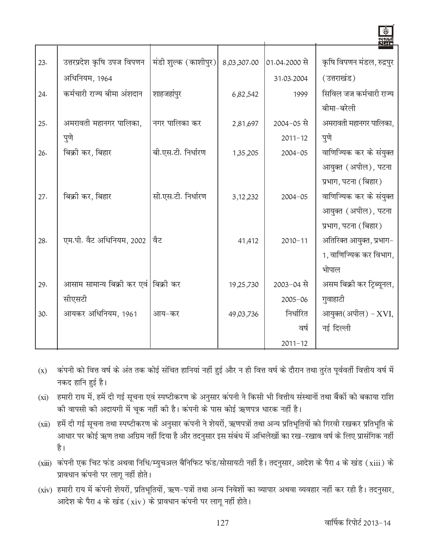|     |                                        |                      |             |               | <u>WWA</u><br>NGC         |
|-----|----------------------------------------|----------------------|-------------|---------------|---------------------------|
| 23. | उत्तरप्रदेश कृषि उपज विपणन             | मंडी शुल्क (काशीपुर) | 8,03,307.00 | 01.04.2000 से | कृषि विपणन मंडल, रुद्रपुर |
|     | अधिनियम, 1964                          |                      |             | 31.03.2004    | (उत्तराखंड)               |
| 24. | कर्मचारी राज्य बीमा अंशदान             | शाहजहांपुर           | 6,82,542    | 1999          | सिविल जज कर्मचारी राज्य   |
|     |                                        |                      |             |               | बीमा-बरेली                |
| 25. | अमरावती महानगर पालिका,                 | नगर पालिका कर        | 2,81,697    | 2004-05 से    | अमरावती महानगर पालिका,    |
|     | पुणे                                   |                      |             | $2011 - 12$   | पुणे                      |
| 26. | बिक्री कर, बिहार                       | बी.एस.टी. निर्धारण   | 1,35,205    | $2004 - 05$   | वाणिज्यिक कर के संयुक्त   |
|     |                                        |                      |             |               | आयुक्त (अपील), पटना       |
|     |                                        |                      |             |               | प्रभाग, पटना (बिहार)      |
| 27. | बिक्री कर, बिहार                       | सी.एस.टी. निर्धारण   | 3, 12, 232  | $2004 - 05$   | वाणिज्यिक कर के संयुक्त   |
|     |                                        |                      |             |               | आयुक्त (अपील), पटना       |
|     |                                        |                      |             |               | प्रभाग, पटना (बिहार)      |
| 28. | एम.पी. वैट अधिनियम, 2002               | वैट                  | 41,412      | $2010 - 11$   | अतिरिक्त आयुक्त, प्रभाग-  |
|     |                                        |                      |             |               | 1, वाणिज्यिक कर विभाग,    |
|     |                                        |                      |             |               | भोपाल                     |
| 29. | आसाम सामान्य बिक्री कर एवं   बिक्री कर |                      | 19,25,730   | 2003-04 से    | असम बिक्री कर ट्रिब्यूनल, |
|     | सीएसटी                                 |                      |             | $2005 - 06$   | गुवाहाटी                  |
| 30. | आयकर अधिनियम, 1961                     | आय-कर                | 49,03,736   | निर्धारित     | आयुक्त(अपील) - XVI,       |
|     |                                        |                      |             | वर्ष          | नई दिल्ली                 |
|     |                                        |                      |             | $2011 - 12$   |                           |

- (x) कंपनी को वित्त वर्ष के अंत तक कोई संचित हानियां नहीं हुई और न ही वित्त वर्ष के दौरान तथा तुरंत पूर्ववर्ती वित्तीय वर्ष में नकद हानि हुई है।
- (xi) हमारी राय में, हमें दी गई सूचना एवं स्पष्टीकरण के अनुसार कंपनी ने किसी भी वित्तीय संस्थानों तथा बैंकों को बकाया राशि की वापसी की अदायगी में चूक नहीं की है। कंपनी के पास कोई ऋणपत्र धारक नहीं है।
- (xii) हमें दी गई सूचना तथा स्पष्टीकरण के अनुसार कंपनी ने शेयरों, ऋणपत्रों तथा अन्य प्रतिभूतियों को गिरवी रखकर प्रतिभूति के आधार पर कोई ऋण तथा अग्रिम नहीं दिया है और तदनुसार इस संबंध में अभिलेखों का रख–रखाव वर्ष के लिए प्रासंगिक नहीं है।
- (xiii) कंपनी एक चिट फंड अथवा निधि/म्युचअल बैनिफिट फंड/सोसायटी नहीं है। तदनुसार, आदेश के पैरा 4 के खंड (xiii) के प्रावधान कंपनी पर लागू नहीं होते।
- (xiv) हमारी राय में कंपनी शेयरों, प्रतिभूतियों, ऋण-पत्रों तथा अन्य निवेशों का व्यापार अथवा व्यवहार नहीं कर रही है। तदनुसार, आदेश के पैरा 4 के खंड (xiv) के प्रावधान कंपनी पर लागू नहीं होते।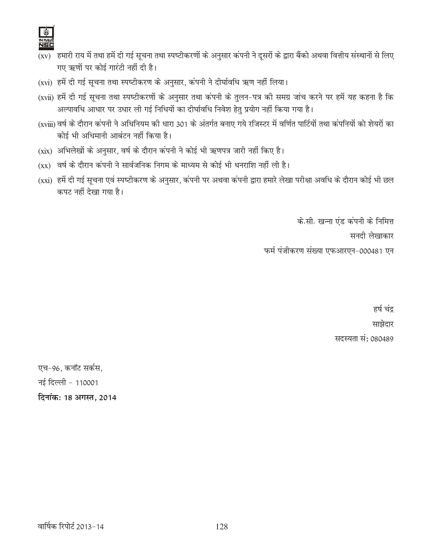- $\overline{\rm (xv)}$  हमारी राय में तथा हमें दी गई सूचना तथा स्पष्टीकरणों के अनुसार कंपनी ने दूसरों के द्वारा बैंको अथवा वित्तीय संस्थानों से लिए गए ऋणों पर कोई गारंटी नहीं दी है।
- (xvi) हमें दी गई सूचना तथा स्पष्टीकरण के अनुसार, कंपनी ने दीर्घावधि ऋण नहीं लिया।
- (xvii) हमें दी गई सूचना तथा स्पष्टीकरणों के अनुसार तथा कंपनी के तुलन-पत्र की समग्र जांच करने पर हमें यह कहना है कि अल्पावधि आधार पर उधार ली गई निधियों का दीर्घावधि निवेश हेतु प्रयोग नहीं किया गया है।
- (xviii) वर्ष के दौरान कंपनी ने अधिनियम की धारा 301 के अंतर्गत बनाए गये रजिस्टर में वर्णित पार्टियों तथा कंपनियों को शेयरों का कोई भी अधिमानी आबंटन नहीं किया है।
- (xix) अभिलेखों के अनुसार, वर्ष के दौरान कंपनी ने कोई भी ऋणपत्र जारी नहीं किए है।
- (xx) वर्ष के दौरान कंपनी ने सार्वजनिक निगम के माध्यम से कोई भी धनराशि नहीं ली है।
- (xxi) हमें दी गई सूचना एवं स्पष्टीकरण के अनुसार, कंपनी पर अथवा कंपनी द्वारा हमारे लेखा परीक्षा अवधि के दौरान कोई भी छल कपट नहीं देखा गया है।

के.सी. खन्ना एंड कंपनी के निमित्त

सनदी लेखाकार

फर्म पंजीकरण संख्या एफआरएन-000481 एन

हर्ष चंद्र साझेदार सदस्यता सं: 080489

एच-96, कनॉट सर्कस, नई दिल्ली - 110001 दिनांक: 18 अगस्त, 2014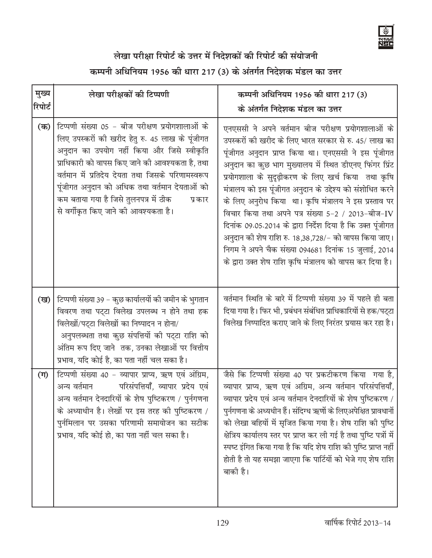# लेखा परीक्षा रिपोर्ट के उत्तर में निदेशकों की रिपोर्ट की संयोजनी

# कम्पनी अधिनियम 1956 की धारा 217 (3) के अंतर्गत निदेशक मंडल का उत्तर

| मुख्य   | लेखा परीक्षकों की टिप्पणी                                                                                                                                                                                                                                                                                                                                                                            | कम्पनी अधिनियम 1956 की धारा 217 (3)                                                                                                                                                                                                                                                                                                                                                                                                                                                                                                                                                                                                                                                                         |
|---------|------------------------------------------------------------------------------------------------------------------------------------------------------------------------------------------------------------------------------------------------------------------------------------------------------------------------------------------------------------------------------------------------------|-------------------------------------------------------------------------------------------------------------------------------------------------------------------------------------------------------------------------------------------------------------------------------------------------------------------------------------------------------------------------------------------------------------------------------------------------------------------------------------------------------------------------------------------------------------------------------------------------------------------------------------------------------------------------------------------------------------|
| रिपोर्ट |                                                                                                                                                                                                                                                                                                                                                                                                      | के अंतर्गत निदेशक मंडल का उत्तर                                                                                                                                                                                                                                                                                                                                                                                                                                                                                                                                                                                                                                                                             |
| $($ क)  | टिप्पणी संख्या 05 - बीज परीक्षण प्रयोगशालाओं के<br>लिए उपस्करों की खरीद हेतु रु. 45 लाख के पूंजीगत<br>अनुदान का उपयोग नहीं किया और जिसे स्वीकृति<br>प्राधिकारी को वापस किए जाने की आवश्यकता है, तथा<br>वर्तमान में प्रतिदेय देयता तथा जिसके परिणामस्वरूप<br>पूंजीगत अनुदान को अधिक तथा वर्तमान देयताओं को<br>कम बताया गया है जिसे तुलनपत्र में ठीक<br>प्रकार<br>से वर्गीकृत किए जाने की आवश्यकता है। | एनएससी ने अपने वर्तमान बीज परीक्षण प्रयोगशालाओं के<br>उपस्करों की खरीद के लिए भारत सरकार से रु. 45/ लाख का<br>पूंजीगत अनुदान प्राप्त किया था। एनएससी ने इस पूंजीगत<br>अनुदान का कुछ भाग मुख्यालय में स्थित डीएनए फिंगर प्रिंट<br>प्रयोगशाला के सुदृढ़ीकरण के लिए खर्च किया तथा कृषि<br>मंत्रालय को इस पूंजीगत अनुदान के उद्देश्य को संशोधित करने<br>के लिए अनुरोध किया था। कृषि मंत्रालय ने इस प्रस्ताव पर<br>विचार किया तथा अपने पत्र संख्या 5-2 / 2013-बीज-IV<br>दिनांक 09.05.2014 के द्वारा निर्देश दिया है कि उक्त पूंजीगत<br>अनुदान की शेष राशि रु. 18,38,728/- को वापस किया जाए।<br>निगम ने अपने चैक संख्या 094681 दिनांक 15 जुलाई, 2014<br>के द्वारा उक्त शेष राशि कृषि मंत्रालय को वापस कर दिया है। |
| (ख)     | टिप्पणी संख्या 39 - कुछ कार्यालयों की जमीन के भुगतान<br>विवरण तथा पट्टा विलेख उपलब्ध न होने तथा हक<br>विलेखों/पट्टा विलेखों का निष्पादन न होना/<br>अनुपलब्धता तथा कुछ संपत्तियों की पट्टा राशि को<br>अंतिम रूप दिए जाने  तक, उनका लेखाओं पर वित्तीय<br>प्रभाव, यदि कोई है, का पता नहीं चल सका है।                                                                                                    | वर्तमान स्थिति के बारे में टिप्पणी संख्या 39 में पहले ही बता<br>दिया गया है। फिर भी, प्रबंधन संबंधित प्राधिकारियों से हक/पट्टा<br>विलेख निष्पादित कराए जाने के लिए निरंतर प्रयास कर रहा है।                                                                                                                                                                                                                                                                                                                                                                                                                                                                                                                 |
| $(\Pi)$ | टिप्पणी संख्या 40 - व्यापार प्राप्य, ऋण एवं अंग्रिम,<br>परिसंपत्तियाँ, व्यापार प्रदेय एवं<br>अन्य वर्तमान<br>अन्य वर्तमान देनदारियों के शेष पुष्टिकरण / पुर्नगणना<br>के अध्याधीन है। लेखों पर इस तरह की पुष्टिकरण /<br>पुर्नमिलान पर उसका परिणामी समायोजन का सटीक<br>प्रभाव, यदि कोई हो, का पता नहीं चल सका है।                                                                                      | जैसे कि टिप्पणी संख्या 40 पर प्रकटीकरण किया गया है,<br>व्यापार प्राप्य, ऋण एवं अग्रिम, अन्य वर्तमान परिसंपत्तियाँ,<br>व्यापार प्रदेय एवं अन्य वर्तमान देनदारियों के शेष पुष्टिकरण /<br>पुर्नगणना के अध्यधीन हैं। संदिग्ध ऋणों के लिएअपेक्षित प्रावधानों<br>को लेखा बहियों में सृजित किया गया है। शेष राशि की पुष्टि<br>क्षेत्रिय कार्यालय स्तर पर प्राप्त कर ली गई है तथा पुष्टि पत्रों में<br>स्पष्ट इंगित किया गया है कि यदि शेष राशि की पुष्टि प्राप्त नहीं<br>होती है तो यह समझा जाएगा कि पार्टियों को भेजे गए शेष राशि<br>बाकी है।                                                                                                                                                                     |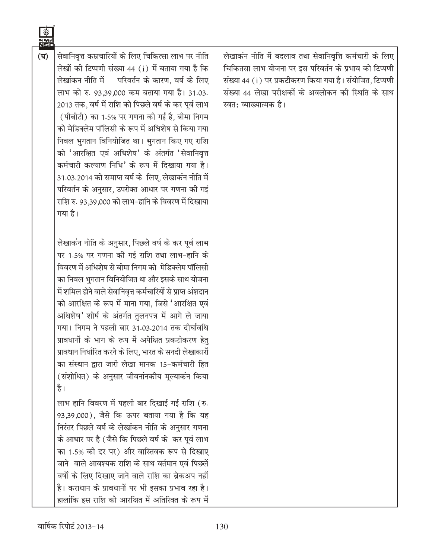सेवानिवृत्त कम्रचारियों के लिए चिकित्सा लाभ पर नीति  $(\vec{B})$ लेखों की टिप्पणी संख्या 44 (i) में बताया गया है कि लेखांकन नीति में परिवर्तन के कारण. वर्ष के लिए लाभ को रु. 93.39.000 कम बताया गया है। 31.03. 2013 तक, वर्ष में राशि को पिछले वर्ष के कर पूर्व लाभ (पीबीटी) का 1.5% पर गणना की गई है. बीमा निगम को मेडिक्लेम पॉलिसी के रूप में अधिशेष से किया गया निवल भुगतान विनियोजित था। भुगतान किए गए राशि को 'आरक्षित एवं अधिशेष' के अंतर्गत 'सेवानिवृत्त कर्मचारी कल्याण निधि' के रूप में दिखाया गया है। 31.03.2014 को समाप्त वर्ष के लिए, लेखाकन नीति में परिवर्तन के अनुसार, उपरोक्त आधार पर गणना की गई राशि रु. 93,39,000 को लाभ-हानि के विवरण में दिखाया गया है।

> लेखाकन नीति के अनुसार, पिछले वर्ष के कर पूर्व लाभ पर 1.5% पर गणना की गई राशि तथा लाभ-हानि के विवरण में अधिशेष से बीमा निगम को मेडिक्लेम पॉलिसी का निवल भुगतान विनियोजित था और इसके साथ योजना में शमिल होने वाले सेवानिवृत्त कर्मचारियों से प्राप्त अंशदान को आरक्षित के रूप में माना गया, जिसे 'आरक्षित एवं अधिशेष' शीर्ष के अंतर्गत तुलनपत्र में आगे ले जाया गया। निगम ने पहली बार 31.03.2014 तक दीर्घावधि प्रावधानों के भाग के रूप में अपेक्षित प्रकटीकरण हेतु प्रावधान निर्धारित करने के लिए. भारत के सनदी लेखाकारों का संस्थान द्वारा जारी लेखा मानक 15-कर्मचारी हित (संशोधित) के अनुसार जीवनांनकीय मूल्याकंन किया है।

> लाभ हानि विवरण में पहली बार दिखाई गई राशि (रु. 93,39,000), जैसे कि ऊपर बताया गया है कि यह निरंतर पिछले वर्ष के लेखांकन नीति के अनुसार गणना के आधार पर है (जैसे कि पिछले वर्ष के कर पूर्व लाभ का 1.5% को दर पर) और वास्तिवक रूप से दिखाए जाने वाले आवश्यक राशि के साथ वर्तमान एवं पिछलें वर्षों के लिए दिखाए जाने वाले राशि का ब्रेकअप नहीं है। कराधान के प्रावधानों पर भी इसका प्रभाव रहा है। हालांकि इस राशि को आरक्षित में अतिरिक्त के रूप में

लेखाकन नीति में बदलाव तथा सेवानिवृत्ति कर्मचारी के लिए चिकितसा लाभ योजना पर इस परिवर्तन के प्रभाव को टिप्पणी संख्या 44 (i) पर प्रकटीकरण किया गया है। संयोजित, टिप्पणी संख्या 44 लेखा परीक्षकों के अवलोकन की स्थिति के साथ स्वत: व्याख्यात्मक है।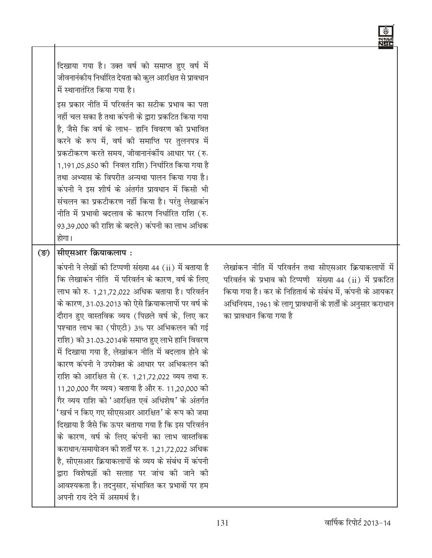दिखाया गया है। उक्त वर्ष को समाप्त हुए वर्ष में जीवनानंकीय निर्धारित देयता को कुल आरक्षित से प्रावधान में स्थानातंरित किया गया है।

इस प्रकार नीति में परिवर्तन का सटीक प्रभाव का पता नहीं चल सका है तथा कंपनी के द्वारा प्रकटित किया गया है. जैसे कि वर्ष के लाभ- हानि विवरण को प्रभावित करने के रूप में, वर्ष की समाप्ति पर तुलनपत्र में प्रकटीकरण करते समय, जीवानानंकींय आधार पर (रु. 1,191,05,850 को निवल राशि) निर्धारित किया गया है तथा अभ्यास के विपरीत अन्यथा पालन किया गया है। कंपनी ने इस शीर्ष के अंतर्गत प्रावधान में किसी भी संचलन का प्रकटीकरण नहीं किया है। परंतु लेखाकंन नीति में प्रभावी बदलाव के कारण निर्धारित राशि (रु. 93.39.000 की राशि के बदले) कंपनी का लाभ अधिक होगा।

#### सीएसआर क्रियाकलाप:  $(\overline{\mathbb{S}})$

कंपनी ने लेखों की टिप्पणी संख्या 44 (ii) में बताया है कि लेखाकन नीति में परिवर्तन के कारण, वर्ष के लिए लाभ को रु. 1,21,72,022 अधिक बताया है। परिवर्तन के कारण, 31.03.2013 को ऐसे क्रियाकलापों पर वर्ष के दौरान हुए वास्तविक व्यय (पिछले वर्ष के, लिए कर पश्चात लाभ का (पीएटी) 3% पर अभिकलन की गई राशि) को 31.03.2014के समाप्त हुए लाभे हानि विवरण में दिखाया गया है. लेखांकन नीति में बदलाव होने के कारण कंपनी ने उपरोक्त के आधार पर अभिकलन की राशि को आरक्षित से (रु. 1.21.72.022 व्यय तथा रु. 11,20,000 गैर व्यय) बताया है और रु. 11,20,000 की गैर व्यय राशि को 'आरक्षित एवं अधिशेष' के अंतर्गत 'खर्च न किए गए सीएसआर आरक्षित' के रूप को जमा दिखाया है जैसे कि ऊपर बताया गया है कि इस परिवर्तन के कारण, वर्ष के लिए कंपनी का लाभ वास्तविक कराधान/समायोजन की शर्तों पर रु. 1,21,72,022 अधिक है, सीएसआर क्रियाकलापों के व्यय के संबंध में कंपनी द्वारा विशेषज्ञों की सलाह पर जांच की जाने की आवश्यकता है। तदनुसार, संभावित कर प्रभावों पर हम अपनी राय देने में असमर्थ है।

लेखांकन नीति में परिवर्तन तथा सीएसआर क्रियाकलापों में परिवर्तन के प्रभाव को टिप्पणी संख्या 44 (ii) में प्रकटित किया गया है। कर के निहितार्थ के संबंध में, कंपनी के आयकर अधिनियम, 1961 के लागू प्रावधानों के शर्तों के अनुसार कराधान का प्रावधान किया गया है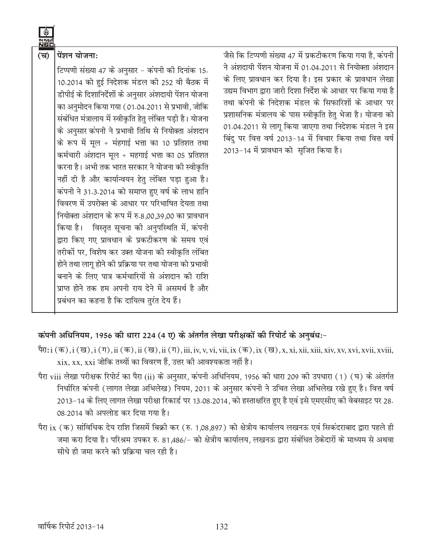

## जैसे कि टिप्पणी संख्या 47 में प्रकटीकरण किया गया है. कंपनी ने अंशदायी पेंशन योजना में 01.04.2011 से नियोक्ता अंशदान के लिए प्रावधान कर दिया है। इस प्रकार के प्रावधान लेखा उद्यम विभाग द्वारा जारी दिशा निर्देश के आधार पर किया गया है तथा कंपनी के निदेशक मंडल के सिफारिशों के आधार पर प्रशासनिक मंत्रालय के पास स्वीकृति हेतु भेजा है। योजना को 01.04.2011 से लागू किया जाएगा तथा निदेशक मंडल ने इस विंदु पर वित्त वर्ष 2013-14 में विचार किया तथा वित्त वर्ष 2013-14 में प्रावधान को सुजित किया है।

#### कंपनी अधिनियम, 1956 की धारा 224 (4 ए) के अंतर्गत लेखा परीक्षकों की रिपोर्ट के अनुबंध:-

प्रबंधन का कहना है कि दायित्व तुरंत देय हैं।

- पैरा: i (क), i (ख), i (ग), ii (क), ii (ख), ii (ग), iii, iv, v, vi, vii, ix (क), ix (ख), x, xi, xii, xiii, xiv, xv, xvi, xvii, xviii,  $x$ ix, xx, xxi जोकि तथ्यों का विवरण हैं, उत्तर की आवश्यकता नहीं है।
- पैरा viii लेखा परीक्षक रिपोर्ट का पैरा (ii) के अनुसार, कंपनी अधिनियम, 1956 की धारा 209 की उपधारा (1) (घ) के अंतर्गत निर्धारित कंपनी (लागत लेखा अभिलेख) नियम, 2011 के अनुसार कंपनी ने उचित लेखा अभिलेख रखे हुए है। वित्त वर्ष 2013-14 के लिए लागत लेखा परीक्षा रिकार्ड पर 13.08.2014, को हस्ताक्षरित हुए है एवं इसे एमएसीए की वेबसाइट पर 28. 08.2014 को अपलोड कर दिया गया है।
- पैरा ix (क) सांविधिक देय राशि जिसमें बिक्री कर (रु. 1,08,897) को क्षेत्रीय कार्यालय लखनऊ एवं सिकंदराबाद द्वारा पहले ही जमा करा दिया है। परिश्रम उपकर रु. 81,486/- को क्षेत्रीय कार्यालय, लखनऊ द्वारा संबंधित ठेकेदारों के माध्यम से अथवा सीधे ही जमा करने की पकिया चल रही है।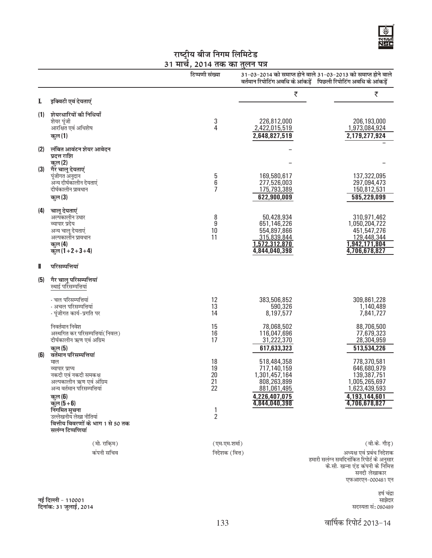

# राष्ट्रीय बीज निगम लिमिटेड<br><u>31 मार्च, 2014 तक का तुलन पत्र</u>

|     |                                                                                                                                                                                                                                                                      | टिप्पणी संख्या                                                      |                                                                                                             | 31-03-2014 को समाप्त होने वाले 31-03-2013 को समाप्त होने वाले<br>वर्तमान रिपोटिंग अवधि के आंकड़ें पिछली रिपोटिंग अवधि के आंकड़ें |
|-----|----------------------------------------------------------------------------------------------------------------------------------------------------------------------------------------------------------------------------------------------------------------------|---------------------------------------------------------------------|-------------------------------------------------------------------------------------------------------------|----------------------------------------------------------------------------------------------------------------------------------|
| L   | इक्विटी एवं देयताएं                                                                                                                                                                                                                                                  |                                                                     | ₹                                                                                                           | ₹                                                                                                                                |
| (1) | शेयरधारियों की निधियाँ<br>शेयर पूंजी<br>आरक्षित एवं अधिशेष<br>कुल (1)                                                                                                                                                                                                | 3<br>$\overline{4}$                                                 | 226,812,000<br>2,422,015,519<br>2,648,827,519                                                               | 206,193,000<br>1,973,084,924<br>2,179,277,924                                                                                    |
| (2) | लंबित आवंटन शेयर आवेदन<br>प्रदत्त राशि<br>कुल (2)                                                                                                                                                                                                                    |                                                                     |                                                                                                             |                                                                                                                                  |
| (3) | गैर चालू देयताएं<br>पूंजीगत अनुदान<br>अन्य दीर्घकालीन देयताएं<br>दीर्घकालीन प्रावधान<br>कुल (3)                                                                                                                                                                      | 5<br>6<br>7                                                         | 169,580,617<br>277,526,003<br>175,793,389<br>622,900,009                                                    | 137,322,095<br>297,094,473<br>150,812,531<br>585,229,099                                                                         |
| (4) | चालू देयताएं<br>अल्पकालीन उधार<br>व्यापार प्रदेय<br>अन्य चालू देयताएं<br>अल्पकालीन प्रावधान<br>कुल (4)<br>क्तुल (1+2+3+4)                                                                                                                                            | 8<br>9<br>10<br>11                                                  | 50,428,934<br>651,146,226<br>554,897,866<br>315,839,844<br>1,572,312,870<br>4,844,040,398                   | 310,971,462<br>1,050,204,722<br>451,547,276<br>129,448,344<br>1,942,171,804<br>4,706,678,827                                     |
| Ш   | परिसम्पत्तियां                                                                                                                                                                                                                                                       |                                                                     |                                                                                                             |                                                                                                                                  |
| (5) | गैर चालू परिसम्पत्तियां<br>स्थाई परिसम्पत्तियां                                                                                                                                                                                                                      |                                                                     |                                                                                                             |                                                                                                                                  |
|     | - चल परिसम्पत्तियां<br>- अचल परिसम्पत्तियां<br>- पूंजीगत कार्य–प्रगति पर                                                                                                                                                                                             | 12<br>13<br>14                                                      | 383,506,852<br>590,326<br>8,197,577                                                                         | 309,861,228<br>1,140,489<br>7,841,727                                                                                            |
|     | निवर्तमान निवेश<br>अस्थगित कर परिसम्पत्तियां(निवल)<br>दीर्घकालीन ऋण एवं अग्रिम<br>कुल (5)                                                                                                                                                                            | 15<br>16<br>17                                                      | 78,068,502<br>116,047,696<br>31,222,370<br>617,633,323                                                      | 88,706,500<br>77,679,323<br>28,304,959<br>513,534,226                                                                            |
| (6) | वर्तमान परिसम्पत्तियां<br>माल<br>व्यापार प्राप्य<br>नकदी एवं नकदी समकक्ष<br>अल्पकालीन ऋण एवं अंग्रिम<br>अन्य वर्तमान परिसम्पत्तियां<br>कुल (6)<br>कुल ( $5+6$ )<br>निंगमित सूचना<br>उल्लेखनीय लेखा नीतियां<br>वित्तीय विवरणों के भाग 1 से 50 तक<br>सलंग्न टिप्पणियां | 18<br>19<br>20<br>21<br>22<br>$\begin{array}{c} 1 \\ 2 \end{array}$ | 518,484,358<br>717,140,159<br>1,301,457,164<br>808,263,899<br>881,061,495<br>4,226,407,075<br>4,844,040,398 | 778,370,581<br>646,680,979<br>139,387,751<br>1,005,265,697<br>1,623,439,593<br>4,193,144,601<br>4,706,678,827                    |
|     | (मो. राकि़म)                                                                                                                                                                                                                                                         | (एम.एम.शर्मा)                                                       |                                                                                                             | (वी.के. गौड़)                                                                                                                    |
|     | कंपनी सचिव                                                                                                                                                                                                                                                           | निदेशक (वित्त)                                                      |                                                                                                             | अध्यक्ष एवं प्रबंध निदेशक                                                                                                        |

हमारी सलंग्न समदिनांकित रिपोर्ट के अनुसार<br>के.सी. खन्ना एंड कंपनी के निमित्त<br>सनदी लेखाकार एफआरएन-000481 एन

> हर्ष चंद्रा साझेदार सदस्यता सं: 080489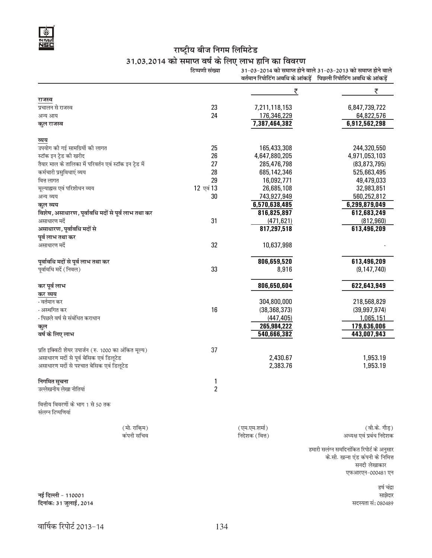

# राष्ट्रीय बीज निगम लिमिटेड<br>31.03.2014 को समाप्त वर्ष के लिए लाभ हानि का विवरण

|                                                         | टिप्पणी संख्या |                | 31-03-2014 को समाप्त होने वाले 31-03-2013 को समाप्त होने वाले   |
|---------------------------------------------------------|----------------|----------------|-----------------------------------------------------------------|
|                                                         |                |                | वर्तमान रिपोटिंग अवधि के आंकड़ें पिछली रिपोटिंग अवधि के आंकड़ें |
|                                                         |                | ₹              | ₹                                                               |
| राजस्व                                                  |                |                |                                                                 |
| प्रचालन से राजस्व                                       | 23             | 7,211,118,153  | 6,847,739,722                                                   |
| अन्य आय                                                 | 24             | 176,346,229    | 64,822,576                                                      |
| कुल राजस्व                                              |                | 7,387,464,382  | 6,912,562,298                                                   |
| व्यय                                                    |                |                |                                                                 |
| उपयोग की गई सामग्रियों की लागत                          | 25             | 165,433,308    | 244,320,550                                                     |
| स्टॉक इन ट्रेड की खरीद                                  | 26             | 4,647,880,205  | 4,971,053,103                                                   |
| तैयार माल के तालिका में परिवर्तन एवं स्टॉक इन ट्रेड में | 27             | 285,476,798    | (83, 873, 795)                                                  |
| कर्मचारी प्रसुविधाएं व्यय                               | 28             | 685,142,346    | 525,663,495                                                     |
| वित्त लागत                                              | 29             | 16,092,771     | 49,479,033                                                      |
| मूल्याह्यस एवं परिशोधन व्यय                             | 12 एवं 13      | 26,685,108     | 32,983,851                                                      |
| अन्य व्यय                                               | 30             | 743,927,949    | 560,252,812                                                     |
| कुल व्यय                                                |                | 6,570,638,485  | 6,299,879,049                                                   |
| विशेष, असाधारण, पूर्वावधि मदों से पूर्व लाभ तथा कर      |                | 816,825,897    | 612,683,249                                                     |
| असाधारण मदें                                            | 31             | (471, 621)     | (812, 960)                                                      |
| असाधारण, पूर्वावधि मदों से                              |                | 817,297,518    | 613,496,209                                                     |
| पूर्व लाभ तथा कर                                        |                |                |                                                                 |
| असाधारण मदें                                            | 32             | 10,637,998     |                                                                 |
| पूर्वावधि मदों से पूर्व लाभ तथा कर                      |                | 806,659,520    | 613,496,209                                                     |
| पूर्वावधि मदें (निवल)                                   | 33             | 8,916          | (9, 147, 740)                                                   |
| कर पूर्व लाभ                                            |                | 806,650,604    | 622,643,949                                                     |
| कर व्यय                                                 |                |                |                                                                 |
| .<br>नर्तमान कर                                         |                | 304,800,000    | 218,568,829                                                     |
| - अस्थगित कर                                            | 16             | (38, 368, 373) | (39, 997, 974)                                                  |
| - पिछले वर्ष से संबंधित कराधान                          |                | (447, 405)     | 1,065,151                                                       |
| कूल                                                     |                | 265,984,222    | 179,636,006                                                     |
| वर्ष के लिए लाभ                                         |                | 540,666,382    | 443,007,943                                                     |
| प्रति इक्विटी शेयर उपार्जन (रु. 1000 का अंकित मूल्य)    | 37             |                |                                                                 |
| असाधारण मदों से पूर्व बेसिक एवं डिलूटेड                 |                | 2,430.67       | 1,953.19                                                        |
| असाधारण मदों से पश्चात बेसिक एवं डिलूटेड                |                | 2,383.76       | 1,953.19                                                        |
| निगमित सूचना                                            | 1              |                |                                                                 |
| उल्लेखनीय लेखा नीतियां                                  | $\overline{2}$ |                |                                                                 |
| वित्तीय विवरणों के भाग 1 से 50 तक                       |                |                |                                                                 |
| संलग्न टिप्पणियां                                       |                |                |                                                                 |
| (मो. राकि़म)                                            |                | (एम.एम.शर्मा)  | (वी.के. गौड़)                                                   |
| कंपनी सचिव                                              |                | निदेशक (वित्त) | अध्यक्ष एवं प्रबंध निदेशक                                       |
|                                                         |                |                | हमारी सलंग्न समदिनांकित रिपोर्ट के अनुसार                       |
|                                                         |                |                | के.सी. खन्ना एंड कंपनी के निमित्त                               |
|                                                         |                |                | सनदी लेखाकार                                                    |
|                                                         |                |                | एफआरएन-000481 एन                                                |

हर्ष चंद्रा साझेदार सदस्यता सं: 080489

नई दिल्ली - 110001<br>दिनांक: 31 जुलाई, 2014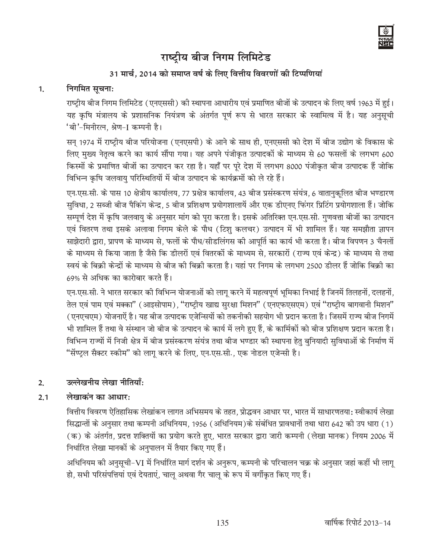

## 31 मार्च, 2014 को समाप्त वर्ष के लिए वित्तीय विवरणों की टिप्पणियां

#### निगमित सूचना:  $1<sub>1</sub>$

राष्ट्रीय बीज निगम लिमिटेड (एनएससी) की स्थापना आधारीय एवं प्रमाणित बीजों के उत्पादन के लिए वर्ष 1963 में हुई। यह कृषि मंत्रालय के प्रशासनिक नियंत्रण के अंतर्गत पूर्ण रूप से भारत सरकार के स्वामित्व में है। यह अनुसूची 'बी'-मिनीरत्न. श्रेण-∏ कम्पनी है।

सन् 1974 में राष्ट्रीय बीज परियोजना (एनएसपी) के आने के साथ ही, एनएससी को देश में बीज उद्योग के विकास के लिए मुख्य नेतृत्व करने का कार्य सौंपा गया। यह अपने पंजीकृत उत्पादकों के माध्यम से 60 फसलों के लगभग 600 किस्मों के प्रमाणित बीजों का उत्पादन कर रहा है। यहाँ पर पूरे देश में लगभग 8000 पंजीकृत बीज उत्पादक हैं जोकि विभिन्न कृषि जलवायु परिस्थितियों में बीज उत्पादन के कार्यक्रमों को ले रहे हैं।

एन.एस.सी. के पास 10 क्षेत्रीय कार्यालय, 77 प्रक्षेत्र कार्यालय, 43 बीज प्रसंस्करण संयंत्र, 6 वातानुकुलित बीज भण्डारण सुविधा, 2 सब्जी बीज पैकिंग केन्द्र, 5 बीज प्रशिक्षण प्रयोगशालायें और एक डीएनए फिंगर प्रिटिंग प्रयोगशाला हैं। जोकि सम्पूर्ण देश में कृषि जलवायु के अनुसार मांग को पूरा करता है। इसके अतिरिक्त एन.एस.सी. गुणवत्ता बीजों का उत्पादन एवं वितरण तथा इसके अलावा निगम केले के पौध (टिशू कलचर) उत्पादन में भी शामिल हैं। यह समझौता ज्ञापन साझेदारी द्वारा, प्रापण के माध्यम से, फलों के पौध/सीडलिंगस की आपूर्ति का कार्य भी करता है। बीज विपणन 3 चैनलों के माध्यम से किया जाता है जैसे कि डीलरों एवं वितरकों के माध्यम से. सरकारों (राज्य एवं केन्द्र) के माध्यम से तथा स्वयं के बिक्री केन्द्रों के माध्यम से बीज की बिक्री करता है। यहां पर निगम के लगभग 2500 डीलर हैं जोकि बिक्री का 69% से अधिक का कारोबार करते हैं।

एन.एस.सी. ने भारत सरकार की विभिन्न योजनाओं को लाग करने में महत्वपूर्ण भूमिका निभाई है जिनमें तिलहनों, दलहनों, तेल एवं पाम एवं मक्का" (आइसोपाम), "राष्ट्रीय खाद्य सुरक्षा मिशन" (एनएफएसएम) एवं "राष्ट्रीय बागवानी मिशन" (एनएचएम) योजनाऐं है। यह बीज उत्पादक एजेन्सियों को तकनीकी सहयोग भी प्रदान करता है। जिसमें राज्य बीज निगमें भी शामिल हैं तथा वे संस्थान जो बीज के उत्पादन के कार्य में लगे हुए हैं, के कार्मिकों को बीज प्रशिक्षण प्रदान करता है। विभिन्न राज्यों में निजी क्षेत्र में बीज प्रसंस्करण संयंत्र तथा बीज भण्डार की स्थापना हेतु बुनियादी सुविधाओं के निर्माण में "सेंण्ट्ल सैक्टर स्कीम" को लागू करने के लिए, एन.एस.सी., एक नोडल एजेन्सी है।

#### उल्लेखनीय लेखा नीतियाँ:  $2.$

#### लेखाकंन का आधार $\cdot$  $2.1$

वित्तीय विवरण ऐतिहासिक लेखांकन लागत अभिसमय के तहत, प्रोद्धवन आधार पर, भारत में साधारणतया: स्वीकार्य लेखा सिद्धान्तों के अनुसार तथा कम्पनी अधिनियम, 1956 (अधिनियम)के संबंधित प्रावधानों तथा धारा 642 की उप धारा (1) (क) के अंतर्गत, प्रदत्त शक्तियों का प्रयोग करते हुए, भारत सरकार द्वारा जारी कम्पनी (लेखा मानक) नियम 2006 में निर्धारित लेखा मानकों के अनुपालन में तैयार किए गए हैं।

अधिनियम की अनुसूची-VI में निर्धारित मार्ग दर्शन के अनुरूप, कम्पनी के परिचालन चक्र के अनुसार जहां कहीं भी लागू हो, सभी परिसंपत्तियां एवं देयताएं, चालु अथवा गैर चालु के रूप में वर्गीकृत किए गए हैं।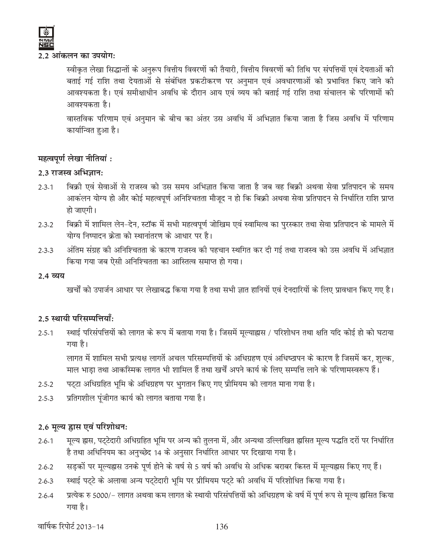#### 2.2 आंकलन का उपयोग:

स्वीकृत लेखा सिद्धान्तों के अनुरूप वित्तीय विवरणों की तैयारी, वित्तीय विवरणों की तिथि पर संपत्तियों एवं देयताओं की बताई गई राशि तथा देयताओं से संबंधित प्रकटीकरण पर अनुमान एवं अवधारणाओं को प्रभावित किए जाने की आवश्यकता है। एवं समीक्षाधीन अवधि के दौरान आय एवं व्यय की बताई गई राशि तथा संचालन के परिणामों की आवश्यकता है।

वास्तविक परिणाम एवं अनुमान के बीच का अंतर उस अवधि में अभिज्ञात किया जाता है जिस अवधि में परिणाम कार्यान्वित हुआ है।

## महत्वपूर्ण लेखा नीतियां :

#### 2.3 राजस्व अभिज्ञान:

- बिक्री एवं सेवाओं से राजस्व को उस समय अभिज्ञात किया जाता है जब वह बिक्री अथवा सेवा प्रतिपादन के समय  $2.3.1$ आकंलन योग्य हो और कोई महत्वपूर्ण अनिश्चितता मौजूद न हो कि बिक्री अथवा सेवा प्रतिपादन से निर्धारित राशि प्राप्त हो जाएगी।
- बिक्री में शामिल लेन–देन, स्टॉक में सभी महत्वपूर्ण जोखिम एवं स्वामित्व का पुरस्कार तथा सेवा प्रतिपादन के मामले में  $2.3.2$ योग्य निष्पादन क्रेता को स्थानांतरण के आधार पर है।
- अंतिम संग्रह की अनिश्चितता के कारण राजस्व की पहचान स्थगित कर दी गई तथा राजस्व को उस अवधि में अभिज्ञात  $2.3.3$ किया गया जब ऐसी अनिश्चितता का आस्तित्व समाप्त हो गया।

#### 2.4 व्यय

खर्चों को उपार्जन आधार पर लेखाबद्ध किया गया है तथा सभी ज्ञात हानियों एवं देनदारियों के लिए प्रावधान किए गए है।

## 2.5 स्थायी परिसम्पत्तियाँ:

स्थाई परिसंपत्तियों को लागत के रूप में बताया गया है। जिसमें मूल्याह्नास / परिशोधन तथा क्षति यदि कोई हो को घटाया  $2.5.1$ गया है।

लागत में शामिल सभी प्रत्यक्ष लागतें अचल परिसम्पत्तियों के अधिग्रहण एवं अधिष्ठापन के कारण है जिसमें कर, शुल्क, माल भाड़ा तथा आकस्मिक लागत भी शामिल हैं तथा खर्चें अपने कार्य के लिए सम्पत्ति लाने के परिणामस्वरूप हैं।

- पट्टा अधिग्रहित भूमि के अधिग्रहण पर भुगतान किए गए प्रीमियम को लागत माना गया है।  $2.5.2$
- प्रतिगशील पूंजीगत कार्य को लागत बताया गया है।  $2.5.3$

## 2.6 मुल्य ह्रास एवं परिशोधन:

- मूल्य ह्रास, पट्टेदारी अधिग्रहित भूमि पर अन्य की तुलना में, और अन्यथा उल्लिखित ह्रासित मूल्य पद्धति दरों पर निर्धारित  $2.6.1$ है तथा अधिनियम का अनुच्छेद 14 के अनुसार निर्धारित आधार पर दिखाया गया है।
- सड़कों पर मूल्यह्रास उनके पूर्ण होने के वर्ष से 5 वर्ष की अवधि से अधिक बराबर किस्त में मूल्यह्रास किए गए हैं।  $2.6.2$
- स्थाई पट्टे के अलावा अन्य पट्टेदारी भूमि पर प्रीमियम पट्टे की अवधि में परिशोधित किया गया है।  $2.6.3$
- प्रत्येक रु 5000/– लागत अथवा कम लागत के स्थायी परिसंपत्तियों को अधिग्रहण के वर्ष में पूर्ण रूप से मूल्य ह्रासित किया  $2.6.4$ गया है।

वार्षिक रिपोर्ट 2013-14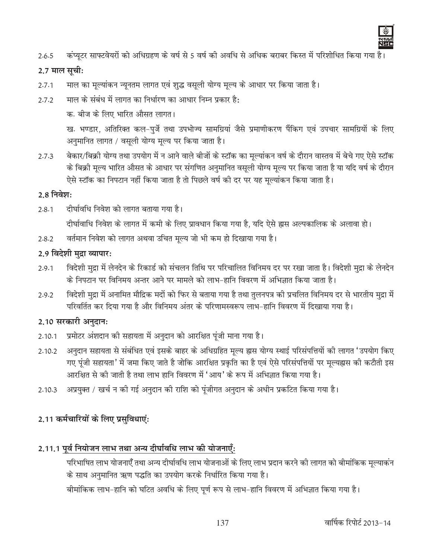

कंप्यूटर साफ्टवेयरों को अधिग्रहण के वर्ष से 5 वर्ष की अवधि से अधिक बराबर किस्त में परिशोधित किया गया है।  $2.6.5$ 

#### 2.7 माल सूची:

- माल का मूल्यांकन न्यूनतम लागत एवं शुद्ध वसूली योग्य मूल्य के आधार पर किया जाता है।  $2.7.1$
- माल के संबंध में लागत का निर्धारण का आधार निम्न प्रकार है:  $2.7.2$

क. बीज के लिए भारित औसत लागत।

ख. भण्डार, अतिरिक्त कल-पुर्जे तथा उपभोज्य सामग्रियां जैसे प्रमाणीकरण पैंकिग एवं उपचार सामग्रियों के लिए अनुमानित लागत / वसूली योग्य मूल्य पर किया जाता है।

बेकार/बिक्री योग्य तथा उपयोग में न आने वाले बीजों के स्टॉक का मूल्यांकन वर्ष के दौरान वास्तव में बेचे गए ऐसे स्टॉक  $2.7.3$ के बिक्री मूल्य भारित औसत के आधार पर संगणित अनुमानित वसूली योग्य मूल्य पर किया जाता है या यदि वर्ष के दौरान ऐसे स्टॉक का निपटान नहीं किया जाता है तो पिछले वर्ष की दर पर यह मुल्यांकन किया जाता है।

#### 2.8 निवेश:

- $2.8.1$ दीर्घावधि निवेश को लागत बताया गया है। दीर्घावाधि निवेश के लागत में कमी के लिए प्रावधान किया गया है, यदि ऐसे ह्रास अल्पकालिक के अलावा हो।
- वर्तमान निवेश को लागत अथवा उचित मूल्य जो भी कम हो दिखाया गया है।  $2.8.2$

#### 2.9 विदेशी मुद्रा व्यापार:

- विदेशी मुद्रा में लेनदेन के रिकार्ड को संचलन तिथि पर परिचालित विनिमय दर पर रखा जाता है। विदेशी मुद्रा के लेनदेन  $2.9.1$ के निपटान पर विनिमय अन्तर आने पर मामले को लाभ-हानि विवरण में अभिज्ञात किया जाता है।
- विदेशी मुद्रा में अनामित मौद्रिक मदों को फिर से बताया गया है तथा तुलनपत्र की प्रचलित विनिमय दर से भारतीय मुद्रा में 2.9.2 परिवर्तित कर दिया गया है और विनिमय अंतर के परिणामस्वरूप लाभ-हानि विवरण में दिखाया गया है।

#### 2.10 सरकारी अनुदान:

- प्रमोटर अंशदान की सहायता में अनुदान को आरक्षित पूंजी माना गया है।  $2.10.1$
- अनुदान सहायता से संबंधित एवं इसके बाहर के अधिग्रहित मूल्य ह्रास योग्य स्थाई परिसंपत्तियों की लागत 'उपयोग किए 2.10.2 गए पूंजी सहायता' में जमा किए जाते है जोकि आरक्षित प्रकृति का है एवं ऐसे परिसंपत्तियों पर मूल्यह्रास की कटौती इस आरक्षित से की जाती है तथा लाभ हानि विवरण में 'आय' के रूप में अभिज्ञात किया गया है।
- अप्रयुक्त / खर्च न की गई अनुदान की राशि को पूंजीगत अनुदान के अधीन प्रकटित किया गया है।  $2.10.3$

## 2.11 कर्मचारियों के लिए प्रसुविधाएं:

## 2.11.1 पूर्व नियोजन लाभ तथा अन्य दीर्घावधि लाभ की योजनाएँ:

परिभाषित लाभ योजनाएँ तथा अन्य दीर्घावधि लाभ योजनाओं के लिए लाभ प्रदान करने की लागत को बीमांकिक मूल्याकंन के साथ अनुमानित ऋण पद्धति का उपयोग करके निर्धारित किया गया है।

बीमांकिक लाभ-हानि को घटित अवधि के लिए पूर्ण रूप से लाभ-हानि विवरण में अभिज्ञात किया गया है।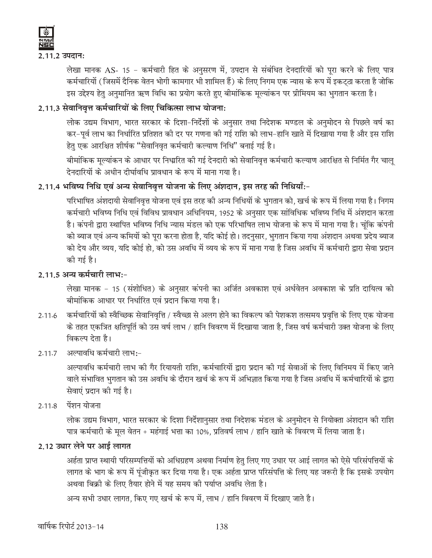

2.11.2 उपदान:

लेखा मानक AS- 15 - कर्मचारी हित के अनुसरण में, उपदान से संबंधित देनदारियों को पूरा करने के लिए पात्र कर्मचारियों ( जिसमें दैनिक वेतन भोगी कामगार भी शामिल हैं) के लिए निगम एक न्यास के रूप में इकट्ठा करता है जोकि इस उद्देश्य हेतु अनुमानित ऋण विधि का प्रयोग करते हुए बीमांकिक मूल्यांकन पर प्रीमियम का भुगतान करता है।

## 2.11.3 सेवानिवृत्त कर्मचारियों के लिए चिकित्सा लाभ योजना:

लोक उद्यम विभाग, भारत सरकार के दिशा-निर्देशों के अनुसार तथा निदेशक मण्डल के अनुमोदन से पिछले वर्ष का कर-पूर्व लाभ का निर्धारित प्रतिशत की दर पर गणना की गई राशि को लाभ-हानि खाते में दिखाया गया है और इस राशि हेतु एक आरक्षित शीर्षक "सेवानिवृत कर्मचारी कल्याण निधि" बनाई गई है।

बीमांकिक मुल्यांकन के आधार पर निध्मरित की गई देनदारी को सेवानिवृत्त कर्मचारी कल्याण आरक्षित से निर्मित गैर चाल देनदारियों के अधीन दीर्घावधि प्रावधान के रूप में माना गया है।

## 2.11.4 भविष्य निधि एवं अन्य सेवानिवृत्त योजना के लिए अंशदान, इस तरह की निधियाँ:-

परिभाषित अंशदायी सेवानिवृत्त योजना एवं इस तरह की अन्य निधियों के भुगतान को, खर्च के रूप में लिया गया है। निगम कर्मचारी भविष्य निधि एवं विविध प्रावधान अधिनियम, 1952 के अनुसार एक सांविधिक भविष्य निधि में अंशदान करता है। कंपनी द्वारा स्थापित भविष्य निधि न्यास मंडल को एक परिभाषित लाभ योजना के रूप में माना गया है। चूंकि कंपनी को ब्याज एवं अन्य कमियों को पुरा करना होता है, यदि कोई हो। तदनुसार, भुगतान किया गया अंशदान अथवा प्रदेय ब्याज को देय और व्यय, यदि कोई हो, को उस अवधि में व्यय के रूप में माना गया है जिस अवधि में कर्मचारी द्वारा सेवा प्रदान की गई है।

## 2.11.5 अन्य कर्मचारी लाभ:-

लेखा मानक - 15 (संशोधित) के अनुसार कंपनी का अर्जित अवकाश एवं अर्धवेतन अवकाश के प्रति दायित्व को बीमांकिक आधार पर निर्धारित एवं प्रदान किया गया है।

- 2.11.6 कर्मचारियों को स्वैच्छिक सेवानिवृत्ति / स्वैच्छा से अलग होने का विकल्प की पेशकश तत्समय प्रवृत्ति के लिए एक योजना के तहत एकत्रित क्षतिपूर्ति को उस वर्ष लाभ / हानि विवरण में दिखाया जाता है, जिस वर्ष कर्मचारी उक्त योजना के लिए विकल्प देता है।
- 2.11.7 अल्पावधि कर्मचारी लाभ:-

अल्पावधि कर्मचारी लाभ की गैर रियायती राशि, कर्मचारियों द्वारा प्रदान की गई सेवाओं के लिए विनिमय में किए जाने वाले संभावित भुगतान को उस अवधि के दौरान खर्च के रूप में अभिज्ञात किया गया है जिस अवधि में कर्मचारियों के द्वारा सेवाएं प्रदान की गई है।

2.11.8 पेंशन योजना

लोक उद्यम विभाग, भारत सरकार के दिशा निर्देशानुसार तथा निदेशक मंडल के अनुमोदन से नियोक्ता अंशदान की राशि पात्र कर्मचारी के मूल वेतन + महंगाई भत्ता का 10%, प्रतिवर्ष लाभ / हानि खाते के विवरण में लिया जाता है।

## 2.12 उधार लेने पर आई लागत

अर्हता प्राप्त स्थायी परिसम्पत्तियों को अधिग्रहण अथवा निर्माण हेतु लिए गए उधार पर आई लागत को ऐसे परिसंपत्तियों के लागत के भाग के रूप में पूंजीकृत कर दिया गया है। एक अर्हता प्राप्त परिसंपत्ति के लिए यह जरूरी है कि इसके उपयोग अथवा बिक्री के लिए तैयार होने में यह समय की पर्याप्त अवधि लेता है।

अन्य सभी उधार लागत. किए गए खर्च के रूप में. लाभ / हानि विवरण में दिखाए जाते है।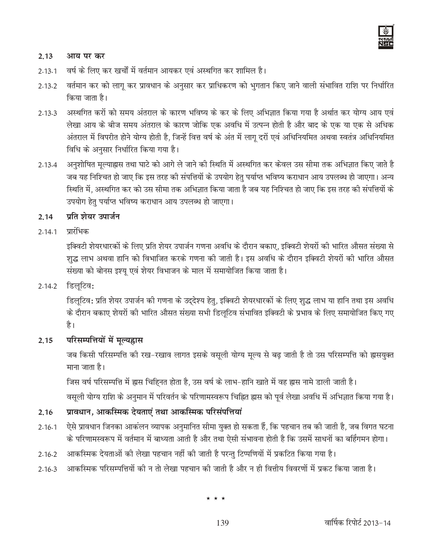

#### 2.13 आय पर कर

- वर्ष के लिए कर खर्चों में वर्तमान आयकर एवं अस्थगित कर शामिल है।  $2.13.1$
- वर्तमान कर को लागू कर प्रावधान के अनुसार कर प्राधिकरण को भुगतान किए जाने वाली संभावित राशि पर निर्धारित  $2.13.2$ किया जाता है।
- अस्थगित करों को समय अंतराल के कारण भविष्य के कर के लिए अभिज्ञात किया गया है अर्थात कर योग्य आय एवं  $2.13.3$ लेखा आय के बीज समय अंतराल के कारण जोकि एक अवधि में उत्पन्न होती है और बाद के एक या एक से अधिक अंतराल में विपरीत होने योग्य होती है, जिन्हें वित्त वर्ष के अंत में लागू दरों एवं अधिनियमित अथवा स्वतंत्र अधिनियमित विधि के अनुसार निर्धारित किया गया है।
- अनुशोषित मुल्याह्नस तथा घाटे को आगे ले जाने की स्थिति में अस्थगित कर केवल उस सीमा तक अभिज्ञात किए जाते है  $2.13.4$ जब यह निश्चित हो जाए कि इस तरह की संपत्तियों के उपयोग हेतु पर्याप्त भविष्य कराधान आय उपलब्ध हो जाएगा। अन्य स्थिति में, अस्थगित कर को उस सीमा तक अभिज्ञात किया जाता है जब यह निश्चित हो जाए कि इस तरह की संपत्तियों के उपयोग हेतु पर्याप्त भविष्य कराधान आय उपलब्ध हो जाएगा।

#### प्रति शेयर उपार्जन 2.14

#### प्रारंभिक  $2.14.1$

इक्विटी शेयरधारकों के लिए प्रति शेयर उपार्जन गणना अवधि के दौरान बकाए, इक्विटी शेयरों की भारित औसत संख्या से शुद्ध लाभ अथवा हानि को विभाजित करके गणना की जाती है। इस अवधि के दौरान इक्विटी शेयरों की भारित औसत संख्या को बोनस इश्यू एवं शेयर विभाजन के माल में समायोजित किया जाता है।

#### 2.14.2 डिलूटिव:

डिलूटिव: प्रति शेयर उपार्जन की गणना के उद्देश्य हेतु, इक्विटी शेयरधारकों के लिए शुद्ध लाभ या हानि तथा इस अवधि के दौरान बकाए शेयरों की भारित औसत संख्या सभी डिलुटिव संभावित इक्विटी के प्रभाव के लिए समायोजित किए गए है।

#### परिसम्पत्तियों में मूल्यह्रास 2.15

जब किसी परिसम्पत्ति की रख-रखाव लागत इसके वसूली योग्य मूल्य से बढ़ जाती है तो उस परिसम्पत्ति को ह्रासयुक्त माना जाता है।

जिस वर्ष परिसम्पत्ति में ह्रास चिहिनत होता है, उस वर्ष के लाभ-हानि खाते में वह ह्रास नामे डाली जाती है।

वसुली योग्य राशि के अनुमान में परिवर्तन के परिणामस्वरूप चिह्नित ह्रास को पूर्व लेखा अवधि में अभिज्ञात किया गया है।

#### प्रावधान, आकस्मिक देयताएं तथा आकस्मिक परिसंपत्तियां  $2.16$

- ऐसे प्रावधान जिनका आकंलन व्यापक अनुमानित सीमा युक्त हो सकता हैं, कि पहचान तब की जाती है, जब विगत घटना  $2.16.1$ के परिणामस्वरूप में वर्तमान में बाध्यता आती है और तथा ऐसी संभावना होती है कि उसमें साधनों का बर्हिंगमन होगा।
- आकस्मिक देयताओं की लेखा पहचान नहीं की जाती है परन्तु टिप्पणियों में प्रकटित किया गया है।  $2.16.2$
- आकस्मिक परिसम्पत्तियों की न तो लेखा पहचान की जाती है और न ही वित्तीय विवरणों में प्रकट किया जाता है।  $2.16.3$

 $\star \star \star$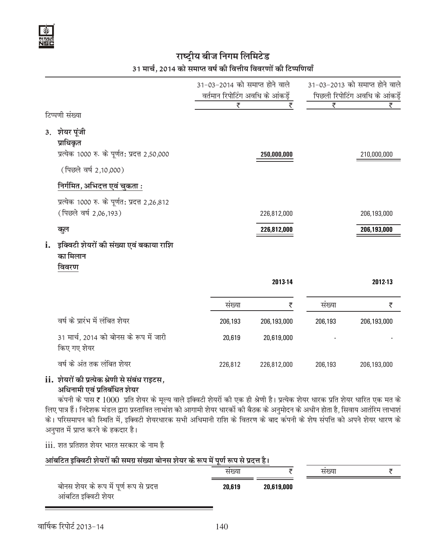## 31 मार्च, 2014 को समाप्त वर्ष की वित्तीय विवरणों की टिप्पणियाँ

|    |                                                                                                                 | 31-03-2014 को समाप्त होने वाले<br>वर्तमान रिपोटिंग अवधि के आंकड़ें |             | 31-03-2013 को समाप्त होने वाले<br>पिछली रिपोटिंग अवधि के आंकड़ें |             |
|----|-----------------------------------------------------------------------------------------------------------------|--------------------------------------------------------------------|-------------|------------------------------------------------------------------|-------------|
|    | टिप्पणी संख्या                                                                                                  | ₹                                                                  | ₹           | ₹                                                                | ₹           |
|    | 3. शेयर पूंजी<br>प्राधिकृत<br>प्रत्येक 1000 रु. के पूर्णत: प्रदत्त 2,50,000<br>(पिछले वर्ष 2,10,000)            |                                                                    | 250,000,000 |                                                                  | 210,000,000 |
|    | निर्गमित, अ <u>भिदत्त एवं चुकता :</u><br>प्रत्येक 1000 रु. के पूर्णत: प्रदत्त 2,26,812<br>(पिछले वर्ष 2,06,193) |                                                                    | 226,812,000 |                                                                  | 206,193,000 |
|    | कूल                                                                                                             |                                                                    | 226,812,000 |                                                                  | 206,193,000 |
| i. | इक्विटी शेयरों की संख्या एवं बकाया राशि<br>का मिलान<br>विवरण                                                    |                                                                    |             |                                                                  |             |
|    |                                                                                                                 |                                                                    | 2013-14     |                                                                  | 2012-13     |
|    |                                                                                                                 | संख्या                                                             | ₹           | संख्या                                                           | ₹           |
|    | वर्ष के प्रारंभ में लंबित शेयर                                                                                  | 206,193                                                            | 206,193,000 | 206,193                                                          | 206,193,000 |
|    | 31 मार्च, 2014 को बोनस के रूप में जारी<br>किए गए शेयर                                                           | 20,619                                                             | 20,619,000  |                                                                  |             |
|    | वर्ष के अंत तक लंबित शेयर                                                                                       | 226,812                                                            | 226,812,000 | 206,193                                                          | 206,193,000 |

#### ii. शेयरों की प्रत्येक श्रेणी से संबंध राइटस, अधिनामी एवं प्रतिबंधित शेयर

कंपनी के पास र 1000 प्रति शेयर के मूल्य वाले इक्विटी शेयरों की एक ही श्रेणी है। प्रत्येक शेयर धारक प्रति शेयर धारित एक मत के लिए पात्र हैं। निदेशक मंडल द्वारा प्रस्तावित लाभांश को आगामी शेयर धारकों की बैठक के अनुमोदन के अधीन होता है, सिवाय आतंरिम लाभाशं के। परिसमापन की स्थिति में, इक्विटी शेयरधारक सभी अधिमानी राशि के वितरण के बाद कंपनी के शेष संपत्ति को अपने शेयर धारण के अनुपात में प्राप्त करने के हकदार है।

iii. शत प्रतिशत शेयर भारत सरकार के नाम है

#### आंबटित इक्विटी शेयरों की समग्र संख्या बोनस शेयर के रूप में पूर्ण रूप से प्रदत्त है। संख्या संख्या ∓

|                                                                  | सख्या  |            | सख्या |  |
|------------------------------------------------------------------|--------|------------|-------|--|
| बोनस शेयर के रूप में पूर्ण रूप से प्रदत्त<br>आंबटित इक्विटी शेयर | 20.619 | 20,619,000 |       |  |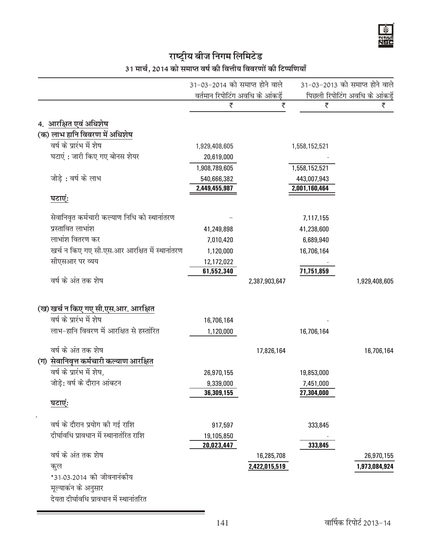Ý avae<br>Jei

| 31 मार्च, 2014 को समाप्त वर्ष की वित्तीय विवरणों की टिप्पणियाँ |  |  |  |
|----------------------------------------------------------------|--|--|--|
|                                                                |  |  |  |

|                                               |                                  | 31-03-2014 को समाप्त होने वाले |               | 31-03-2013 को समाप्त होने वाले |  |
|-----------------------------------------------|----------------------------------|--------------------------------|---------------|--------------------------------|--|
|                                               | वर्तमान रिपोटिंग अवधि के आंकड़ें |                                |               | पिछली रिपोटिंग अवधि के आंकड़ें |  |
|                                               | ₹                                | ₹                              | ₹             | ₹                              |  |
| 4. आरक्षित एवं अधिशेष                         |                                  |                                |               |                                |  |
| (क) लाभ हानि विवरण में अधिशेष                 |                                  |                                |               |                                |  |
| वर्ष के प्रारंभ में शेष                       | 1,929,408,605                    |                                | 1,558,152,521 |                                |  |
| घटाएं : जारी किए गए बोनस शेयर                 | 20,619,000                       |                                |               |                                |  |
|                                               | 1,908,789,605                    |                                | 1,558,152,521 |                                |  |
| जोड़े: वर्ष के लाभ                            | 540,666,382                      |                                | 443,007,943   |                                |  |
|                                               | 2,449,455,987                    |                                | 2,001,160,464 |                                |  |
| घटाएं:                                        |                                  |                                |               |                                |  |
| सेवानिवृत कर्मचारी कल्याण निधि को स्थानांतरण  |                                  |                                | 7,117,155     |                                |  |
| प्रस्तावित लाभांश                             | 41,249,898                       |                                | 41,238,600    |                                |  |
| लाभांश वितरण कर                               | 7,010,420                        |                                | 6,689,940     |                                |  |
| खर्च न किए गए सी.एस.आर आरक्षित में स्थानांतरण | 1,120,000                        |                                | 16,706,164    |                                |  |
| सीएसआर पर व्यय                                | 12,172,022                       |                                |               |                                |  |
|                                               | 61,552,340                       |                                | 71,751,859    |                                |  |
| वर्ष के अंत तक शेष                            |                                  | 2,387,903,647                  |               | 1,929,408,605                  |  |
| (ख) खर्च न किए गए सी.एस.आर. आरक्षित           |                                  |                                |               |                                |  |
| वर्ष के प्रारंभ में शेष                       |                                  |                                |               |                                |  |
| लाभ-हानि विवरण में आरक्षित से हस्तांरित       | 16,706,164                       |                                |               |                                |  |
|                                               | 1,120,000                        |                                | 16,706,164    |                                |  |
| वर्ष के अंत तक शेष                            |                                  | 17,826,164                     |               | 16,706,164                     |  |
| (ग) सेवानिवृत्त कर्मचारी कल्याण आरक्षित       |                                  |                                |               |                                |  |
| वर्ष के प्रारंभ में शेष,                      | 26,970,155                       |                                | 19,853,000    |                                |  |
| जोड़े: वर्ष के दौरान आंबटन                    | 9,339,000                        |                                | 7,451,000     |                                |  |
|                                               | 36,309,155                       |                                | 27,304,000    |                                |  |
| घटाएं:                                        |                                  |                                |               |                                |  |
| वर्ष के दौरान प्रयोग की गई राशि               | 917,597                          |                                | 333,845       |                                |  |
| दीर्घावधि प्रावधान में स्थानातंरित राशि       | 19,105,850                       |                                |               |                                |  |
|                                               | 20,023,447                       |                                | 333,845       |                                |  |
| वर्ष के अंत तक शेष                            |                                  | 16,285,708                     |               | 26,970,155                     |  |
| कूल                                           |                                  | 2,422,015,519                  |               | 1,973,084,924                  |  |
| *31.03.2014 को जीवनानंकीय                     |                                  |                                |               |                                |  |
| मूल्याकंन के अनुसार                           |                                  |                                |               |                                |  |
| देयता दीर्घावधि प्रावधान में स्थानांतरित      |                                  |                                |               |                                |  |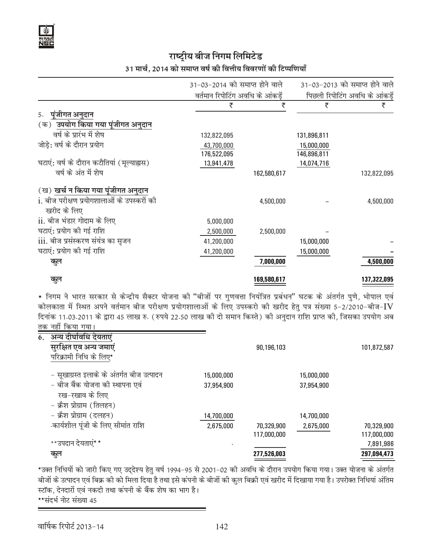## 31 मार्च, 2014 को समाप्त वर्ष की वित्तीय विवरणों की टिप्पणियाँ

|                                            | 31-03-2014 को समाप्त होने वाले |                                 | 31-03-2013 को समाप्त होने वाले |                                |  |
|--------------------------------------------|--------------------------------|---------------------------------|--------------------------------|--------------------------------|--|
|                                            |                                | वर्तमान रिपोटिंग अवधि के आंकडें |                                | पिछली रिपोटिंग अवधि के आंकड़ें |  |
|                                            | ₹                              | ₹                               | ₹                              | ₹                              |  |
| पूंजीगत अनुदान<br>5.                       |                                |                                 |                                |                                |  |
| (क) उपयोग किया गया पूंजीगत अनुदान          |                                |                                 |                                |                                |  |
| वर्ष के प्रारंभ में शेष                    | 132,822,095                    |                                 | 131,896,811                    |                                |  |
| जोड़े: वर्ष के दौरान प्रयोग                | 43,700,000                     |                                 | 15,000,000                     |                                |  |
|                                            | 176,522,095                    |                                 | 146,896,811                    |                                |  |
| घटाएं: वर्ष के दौरान कटौतियां (मूल्याह्यस) | 13,941,478                     |                                 | 14,074,716                     |                                |  |
| वर्ष के अंत में शेष                        |                                | 162,580,617                     |                                | 132,822,095                    |  |
| (ख) खर्च न किया गया पूंजीगत अनुदान         |                                |                                 |                                |                                |  |
| i. बीज परीक्षण प्रयोगशालाओं के उपस्करों की |                                | 4,500,000                       |                                | 4,500,000                      |  |
| खरीद के लिए                                |                                |                                 |                                |                                |  |
| ii. बीज भंडार गोदाम के लिए                 | 5,000,000                      |                                 |                                |                                |  |
| घटाएं: प्रयोग की गई राशि                   | 2,500,000                      | 2,500,000                       |                                |                                |  |
| <u>iii. बीज प्रसंस्करण संयंत्र का सुजन</u> | 41,200,000                     |                                 | 15,000,000                     |                                |  |
| घटाएं: प्रयोग की गई राशि                   | 41,200,000                     |                                 | 15,000,000                     |                                |  |
| कूल                                        |                                | 7,000,000                       |                                | 4,500,000                      |  |
| कूल                                        |                                | 169,580,617                     |                                | 137,322,095                    |  |

 $\star$  निगम ने भारत सरकार से केन्द्रीय सैक्टर योजना की "बीजों पर गुणवत्ता नियंत्रित प्रबंधन" घटक के अंतर्गत पुणे, भोपाल एवं कोलकाता में स्थित अपने वर्तमान बीज परीक्षण प्रयोगशालाओं के लिए उपस्करो की खरीद हेतु पत्र संख्या 5-2/2010-बीज- ${\rm IV}$ दिनांक 11.03.2011 के द्वारा 45 लाख रु. ( रुपये 22.50 लाख की दो समान किस्ते) की अनुदान राशि प्राप्त की, जिसका उपयोग अब  $\overline{a}$   $\overline{a}$   $\overline{a}$   $\overline{a}$   $\overline{a}$   $\overline{a}$   $\overline{a}$   $\overline{a}$   $\overline{a}$   $\overline{a}$   $\overline{a}$   $\overline{a}$   $\overline{a}$   $\overline{a}$   $\overline{a}$   $\overline{a}$   $\overline{a}$   $\overline{a}$   $\overline{a}$   $\overline{a}$   $\overline{a}$   $\overline{a}$   $\overline{a}$   $\overline{a}$   $\overline{$ 

| तपर | ाला । पत्रपा गपा ।                        |            |             |            |             |
|-----|-------------------------------------------|------------|-------------|------------|-------------|
| 6.  | अन्य दीर्घावधि देयताएँ                    |            |             |            |             |
|     | सुरक्षित एव अन्य जमाएं                    |            | 90,196,103  |            | 101,872,587 |
|     | परिक्रामी निधि के लिए*                    |            |             |            |             |
|     | – सूखाग्रस्त इलाके के अंतर्गत बीज उत्पादन | 15,000,000 |             | 15,000,000 |             |
|     | - बीज बैंक योजना की स्थापना एवं           | 37,954,900 |             | 37,954,900 |             |
|     | रख-रखाव के लिए                            |            |             |            |             |
|     | – क्रैश प्रोग्राम (तिलहन)                 |            |             |            |             |
|     | - क्रैश प्रोग्राम (दलहन)                  | 14,700,000 |             | 14,700,000 |             |
|     | -कार्यशील पूंजी के लिए सीमांत राशि        | 2,675,000  | 70,329,900  | 2,675,000  | 70,329,900  |
|     |                                           |            | 117,000,000 |            | 117,000,000 |
|     | **उपदान देयताएं* *                        |            |             |            | 7,891,986   |
|     | कूल                                       |            | 277,526,003 |            | 297,094,473 |
|     |                                           |            |             |            |             |

\*उक्त निधियों को जारी किए गए उद्देश्य हेतु वर्ष 1994-95 से 2001-02 की अवधि के दौरान उपयोग किया गया। उक्त योजना के अंतर्गत बीजों के उत्पादन एवं बिक्र की को मिला दिया है तथा इसे कंपनी के बीजों की कुल बिक्री एवं खरीद में दिखाया गया है। उपरोक्त निधियां अंतिम स्टॉक, देनदारों एवं नकदी तथा कंपनी के बैंक शेष का भाग है।

\*\*संदर्भ नोट संख्या 45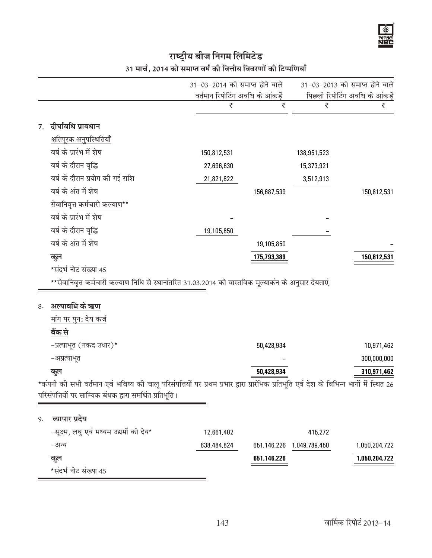# राष्ट्रीय बीज निगम लिमिटेड<br>31 मार्च, 2014 को समाप्त वर्ष की वित्तीय विवरणों की टिप्पणियाँ

|    |                                                                                                                                         | 31-03-2014 को समाप्त होने वाले   |             |               | 31-03-2013 को समाप्त होने वाले |
|----|-----------------------------------------------------------------------------------------------------------------------------------------|----------------------------------|-------------|---------------|--------------------------------|
|    |                                                                                                                                         | वर्तमान रिपोटिंग अवधि के आंकड़ें |             |               | पिछली रिपोटिंग अवधि के आंकड़ें |
|    |                                                                                                                                         | ₹                                | ₹           | ₹             | ₹                              |
| 7. | दीर्घावधि प्रावधान                                                                                                                      |                                  |             |               |                                |
|    | क्षतिपूरक अनुपस्थितियाँ                                                                                                                 |                                  |             |               |                                |
|    | वर्ष के प्रारंभ में शेष                                                                                                                 | 150,812,531                      |             | 138,951,523   |                                |
|    | वर्ष के दौरान वृद्धि                                                                                                                    | 27,696,630                       |             | 15,373,921    |                                |
|    | वर्ष के दौरान प्रयोग की गई राशि                                                                                                         | 21,821,622                       |             | 3,512,913     |                                |
|    | वर्ष के अंत में शेष                                                                                                                     |                                  | 156,687,539 |               | 150,812,531                    |
|    | सेवानिवृत्त कर्मचारी कल्याण**                                                                                                           |                                  |             |               |                                |
|    | वर्ष के प्रारंभ में शेष                                                                                                                 |                                  |             |               |                                |
|    | वर्ष के दौरान वृद्धि                                                                                                                    | 19,105,850                       |             |               |                                |
|    | वर्ष के अंत में शेष                                                                                                                     |                                  | 19,105,850  |               |                                |
|    | कूल                                                                                                                                     |                                  | 175,793,389 |               | 150,812,531                    |
|    | *संदर्भ नोट संख्या 45                                                                                                                   |                                  |             |               |                                |
|    | **सेवानिवृत्त कर्मचारी कल्याण निधि से स्थानांतरित 31.03.2014 को वास्तविक मूल्याकंन के अनुसार देयताएं                                    |                                  |             |               |                                |
|    |                                                                                                                                         |                                  |             |               |                                |
| 8. | अल्पावधि के ऋण                                                                                                                          |                                  |             |               |                                |
|    | मांग पर पुन: देय कर्ज                                                                                                                   |                                  |             |               |                                |
|    | बैंक से                                                                                                                                 |                                  |             |               |                                |
|    | -प्रत्याभूत (नकद उधार)*                                                                                                                 |                                  | 50,428,934  |               | 10,971,462                     |
|    | -अप्रत्याभूत                                                                                                                            |                                  |             |               | 300,000,000                    |
|    | कूल                                                                                                                                     |                                  | 50,428,934  |               | 310,971,462                    |
|    | *कंपनी की सभी वर्तमान एवं भविष्य की चालू परिसंपत्तियों पर प्रथम प्रभार द्वारा प्रारंभिक प्रतिभूति एवं देश के विभिन्न भागों में स्थित 26 |                                  |             |               |                                |
|    | परिसंपत्तियों पर साम्यिक बंधक द्वारा समर्थित प्रतिभूति ।                                                                                |                                  |             |               |                                |
|    |                                                                                                                                         |                                  |             |               |                                |
| 9. | व्यापार प्रदेय                                                                                                                          |                                  |             |               |                                |
|    | -सूक्ष्म, लघु एवं मध्यम उद्यमों को देय*                                                                                                 | 12,661,402                       |             | 415,272       |                                |
|    | -अन्य                                                                                                                                   | 638,484,824                      | 651,146,226 | 1,049,789,450 | 1,050,204,722                  |
|    | कूल                                                                                                                                     |                                  | 651,146,226 |               | 1,050,204,722                  |
|    | *संदर्भ नोट संख्या 45                                                                                                                   |                                  |             |               |                                |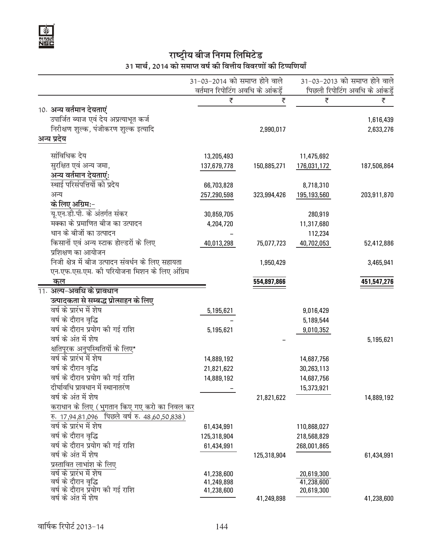

# राष्ट्रीय बीज निगम लिमिटेड<br>31 मार्च, 2014 को समाप्त वर्ष की वित्तीय विवरणों की टिप्पणियाँ

| ₹<br>₹<br>₹<br>₹<br>10. अन्य वर्तमान देयताएं<br>उपार्जित ब्याज एवं देय अप्रत्याभूत कर्ज<br>1,616,439<br>निरीक्षण शुल्क, पंजीकरण शुल्क इत्यादि<br>2,633,276<br>2,990,017<br>अन्य प्रदेय<br>सांविधिक देय<br>13,205,493<br>11,475,692<br>सुरक्षित एवं अन्य जमा,<br>137,679,778<br>150,885,271<br>176,031,172<br>187,506,864<br>अन् <u>य वर्तमान देयताएं</u> :<br>स्थाई परिसंपत्तियों को प्रदेय<br>66,703,828<br>8,718,310<br>अन्य<br>257,290,598<br>323,994,426<br>195,193,560<br>203,911,870<br>के लिए अग्रिम:-<br>यू.एन.डी.पी. के अंतर्गत संकर<br>30,859,705<br>280,919<br>मक्का के प्रमाणित बीज का उत्पादन<br>4,204,720<br>11,317,680<br>धान के बीजों का उत्पादन<br>112,234<br>किसानों एवं अन्य स्टाक होल्डरों के लिए<br>40,013,298<br>40,702,053<br>75,077,723<br>52,412,886<br>प्रशिक्षण का आयोजन<br>निजी क्षेत्र में बीज उत्पादन संवर्धन के लिए सहायता<br>1,950,429<br>3,465,941<br>एन.एफ.एस.एम. की परियोजना मिशन के लिए अंग्रिम<br><u>कल</u><br>554,897,866<br>451,547,276<br>11. अल्प-अवधि के प्रावधान<br>उत्पादकता से सम्बद्ध प्रोत्साहन के लिए<br>वर्ष के प्रारंभ में शेष<br>5,195,621<br>9,016,429<br>वर्ष के दौरान वृद्धि<br>5,189,544<br>वर्ष के दौरान प्रयोग की गई राशि<br>9,010,352<br>5,195,621<br>वर्ष के अंत में शेष<br>5,195,621<br>क्षतिपूरक अनुपस्थितियों के लिए*<br>वर्ष के प्रारंभ में शेष<br>14,889,192<br>14,687,756<br>वर्ष के दौरान वृद्धि<br>21,821,622<br>30,263,113<br>वर्ष के दौरान प्रयोग की गई राशि<br>14,889,192<br>14,687,756<br>दीर्घावधि प्रावधान में स्थानातरंण<br>15,373,921<br>वर्ष के अंत में शेष<br>21,821,622<br>14,889,192<br>कराधान के लिए (भुगतान किए गए करो का निवल कर<br>रु. 17,94,81,096 पिछले वर्ष रु. 48,60,50,838)<br>वर्ष के प्रारंभ में शेष<br>61,434,991<br>110,868,027<br>वर्ष के दौरान वृद्धि<br>125,318,904<br>218,568,829<br>वर्ष के दौरान प्रयोग की गई राशि<br>268,001,865<br>61,434,991<br>वर्ष के अंत में शेष<br>125,318,904<br>61,434,991<br>प्रस्तावित लाभांश के लिए<br>वर्ष के प्रारंभ में शेष<br>41,238,600<br>20,619,300<br>वर्ष के दौरान वृद्धि<br>41,238,600<br>41,249,898<br>वर्ष के दौरान प्रयोग की गई राशि<br>41,238,600<br>20,619,300<br>वर्ष के अंत में शेष<br>41,249,898<br>41,238,600 |  | 31-03-2014 को समाप्त होने वाले<br>वर्तमान रिपोटिंग अवधि के आंकड़ें |  | 31-03-2013 को समाप्त होने वाले<br>पिछली रिपोटिंग अवधि के आंकड़ें |  |
|----------------------------------------------------------------------------------------------------------------------------------------------------------------------------------------------------------------------------------------------------------------------------------------------------------------------------------------------------------------------------------------------------------------------------------------------------------------------------------------------------------------------------------------------------------------------------------------------------------------------------------------------------------------------------------------------------------------------------------------------------------------------------------------------------------------------------------------------------------------------------------------------------------------------------------------------------------------------------------------------------------------------------------------------------------------------------------------------------------------------------------------------------------------------------------------------------------------------------------------------------------------------------------------------------------------------------------------------------------------------------------------------------------------------------------------------------------------------------------------------------------------------------------------------------------------------------------------------------------------------------------------------------------------------------------------------------------------------------------------------------------------------------------------------------------------------------------------------------------------------------------------------------------------------------------------------------------------------------------------------------------------------------------------------------------------------------------------------------------------------------------------------------------------|--|--------------------------------------------------------------------|--|------------------------------------------------------------------|--|
|                                                                                                                                                                                                                                                                                                                                                                                                                                                                                                                                                                                                                                                                                                                                                                                                                                                                                                                                                                                                                                                                                                                                                                                                                                                                                                                                                                                                                                                                                                                                                                                                                                                                                                                                                                                                                                                                                                                                                                                                                                                                                                                                                                |  |                                                                    |  |                                                                  |  |
|                                                                                                                                                                                                                                                                                                                                                                                                                                                                                                                                                                                                                                                                                                                                                                                                                                                                                                                                                                                                                                                                                                                                                                                                                                                                                                                                                                                                                                                                                                                                                                                                                                                                                                                                                                                                                                                                                                                                                                                                                                                                                                                                                                |  |                                                                    |  |                                                                  |  |
|                                                                                                                                                                                                                                                                                                                                                                                                                                                                                                                                                                                                                                                                                                                                                                                                                                                                                                                                                                                                                                                                                                                                                                                                                                                                                                                                                                                                                                                                                                                                                                                                                                                                                                                                                                                                                                                                                                                                                                                                                                                                                                                                                                |  |                                                                    |  |                                                                  |  |
|                                                                                                                                                                                                                                                                                                                                                                                                                                                                                                                                                                                                                                                                                                                                                                                                                                                                                                                                                                                                                                                                                                                                                                                                                                                                                                                                                                                                                                                                                                                                                                                                                                                                                                                                                                                                                                                                                                                                                                                                                                                                                                                                                                |  |                                                                    |  |                                                                  |  |
|                                                                                                                                                                                                                                                                                                                                                                                                                                                                                                                                                                                                                                                                                                                                                                                                                                                                                                                                                                                                                                                                                                                                                                                                                                                                                                                                                                                                                                                                                                                                                                                                                                                                                                                                                                                                                                                                                                                                                                                                                                                                                                                                                                |  |                                                                    |  |                                                                  |  |
|                                                                                                                                                                                                                                                                                                                                                                                                                                                                                                                                                                                                                                                                                                                                                                                                                                                                                                                                                                                                                                                                                                                                                                                                                                                                                                                                                                                                                                                                                                                                                                                                                                                                                                                                                                                                                                                                                                                                                                                                                                                                                                                                                                |  |                                                                    |  |                                                                  |  |
|                                                                                                                                                                                                                                                                                                                                                                                                                                                                                                                                                                                                                                                                                                                                                                                                                                                                                                                                                                                                                                                                                                                                                                                                                                                                                                                                                                                                                                                                                                                                                                                                                                                                                                                                                                                                                                                                                                                                                                                                                                                                                                                                                                |  |                                                                    |  |                                                                  |  |
|                                                                                                                                                                                                                                                                                                                                                                                                                                                                                                                                                                                                                                                                                                                                                                                                                                                                                                                                                                                                                                                                                                                                                                                                                                                                                                                                                                                                                                                                                                                                                                                                                                                                                                                                                                                                                                                                                                                                                                                                                                                                                                                                                                |  |                                                                    |  |                                                                  |  |
|                                                                                                                                                                                                                                                                                                                                                                                                                                                                                                                                                                                                                                                                                                                                                                                                                                                                                                                                                                                                                                                                                                                                                                                                                                                                                                                                                                                                                                                                                                                                                                                                                                                                                                                                                                                                                                                                                                                                                                                                                                                                                                                                                                |  |                                                                    |  |                                                                  |  |
|                                                                                                                                                                                                                                                                                                                                                                                                                                                                                                                                                                                                                                                                                                                                                                                                                                                                                                                                                                                                                                                                                                                                                                                                                                                                                                                                                                                                                                                                                                                                                                                                                                                                                                                                                                                                                                                                                                                                                                                                                                                                                                                                                                |  |                                                                    |  |                                                                  |  |
|                                                                                                                                                                                                                                                                                                                                                                                                                                                                                                                                                                                                                                                                                                                                                                                                                                                                                                                                                                                                                                                                                                                                                                                                                                                                                                                                                                                                                                                                                                                                                                                                                                                                                                                                                                                                                                                                                                                                                                                                                                                                                                                                                                |  |                                                                    |  |                                                                  |  |
|                                                                                                                                                                                                                                                                                                                                                                                                                                                                                                                                                                                                                                                                                                                                                                                                                                                                                                                                                                                                                                                                                                                                                                                                                                                                                                                                                                                                                                                                                                                                                                                                                                                                                                                                                                                                                                                                                                                                                                                                                                                                                                                                                                |  |                                                                    |  |                                                                  |  |
|                                                                                                                                                                                                                                                                                                                                                                                                                                                                                                                                                                                                                                                                                                                                                                                                                                                                                                                                                                                                                                                                                                                                                                                                                                                                                                                                                                                                                                                                                                                                                                                                                                                                                                                                                                                                                                                                                                                                                                                                                                                                                                                                                                |  |                                                                    |  |                                                                  |  |
|                                                                                                                                                                                                                                                                                                                                                                                                                                                                                                                                                                                                                                                                                                                                                                                                                                                                                                                                                                                                                                                                                                                                                                                                                                                                                                                                                                                                                                                                                                                                                                                                                                                                                                                                                                                                                                                                                                                                                                                                                                                                                                                                                                |  |                                                                    |  |                                                                  |  |
|                                                                                                                                                                                                                                                                                                                                                                                                                                                                                                                                                                                                                                                                                                                                                                                                                                                                                                                                                                                                                                                                                                                                                                                                                                                                                                                                                                                                                                                                                                                                                                                                                                                                                                                                                                                                                                                                                                                                                                                                                                                                                                                                                                |  |                                                                    |  |                                                                  |  |
|                                                                                                                                                                                                                                                                                                                                                                                                                                                                                                                                                                                                                                                                                                                                                                                                                                                                                                                                                                                                                                                                                                                                                                                                                                                                                                                                                                                                                                                                                                                                                                                                                                                                                                                                                                                                                                                                                                                                                                                                                                                                                                                                                                |  |                                                                    |  |                                                                  |  |
|                                                                                                                                                                                                                                                                                                                                                                                                                                                                                                                                                                                                                                                                                                                                                                                                                                                                                                                                                                                                                                                                                                                                                                                                                                                                                                                                                                                                                                                                                                                                                                                                                                                                                                                                                                                                                                                                                                                                                                                                                                                                                                                                                                |  |                                                                    |  |                                                                  |  |
|                                                                                                                                                                                                                                                                                                                                                                                                                                                                                                                                                                                                                                                                                                                                                                                                                                                                                                                                                                                                                                                                                                                                                                                                                                                                                                                                                                                                                                                                                                                                                                                                                                                                                                                                                                                                                                                                                                                                                                                                                                                                                                                                                                |  |                                                                    |  |                                                                  |  |
|                                                                                                                                                                                                                                                                                                                                                                                                                                                                                                                                                                                                                                                                                                                                                                                                                                                                                                                                                                                                                                                                                                                                                                                                                                                                                                                                                                                                                                                                                                                                                                                                                                                                                                                                                                                                                                                                                                                                                                                                                                                                                                                                                                |  |                                                                    |  |                                                                  |  |
|                                                                                                                                                                                                                                                                                                                                                                                                                                                                                                                                                                                                                                                                                                                                                                                                                                                                                                                                                                                                                                                                                                                                                                                                                                                                                                                                                                                                                                                                                                                                                                                                                                                                                                                                                                                                                                                                                                                                                                                                                                                                                                                                                                |  |                                                                    |  |                                                                  |  |
|                                                                                                                                                                                                                                                                                                                                                                                                                                                                                                                                                                                                                                                                                                                                                                                                                                                                                                                                                                                                                                                                                                                                                                                                                                                                                                                                                                                                                                                                                                                                                                                                                                                                                                                                                                                                                                                                                                                                                                                                                                                                                                                                                                |  |                                                                    |  |                                                                  |  |
|                                                                                                                                                                                                                                                                                                                                                                                                                                                                                                                                                                                                                                                                                                                                                                                                                                                                                                                                                                                                                                                                                                                                                                                                                                                                                                                                                                                                                                                                                                                                                                                                                                                                                                                                                                                                                                                                                                                                                                                                                                                                                                                                                                |  |                                                                    |  |                                                                  |  |
|                                                                                                                                                                                                                                                                                                                                                                                                                                                                                                                                                                                                                                                                                                                                                                                                                                                                                                                                                                                                                                                                                                                                                                                                                                                                                                                                                                                                                                                                                                                                                                                                                                                                                                                                                                                                                                                                                                                                                                                                                                                                                                                                                                |  |                                                                    |  |                                                                  |  |
|                                                                                                                                                                                                                                                                                                                                                                                                                                                                                                                                                                                                                                                                                                                                                                                                                                                                                                                                                                                                                                                                                                                                                                                                                                                                                                                                                                                                                                                                                                                                                                                                                                                                                                                                                                                                                                                                                                                                                                                                                                                                                                                                                                |  |                                                                    |  |                                                                  |  |
|                                                                                                                                                                                                                                                                                                                                                                                                                                                                                                                                                                                                                                                                                                                                                                                                                                                                                                                                                                                                                                                                                                                                                                                                                                                                                                                                                                                                                                                                                                                                                                                                                                                                                                                                                                                                                                                                                                                                                                                                                                                                                                                                                                |  |                                                                    |  |                                                                  |  |
|                                                                                                                                                                                                                                                                                                                                                                                                                                                                                                                                                                                                                                                                                                                                                                                                                                                                                                                                                                                                                                                                                                                                                                                                                                                                                                                                                                                                                                                                                                                                                                                                                                                                                                                                                                                                                                                                                                                                                                                                                                                                                                                                                                |  |                                                                    |  |                                                                  |  |
|                                                                                                                                                                                                                                                                                                                                                                                                                                                                                                                                                                                                                                                                                                                                                                                                                                                                                                                                                                                                                                                                                                                                                                                                                                                                                                                                                                                                                                                                                                                                                                                                                                                                                                                                                                                                                                                                                                                                                                                                                                                                                                                                                                |  |                                                                    |  |                                                                  |  |
|                                                                                                                                                                                                                                                                                                                                                                                                                                                                                                                                                                                                                                                                                                                                                                                                                                                                                                                                                                                                                                                                                                                                                                                                                                                                                                                                                                                                                                                                                                                                                                                                                                                                                                                                                                                                                                                                                                                                                                                                                                                                                                                                                                |  |                                                                    |  |                                                                  |  |
|                                                                                                                                                                                                                                                                                                                                                                                                                                                                                                                                                                                                                                                                                                                                                                                                                                                                                                                                                                                                                                                                                                                                                                                                                                                                                                                                                                                                                                                                                                                                                                                                                                                                                                                                                                                                                                                                                                                                                                                                                                                                                                                                                                |  |                                                                    |  |                                                                  |  |
|                                                                                                                                                                                                                                                                                                                                                                                                                                                                                                                                                                                                                                                                                                                                                                                                                                                                                                                                                                                                                                                                                                                                                                                                                                                                                                                                                                                                                                                                                                                                                                                                                                                                                                                                                                                                                                                                                                                                                                                                                                                                                                                                                                |  |                                                                    |  |                                                                  |  |
|                                                                                                                                                                                                                                                                                                                                                                                                                                                                                                                                                                                                                                                                                                                                                                                                                                                                                                                                                                                                                                                                                                                                                                                                                                                                                                                                                                                                                                                                                                                                                                                                                                                                                                                                                                                                                                                                                                                                                                                                                                                                                                                                                                |  |                                                                    |  |                                                                  |  |
|                                                                                                                                                                                                                                                                                                                                                                                                                                                                                                                                                                                                                                                                                                                                                                                                                                                                                                                                                                                                                                                                                                                                                                                                                                                                                                                                                                                                                                                                                                                                                                                                                                                                                                                                                                                                                                                                                                                                                                                                                                                                                                                                                                |  |                                                                    |  |                                                                  |  |
|                                                                                                                                                                                                                                                                                                                                                                                                                                                                                                                                                                                                                                                                                                                                                                                                                                                                                                                                                                                                                                                                                                                                                                                                                                                                                                                                                                                                                                                                                                                                                                                                                                                                                                                                                                                                                                                                                                                                                                                                                                                                                                                                                                |  |                                                                    |  |                                                                  |  |
|                                                                                                                                                                                                                                                                                                                                                                                                                                                                                                                                                                                                                                                                                                                                                                                                                                                                                                                                                                                                                                                                                                                                                                                                                                                                                                                                                                                                                                                                                                                                                                                                                                                                                                                                                                                                                                                                                                                                                                                                                                                                                                                                                                |  |                                                                    |  |                                                                  |  |
|                                                                                                                                                                                                                                                                                                                                                                                                                                                                                                                                                                                                                                                                                                                                                                                                                                                                                                                                                                                                                                                                                                                                                                                                                                                                                                                                                                                                                                                                                                                                                                                                                                                                                                                                                                                                                                                                                                                                                                                                                                                                                                                                                                |  |                                                                    |  |                                                                  |  |
|                                                                                                                                                                                                                                                                                                                                                                                                                                                                                                                                                                                                                                                                                                                                                                                                                                                                                                                                                                                                                                                                                                                                                                                                                                                                                                                                                                                                                                                                                                                                                                                                                                                                                                                                                                                                                                                                                                                                                                                                                                                                                                                                                                |  |                                                                    |  |                                                                  |  |
|                                                                                                                                                                                                                                                                                                                                                                                                                                                                                                                                                                                                                                                                                                                                                                                                                                                                                                                                                                                                                                                                                                                                                                                                                                                                                                                                                                                                                                                                                                                                                                                                                                                                                                                                                                                                                                                                                                                                                                                                                                                                                                                                                                |  |                                                                    |  |                                                                  |  |
|                                                                                                                                                                                                                                                                                                                                                                                                                                                                                                                                                                                                                                                                                                                                                                                                                                                                                                                                                                                                                                                                                                                                                                                                                                                                                                                                                                                                                                                                                                                                                                                                                                                                                                                                                                                                                                                                                                                                                                                                                                                                                                                                                                |  |                                                                    |  |                                                                  |  |
|                                                                                                                                                                                                                                                                                                                                                                                                                                                                                                                                                                                                                                                                                                                                                                                                                                                                                                                                                                                                                                                                                                                                                                                                                                                                                                                                                                                                                                                                                                                                                                                                                                                                                                                                                                                                                                                                                                                                                                                                                                                                                                                                                                |  |                                                                    |  |                                                                  |  |
|                                                                                                                                                                                                                                                                                                                                                                                                                                                                                                                                                                                                                                                                                                                                                                                                                                                                                                                                                                                                                                                                                                                                                                                                                                                                                                                                                                                                                                                                                                                                                                                                                                                                                                                                                                                                                                                                                                                                                                                                                                                                                                                                                                |  |                                                                    |  |                                                                  |  |
|                                                                                                                                                                                                                                                                                                                                                                                                                                                                                                                                                                                                                                                                                                                                                                                                                                                                                                                                                                                                                                                                                                                                                                                                                                                                                                                                                                                                                                                                                                                                                                                                                                                                                                                                                                                                                                                                                                                                                                                                                                                                                                                                                                |  |                                                                    |  |                                                                  |  |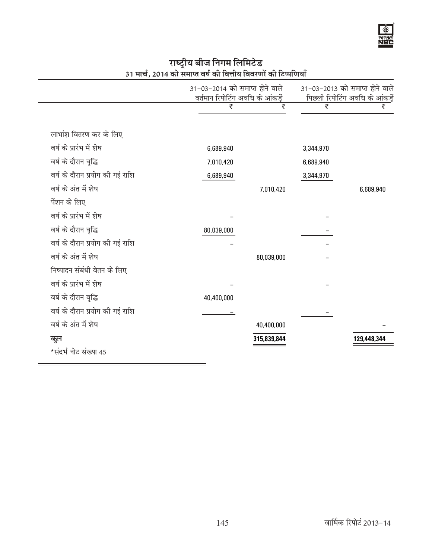#### 31-03-2014 को समाप्त होने वाले 31-03-2013 को समाप्त होने वाले वर्तमान रिपोटिंग अवधि के आंकड़ें पिछली रिपोटिंग अवधि के आंकड़ें ₹ ₹  $\overline{\overline{\zeta}}$ ₹ लाभांश वितरण कर के लिए वर्ष के प्रारंभ में शेष 6,689,940 3,344,970 वर्ष के दौरान वृद्धि 7,010,420 6,689,940 वर्ष के दौरान प्रयोग की गई राशि 6,689,940 3,344,970 वर्ष के अंत में शेष 7,010,420 6,689,940 पेंशन के लिए वर्ष के प्रारंभ में शेष वर्ष के दौरान वृद्धि 80,039,000 वर्ष के दौरान प्रयोग की गई राशि वर्ष के अंत में शेष 80,039,000 निष्पादन संबंधी वेतन के लिए वर्ष के प्रारंभ में शेष वर्ष के दौरान वृद्धि 40,400,000 वर्ष के दौरान प्रयोग की गई राशि वर्ष के अंत में शेष 40,400,000 315,839,844 कूल 129,448,344 \*संदर्भ नोट संख्या 45

# राष्ट्रीय बीज निगम लिमिटेड 31 मार्च, 2014 को समाप्त वर्ष की वित्तीय विवरणों की टिप्पणियाँ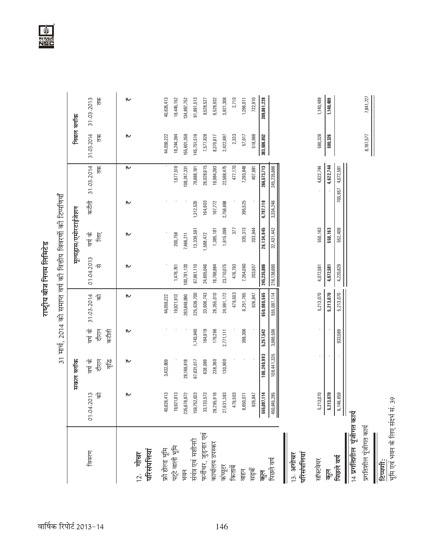| 7,841,727<br>40,626,413<br>31.03.2013<br>통<br>91,891,513<br>3,921,308<br>722,910<br>18,445,152<br>9,528,932<br>2,710<br>1,296,011<br>309,861,228<br>1,140,489<br>1,140,489<br>134,897,752<br>8,528,527<br>निबल ब्लॉक<br>31.03.2014<br>44,059,222<br>$\frac{1}{\sqrt{2}}$<br>18,244,394<br>145,751,519<br>590,326<br>₩<br>155,601,359<br>7,577,828<br>8,370,617<br>2,333<br>518,966<br>383,506,852<br>2,422,697<br>57,917<br>590,326<br>31.03.2014<br>4,622,744<br>$\frac{1}{10}$<br>26,028,915<br>266,573,713<br>1,677,519<br>22,568,475<br>477,170<br>245,235,886<br>4,622,744<br>₩<br>19,984,393<br>7,293,848<br>4,072,581<br>108,247,331<br>79,888,181<br>407,881<br>700,657<br>31 मार्च, 2014 को समाप्त वर्ष की वित्तीय विवरणों की टिप्पणियाँ<br>कटौती<br>164,603<br>2,756,698<br>395,525<br>4,797,118<br>3,334,246<br>₩<br>1,312,520<br>167,772<br>मूल्यहास/एमोरटाईजेशन<br>335, 313<br>1,615,098<br>26,134,945<br>550,163<br>550,163<br>552,409<br>13,339,591<br>1,385,181<br>377<br>203,944<br>32,431,442<br>वर्ष के<br>$\overline{\mathbb{E}}$<br>200,758<br>1,588,472<br>₩<br>7,466,211<br>01.04.2013<br>仅<br>476,793<br>100,781,120<br>24,605,046<br>18,766,984<br>23,710,075<br>7,354,060<br>245,235,886<br>1,476,761<br>67,861,110<br>203,937<br>216,138,690<br>4,220,829<br>₩<br>4,072,581<br>4,072,581<br>650,080,565<br>28,355,010<br>479,503<br>555,097,114<br>5,213,070<br>5,213,070<br>5,213,070<br>225,639,700<br>33,606,743<br>24,991,172<br>8,251,765<br>926,847<br>31.03.2014<br>263,848,690<br>19,921,913<br>信<br>₩<br>44,059,222<br>कर्ष के<br>दौरान<br>1,743,940<br>164,919<br>398,306<br>3,989,506<br>se time<br>179,266<br>5,257,542<br>2,771,111<br>933,589<br>₩<br>100,240,993<br>108,441,335<br>दौरान<br>130,900<br>कर्ष के<br>ria<br>To<br>3,432,809<br>67,631,017<br>238,360<br>सकल ब्लॉक<br>28,169,818<br>638,089<br>₩<br>40,626,413<br>19,921,913<br>479,503<br>235,678,872<br>159,752,623<br>133,573<br>95,916<br>555,097,114<br>5,213,070<br>5,213,070<br>6,146,659<br>.2013<br>乍<br>₩<br>27,631,383<br>926,847<br>8,650,071<br>450,645,285<br>01.04.<br>33,1<br>28,2<br>14 प्रगतिशील पूंजीगत कार्य<br>प्रगतिशील पूंजीगत कार्य<br>फर्नीचर, जुड़नार एव<br>संयंत्र एवं मशीनरी<br>कार्यालय उपस्कर<br>फ्री होल्ड भूमि<br>पट्टे वाली भूमि<br>12. गोचर<br>परिसंपत्तियां<br>विवरण<br>परिसंपत्तियां<br>13. अगोचर<br>पिछले वर्ष<br>सॉफ्टवेयर<br>पिछले वर्ष<br>कंप्यूटर<br>किताबें<br>सङ्के<br><u>Lieh</u><br>वाहन<br>$\overline{\mathfrak{F}}_2$ |  |  | राष्ट्रीय बीज निगम लिमिटेड |  |           |  |
|----------------------------------------------------------------------------------------------------------------------------------------------------------------------------------------------------------------------------------------------------------------------------------------------------------------------------------------------------------------------------------------------------------------------------------------------------------------------------------------------------------------------------------------------------------------------------------------------------------------------------------------------------------------------------------------------------------------------------------------------------------------------------------------------------------------------------------------------------------------------------------------------------------------------------------------------------------------------------------------------------------------------------------------------------------------------------------------------------------------------------------------------------------------------------------------------------------------------------------------------------------------------------------------------------------------------------------------------------------------------------------------------------------------------------------------------------------------------------------------------------------------------------------------------------------------------------------------------------------------------------------------------------------------------------------------------------------------------------------------------------------------------------------------------------------------------------------------------------------------------------------------------------------------------------------------------------------------------------------------------------------------------------------------------------------------------------------------------------------------------------------------------------------------------------------------------------------------------------------------------------------------------------------------------------------------------------------------------------------------------------------------------------------------------------------------------------------------------------|--|--|----------------------------|--|-----------|--|
|                                                                                                                                                                                                                                                                                                                                                                                                                                                                                                                                                                                                                                                                                                                                                                                                                                                                                                                                                                                                                                                                                                                                                                                                                                                                                                                                                                                                                                                                                                                                                                                                                                                                                                                                                                                                                                                                                                                                                                                                                                                                                                                                                                                                                                                                                                                                                                                                                                                                            |  |  |                            |  |           |  |
|                                                                                                                                                                                                                                                                                                                                                                                                                                                                                                                                                                                                                                                                                                                                                                                                                                                                                                                                                                                                                                                                                                                                                                                                                                                                                                                                                                                                                                                                                                                                                                                                                                                                                                                                                                                                                                                                                                                                                                                                                                                                                                                                                                                                                                                                                                                                                                                                                                                                            |  |  |                            |  |           |  |
|                                                                                                                                                                                                                                                                                                                                                                                                                                                                                                                                                                                                                                                                                                                                                                                                                                                                                                                                                                                                                                                                                                                                                                                                                                                                                                                                                                                                                                                                                                                                                                                                                                                                                                                                                                                                                                                                                                                                                                                                                                                                                                                                                                                                                                                                                                                                                                                                                                                                            |  |  |                            |  |           |  |
|                                                                                                                                                                                                                                                                                                                                                                                                                                                                                                                                                                                                                                                                                                                                                                                                                                                                                                                                                                                                                                                                                                                                                                                                                                                                                                                                                                                                                                                                                                                                                                                                                                                                                                                                                                                                                                                                                                                                                                                                                                                                                                                                                                                                                                                                                                                                                                                                                                                                            |  |  |                            |  |           |  |
|                                                                                                                                                                                                                                                                                                                                                                                                                                                                                                                                                                                                                                                                                                                                                                                                                                                                                                                                                                                                                                                                                                                                                                                                                                                                                                                                                                                                                                                                                                                                                                                                                                                                                                                                                                                                                                                                                                                                                                                                                                                                                                                                                                                                                                                                                                                                                                                                                                                                            |  |  |                            |  |           |  |
|                                                                                                                                                                                                                                                                                                                                                                                                                                                                                                                                                                                                                                                                                                                                                                                                                                                                                                                                                                                                                                                                                                                                                                                                                                                                                                                                                                                                                                                                                                                                                                                                                                                                                                                                                                                                                                                                                                                                                                                                                                                                                                                                                                                                                                                                                                                                                                                                                                                                            |  |  |                            |  |           |  |
|                                                                                                                                                                                                                                                                                                                                                                                                                                                                                                                                                                                                                                                                                                                                                                                                                                                                                                                                                                                                                                                                                                                                                                                                                                                                                                                                                                                                                                                                                                                                                                                                                                                                                                                                                                                                                                                                                                                                                                                                                                                                                                                                                                                                                                                                                                                                                                                                                                                                            |  |  |                            |  |           |  |
|                                                                                                                                                                                                                                                                                                                                                                                                                                                                                                                                                                                                                                                                                                                                                                                                                                                                                                                                                                                                                                                                                                                                                                                                                                                                                                                                                                                                                                                                                                                                                                                                                                                                                                                                                                                                                                                                                                                                                                                                                                                                                                                                                                                                                                                                                                                                                                                                                                                                            |  |  |                            |  |           |  |
|                                                                                                                                                                                                                                                                                                                                                                                                                                                                                                                                                                                                                                                                                                                                                                                                                                                                                                                                                                                                                                                                                                                                                                                                                                                                                                                                                                                                                                                                                                                                                                                                                                                                                                                                                                                                                                                                                                                                                                                                                                                                                                                                                                                                                                                                                                                                                                                                                                                                            |  |  |                            |  |           |  |
|                                                                                                                                                                                                                                                                                                                                                                                                                                                                                                                                                                                                                                                                                                                                                                                                                                                                                                                                                                                                                                                                                                                                                                                                                                                                                                                                                                                                                                                                                                                                                                                                                                                                                                                                                                                                                                                                                                                                                                                                                                                                                                                                                                                                                                                                                                                                                                                                                                                                            |  |  |                            |  |           |  |
|                                                                                                                                                                                                                                                                                                                                                                                                                                                                                                                                                                                                                                                                                                                                                                                                                                                                                                                                                                                                                                                                                                                                                                                                                                                                                                                                                                                                                                                                                                                                                                                                                                                                                                                                                                                                                                                                                                                                                                                                                                                                                                                                                                                                                                                                                                                                                                                                                                                                            |  |  |                            |  |           |  |
|                                                                                                                                                                                                                                                                                                                                                                                                                                                                                                                                                                                                                                                                                                                                                                                                                                                                                                                                                                                                                                                                                                                                                                                                                                                                                                                                                                                                                                                                                                                                                                                                                                                                                                                                                                                                                                                                                                                                                                                                                                                                                                                                                                                                                                                                                                                                                                                                                                                                            |  |  |                            |  |           |  |
|                                                                                                                                                                                                                                                                                                                                                                                                                                                                                                                                                                                                                                                                                                                                                                                                                                                                                                                                                                                                                                                                                                                                                                                                                                                                                                                                                                                                                                                                                                                                                                                                                                                                                                                                                                                                                                                                                                                                                                                                                                                                                                                                                                                                                                                                                                                                                                                                                                                                            |  |  |                            |  |           |  |
|                                                                                                                                                                                                                                                                                                                                                                                                                                                                                                                                                                                                                                                                                                                                                                                                                                                                                                                                                                                                                                                                                                                                                                                                                                                                                                                                                                                                                                                                                                                                                                                                                                                                                                                                                                                                                                                                                                                                                                                                                                                                                                                                                                                                                                                                                                                                                                                                                                                                            |  |  |                            |  |           |  |
|                                                                                                                                                                                                                                                                                                                                                                                                                                                                                                                                                                                                                                                                                                                                                                                                                                                                                                                                                                                                                                                                                                                                                                                                                                                                                                                                                                                                                                                                                                                                                                                                                                                                                                                                                                                                                                                                                                                                                                                                                                                                                                                                                                                                                                                                                                                                                                                                                                                                            |  |  |                            |  |           |  |
|                                                                                                                                                                                                                                                                                                                                                                                                                                                                                                                                                                                                                                                                                                                                                                                                                                                                                                                                                                                                                                                                                                                                                                                                                                                                                                                                                                                                                                                                                                                                                                                                                                                                                                                                                                                                                                                                                                                                                                                                                                                                                                                                                                                                                                                                                                                                                                                                                                                                            |  |  |                            |  |           |  |
|                                                                                                                                                                                                                                                                                                                                                                                                                                                                                                                                                                                                                                                                                                                                                                                                                                                                                                                                                                                                                                                                                                                                                                                                                                                                                                                                                                                                                                                                                                                                                                                                                                                                                                                                                                                                                                                                                                                                                                                                                                                                                                                                                                                                                                                                                                                                                                                                                                                                            |  |  |                            |  |           |  |
|                                                                                                                                                                                                                                                                                                                                                                                                                                                                                                                                                                                                                                                                                                                                                                                                                                                                                                                                                                                                                                                                                                                                                                                                                                                                                                                                                                                                                                                                                                                                                                                                                                                                                                                                                                                                                                                                                                                                                                                                                                                                                                                                                                                                                                                                                                                                                                                                                                                                            |  |  |                            |  |           |  |
|                                                                                                                                                                                                                                                                                                                                                                                                                                                                                                                                                                                                                                                                                                                                                                                                                                                                                                                                                                                                                                                                                                                                                                                                                                                                                                                                                                                                                                                                                                                                                                                                                                                                                                                                                                                                                                                                                                                                                                                                                                                                                                                                                                                                                                                                                                                                                                                                                                                                            |  |  |                            |  |           |  |
|                                                                                                                                                                                                                                                                                                                                                                                                                                                                                                                                                                                                                                                                                                                                                                                                                                                                                                                                                                                                                                                                                                                                                                                                                                                                                                                                                                                                                                                                                                                                                                                                                                                                                                                                                                                                                                                                                                                                                                                                                                                                                                                                                                                                                                                                                                                                                                                                                                                                            |  |  |                            |  |           |  |
|                                                                                                                                                                                                                                                                                                                                                                                                                                                                                                                                                                                                                                                                                                                                                                                                                                                                                                                                                                                                                                                                                                                                                                                                                                                                                                                                                                                                                                                                                                                                                                                                                                                                                                                                                                                                                                                                                                                                                                                                                                                                                                                                                                                                                                                                                                                                                                                                                                                                            |  |  |                            |  |           |  |
|                                                                                                                                                                                                                                                                                                                                                                                                                                                                                                                                                                                                                                                                                                                                                                                                                                                                                                                                                                                                                                                                                                                                                                                                                                                                                                                                                                                                                                                                                                                                                                                                                                                                                                                                                                                                                                                                                                                                                                                                                                                                                                                                                                                                                                                                                                                                                                                                                                                                            |  |  |                            |  |           |  |
|                                                                                                                                                                                                                                                                                                                                                                                                                                                                                                                                                                                                                                                                                                                                                                                                                                                                                                                                                                                                                                                                                                                                                                                                                                                                                                                                                                                                                                                                                                                                                                                                                                                                                                                                                                                                                                                                                                                                                                                                                                                                                                                                                                                                                                                                                                                                                                                                                                                                            |  |  |                            |  | 8,197,577 |  |

**MEE**<br>Mee

<mark>टिय्पणी:</mark><br>भूमि एवं भवन के लिए संदर्भ सं. 39<br>भूमि एवं भवन के लिए संदर्भ सं. 39 भूमि एवं भवन के लिए संदर्भ सं. 39

Ш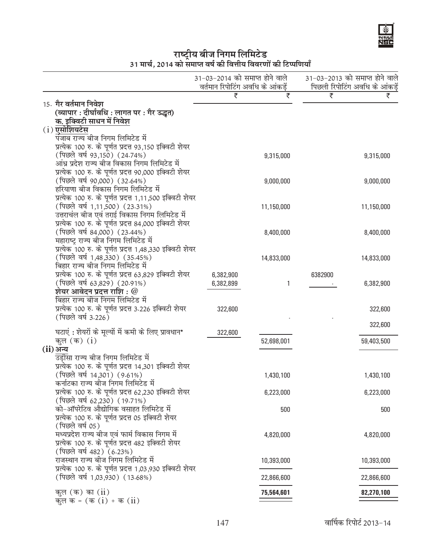# **ik "YI¤ट्रीय बीज निगम लिमिटेड)**<br>31 मार्च, 2014 को समाप्त वर्ष की वित्तीय विवरणों की टिप्पणियाँ

|                                                                                        | 31-03-2014 को समाप्त होने वाले<br>वर्तमान रिपोटिंग अवधि के आंकड़ें |            |         | 31-03-2013 को समाप्त होने वाले<br>पिछली रिपोटिंग अवधि के आंकड़ें |
|----------------------------------------------------------------------------------------|--------------------------------------------------------------------|------------|---------|------------------------------------------------------------------|
|                                                                                        | ₹                                                                  | ₹          | ₹       | ₹                                                                |
| 15. गैर वर्तमान निवेश                                                                  |                                                                    |            |         |                                                                  |
| (व्यापार : दीर्घावधि : लागत पर : गैर उद्धत)                                            |                                                                    |            |         |                                                                  |
| क. इक्विटी साधन में निवेश                                                              |                                                                    |            |         |                                                                  |
| $(i)$ एसोशियटेस<br>पंजाब राज्य बीज निगम लिमिटेड में                                    |                                                                    |            |         |                                                                  |
| प्रत्येक 100 रु. के पूर्णत प्रदत्त 93,150 इक्विटी शेयर                                 |                                                                    |            |         |                                                                  |
| (पिछले वर्ष 93,150) (24.74%)                                                           |                                                                    | 9,315,000  |         | 9,315,000                                                        |
| आंध्र प्रदेश राज्य बीज विकास निगम लिमिटेड में                                          |                                                                    |            |         |                                                                  |
| प्रत्येक 100 रु. के पूर्णत प्रदत्त 90,000 इक्विटी शेयर                                 |                                                                    |            |         |                                                                  |
| (पिछले वर्ष 90,000) (32.64%)                                                           |                                                                    | 9,000,000  |         | 9,000,000                                                        |
| हरियाणा बीज विकास निगम लिमिटेड में                                                     |                                                                    |            |         |                                                                  |
| प्रत्येक 100 रु. के पूर्णत प्रदत्त 1,11,500 इक्विटी शेयर                               |                                                                    |            |         |                                                                  |
| (पिछले वर्ष 1,11,500) (23.31%)                                                         |                                                                    | 11,150,000 |         | 11,150,000                                                       |
| उत्तराचंल बीज एवं तराई विकास निगम लिमिटेड में                                          |                                                                    |            |         |                                                                  |
| प्रत्येक 100 रु. के पूर्णत प्रदत्त 84,000 इक्विटी शेयर                                 |                                                                    |            |         |                                                                  |
| (पिछले वर्ष 84,000) (23.44%)                                                           |                                                                    | 8,400,000  |         | 8,400,000                                                        |
| महाराष्ट्र राज्य बीज निगम लिमिटेड में                                                  |                                                                    |            |         |                                                                  |
| प्रत्येक 100 रु. के पूर्णत प्रदत्त 1,48,330 इक्विटी शेयर                               |                                                                    |            |         |                                                                  |
| (पिछले वर्ष 1,48,330) (35.45%)                                                         |                                                                    | 14,833,000 |         | 14,833,000                                                       |
| बिहार राज्य बीज निगम लिमिटेड में                                                       |                                                                    |            |         |                                                                  |
| प्रत्येक 100 रु. के पूर्णत प्रदत्त 63,829 इक्विटी शेयर<br>(पिछले वर्ष 63,829) (20.91%) | 6,382,900                                                          |            | 6382900 |                                                                  |
| शेयर आवेदन प्रदत्त राशि : $\varnothing$                                                | 6,382,899                                                          | 1          |         | 6,382,900                                                        |
| बिहार राज्य बीज निगम लिमिटेड में                                                       |                                                                    |            |         |                                                                  |
| प्रत्येक 100 रु. के पूर्णत प्रदत्त 3.226 इक्विटी शेयर                                  | 322,600                                                            |            |         | 322,600                                                          |
| (पिछले वर्ष 3.226)                                                                     |                                                                    |            |         |                                                                  |
|                                                                                        |                                                                    |            |         | 322,600                                                          |
| घटाएं: शेयरों के मूल्यों में कमी के लिए प्रावधान*                                      | 322,600                                                            |            |         |                                                                  |
| कुल $(\overline{a})$ $(i)$                                                             |                                                                    | 52,698,001 |         | 59,403,500                                                       |
| (ii)अन्य                                                                               |                                                                    |            |         |                                                                  |
| उड़ीसा राज्य बीज निगम लिमिटेड में                                                      |                                                                    |            |         |                                                                  |
| प्रत्येक 100 रु. के पूर्णत प्रदत्त 14,301 इक्विटी शेयर                                 |                                                                    |            |         |                                                                  |
| (पिछले वर्ष 14,301) (9.61%)<br>कर्नाटका राज्य बीज निगम लिमिटेड में                     |                                                                    | 1,430,100  |         | 1,430,100                                                        |
| प्रत्येक 100 रु. के पूर्णत प्रदत्त 62,230 इक्विटी शेयर                                 |                                                                    | 6,223,000  |         | 6,223,000                                                        |
| (पिछले वर्ष 62,230) (19.71%)                                                           |                                                                    |            |         |                                                                  |
| को-ऑपरेटिव औद्योगिक वसाहत लिमिटेड में                                                  |                                                                    | 500        |         | 500                                                              |
| प्रत्येक 100 रु. के पूर्णत प्रदत्त 05 इक्विटी शेयर                                     |                                                                    |            |         |                                                                  |
| (पिछले वर्ष 05)                                                                        |                                                                    |            |         |                                                                  |
| मध्यप्रदेश राज्य बीज एवं फार्म विकास निगम में                                          |                                                                    | 4,820,000  |         | 4,820,000                                                        |
| प्रत्येक 100 रु. के पूर्णत प्रदत्त 482 इक्विटी शेयर                                    |                                                                    |            |         |                                                                  |
| (पिछले वर्ष 482) (6.23%)                                                               |                                                                    |            |         |                                                                  |
| राजस्थान राज्य बीज निगम लिमिटेड में                                                    |                                                                    | 10,393,000 |         | 10,393,000                                                       |
| प्रत्येक 100 रु. के पूर्णत प्रदत्त 1,03,930 इक्विटी शेयर                               |                                                                    |            |         |                                                                  |
| (पिछले वर्ष 1,03,930) (13.68%)                                                         |                                                                    | 22,866,600 |         | 22,866,600                                                       |
| कुल (क) का $(ii)$                                                                      |                                                                    | 75,564,601 |         | 82,270,100                                                       |
| कुल क = (क $(i)$ + क $(ii)$                                                            |                                                                    |            |         |                                                                  |
|                                                                                        |                                                                    |            |         |                                                                  |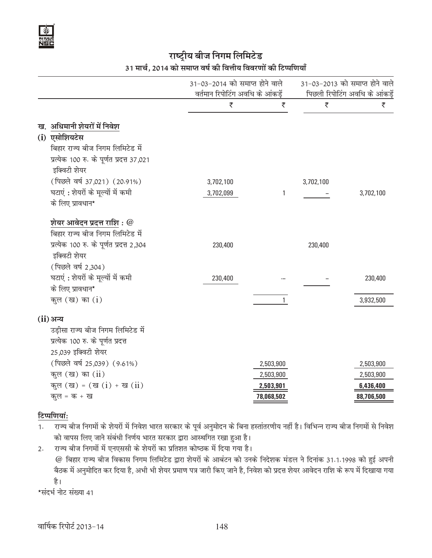# **राष्ट्रीय बीज निगम लिमिटेड** 31 मार्च, 2014 को समाप्त वर्ष की वित्तीय विवरणों की टिप्पणियाँ

|                                                          | वर्तमान रिपोटिंग अवधि के आंकड़ें | 31-03-2014 को समाप्त होने वाले |           | 31-03-2013 को समाप्त होने वाले<br>पिछली रिपोटिंग अवधि के आंकड़ें |
|----------------------------------------------------------|----------------------------------|--------------------------------|-----------|------------------------------------------------------------------|
|                                                          | ₹                                | ₹                              | ₹         | ₹                                                                |
| ख. अधिमानी शेयरों में निवेश                              |                                  |                                |           |                                                                  |
| (i) एसोशियटेस                                            |                                  |                                |           |                                                                  |
| बिहार राज्य बीज निगम लिमिटेड में                         |                                  |                                |           |                                                                  |
| प्रत्येक 100 रु. के पूर्णत प्रदत्त 37,021                |                                  |                                |           |                                                                  |
| इक्विटी शेयर                                             |                                  |                                |           |                                                                  |
| (पिछले वर्ष 37,021) (20.91%)                             | 3,702,100                        |                                | 3,702,100 |                                                                  |
| घटाएं : शेयरों के मूल्यों में कमी                        | 3,702,099                        | 1                              |           | 3,702,100                                                        |
| के लिए प्रावधान*                                         |                                  |                                |           |                                                                  |
| शेयर आवेदन प्रदत्त राशि $: \textcolor{red}{\mathscr{Q}}$ |                                  |                                |           |                                                                  |
| बिहार राज्य बीज निगम लिमिटेड में                         |                                  |                                |           |                                                                  |
| प्रत्येक 100 रु. के पूर्णत प्रदत्त 2,304                 | 230,400                          |                                | 230,400   |                                                                  |
| इक्विटी शेयर                                             |                                  |                                |           |                                                                  |
| (पिछले वर्ष 2,304)                                       |                                  |                                |           |                                                                  |
| घटाएं: शेयरों के मूल्यों में कमी                         | 230,400                          |                                |           | 230,400                                                          |
| के लिए प्रावधान*                                         |                                  |                                |           |                                                                  |
| कूल $(\overline{a})$ का $(i)$                            |                                  | $\mathbf{1}$                   |           | 3,932,500                                                        |
| (ii) अन्य                                                |                                  |                                |           |                                                                  |
| उड़ीसा राज्य बीज निगम लिमिटेड में                        |                                  |                                |           |                                                                  |
| प्रत्येक 100 रु. के पूर्णत प्रदत्त                       |                                  |                                |           |                                                                  |
| 25,039 इक्विटी शेयर                                      |                                  |                                |           |                                                                  |
| (पिछले वर्ष 25,039) (9.61%)                              |                                  | 2,503,900                      |           | 2,503,900                                                        |
| कूल $(\overline{a})$ का $(ii)$                           |                                  | 2,503,900                      |           | 2,503,900                                                        |
| कुल (ख) = (ख $(i)$ + ख $(ii)$                            |                                  | 2,503,901                      |           | 6,436,400                                                        |
| कूल = क + ख                                              |                                  | 78,068,502                     |           | 88,706,500                                                       |

# *<u>f</u>* cumple:

- 1. राज्य बीज निगमों के शेयरों में निवेश भारत सरकार के पूर्व अनुमोदन के बिना हस्तांतरणीय नहीं है। विभिन्न राज्य बीज निगमों से निवेश को वापस लिए जाने संबंधी निर्णय भारत सरकार द्वारा आस्थगित रखा हुआ है।
- 2. राज्य बीज निगमों में एनएससी के शेयरों का प्रतिशत कोष्ठक में दिया गया है।  $@$  बिहार राज्य बीज विकास निगम लिमिटेड द्वारा शेयरों के आबंटन को उनके निदेशक मंडल ने दिनांक 31.1.1998 को हुई अपनी बैठक में अनुमोदित कर दिया है, अभी भी शेयर प्रमाण पत्र जारी किए जाने है, निवेश को प्रदत्त शेयर आवेदन राशि के रूप में दिखाया गया है।

```
*संदर्भ नोट संख्या 41
```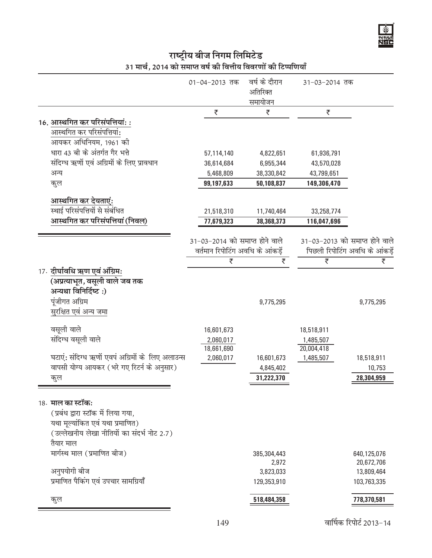

# राष्ट्रीय बीज निगम लिमिटेड<br>31 मार्च, 2014 को समाप्त वर्ष की वित्तीय विवरणों की टिप्पणियाँ

| ₹<br>₹<br>₹<br>16. आस्थगित कर परिसंपत्तियां: :<br>आस्थगित कर परिसंपत्तियां:<br>आयकर अधिनियम, 1961 की<br>धारा 43 बी के अंतर्गत गैर भत्ते<br>57,114,140<br>4,822,651<br>61,936,791<br>संदिग्ध ऋणों एवं अग्रिमों के लिए प्रावधान<br>36,614,684<br>6,955,344<br>43,570,028<br>अन्य<br>5,468,809<br>38,330,842<br>43,799,651<br>कुल<br>99,197,633<br>50,108,837<br>149,306,470<br><u>आस्थगित कर देयताएं:</u><br>स्थाई परिसंपत्तियों से संबंधित<br>21,518,310<br>33,258,774<br>11,740,464<br>आस्थगित कर परिसंपत्तियां (निवल)<br>77,679,323<br>38,368,373<br>116,047,696<br>31-03-2014 को समाप्त होने वाले<br>31-03-2013 को समाप्त होने वाले<br>वर्तमान रिपोटिंग अवधि के आंकड़ें<br>पिछली रिपोटिंग अवधि के आंकड़ें<br>₹<br>₹<br>₹<br>₹<br>17. दीर्घावधि ऋण एवं अंग्रिम:<br>(अप्रत्याभूत, वसूली वाले जब तक<br>अन्यथा विनिर्दिष्ट:)<br>पूंजीगत अग्रिम<br>9,775,295<br>9,775,295<br>सुरक्षित एवं अन्य जमा<br>वसूली वाले<br>16,601,673<br>18,518,911<br>संदिग्ध वसूली वाले<br>2,060,017<br>1,485,507<br>20,004,418<br>18,661,690<br>घटाएं: संदिग्ध ऋणों एवपं अग्रिमों के लिए अलाउन्स<br>2,060,017<br>16,601,673<br>1,485,507<br>18,518,911<br>वापसी योग्य आयकर (भरे गए रिटर्न के अनुसार)<br>4,845,402<br>10,753<br>31,222,370<br>28,304,959<br>कुल<br>18. माल का स्टॉक:<br>(प्रबंध द्वारा स्टॉक में लिया गया,<br>यथा मूल्यांकित एवं यथा प्रमाणित)<br>(उल्लेखनीय लेखा नीतियों का संदर्भ नोट 2.7)<br>तैयार माल<br>मार्गस्थ माल (प्रमाणित बीज)<br>385,304,443<br>640,125,076<br>2,972<br>20,672,706<br>अनुपयोगी बीज<br>3,823,033<br>13,809,464<br>प्रमाणित पैकिंग एवं उपचार सामग्रियाँ<br>103,763,335<br>129,353,910<br>518,484,358<br>778,370,581<br>कुल |  | 01-04-2013 तक | वर्ष के दौरान<br>अतिरिक्त<br>समायोजन | 31-03-2014 तक |  |
|---------------------------------------------------------------------------------------------------------------------------------------------------------------------------------------------------------------------------------------------------------------------------------------------------------------------------------------------------------------------------------------------------------------------------------------------------------------------------------------------------------------------------------------------------------------------------------------------------------------------------------------------------------------------------------------------------------------------------------------------------------------------------------------------------------------------------------------------------------------------------------------------------------------------------------------------------------------------------------------------------------------------------------------------------------------------------------------------------------------------------------------------------------------------------------------------------------------------------------------------------------------------------------------------------------------------------------------------------------------------------------------------------------------------------------------------------------------------------------------------------------------------------------------------------------------------------------------------------------------------------------------------|--|---------------|--------------------------------------|---------------|--|
|                                                                                                                                                                                                                                                                                                                                                                                                                                                                                                                                                                                                                                                                                                                                                                                                                                                                                                                                                                                                                                                                                                                                                                                                                                                                                                                                                                                                                                                                                                                                                                                                                                             |  |               |                                      |               |  |
|                                                                                                                                                                                                                                                                                                                                                                                                                                                                                                                                                                                                                                                                                                                                                                                                                                                                                                                                                                                                                                                                                                                                                                                                                                                                                                                                                                                                                                                                                                                                                                                                                                             |  |               |                                      |               |  |
|                                                                                                                                                                                                                                                                                                                                                                                                                                                                                                                                                                                                                                                                                                                                                                                                                                                                                                                                                                                                                                                                                                                                                                                                                                                                                                                                                                                                                                                                                                                                                                                                                                             |  |               |                                      |               |  |
|                                                                                                                                                                                                                                                                                                                                                                                                                                                                                                                                                                                                                                                                                                                                                                                                                                                                                                                                                                                                                                                                                                                                                                                                                                                                                                                                                                                                                                                                                                                                                                                                                                             |  |               |                                      |               |  |
|                                                                                                                                                                                                                                                                                                                                                                                                                                                                                                                                                                                                                                                                                                                                                                                                                                                                                                                                                                                                                                                                                                                                                                                                                                                                                                                                                                                                                                                                                                                                                                                                                                             |  |               |                                      |               |  |
|                                                                                                                                                                                                                                                                                                                                                                                                                                                                                                                                                                                                                                                                                                                                                                                                                                                                                                                                                                                                                                                                                                                                                                                                                                                                                                                                                                                                                                                                                                                                                                                                                                             |  |               |                                      |               |  |
|                                                                                                                                                                                                                                                                                                                                                                                                                                                                                                                                                                                                                                                                                                                                                                                                                                                                                                                                                                                                                                                                                                                                                                                                                                                                                                                                                                                                                                                                                                                                                                                                                                             |  |               |                                      |               |  |
|                                                                                                                                                                                                                                                                                                                                                                                                                                                                                                                                                                                                                                                                                                                                                                                                                                                                                                                                                                                                                                                                                                                                                                                                                                                                                                                                                                                                                                                                                                                                                                                                                                             |  |               |                                      |               |  |
|                                                                                                                                                                                                                                                                                                                                                                                                                                                                                                                                                                                                                                                                                                                                                                                                                                                                                                                                                                                                                                                                                                                                                                                                                                                                                                                                                                                                                                                                                                                                                                                                                                             |  |               |                                      |               |  |
|                                                                                                                                                                                                                                                                                                                                                                                                                                                                                                                                                                                                                                                                                                                                                                                                                                                                                                                                                                                                                                                                                                                                                                                                                                                                                                                                                                                                                                                                                                                                                                                                                                             |  |               |                                      |               |  |
|                                                                                                                                                                                                                                                                                                                                                                                                                                                                                                                                                                                                                                                                                                                                                                                                                                                                                                                                                                                                                                                                                                                                                                                                                                                                                                                                                                                                                                                                                                                                                                                                                                             |  |               |                                      |               |  |
|                                                                                                                                                                                                                                                                                                                                                                                                                                                                                                                                                                                                                                                                                                                                                                                                                                                                                                                                                                                                                                                                                                                                                                                                                                                                                                                                                                                                                                                                                                                                                                                                                                             |  |               |                                      |               |  |
|                                                                                                                                                                                                                                                                                                                                                                                                                                                                                                                                                                                                                                                                                                                                                                                                                                                                                                                                                                                                                                                                                                                                                                                                                                                                                                                                                                                                                                                                                                                                                                                                                                             |  |               |                                      |               |  |
|                                                                                                                                                                                                                                                                                                                                                                                                                                                                                                                                                                                                                                                                                                                                                                                                                                                                                                                                                                                                                                                                                                                                                                                                                                                                                                                                                                                                                                                                                                                                                                                                                                             |  |               |                                      |               |  |
|                                                                                                                                                                                                                                                                                                                                                                                                                                                                                                                                                                                                                                                                                                                                                                                                                                                                                                                                                                                                                                                                                                                                                                                                                                                                                                                                                                                                                                                                                                                                                                                                                                             |  |               |                                      |               |  |
|                                                                                                                                                                                                                                                                                                                                                                                                                                                                                                                                                                                                                                                                                                                                                                                                                                                                                                                                                                                                                                                                                                                                                                                                                                                                                                                                                                                                                                                                                                                                                                                                                                             |  |               |                                      |               |  |
|                                                                                                                                                                                                                                                                                                                                                                                                                                                                                                                                                                                                                                                                                                                                                                                                                                                                                                                                                                                                                                                                                                                                                                                                                                                                                                                                                                                                                                                                                                                                                                                                                                             |  |               |                                      |               |  |
|                                                                                                                                                                                                                                                                                                                                                                                                                                                                                                                                                                                                                                                                                                                                                                                                                                                                                                                                                                                                                                                                                                                                                                                                                                                                                                                                                                                                                                                                                                                                                                                                                                             |  |               |                                      |               |  |
|                                                                                                                                                                                                                                                                                                                                                                                                                                                                                                                                                                                                                                                                                                                                                                                                                                                                                                                                                                                                                                                                                                                                                                                                                                                                                                                                                                                                                                                                                                                                                                                                                                             |  |               |                                      |               |  |
|                                                                                                                                                                                                                                                                                                                                                                                                                                                                                                                                                                                                                                                                                                                                                                                                                                                                                                                                                                                                                                                                                                                                                                                                                                                                                                                                                                                                                                                                                                                                                                                                                                             |  |               |                                      |               |  |
|                                                                                                                                                                                                                                                                                                                                                                                                                                                                                                                                                                                                                                                                                                                                                                                                                                                                                                                                                                                                                                                                                                                                                                                                                                                                                                                                                                                                                                                                                                                                                                                                                                             |  |               |                                      |               |  |

वार्षिक रिपोर्ट 2013-14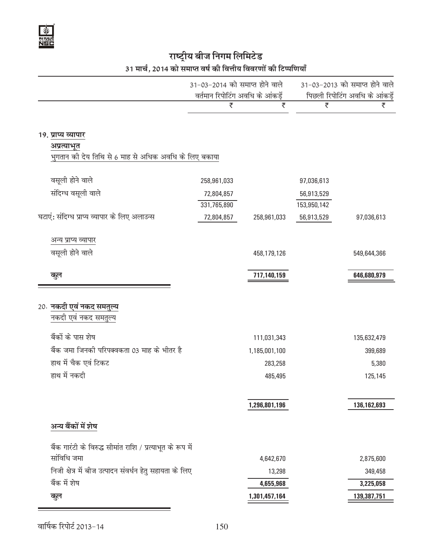# राष्ट्रीय बीज निगम लिमि<mark>टेड</mark>

### 31 मार्च, 2014 को समाप्त वर्ष की वित्तीय विवरणों की टिप्पणियाँ

|                                                                      | 31-03-2014 को समाप्त होने वाले<br>वर्तमान रिपोटिंग अवधि के आंकड़ें |               |             | 31-03-2013 को समाप्त होने वाले<br>पिछली रिपोटिंग अवधि के आंकड़ें |
|----------------------------------------------------------------------|--------------------------------------------------------------------|---------------|-------------|------------------------------------------------------------------|
|                                                                      | ₹                                                                  | ₹             | ₹           | ₹                                                                |
| 19. प्राप्य व्यापार                                                  |                                                                    |               |             |                                                                  |
| अप्रत्याभूत<br>भुगतान की देय तिथि से 6 माह से अधिक अवधि के लिए बकाया |                                                                    |               |             |                                                                  |
| वसूली होने वाले                                                      | 258,961,033                                                        |               | 97,036,613  |                                                                  |
| संदिग्ध वसूली वाले                                                   | 72,804,857                                                         |               | 56,913,529  |                                                                  |
|                                                                      | 331,765,890                                                        |               | 153,950,142 |                                                                  |
| घटाएं: संदिग्ध प्राप्य व्यापार के लिए अलाउन्स                        | 72,804,857                                                         | 258,961,033   | 56,913,529  | 97,036,613                                                       |
| अन्य प्राप्य व्यापार                                                 |                                                                    |               |             |                                                                  |
| वसूली होने वाले                                                      |                                                                    | 458,179,126   |             | 549,644,366                                                      |
| कुल                                                                  |                                                                    | 717,140,159   |             | 646,680,979                                                      |
|                                                                      |                                                                    |               |             |                                                                  |
| 20. नकदी एवं नकद समतुल्य                                             |                                                                    |               |             |                                                                  |
| नकदी एवं नकद समतुल्य                                                 |                                                                    |               |             |                                                                  |
| बैंकों के पास शेष                                                    |                                                                    | 111,031,343   |             | 135,632,479                                                      |
| बैंक जमा जिनकी परिपक्वकता 03 माह के भीतर है                          |                                                                    | 1,185,001,100 |             | 399,689                                                          |
| हाथ में चैक एवं टिकट                                                 |                                                                    | 283,258       |             | 5,380                                                            |
| हाथ में नकदी                                                         |                                                                    | 485,495       |             | 125,145                                                          |
|                                                                      |                                                                    |               |             |                                                                  |
|                                                                      |                                                                    | 1,296,801,196 |             | 136,162,693                                                      |
| अन्य बैंकों में शेष                                                  |                                                                    |               |             |                                                                  |
| बैंक गारंटी के विरुद्ध सीमांत राशि / प्रत्याभूत के रूप में           |                                                                    |               |             |                                                                  |
| सांविधि जमा                                                          |                                                                    | 4,642,670     |             | 2,875,600                                                        |
| निजी क्षेत्र में बीज उत्पादन संवर्धन हेतु सहायता के लिए              |                                                                    | 13,298        |             | 349,458                                                          |
| बैंक में शेष                                                         |                                                                    | 4,655,968     |             | 3,225,058                                                        |
| कुल                                                                  |                                                                    | 1,301,457,164 |             | 139,387,751                                                      |

वार्षिक रिपोर्ट 2013-14  $150$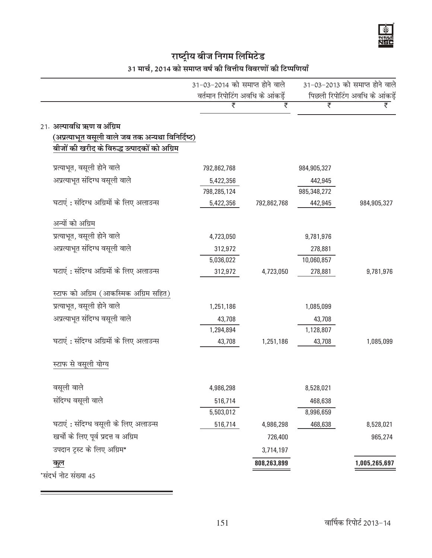# राष्ट्रीय बीज निगम लिमि<mark>टेड</mark> 31 मार्च, 2014 को समाप्त वर्ष की वित्तीय विवरणों की टिप्पणियाँ

|                                                   | 31-03-2014 को समाप्त होने वाले   |             |             | 31-03-2013 को समाप्त होने वाले |
|---------------------------------------------------|----------------------------------|-------------|-------------|--------------------------------|
|                                                   | वर्तमान रिपोटिंग अवधि के आंकड़ें |             |             | पिछली रिपोटिंग अवधि के आंकड़ें |
|                                                   | ₹                                | ₹           | ₹           | ₹                              |
| 21. अल्पावधि ऋण व अंग्रिम                         |                                  |             |             |                                |
| (अप्रत्याभूत वसूली वाले जब तक अन्यथा विनिर्दिष्ट) |                                  |             |             |                                |
| बीजों की खरीद के विरुद्ध उत्पादकों को अग्रिम      |                                  |             |             |                                |
| प्रत्याभूत, वसूली होने वाले                       | 792,862,768                      |             | 984,905,327 |                                |
| अप्रत्याभूत संदिग्ध वसूली वाले                    | 5,422,356                        |             | 442,945     |                                |
|                                                   | 798,285,124                      |             | 985,348,272 |                                |
| घटाएं : संदिग्ध अग्रिमों के लिए अलाउन्स           | 5,422,356                        | 792,862,768 | 442,945     | 984,905,327                    |
| अन्यों को अग्रिम                                  |                                  |             |             |                                |
| प्रत्याभूत, वसूली होने वाले                       | 4,723,050                        |             | 9,781,976   |                                |
| अप्रत्याभूत संदिग्ध वसूली वाले                    | 312,972                          |             | 278,881     |                                |
|                                                   | 5,036,022                        |             | 10,060,857  |                                |
| घटाएं : संदिग्ध अग्रिमों के लिए अलाउन्स           | 312,972                          | 4,723,050   | 278,881     | 9,781,976                      |
| स्टाफ को अग्रिम (आकस्मिक अग्रिम सहित)             |                                  |             |             |                                |
| प्रत्याभूत, वसूली होने वाले                       | 1,251,186                        |             | 1,085,099   |                                |
| अप्रत्याभूत संदिग्ध वसूली वाले                    | 43,708                           |             | 43,708      |                                |
|                                                   | 1,294,894                        |             | 1,128,807   |                                |
| घटाएं : संदिग्ध अग्रिमों के लिए अलाउन्स           | 43,708                           | 1,251,186   | 43,708      | 1,085,099                      |
| स्टाफ से वसूली योग्य                              |                                  |             |             |                                |
| वसूली वाले                                        | 4,986,298                        |             | 8,528,021   |                                |
| संदिग्ध वसूली वाले                                | 516,714                          |             | 468,638     |                                |
|                                                   | 5,503,012                        |             | 8,996,659   |                                |
| घटाएं : संदिग्ध वसूली के लिए अलाउन्स              | 516,714                          | 4,986,298   | 468,638     | 8,528,021                      |
| खर्चों के लिए पूर्व प्रदत्त व अग्रिम              |                                  | 726,400     |             | 965,274                        |
| उपदान ट्रस्ट के लिए अग्रिम*                       |                                  | 3,714,197   |             |                                |
| <u>कुल</u>                                        |                                  | 808,263,899 |             | 1,005,265,697                  |
| *संदर्भ नोट संख्या 45                             |                                  |             |             |                                |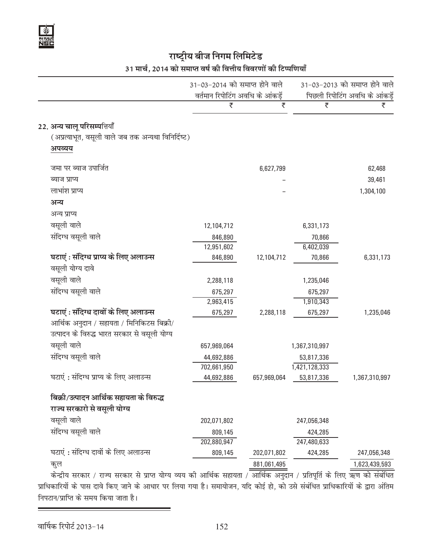# 31 मार्च, 2014 को समाप्त वर्ष की वित्तीय विवरणों की टिप्पणियाँ

|                                                                         | 31-03-2014 को समाप्त होने वाले<br>वर्तमान रिपोटिंग अवधि के आंकड़ें |             |               | 31-03-2013 को समाप्त होने वाले<br>पिछली रिपोटिंग अवधि के आंकड़ें |
|-------------------------------------------------------------------------|--------------------------------------------------------------------|-------------|---------------|------------------------------------------------------------------|
|                                                                         | ₹                                                                  | ₹           | ₹             | ₹                                                                |
| 22. अन्य चालू परिसम्पत्तियाँ                                            |                                                                    |             |               |                                                                  |
| (अप्रत्याभूत, वसूली वाले जब तक अन्यथा विनिर्दिष्ट)                      |                                                                    |             |               |                                                                  |
| अपव्यय                                                                  |                                                                    |             |               |                                                                  |
| जमा पर ब्याज उपार्जित                                                   |                                                                    | 6,627,799   |               | 62,468                                                           |
| ब्याज प्राप्य                                                           |                                                                    |             |               | 39,461                                                           |
| लाभांश प्राप्य                                                          |                                                                    |             |               | 1,304,100                                                        |
| अन्य                                                                    |                                                                    |             |               |                                                                  |
| अन्य प्राप्य                                                            |                                                                    |             |               |                                                                  |
| वसूली वाले                                                              | 12,104,712                                                         |             | 6,331,173     |                                                                  |
| संदिग्ध वसूली वाले                                                      | 846,890                                                            |             | 70,866        |                                                                  |
|                                                                         | 12,951,602                                                         |             | 6,402,039     |                                                                  |
| घटाएं : संदिग्ध प्राप्य के लिए अलाउन्स                                  | 846,890                                                            | 12,104,712  | 70,866        | 6,331,173                                                        |
| वसूली योग्य दावे                                                        |                                                                    |             |               |                                                                  |
| वसूली वाले                                                              | 2,288,118                                                          |             | 1,235,046     |                                                                  |
| संदिग्ध वसूली वाले                                                      | 675,297                                                            |             | 675,297       |                                                                  |
|                                                                         | 2,963,415                                                          |             | 1,910,343     |                                                                  |
| घटाएं : संदिग्ध दावों के लिए अलाउन्स                                    | 675,297                                                            | 2,288,118   | 675,297       | 1,235,046                                                        |
| आर्थिक अनुदान / सहायता / मिनिकिटस बिक्री/                               |                                                                    |             |               |                                                                  |
| उत्पादन के विरुद्ध भारत सरकार से वसूली योग्य                            |                                                                    |             |               |                                                                  |
| वसूली वाले                                                              | 657,969,064                                                        |             | 1,367,310,997 |                                                                  |
| संदिग्ध वसूली वाले                                                      | 44,692,886                                                         |             | 53,817,336    |                                                                  |
|                                                                         | 702,661,950                                                        |             | 1,421,128,333 |                                                                  |
| घटाएं : संदिग्ध प्राप्य के लिए अलाउन्स                                  | 44,692,886                                                         | 657,969,064 | 53,817,336    | 1,367,310,997                                                    |
| बिक्री/उत्पादन आर्थिक सहायता के विरुद्ध                                 |                                                                    |             |               |                                                                  |
| राज्य सरकारो से वसूली योग्य                                             |                                                                    |             |               |                                                                  |
| वसूली वाले                                                              | 202,071,802                                                        |             | 247,056,348   |                                                                  |
| संदिग्ध वसूली वाले                                                      | 809,145                                                            |             | 424,285       |                                                                  |
|                                                                         | 202,880,947                                                        |             | 247,480,633   |                                                                  |
| घटाएं : संदिग्ध दावों के लिए अलाउन्स                                    | 809,145                                                            | 202,071,802 | 424,285       | 247,056,348                                                      |
| कुल<br>केन्दीय सरकार / राज्य सरकार से पाप्त योग्य व्यय की आर्थिक सहायता |                                                                    | 881,061,495 |               | 1,623,439,593                                                    |

केन्द्रीय सरकार / राज्य सरकार से प्राप्त योग्य व्यय की आर्थिक सहायता / आर्थिक अनुदान / प्रतिपूर्ति के लिए ऋण को संबंधित प्राधिकारियों के पास दावे किए जाने के आधार पर लिया गया है। समायोजन, यदि कोई हो, को उसे संबंधित प्राधिकारियों के द्वारा अंतिम निपटान/प्राप्ति के समय किया जाता है।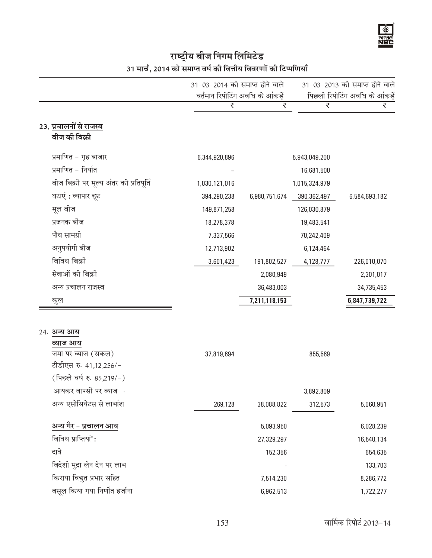# राष्ट्रीय बीज निगम लिमिटेड<br>31 मार्च, 2014 को समाप्त वर्ष की वित्तीय विवरणों की टिप्पणियाँ

|                                         |                                                                                                                                                                                           |                            |                                                                                       | 31-03-2013 को समाप्त होने वाले       |
|-----------------------------------------|-------------------------------------------------------------------------------------------------------------------------------------------------------------------------------------------|----------------------------|---------------------------------------------------------------------------------------|--------------------------------------|
|                                         |                                                                                                                                                                                           |                            |                                                                                       | पिछली रिपोटिंग अवधि के आंकड़ें       |
|                                         |                                                                                                                                                                                           |                            |                                                                                       | ₹                                    |
|                                         |                                                                                                                                                                                           |                            |                                                                                       |                                      |
|                                         |                                                                                                                                                                                           |                            |                                                                                       |                                      |
| प्रमाणित - गृह बाजार                    | 6,344,920,896                                                                                                                                                                             |                            | 5,943,049,200                                                                         |                                      |
| प्रमाणित - निर्यात                      |                                                                                                                                                                                           |                            | 16,681,500                                                                            |                                      |
| बीज बिक्री पर मूल्य अंतर की प्रतिपूर्ति | 1,030,121,016                                                                                                                                                                             |                            | 1,015,324,979                                                                         |                                      |
| घटाएं : व्यापार छूट                     | 394,290,238                                                                                                                                                                               | 6,980,751,674              | 390,362,497                                                                           | 6,584,693,182                        |
| मूल बीज                                 | 149,871,258                                                                                                                                                                               |                            | 126,030,879                                                                           |                                      |
| प्रजनक बीज                              | 18,278,378                                                                                                                                                                                |                            | 19,483,541                                                                            |                                      |
| पौध सामग्री                             | 7,337,566                                                                                                                                                                                 |                            | 70,242,409                                                                            |                                      |
| अनुपयोगी बीज                            | 12,713,902                                                                                                                                                                                |                            | 6,124,464                                                                             |                                      |
| विविध बिक्री                            | 3,601,423                                                                                                                                                                                 | 191,802,527                | 4,128,777                                                                             | 226,010,070                          |
| सेवाओं की बिक्री                        |                                                                                                                                                                                           | 2,080,949                  |                                                                                       | 2,301,017                            |
| अन्य प्रचालन राजस्व                     |                                                                                                                                                                                           | 36,483,003                 |                                                                                       | 34,735,453                           |
| कुल                                     |                                                                                                                                                                                           | 7,211,118,153              |                                                                                       | 6,847,739,722                        |
|                                         |                                                                                                                                                                                           |                            |                                                                                       |                                      |
|                                         |                                                                                                                                                                                           |                            |                                                                                       |                                      |
| ब्याज आय                                |                                                                                                                                                                                           |                            |                                                                                       |                                      |
|                                         |                                                                                                                                                                                           |                            |                                                                                       |                                      |
|                                         |                                                                                                                                                                                           |                            |                                                                                       |                                      |
|                                         |                                                                                                                                                                                           |                            |                                                                                       |                                      |
|                                         |                                                                                                                                                                                           |                            |                                                                                       |                                      |
|                                         |                                                                                                                                                                                           |                            |                                                                                       | 5,060,951                            |
| अन्य गैर - प्रचालन आय                   |                                                                                                                                                                                           | 5,093,950                  |                                                                                       | 6,028,239                            |
| विविध प्राप्तियां*:                     |                                                                                                                                                                                           | 27,329,297                 |                                                                                       | 16,540,134                           |
| दावे                                    |                                                                                                                                                                                           | 152,356                    |                                                                                       | 654,635                              |
| विदेशी मुद्रा लेन देन पर लाभ            |                                                                                                                                                                                           |                            |                                                                                       | 133,703                              |
| किराया विद्युत प्रभार सहित              |                                                                                                                                                                                           | 7,514,230                  |                                                                                       | 8,286,772                            |
| वसूल किया गया निर्णीत हर्जाना           |                                                                                                                                                                                           | 6,962,513                  |                                                                                       | 1,722,277                            |
|                                         | 23. प्रचालनों से राजस्व<br>बीज की बिक्री<br>24. अन्य आय<br>जमा पर ब्याज (सकल)<br>टीडीएस रु. 41,12,256/-<br>(पिछले वर्ष रु. 85,219/-)<br>आयकर वापसी पर ब्याज .<br>अन्य एसोसियेटस से लाभांश | ₹<br>37,819,694<br>269,128 | 31-03-2014 को समाप्त होने वाले<br>वर्तमान रिपोटिंग अवधि के आंकड़ें<br>₹<br>38,088,822 | ₹<br>855,569<br>3,892,809<br>312,573 |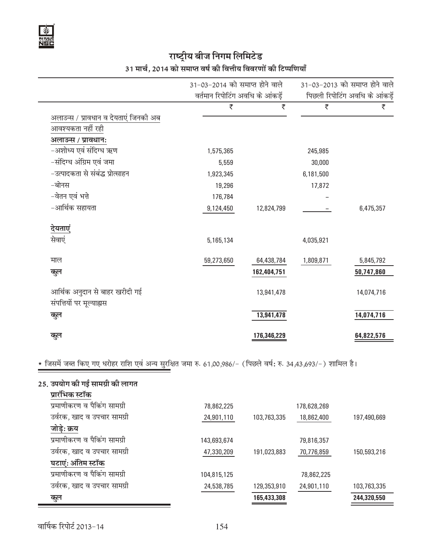# राष्ट्रीय बीज निगम लिमिटेड 31 मार्च, 2014 को समाप्त वर्ष की वित्तीय विवरणों की टिप्पणियाँ

|                                                            | 31-03-2014 को समाप्त होने वाले   |             |           | 31-03-2013 को समाप्त होने वाले |
|------------------------------------------------------------|----------------------------------|-------------|-----------|--------------------------------|
|                                                            | वर्तमान रिपोटिंग अवधि के आंकड़ें |             |           | पिछली रिपोटिंग अवधि के आंकड़ें |
|                                                            | ₹                                | ₹           | ₹         | ₹                              |
| अलाउन्स / प्रावधान व देयताएं जिनकी अब<br>आवश्यकता नहीं रही |                                  |             |           |                                |
| अलाउन्स / प्रावधान:                                        |                                  |             |           |                                |
| -अशोध्य एवं संदिग्ध ऋण                                     | 1,575,365                        |             | 245,985   |                                |
| -संदिग्ध अंग्रिम एवं जमा                                   | 5,559                            |             | 30,000    |                                |
| –उत्पादकता से संबंद्ध प्रोत्साहन                           | 1,923,345                        |             | 6,181,500 |                                |
| -बोनस                                                      | 19,296                           |             | 17,872    |                                |
| -वेतन एवं भत्ते                                            | 176,784                          |             |           |                                |
| -आर्थिक सहायता                                             | 9,124,450                        | 12,824,799  |           | 6,475,357                      |
| <u>देयताएं</u>                                             |                                  |             |           |                                |
| सेवाएं                                                     | 5,165,134                        |             | 4,035,921 |                                |
| माल                                                        | 59,273,650                       | 64,438,784  | 1,809,871 | 5,845,792                      |
| कुल                                                        |                                  | 162,404,751 |           | 50,747,860                     |
| आर्थिक अनुदान से बाहर खरीदी गई                             |                                  | 13,941,478  |           | 14,074,716                     |
| संपत्तियों पर मूल्याह्यस                                   |                                  |             |           |                                |
| कुल                                                        |                                  | 13,941,478  |           | 14,074,716                     |
|                                                            |                                  |             |           |                                |
| कुल                                                        |                                  | 176,346,229 |           | 64,822,576                     |

<u>\* जिसमें जब्त किए गए धरोहर राशि एवं अन्य सुरक्षित जमा रु. 61,00,986/− (पिछले वर्ष: रु. 34,43,693/−) शामिल है।</u>

| 25. उपयोग की गई सामग्री की लागत |             |             |             |             |
|---------------------------------|-------------|-------------|-------------|-------------|
| प्रारंभिक स्टॉक                 |             |             |             |             |
| प्रमाणीकरण व पैकिंग सामग्री     | 78,862,225  |             | 178,628,269 |             |
| उर्वरक, खाद व उपचार सामग्री     | 24,901,110  | 103,763,335 | 18,862,400  | 197,490,669 |
| जोड़े: क्रय                     |             |             |             |             |
| प्रमाणीकरण व पैकिंग सामग्री     | 143,693,674 |             | 79,816,357  |             |
| उर्वरक, खाद व उपचार सामग्री     | 47,330,209  | 191,023,883 | 70,776,859  | 150,593,216 |
| घटाएं: अंतिम स्टॉक              |             |             |             |             |
| प्रमाणीकरण व पैकिंग सामग्री     | 104,815,125 |             | 78,862,225  |             |
| उर्वरक, खाद व उपचार सामग्री     | 24,538,785  | 129,353,910 | 24,901,110  | 103,763,335 |
| कुल                             |             | 165,433,308 |             | 244,320,550 |
|                                 |             |             |             |             |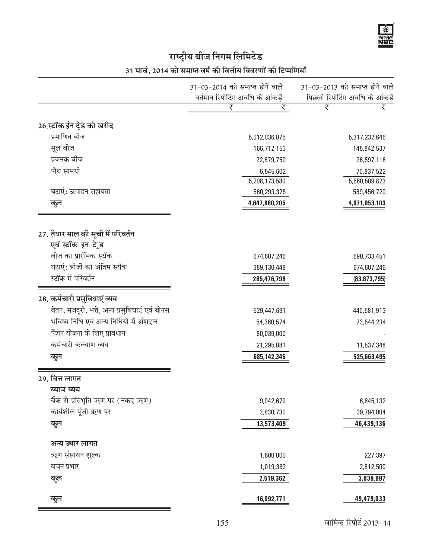|                                                                             | 31-03-2014 को समाप्त होने वाले            | 31-03-2013 को समाप्त होने वाले               |
|-----------------------------------------------------------------------------|-------------------------------------------|----------------------------------------------|
|                                                                             | वर्तमान रिपोटिंग अवधि के आंकड़ें          | पिछली रिपोटिंग अवधि के आंकड़ें               |
|                                                                             | ₹<br>₹                                    | ₹<br>₹                                       |
| 26.स्टॉक ईन ट्रेड की खरीद                                                   |                                           |                                              |
| प्रमाणित बीज                                                                | 5,012,036,075                             | 5,317,232,646                                |
| मूल बीज                                                                     | 166,712,153                               | 145,842,537                                  |
| प्रजनक बीज                                                                  | 22,879,750                                | 26,597,118                                   |
| पौध सामग्री                                                                 | 6,545,602                                 | 70,837,522                                   |
|                                                                             | 5,208,173,580                             | 5,560,509,823                                |
| घटाएं: उत्पादन सहायता                                                       | 560,293,375                               | 589,456,720                                  |
| कूल                                                                         | 4,647,880,205                             | 4,971,053,103                                |
| एवं स्टॉक-इन-टे ड                                                           |                                           |                                              |
| बीज का प्रारंभिक स्टॉक<br>घटाएं: बीजों का अंतिम स्टॉक<br>स्टॉक में परिवर्तन | 674,607,246<br>389,130,448<br>285,476,798 | 590,733,451<br>674,607,246<br>(83, 873, 795) |
| 28. कर्मचारी प्रसुविधाएं व्यय                                               |                                           |                                              |
| वेतन, मजदूरी, भत्ते, अन्य प्रसुविधाएं एवं बोनस                              | 529,447,691                               | 440,581,913                                  |
| भविष्य निधि एवं अन्य निधियों में अंशदान                                     | 54,360,574                                | 73,544,234                                   |
| पेंशन योजना के लिए प्रावधान                                                 | 80,039,000                                |                                              |
| कर्मचारी कल्याण व्यय                                                        | 21,295,081                                | 11,537,348                                   |

 $155$  वार्षिक रिपोर्ट 2013-14

# अन्य उधार लागत Ω.k lalkËku 'kqYd 1,500,000 227,397 ्<br>क्वा के प्रभार पर प्रशासक के बाद पर प्रशासक करने हैं। 1,019,362 वर्ष के 2,812,500 के 2,812,500 के 2,812,500 के **dqy** 2,519,362 3,039,897

ब्याज व्यय

| ×<br>w<br>I |  |
|-------------|--|
|             |  |
|             |  |
|             |  |

**dqy** 16,092,771 49,479,033

cSad ls izfrHkwfr Ω.k ij (udn Ω.k) 9,942,679 6,645,132 कार्यशील पूंजी ऋण पर इस समय कर से समय कर 3,630,730 अर्था 39,794,004 **dqy** 13,573,409 46,439,136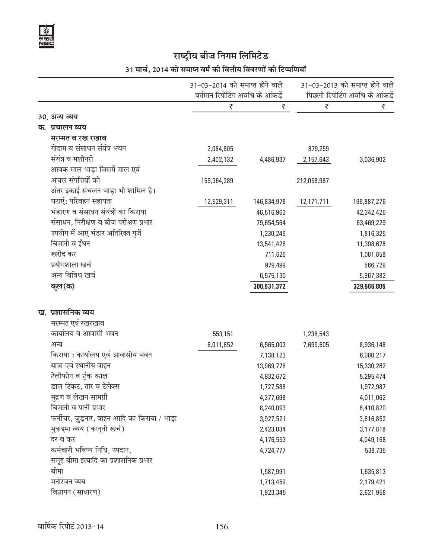# 31 मार्च, 2014 को समाप्त वर्ष की वित्तीय विवरणों की टिप्पणियाँ

|                                              | 31-03-2014 को समाप्त होने वाले<br>वर्तमान रिपोटिंग अवधि के आंकडें |             |             | 31-03-2013 को समाप्त होने वाले<br>पिछली रिपोटिंग अवधि के आंकड़ें |  |
|----------------------------------------------|-------------------------------------------------------------------|-------------|-------------|------------------------------------------------------------------|--|
|                                              | ₹                                                                 | ₹           | ₹           | ₹                                                                |  |
| 30. अन्य व्यय                                |                                                                   |             |             |                                                                  |  |
| क. प्रचालन व्यय                              |                                                                   |             |             |                                                                  |  |
| मरम्मत व रख रखाव                             |                                                                   |             |             |                                                                  |  |
| गोदाम व संसाधन संयंत्र भवन                   | 2,084,805                                                         |             | 879,259     |                                                                  |  |
| संयंत्र व मशीनरी                             | 2,402,132                                                         | 4,486,937   | 2,157,643   | 3,036,902                                                        |  |
| आवक माल भाड़ा जिसमें माल एवं                 |                                                                   |             |             |                                                                  |  |
| अचल संपत्तियों की                            | 159,364,289                                                       |             | 212,058,987 |                                                                  |  |
| अंतर इकाई संचलन भाड़ा भी शामिल है।           |                                                                   |             |             |                                                                  |  |
| घटाएं: परिवहन सहायता                         | 12,529,311                                                        | 146,834,978 | 12,171,711  | 199,887,276                                                      |  |
| भंडारण व संसाधन संयंत्रों का किराया          |                                                                   | 46,516,963  |             | 42,342,426                                                       |  |
| संसाधन, निरीक्षण व बीज परीक्षण प्रभार        |                                                                   | 79,654,564  |             | 63,469,229                                                       |  |
| उपयोग में आए भंडार अतिरिक्त पुर्जे           |                                                                   | 1,230,249   |             | 1,816,325                                                        |  |
| बिजली व ईंधन                                 |                                                                   | 13,541,426  |             | 11,398,678                                                       |  |
| खरीद कर                                      |                                                                   | 711,626     |             | 1,081,858                                                        |  |
| प्रयोगशाला खर्च                              |                                                                   | 979,499     |             | 566,729                                                          |  |
| अन्य विविध खर्च                              |                                                                   | 6,575,130   |             | 5,967,382                                                        |  |
| कुल(क)                                       |                                                                   | 300,531,372 |             | 329,566,805                                                      |  |
|                                              |                                                                   |             |             |                                                                  |  |
| ख. प्रशासनिक व्यय<br>मरम्मत एवं रखरखाव       |                                                                   |             |             |                                                                  |  |
| कार्यालय व आवासी भवन                         | 553,151                                                           |             | 1,236,543   |                                                                  |  |
| अन्य                                         | 6,011,852                                                         | 6,565,003   | 7,699,605   | 8,936,148                                                        |  |
| किराया : कार्यालय एवं आवासीय भवन             |                                                                   | 7,138,123   |             | 6,080,217                                                        |  |
| यात्रा एवं स्थानीय वाहन                      |                                                                   | 13,969,776  |             | 15,330,262                                                       |  |
| टेलीफोन व टुंक काल                           |                                                                   | 4,932,672   |             | 5,295,474                                                        |  |
| डाल टिकट, तार व टेलेक्स                      |                                                                   | 1,727,588   |             | 1,972,987                                                        |  |
| मुद्रण व लेखन सामग्री                        |                                                                   | 4,377,698   |             | 4,011,062                                                        |  |
| बिजली व पानी प्रभार                          |                                                                   | 8,240,093   |             | 6,410,820                                                        |  |
| फर्नीचर, जुड़नार, वाहन आदि का किराया / भाड़ा |                                                                   | 3,927,521   |             | 3,616,852                                                        |  |
| मुकद्दमा व्यय (कानूनी खर्च)                  |                                                                   | 2,423,034   |             | 3,177,818                                                        |  |
| दर व कर                                      |                                                                   | 4,176,553   |             | 4,049,168                                                        |  |
| कर्मचारी भविष्य निधि, उपदान,                 |                                                                   | 4,724,777   |             | 538,735                                                          |  |
| समूह बीमा इत्यादि का प्रशासनिक प्रभार        |                                                                   |             |             |                                                                  |  |
| बीमा                                         |                                                                   | 1,587,991   |             | 1,635,813                                                        |  |
| मनोरंजन व्यय                                 |                                                                   | 1,713,459   |             | 2,179,421                                                        |  |
| विज्ञापन (साधारण)                            |                                                                   | 1,923,345   |             | 2,621,958                                                        |  |
|                                              |                                                                   |             |             |                                                                  |  |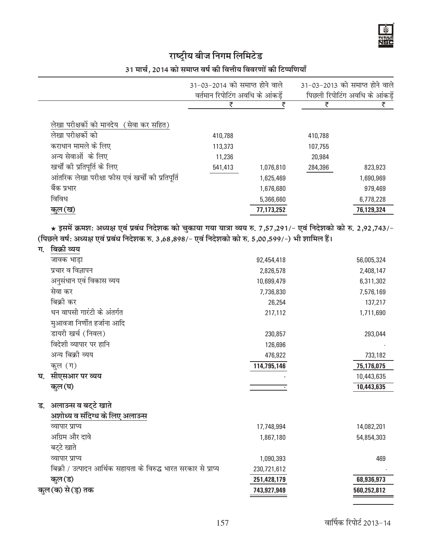# 31 मार्च, 2014 को समाप्त वर्ष की वित्तीय विवरणों की टिप्पणियाँ

|                                                   | 31-03-2014 को समाप्त होने वाले<br>वर्तमान रिपोटिंग अवधि के आंकड़ें |            |         | 31-03-2013 को समाप्त होने वाले<br>पिछली रिपोटिंग अवधि के आंकड़ें |
|---------------------------------------------------|--------------------------------------------------------------------|------------|---------|------------------------------------------------------------------|
|                                                   |                                                                    |            | ₹       | ₹                                                                |
| लेखा परीक्षकों को मानदेय (सेवा कर सहित)           |                                                                    |            |         |                                                                  |
| लेखा परीक्षकों को                                 | 410,788                                                            |            | 410,788 |                                                                  |
| कराधान मामले के लिए                               | 113,373                                                            |            | 107,755 |                                                                  |
| अन्य सेवाओं के लिए                                | 11,236                                                             |            | 20,984  |                                                                  |
| खर्चों की प्रतिपूर्ति के लिए                      | 541,413                                                            | 1,076,810  | 284,396 | 823,923                                                          |
| आंतरिक लेखा परीक्षा फीस एवं खर्चों की प्रतिपूर्ति |                                                                    | 1,625,469  |         | 1,690,969                                                        |
| बैंक प्रभार                                       |                                                                    | 1,676,680  |         | 979,469                                                          |
| विविध                                             |                                                                    | 5,366,660  |         | 6,778,228                                                        |
| <u>कुल</u> (ख)                                    |                                                                    | 77,173,252 |         | 76,129,324                                                       |

★ इसमें क्रमश: अध्यक्ष एवं प्रबंध निदेशक को चुकाया गया यात्रा व्यय रु. 7,57,291/- एवं निदेशको को रु. 2,92,743/-(पिछले वर्ष: अध्यक्ष एवं प्रबंध निदेशक रु. 3,68,898/- एवं निदेशको को रु. 5,00,599/-) भी शामिल हैं।

| ग. | बिक्रो व्यय                                                     |             |             |
|----|-----------------------------------------------------------------|-------------|-------------|
|    | जावक भाड़ा                                                      | 92,454,418  | 56,005,324  |
|    | प्रचार व विज्ञापन                                               | 2,826,578   | 2,408,147   |
|    | अनुसंधान एवं विकास व्यय                                         | 10,699,479  | 6,311,302   |
|    | सेवा कर                                                         | 7,736,830   | 7,576,169   |
|    | बिक्री कर                                                       | 26,254      | 137,217     |
|    | धन वापसी गारंटी के अंतर्गत                                      | 217,112     | 1,711,690   |
|    | मुआवजा निर्णीत हर्जाना आदि                                      |             |             |
|    | डायरी खर्च (निवल)                                               | 230,857     | 293,044     |
|    | विदेशी व्यापार पर हानि                                          | 126,696     |             |
|    | अन्य बिक्री व्यय                                                | 476,922     | 733,182     |
|    | कृल (ग)                                                         | 114,795,146 | 75,176,075  |
| घ. | सीएसआर पर व्यय                                                  |             | 10,443,635  |
|    | कुल (घ)                                                         |             | 10,443,635  |
|    |                                                                 |             |             |
| ड. | अलाउन्स व बट्टे खाते                                            |             |             |
|    | अशोध्य व संदिग्ध के लिए अलाउन्स                                 |             |             |
|    | व्यापार प्राप्य                                                 | 17,748,994  | 14,082,201  |
|    | अग्रिम और दावे                                                  | 1,867,180   | 54,854,303  |
|    | बट्टे खाते                                                      |             |             |
|    | व्यापार प्राप्य                                                 | 1,090,393   | 469         |
|    | बिक्री / उत्पादन आर्थिक सहायता के विरुद्ध भारत सरकार से प्राप्य | 230,721,612 |             |
|    | कुल (ड)                                                         | 251,428,179 | 68,936,973  |
|    | कल (क) से (ड़) तक                                               | 743,927,949 | 560,252,812 |
|    |                                                                 |             |             |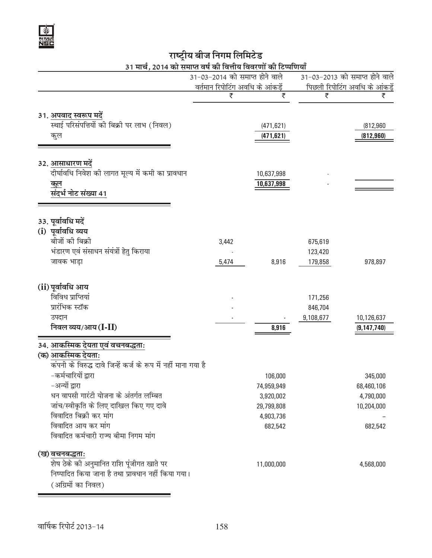

# राष्ट्रीय बीज निगम लिमिटेड<br>11 मार्च, 2014 को समाप्त वर्ष की वित्तीय विवरणों की टिप्पणियाँ

|                                                                                   | 31-03-2014 को समाप्त होने वाले          |                      |           | 31-03-2013 को समाप्त होने वाले       |
|-----------------------------------------------------------------------------------|-----------------------------------------|----------------------|-----------|--------------------------------------|
|                                                                                   | <u>वर्तमान रिपोटिंग अवधि के आंकड़ें</u> |                      |           | <u>पिछली रिपोटिंग अवधि के आंकड़े</u> |
|                                                                                   | ₹                                       | ₹                    | ₹         | ₹                                    |
| 31. अपवाद स्वरूप मदें                                                             |                                         |                      |           |                                      |
| स्थाई परिसंपत्तियों की बिक्री पर लाभ (निवल)                                       |                                         | (471, 621)           |           | (812,960)                            |
| कुल                                                                               |                                         | (471, 621)           |           | (812, 960)                           |
|                                                                                   |                                         |                      |           |                                      |
| 32. आसाधारण मदें                                                                  |                                         |                      |           |                                      |
| दीर्घावधि निवेश की लागत मूल्य में कमी का प्रावधान                                 |                                         | 10,637,998           |           |                                      |
| कूल                                                                               |                                         | 10,637,998           |           |                                      |
| संदर्भ नोट संख्या 41                                                              |                                         |                      |           |                                      |
|                                                                                   |                                         |                      |           |                                      |
| 33. पूर्वावधि मदें                                                                |                                         |                      |           |                                      |
| (i) पूर्वावधि व्यय                                                                |                                         |                      |           |                                      |
| बीजों की बिक्री                                                                   | 3,442                                   |                      | 675,619   |                                      |
| भंडारण एवं संसाधन संयंत्रों हेतु किराया                                           |                                         |                      | 123,420   |                                      |
| जावक भाड़ा                                                                        | 5,474                                   | 8,916                | 179,858   | 978,897                              |
| (ii) पूर्वावधि आय                                                                 |                                         |                      |           |                                      |
| विविध प्राप्तियां                                                                 |                                         |                      | 171,256   |                                      |
| प्रारंभिक स्टॉक                                                                   |                                         |                      | 846,704   |                                      |
| उपदान                                                                             |                                         |                      | 9,108,677 | 10,126,637                           |
| निवल व्यय/आय (I-II)                                                               |                                         | 8,916                |           | (9, 147, 740)                        |
| 34. आकस्मिक देयता एवं वचनबद्धताः                                                  |                                         |                      |           |                                      |
| (क) आकस्मिक देयता:                                                                |                                         |                      |           |                                      |
| कंपनी के विरुद्ध दावे जिन्हें कर्ज के रूप में नहीं माना गया है                    |                                         |                      |           |                                      |
| -कर्मचारियों द्वारा                                                               |                                         | 106,000              |           | 345,000                              |
| अन्यों द्वारा                                                                     |                                         | 74,959,949           |           | 68,460,106                           |
| धन वापसी गारंटी योजना के अंतर्गत लम्बित<br>जांच/स्वीकृति के लिए दाखिल किए गए दावे |                                         | 3,920,002            |           | 4,790,000                            |
| विवादित बिक्री कर मांग                                                            |                                         | 29,799,808           |           | 10,204,000                           |
| विवादित आय कर मांग                                                                |                                         | 4,903,736<br>682,542 |           | 682,542                              |
| विवादित कर्मचारी राज्य बीमा निगम मांग                                             |                                         |                      |           |                                      |
| (ख) वचनबद्धताः                                                                    |                                         |                      |           |                                      |
| शेष ठेके की अनुमानित राशि पूंजीगत खाते पर                                         |                                         | 11,000,000           |           | 4,568,000                            |
| निष्पादित किया जाना है तथा प्रावधान नहीं किया गया।                                |                                         |                      |           |                                      |
| (अग्रिमों का निवल)                                                                |                                         |                      |           |                                      |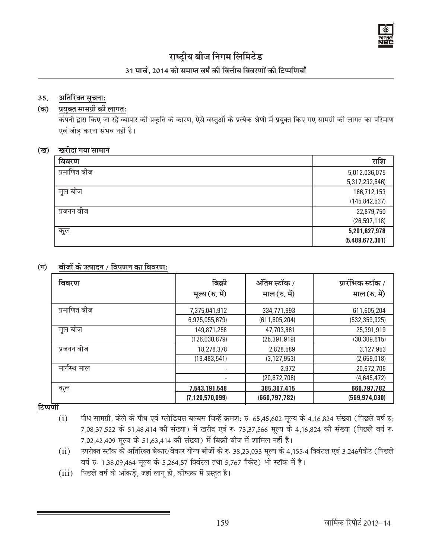

## 31 मार्च. 2014 को समाप्त वर्ष की वित्तीय विवरणों की टिप्पणियाँ

### **35.** अतिरिक्त सूचना:

### (क) प्रयक्त सामग्री की लागत:

कंपनी द्वारा किए जा रहे व्यापार की प्रकृति के कारण, ऐसे वस्तुओं के प्रत्येक श्रेणी में प्रयुक्त किए गए सामग्री की लागत का परिमाण एवं जोड़ करना संभव नहीं है।

#### (ख) खरीदा गया सामान

| विवरण        | राशि            |
|--------------|-----------------|
| प्रमाणित बीज | 5,012,036,075   |
|              | 5,317,232,646)  |
| मूल बीज      | 166,712,153     |
|              | (145, 842, 537) |
| प्रजनन बीज   | 22,879,750      |
|              | (26, 597, 118)  |
| कुल          | 5,201,627,978   |
|              | (5,489,672,301) |

### (ग) बीजों के उत्पादन / विपणन का विवरण:

| विवरण        | बिक्री<br>मूल्य (रु. में) | ऑतिम स्टॉक /<br>माल (रु. में) | प्रारंभिक स्टॉक /<br>माल (रु. में) |
|--------------|---------------------------|-------------------------------|------------------------------------|
| प्रमाणित बीज | 7,375,041,912             | 334,771,993                   | 611,605,204                        |
|              | 6,975,055,679)            | (611, 605, 204)               | (532, 359, 925)                    |
| मूल बीज      | 149,871,258               | 47,703,861                    | 25,391,919                         |
|              | (126,030,879)             | (25, 391, 919)                | (30, 309, 615)                     |
| प्रजनन बीज   | 18,278,378                | 2,828,589                     | 3,127,953                          |
|              | (19, 483, 541)            | (3, 127, 953)                 | (2,659,018)                        |
| मार्गस्थ माल |                           | 2,972                         | 20,672,706                         |
|              | ٠                         | (20, 672, 706)                | (4,645,472)                        |
| कुल          | 7,543,191,548             | 385,307,415                   | 660,797,782                        |
|              | (7, 120, 570, 099)        | (660, 797, 782)               | (569, 974, 030)                    |

<u>टिप्पर्णी</u>

- $(i)$  पौध सामग्री, केले के पौध एवं ग्लोडियस बल्बस जिन्हें क्रमश: रु. 65,45,602 मूल्य के 4,16,824 संख्या (पिछले वर्ष रु; 7,08,37,522 के 51,48,414 की संख्या) में खरीद एवं रु. 73,37,566 मूल्य के 4,16,824 की संख्या (पिछले वर्ष रु. 7,02,42,409 मूल्य के 51,63,414 की संख्या) में बिक्री बीज में शामिल नहीं है।
- $(ii)$  उपरोक्त स्टॉक के अतिरिक्त बेकार/बेकार योग्य बीजों के रु. 38,23,033 मूल्य के 4,155.4 क्विंटल एवं 3,246पैकेट (पिछले वर्ष रु. 1,38,09,464 मूल्य के 5,264,57 क्विंटल तथा 5,767 पैकेट) भी स्टॉक में है।
- $(iii)$  पिछले वर्ष के आंकड़े, जहां लागू हो, कोष्ठक में प्रस्तुत है।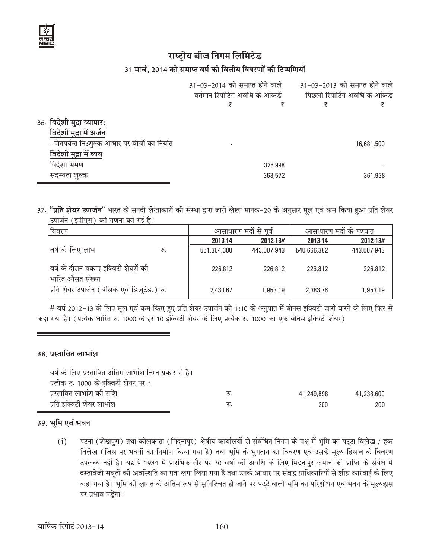#### 31 मार्च, 2014 को समाप्त वर्ष की वित्तीय विवरणों की टिप्पणियाँ

|                                               | 31-03-2014 को समाप्त होने वाले   |         | 31-03-2013 को समाप्त होने वाले |            |
|-----------------------------------------------|----------------------------------|---------|--------------------------------|------------|
|                                               | वर्तमान रिपोटिंग अवधि के आंकड़ें |         | पिछली रिपोटिंग अवधि के आंकड़ें |            |
|                                               |                                  |         |                                |            |
| 36. विदेशी मुद्रा व्यापार:                    |                                  |         |                                |            |
| विदेशी मुद्रा में अर्जन                       |                                  |         |                                |            |
| -पोतपर्यन्त नि:शुल्क आधार पर बीजों का निर्यात |                                  |         |                                | 16,681,500 |
| विदेशी मुद्रा में व्यय                        |                                  |         |                                |            |
| विदेशी भ्रमण                                  |                                  | 328,998 |                                |            |
| सदस्यता शुल्क                                 |                                  | 363,572 |                                | 361,938    |

37. "**प्रति शेयर उपार्जन**" भारत के सनदी लेखाकारों की संस्था द्वारा जारी लेखा मानक-20 के अनुसार मूल एवं कम किया हुआ प्रति शेयर उपार्जन (इपीएस) की गणना की गई है।

| । विवरण                                                   |     | आसाधारण मदों से पूर्व |             | आसाधारण मदों के पश्चात |             |
|-----------------------------------------------------------|-----|-----------------------|-------------|------------------------|-------------|
|                                                           |     | 2013-14               | 2012-13#    | 2013-14                | 2012-13#    |
| वर्ष के लिए लाभ                                           | रु. | 551,304,380           | 443,007,943 | 540,666,382            | 443,007,943 |
| वर्ष के दौरान बकाए इक्विटी शेयरों की<br> भारित औसत संख्या |     | 226,812               | 226,812     | 226,812                | 226,812     |
| प्रिति शेयर उपार्जन (बेसिक एवं डिलूटेड.) रु.              |     | 2,430.67              | 1,953.19    | 2,383.76               | 1,953.19    |

# वर्ष 2012-13 के लिए मूल एवं कम किए हुए प्रति शेयर उपार्जन को 1:10 के अनुपात में बोनस इक्विटी जारी करने के लिए फिर से कहा गया है। (प्रत्येक धारित रु. 1000 के हर 10 इक्विटी शेयर के लिए प्रत्येक रु. 1000 का एक बोनस इक्विटी शेयर)

### 38. प्रस्तावित लाभांश

| वर्ष के लिए प्रस्तावित अंतिम लाभांश निम्न प्रकार से है। |     |            |            |
|---------------------------------------------------------|-----|------------|------------|
| प्रत्येक रु. 1000 के इक्विटी शेयर पर :                  |     |            |            |
| प्रस्तावित लाभांश की राशि                               | ৼ৸. | 41,249,898 | 41,238,600 |
| प्रति इक्विटी शेयर लाभांश                               | रु. | 200        | 200        |

### 39. भूमि एवं भवन

पटना (शेखपुरा) तथा कोलकाता (मिदनापुर) क्षेत्रीय कार्यालयों से संबंधित निगम के पक्ष में भूमि का पट्टा विलेख / हक  $(i)$ विलेख (जिस पर भवनों का निर्माण किया गया है) तथा भूमि के भुगतान का विवरण एवं उसके मूल्य हिसाब के विवरण उपलब्ध नहीं है। यद्यपि 1984 में प्रारंभिक तौर पर 30 वर्षो की अवधि के लिए मिदनापुर जमीन की प्राप्ति के संबंध में दस्तावेजी सबूतों की अवस्थिति का पता लगा लिया गया है तथा उनके आधार पर संबद्ध प्राधिकारियों से शीघ्र कार्रवाई के लिए कहा गया है। भूमि की लागत के अंतिम रूप से सुनिश्चित हो जाने पर पट्टे वाली भूमि का परिशोधन एवं भवन के मूल्यह्रास पर प्रभाव पडेगा।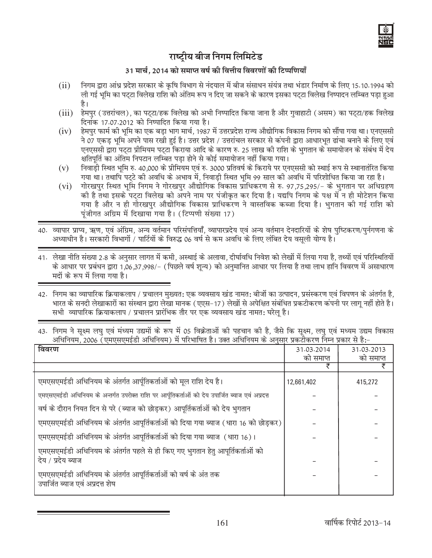

## 31 मार्च. 2014 को समाप्त वर्ष की वित्तीय विवरणों की टिप्पणियाँ

- निगम द्वारा आंध्र प्रदेश सरकार के कृषि विभाग से नंदयाल में बीज संसाधन संयंत्र तथा भंडार निर्माण के लिए 15.10.1994 को  $(ii)$ ली गई भूमि का पट्टा विलेख राशि को अंतिम रूप न दिए जा सकने के कारण इसका पट्टा विलेख निष्पादन लम्बित पड़ा हुआ है।
- (iii) हेमपुर (उत्तरांचल), का पट्टा/हक विलेख को अभी निष्पादित किया जाना है और गुवाहाटी (असम) का पट्टा/हक विलेख दिनांक 17.07.2012 को निष्पादित किया गया है।
- हेमपुर फार्म की भूमि का एक बड़ा भाग मार्च, 1987 में उत्तरप्रदेश राज्य औद्योगिक विकास निगम को सौंपा गया था। एनएससी  $(iv)$ ने 07 एकड़ भूमि अपने पास रखी हुई है। उत्तर प्रदेश / उत्तरांचल सरकार से कंपनी द्वारा आधारभूत ढांचा बनाने के लिए एवं एनएससी द्वारा पट्टा प्रीमियम पट्टा किराया आदि के कारण रु. 25 लाख की राशि के भुगतान के समायोजन के संबंध में देय क्षतिपूर्ति का अंतिम निपटान लम्बित पड़ा होने से कोई समायोजन नहीं किया गया।
- निवाड़ी स्थित भूमि रु. 40,000 के प्रीमियम एवं रु. 3000 प्रतिवर्ष के किराये पर एनएससी को स्थाई रूप से स्थानातंरित किया  $(v)$ गया था। तथापि पट्टे की अवधि के अभाव में, निवाड़ी स्थित भूमि 99 साल की अवधि में परिशोधित किया जा रहा है।
- $(vi)$ गोरखपुर स्थित भूमि निगम ने गोरखपुर औद्योगिक विकास प्राधिकरण से रु. 97,75,295/- के भुगतान पर अधिग्रहण को है तथा इसके पट्टा विलेख को अपने नाम पर पंजीकृत कर दिया है। यद्यपि निगम के पक्ष में न ही मोटेशन किया गया है और न ही गोरखपुर औद्योगिक विकास प्राधिकरण ने वास्तविक कब्जा दिया है। भुगतान की गई राशि को पंजीगत अग्रिम में दिखाया गया है। (टिप्पणी संख्या 17)
- 40. व्यापार प्राप्य, ऋण, एवं अंग्रिम, अन्य वर्तमान परिसंपत्तियाँ, व्यापारप्रदेय एवं अन्य वर्तमान देनदारियों के शेष पुष्टिकरण/पुर्नगणना के अध्याधीन है। सरकारी विभागों / पार्टियों के विरुद्ध 06 वर्ष से कम अवधि के लिए लंबित देय वसूली योग्य है।
- 41. लेखा नीति संख्या 2.8 के अनुसार लागत में कमी, अस्थाई के अलावा, दीर्घावधि निवेश को लेखों में लिया गया है, तथ्यों एवं परिस्थितियों के आधार पर प्रबंधन द्वारा 1,06,37,998/- (पिछले वर्ष शून्य) को अनुमानित आधार पर लिया है तथा लाभ हानि विवरण में असाधारण मदों के रूप में लिया गया है।

<sup>42.</sup> निगम का व्यापारिक क्रियाकलाप / प्रचालन मुख्यत: एक व्यवसाय खंड नामत: बीजों का उत्पादन, प्रसंस्करण एवं विपणन के अंतर्गत है, भारत के सनदी लेखाकारों का संस्थान द्वारा लेखा मानक (एएस-17) लेखों से अपेक्षित संबंधित प्रकटीकरण कंपनी पर लागू नहीं होते है। सभी व्यापारिक क्रियाकलाप / प्रचालन प्रारंभिक तौर पर एक व्यवसाय खंड नामत: घरेलू है।

| <b>PERIODICAL LITTLE AND LITTLE IN THE LIFTLE DECISION OF A LITTLE IT (THE LIFTLE ICAL AND LITTLE IN THE LIFTLE I</b> |            |            |
|-----------------------------------------------------------------------------------------------------------------------|------------|------------|
| विवरण                                                                                                                 | 31.03.2014 | 31.03.2013 |
|                                                                                                                       | को समाप्त  | को समाप्त  |
|                                                                                                                       |            |            |
| एमएसएमईडी अधिनियम के अंतर्गत आर्पूतिकर्ताओं को मूल राशि देय है।                                                       | 12,661,402 | 415,272    |
| एमएसएमईडी अधिनियम के अन्तर्गत उपरोक्त राशि पर आर्पूतिकर्ताओं को देय उपार्जित ब्याज एवं अप्रदत्त                       |            |            |
| वर्ष के दौरान नियत दिन से परे (ब्याज को छोड़कर) आपूर्तिकर्ताओं को देय भुगतान                                          |            |            |
| एमएसएमईडी अधिनियम के अंतर्गत आपूर्तिकर्ताओं को दिया गया ब्याज (धारा 16 को छोड़कर)                                     |            |            |
| एमएसएमईडी अधिनियम के अंतर्गत आपूर्तिकर्ताओं को दिया गया ब्याज (धारा 16)।                                              |            |            |
| एमएसएमईडी अधिनियम के अंतर्गत पहले से ही किए गए भुगतान हेतु आपूर्तिकर्ताओं को<br>देय / प्रदेय ब्याज                    |            |            |
| एमएसएमईडी अधिनियम के अंतर्गत आपूर्तिकर्ताओं को वर्ष के अंत तक<br>उपार्जित ब्याज एवं अप्रदत्त शेष                      |            |            |

43. निगम ने सूक्ष्म लघु एवं मंध्यम उद्यमों के रूप में 05 विक्रेताओं की पहचान की है, जैसे कि सूक्ष्म, लघु एवं मध्यम उद्यम विकास ਆਂ ਵਿੱਚ 1906 (ਸੰਸਾਬਗਾਸਤੰਟੀ ਅੰਬਰਿਆ) ਮੈਂ ਸਥਿਆਰਿਕ ਵੈ। ਤਰਕ ਅੰਬਰਿਆ ਨੇ ਅਰਧਾਰ ਸਨ ਮੈਨਰੰਗ ਕਿਸ਼ ਸਨਾਰ ਸੇ ਵੈ:-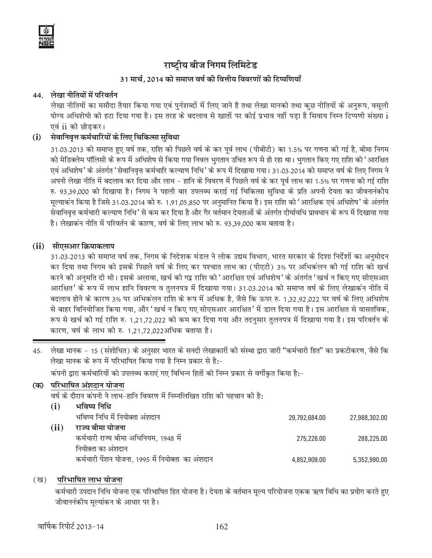

### 31 मार्च. 2014 को समाप्त वर्ष की वित्तीय विवरणों की टिप्पणियाँ

### 44 लेखा नीतियों में परिवर्तन

लेखा नीतियों का मसौदा तैयार किया गया एवं पुर्नशब्दों में लिए जाने है तथा लेखा मानको तथा कुछ नीतियों के अनुरूप, वसुली योग्य अधिशेषो को हटा दिया गया है। इस तरह के बदलाव से खातों पर कोई प्रभाव नहीं पडा है सिवाय निम्न टिप्पणी संख्या i एवं ii को छोडकर।

#### सेवानिवृत्त कर्मचारियों के लिए चिकित्सा सुविधा  $(i)$

31.03.2013 को समाप्त हुए वर्ष तक, राशि को पिछले वर्ष के कर पूर्व लाभ (पीबीटी) का 1.5% पर गणना की गई है, बीमा निगम को मेडिक्लेम पॉलिसी के रूप में अधिशेष से किया गया निवल भुगतान उचित रूप से हो रहा था। भुगतान किए गए राशि को 'आरक्षित एवं अधिशेष' के अंतर्गत 'सेवानिवृत्त कर्मचारि कल्याण निधि' के रूप में दिखाया गया। 31.03.2014 को समाप्त वर्ष के लिए निगम ने अपनी लेखा नीति में बदलाव कर दिया और लाभ – हानि के विवरण में पिछले वर्ष के कर पूर्व लाभ का 1.5% पर गणना की गई राशि रु. 93,39,000 को दिखाया है। निगम ने पहली बार उपलब्ध कराई गई चिकित्सा सुविधा के प्रति अपनी देयता का जीवनानंकीय मूल्याकन किया है जिसे 31.03.2014 को रु. 1,91,05,850 पर अनुमानित किया है। इस राशि को 'आरक्षिक एवं अधिशेष' के अंतर्गत सेवानिवृत्त कर्मचारी कल्याण निधि' से कम कर दिया है और गैर वर्तमान देयताओं के अंतर्गत दीर्घावधि प्रावधान के रूप में दिखाया गया है। लेखाकन नीति में परिवर्तन के कारण, वर्ष के लिए लाभ को रु. 93.39.000 कम बताया है।

### (ii) सीएसआर क्रियाकलाप

31.03.2013 को समाप्त वर्ष तक, निगम के निदेशक मंडल ने लोक उद्यम विभाग, भारत सरकार के दिशा निर्देशों का अनुमोदन कर दिया तथा निगम को इसके पिछले वर्ष के लिए कर पश्चात लाभ का (पीएटी) 3% पर अभिकंलन की गई राशि को खर्च करने की अनुमति दी थी। इसके अलावा, खर्च की गइ राशि को 'आरक्षित एवं अधिशेष' के अंतर्गत 'खर्च न किए गए सीएसआर आरक्षित' के रूप में लाभ हानि विवरण व तुलनपत्र में दिखाया गया। 31.03.2014 को समाप्त वर्ष के लिए लेखाकन नीति में बदलाव होने के कारण 3% पर अभिकंलन राशि के रूप में अधिक है, जैसे कि ऊपर रु. 1,32,92,022 पर वर्ष के लिए अधिशेष से बाहर विनियोजित किया गया, और 'खर्च न किए गए सीएसआर आरक्षित' में डाल दिया गया है। इस आरक्षित से वासतविक, रूप से खर्च की गई राशि रु. 1,21,72,022 को कम कर दिया गया और तदनुसार तुलनपत्र में दिखाया गया है। इस परिवर्तन के कारण, वर्ष के लाभ को रु. 1.21.72.022अधिक बताया है।

45. लेखा मानक - 15 (संशोधित) के अनुसार भारत के सनदी लेखाकारों की संस्था द्वारा जारी "कर्मचारी हित" का प्रकटीकरण, जैसे कि लेखा मानक के रूप में परिभाषित किया गया है निम्न प्रकार से है:-

कंपनी द्वारा कर्मचारियों को उपलब्ध कराएं गए विभिन्न हितों को निम्न प्रकार से वर्गीकृत किया है:-

#### परिभाषित अंशदान योजना (क)

वर्ष के दौरान कंपनी ने लाभ-हानि विवरण में निम्नलिखित राशि की पहचान की है:

|            | भविष्य निधि                                       |               |               |
|------------|---------------------------------------------------|---------------|---------------|
|            | भविष्य निधि में नियोक्ता अंशदान                   | 29,792,684.00 | 27,988,302.00 |
| $\bf (ii)$ | राज्य बीमा योजना                                  |               |               |
|            | कर्मचारी राज्य बीमा अधिनियम, 1948 में             | 275,226.00    | 288,225.00    |
|            | नियोक्ता का अंशदान                                |               |               |
|            | कर्मचारी पेंशन योजना, 1995 में नियोक्ता का अंशदान | 4,852,909.00  | 5,352,990.00  |

#### परिभाषित लाभ योजना  $(\overline{g})$

कर्मचारी उपदान निधि योजना एक परिभाषित हित योजना है। देयता के वर्तमान मूल्य परियोजना एकक ऋण विधि का प्रयोग करते हुए जीवाननंकीय मूल्यांकन के आधार पर है।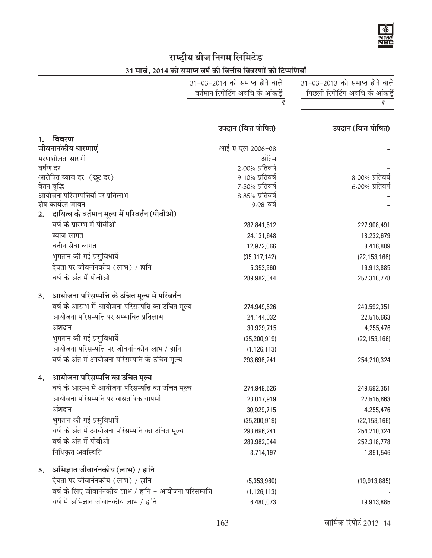# राष्ट्रीय बीज निगम लिमि<mark>टेड</mark>

31 मार्च, 2014 को समाप्त वर्ष की वित्तीय विवरणों की टिप्पणियाँ

|    |                                                        | 31-03-2014 को समाप्त होने वाले   | 31-03-2013 को समाप्त होने वाले |
|----|--------------------------------------------------------|----------------------------------|--------------------------------|
|    |                                                        | वर्तमान रिपोटिंग अवधि के आंकड़ें | पिछली रिपोटिंग अवधि के आंकड़ें |
|    |                                                        | ₹                                | ₹                              |
|    |                                                        | उपदान (वित्त पोषित)              | उपदान (वित्त पोषित)            |
| 1. | विवरण                                                  |                                  |                                |
|    | जीवनानंकीय धारणाएं                                     | आई ए एल 2006-08                  |                                |
|    | मरणशीलता सारणी                                         | अंतिम                            |                                |
|    | घर्षण दर                                               | 2.00% प्रतिवर्ष                  |                                |
|    | आरोपित ब्याज दर (छूट दर)                               | 9.10% प्रतिवर्ष                  | 8.00% प्रतिवर्ष                |
|    | वेतन वृद्धि                                            | 7.50% प्रतिवर्ष                  | 6.00% प्रतिवर्ष                |
|    | आयोजना परिसम्पत्तियों पर प्रतिलाभ<br>शेष कार्यरत जीवन  | 8.85% प्रतिवर्ष<br>9.98 वर्ष     |                                |
|    | 2. दायित्व के वर्तमान मूल्य में परिवर्तन (पीवीओ)       |                                  |                                |
|    | वर्ष के प्रारम्भ में पीवीओ                             | 282,841,512                      | 227,908,491                    |
|    | ब्याज लागत                                             | 24,131,648                       | 18,232,679                     |
|    | वर्तान सेवा लागत                                       | 12,972,066                       | 8,416,889                      |
|    | भुगतान की गई प्रसुविधायें                              | (35, 317, 142)                   | (22, 153, 166)                 |
|    | देयता पर जीवनांनकीय (लाभ) / हानि                       | 5,353,960                        | 19,913,885                     |
|    | वर्ष के अंत में पीवीओ                                  | 289,982,044                      | 252,318,778                    |
| 3. | आयोजना परिसम्पत्ति के उचित मूल्य में परिवर्तन          |                                  |                                |
|    | वर्ष के आरम्भ में आयोजना परिसम्पत्ति का उचित मूल्य     | 274,949,526                      | 249,592,351                    |
|    | आयोजना परिसम्पत्ति पर सम्भावित प्रतिलाभ                | 24,144,032                       | 22,515,663                     |
|    | अंशदान                                                 | 30,929,715                       | 4,255,476                      |
|    | भुगतान की गई प्रसुविधायें                              | (35, 200, 919)                   | (22, 153, 166)                 |
|    | आयोजना परिसम्पत्ति पर जीवनांनकीय लाभ / हानि            | (1, 126, 113)                    |                                |
|    | वर्ष के अंत में आयोजना परिसम्पत्ति के उचित मूल्य       | 293,696,241                      | 254,210,324                    |
| 4. | आयोजना परिसम्पत्ति का उचित मूल्य                       |                                  |                                |
|    | वर्ष के आरम्भ में आयोजना परिसम्पत्ति का उचित मूल्य     | 274,949,526                      | 249,592,351                    |
|    | आयोजना परिसम्पत्ति पर वासतविक वापसी                    | 23,017,919                       | 22,515,663                     |
|    | अंशदान                                                 | 30,929,715                       | 4,255,476                      |
|    | भुगतान की गई प्रसुविधायें                              | (35, 200, 919)                   | (22, 153, 166)                 |
|    | वर्ष के अंत में आयोजना परिसम्पत्ति का उचित मूल्य       | 293,696,241                      | 254,210,324                    |
|    | वर्ष के अंत में पीवीओ                                  | 289,982,044                      | 252,318,778                    |
|    | निधिकृत अवस्थिति                                       | 3,714,197                        | 1,891,546                      |
| 5. | अभिज्ञात जीवानंनकीय (लाभ) / हानि                       |                                  |                                |
|    | देयता पर जीवानंनकीय (लाभ) / हानि                       | (5,353,960)                      | (19,913,885)                   |
|    | वर्ष के लिए जीवानंनकीय लाभ / हानि - आयोजना परिसम्पत्ति | (1, 126, 113)                    |                                |
|    | वर्ष में अभिज्ञात जीवानंकीय लाभ / हानि                 | 6,480,073                        | 19,913,885                     |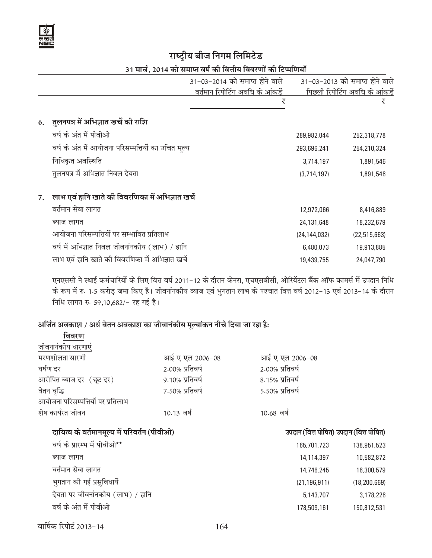

# 31 मार्च, 2014 को समाप्त वर्ष की वित्तीय विवरणों की टिप्पणियाँ

|    |                                                     | 31-03-2014 को समाप्त होने वाले  |                | 31-03-2013 को समाप्त होने वाले |
|----|-----------------------------------------------------|---------------------------------|----------------|--------------------------------|
|    |                                                     | वर्तमान रिपोटिंग अवधि के आंकडें |                | पिछली रिपोटिंग अवधि के आंकडें  |
|    |                                                     | ₹                               |                | ₹                              |
|    | 6. तुलनपत्र में अभिज्ञात खर्चे की राशि              |                                 |                |                                |
|    | वर्ष के अंत में पीवीओ                               |                                 | 289,982,044    | 252,318,778                    |
|    | वर्ष के अंत में आयोजना परिसम्पत्तियों का उचित मूल्य |                                 | 293,696,241    | 254,210,324                    |
|    | निधिकृत अवस्थिति                                    |                                 | 3,714,197      | 1,891,546                      |
|    | तुलनपत्र में अभिज्ञात निवल देयता                    |                                 | (3,714,197)    | 1,891,546                      |
| 7. | लाभ एवं हानि खाते की विवरणिका में अभिज्ञात खर्चे    |                                 |                |                                |
|    | वर्तमान सेवा लागत                                   |                                 | 12,972,066     | 8,416,889                      |
|    | ब्याज लागत                                          |                                 | 24,131,648     | 18,232,679                     |
|    | आयोजना परिसम्पत्तियों पर सम्भावित प्रतिलाभ          |                                 | (24, 144, 032) | (22, 515, 663)                 |
|    | वर्ष में अभिज्ञात निवल जीवनांनकीय (लाभ) / हानि      |                                 | 6,480,073      | 19,913,885                     |
|    | लाभ एवं हानि खाते की विवरणिका में अभिज्ञात खर्चे    |                                 | 19,439,755     | 24,047,790                     |

एनएससी ने स्थाई कर्मचारियों के लिए वित्त वर्ष 2011-12 के दौरान केनरा, एचएसबीसी, ओरियेंटल बैंक ऑफ कामर्स में उपदान निधि के रूप में रु. 1.5 करोड़ जमा किए है। जीवनांनकीय ब्याज एवं भुगतान लाभ के पश्चात वित्त वर्ष 2012–13 एवं 2013–14 के दौरान निधि लागत रु. 59,10,682/- रह गई है।

# अर्जित अवकाश / अर्ध वेतन अवकाश का जीवानंकीय मूल्यांकन नीचे दिया जा रहा है:

| विवरण                             |                 |                 |
|-----------------------------------|-----------------|-----------------|
| जीवनानंकीय धारणाएं                |                 |                 |
| मरणशीलता सारणी                    | आई ए एल 2006-08 | आई ए एल 2006-08 |
| घर्षण दर                          | 2.00% प्रतिवर्ष | 2.00% प्रतिवर्ष |
| आरोपित ब्याज दर (छूट दर)          | 9.10% प्रतिवर्ष | 8.15% प्रतिवर्ष |
| वेतन वृद्धि                       | 7.50% प्रतिवर्ष | 5.50% प्रतिवर्ष |
| आयोजना परिसम्पत्तियों पर प्रतिलाभ |                 |                 |
| शेष कार्यरत जीवन                  | 10.13 वर्ष      | 10.68 वर्ष      |
|                                   |                 |                 |

# दायित्व के वर्तमानमूल्य में परिवर्तन (पीवीओ) बाद कर कार्यकाली का अपदान (वित्त पोषित) उपदान (वित्त पोषित) हिंदी

| वर्ष के प्रारम्भ में पीवीओ**     | 165,701,723    | 138,951,523    |
|----------------------------------|----------------|----------------|
| ब्याज लागत                       | 14,114,397     | 10,582,872     |
| वर्तमान सेवा लागत                | 14,746,245     | 16,300,579     |
| भुगतान की गई प्रसुविधायें        | (21, 196, 911) | (18, 200, 669) |
| देयता पर जीवनांनकीय (लाभ) / हानि | 5,143,707      | 3,178,226      |
| वर्ष के अंत में पीवीओ            | 178 509 161    | 15በ 812 531    |

| वर्ष के प्रारम्भ में पीवीओ**     | 165,701,723    | 138,951,523    |
|----------------------------------|----------------|----------------|
| ब्याज लागत                       | 14,114,397     | 10,582,872     |
| वर्तमान सेवा लागत                | 14,746,245     | 16,300,579     |
| भुगतान की गई प्रसुविधायें        | (21, 196, 911) | (18, 200, 669) |
| देयता पर जीवनांनकीय (लाभ) / हानि | 5,143,707      | 3,178,226      |
| वर्ष के अंत में पीवीओ            | 178,509,161    | 150,812,531    |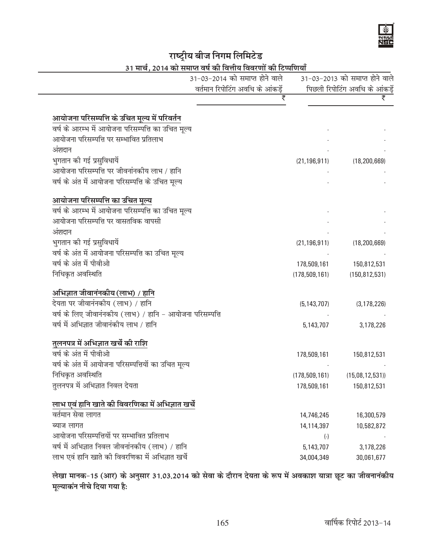## राष्ट्रीय बीज निगम लिमिटे<mark>ड</mark> ।<br><sup>5</sup> 2014 <del>a) ruus af al विजीत विद्यापों की विपापियाँ</del>

|                                                          | 31-03-2014 को समाप्त होने वाले   |                 | 31-03-2013 को समाप्त होने वाले    |
|----------------------------------------------------------|----------------------------------|-----------------|-----------------------------------|
|                                                          | वर्तमान रिपोटिंग अवधि के आंकड़ें |                 | पिछली रिपोटिंग अवधि के आंकड़ें    |
|                                                          | ₹                                |                 | ₹                                 |
| आयोजना परिसम्पत्ति के उचित मूल्य में परिवर्तन            |                                  |                 |                                   |
| वर्ष के आरम्भ में आयोजना परिसम्पत्ति का उचित मूल्य       |                                  |                 |                                   |
| आयोजना परिसम्पत्ति पर सम्भावित प्रतिलाभ                  |                                  |                 |                                   |
| अंशदान                                                   |                                  |                 |                                   |
| भुगतान की गई प्रसुविधायें                                |                                  |                 | $(21, 196, 911)$ $(18, 200, 669)$ |
| आयोजना परिसम्पत्ति पर जीवनांनकीय लाभ / हानि              |                                  |                 |                                   |
| वर्ष के अंत में आयोजना परिसम्पत्ति के उचित मूल्य         |                                  |                 |                                   |
|                                                          |                                  |                 |                                   |
| आयोजना परिसम्पत्ति का उचित मूल्य                         |                                  |                 |                                   |
| वर्ष के आरम्भ में आयोजना परिसम्पत्ति का उचित मूल्य       |                                  |                 |                                   |
| आयोजना परिसम्पत्ति पर वासतविक वापसी                      |                                  |                 |                                   |
| अंशदान                                                   |                                  |                 |                                   |
| भुगतान की गई प्रसुविधायें                                |                                  | (21, 196, 911)  | (18, 200, 669)                    |
| वर्ष के अंत में आयोजना परिसम्पत्ति का उचित मूल्य         |                                  |                 |                                   |
| वर्ष के अंत में पीवीओ                                    |                                  | 178,509,161     | 150,812,531                       |
| निधिकृत अवस्थिति                                         |                                  | (178, 509, 161) | (150, 812, 531)                   |
| अभिज्ञात जीवानंनकीय (लाभ) / हानि                         |                                  |                 |                                   |
| देयता पर जीवानंनकीय (लाभ) / हानि                         |                                  | (5, 143, 707)   | (3, 178, 226)                     |
| वर्ष के लिए जीवानंनकीय (लाभ) / हानि - आयोजना परिसम्पत्ति |                                  |                 |                                   |
| वर्ष में अभिज्ञात जीवानंकीय लाभ / हानि                   |                                  | 5,143,707       | 3,178,226                         |
| तुलनपत्र में अभिज्ञात खर्चे की राशि                      |                                  |                 |                                   |
| वर्ष के अंत में पीवीओ                                    |                                  | 178,509,161     | 150,812,531                       |
| वर्ष के अंत में आयोजना परिसम्पत्तियों का उचित मूल्य      |                                  |                 |                                   |
| निधिकृत अवस्थिति                                         |                                  |                 | $(178,509,161)$ $(15,08,12,531)$  |
| तुलनपत्र में अभिज्ञात निवल देयता                         |                                  | 178,509,161     | 150,812,531                       |
| लाभ एवं हानि खाते की विवरणिका में अभिज्ञात खर्चे         |                                  |                 |                                   |
| वर्तमान सेवा लागत                                        |                                  | 14,746,245      | 16,300,579                        |
| ब्याज लागत                                               |                                  | 14,114,397      | 10,582,872                        |
| आयोजना परिसम्पत्तियों पर सम्भावित प्रतिलाभ               |                                  | $(\cdot)$       |                                   |
| वर्ष में अभिज्ञात निवल जीवनांनकीय (लाभ) / हानि           |                                  | 5,143,707       | 3,178,226                         |
| लाभ एवं हानि खाते की विवरणिका में अभिज्ञात खर्चे         |                                  | 34,004,349      | 30,061,677                        |

लेखा मानक-15 (आर) के अनुसार 31.03.2014 को सेवा के दौरान देयता के रूप में अवकाश यात्रा छूट का जीवनानंकीय मूल्याकंन नीचे दिया गया है**:**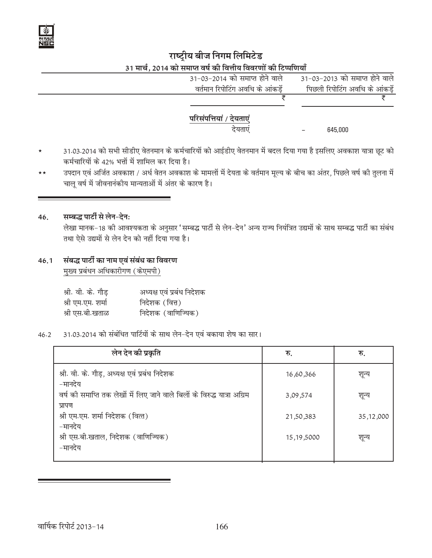

# राष्ट्रीय बीज निगम लिमिटेड 31 मार्च. 2014 को समाप्त वर्ष की वित्तीय विवरणों की टिप्पणियाँ

| 31-03-2014 को समाप्त होने वाले  | 31-03-2013 को समाप्त होने वाले |  |
|---------------------------------|--------------------------------|--|
| वर्तमान रिपोटिंग अवधि के आंकडें | पिछली रिपोटिंग अवधि के आंकडें  |  |
|                                 |                                |  |
| परिसंपत्तियां / देयताएं         |                                |  |
| देयताएं                         | 645,000                        |  |
|                                 |                                |  |

- 31.03.2014 को सभी सीडीए वेतनमान के कर्मचारियों को आईडीए वेतनमान में बदल दिया गया है इसलिए अवकाश यात्रा छूट को  $\star$ कर्मचारियों के 42% भत्तों में शामिल कर दिया है।
- उपदान एवं अर्जित अवकाश / अर्ध वेतन अवकाश के मामलों में देयता के वर्तमान मूल्य के बीच का अंतर, पिछले वर्ष की तुलना में  $\star\star$ चाल वर्ष में जीवनानंकीय मान्यताओं में अंतर के कारण है।

#### 46. सम्बद्ध पार्टी से लेन-देन:

लेखा मानक-18 की आवश्यकता के अनुसार 'सम्बद्ध पार्टी से लेन-देन' अन्य राज्य नियंत्रित उद्यमों के साथ सम्बद्ध पार्टी का संबंध तथा ऐसे उद्यमों से लेन देन को नहीं दिया गया है।

#### संबद्ध पार्टी का नाम एवं संबंध का विवरण  $46.1$ मुख्य प्रबंधन अधिकारीगण (केएमपी)

| श्री. वी. के. गौड़ | अध्यक्ष एवं प्रबंध निदेशक |
|--------------------|---------------------------|
| श्री एम.एम. शर्मा  | निदेशक (वित्त)            |
| श्री एस.बी.खताळ    | निदेशक (वाणिज्यिक)        |

31.03.2014 को संबंधित पार्टियों के साथ लेन-देन एवं बकाया शेष का सार।  $46.2$ 

| लेन देन की प्रकृति                                                                  | रु.          | रु.         |
|-------------------------------------------------------------------------------------|--------------|-------------|
| श्री. वी. के. गौड़, अध्यक्ष एवं प्रबंध निदेशक<br>–मानदेय                            | 16,60,366    | शून्य       |
| वर्ष की समाप्ति तक लेखों में लिए जाने वाले बिलों के विरुद्ध यात्रा अग्रिम<br>प्रापण | 3,09,574     | शून्य       |
| श्री एम.एम. शर्मा निदेशक (वित्त)<br>–मानदेय                                         | 21,50,383    | 35, 12, 000 |
| श्री एस.बी.खताल, निदेशक (वाणिज्यिक)<br>–मानदेय                                      | 15, 19, 5000 | शून्य       |
|                                                                                     |              |             |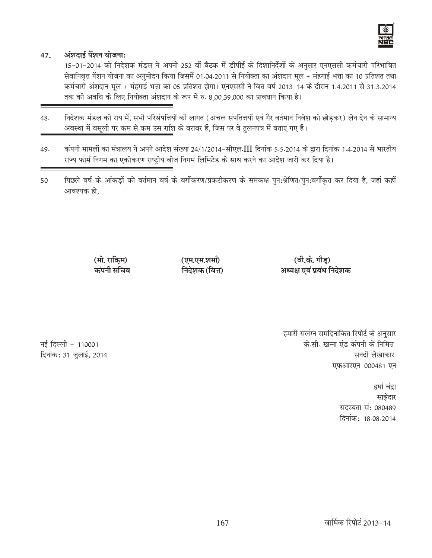

#### अंशदाई पेंशन योजना: 47.

15-01-2014 को निदेशक मंडल ने अपनी 252 वीं बैठक में डीपीई के दिशानिर्देशों के अनुसार एनएससी कर्मचारी परिभाषित सेवानिवृत्त पेंशन योजना का अनुमोदन किया जिसमें 01.04.2011 से नियोक्ता का अंशदान मूल + मंहगाई भत्ता का 10 प्रतिशत तथा कर्मचारी अंशदान मूल + मंहगाई भत्ता का 05 प्रतिशत होगा। एनएससी ने वित्त वर्ष 2013-14 के दौरान 1.4.2011 से 31.3.2014 तक की अवधि के लिए नियोक्ता अंशदान के रूप में रु. 8,00,39,000 का प्रावधान किया है।

- निदेशक मंडल की राय में, सभी परिसंपत्तियों की लागत (अचल संपतित्तयों एवं गैर वर्तमान निवेश को छोडकर) लेन देन के सामान्य 48. अवस्था में वसूली पर कम से कम उस राशि के बराबर हैं, जिस पर वे तुलनपत्र में बताए गए हैं।
- कंपनी मामलों का मंत्रालय ने अपने आदेश संख्या 24/1/2014-सीएल.III दिनांक 5.5.2014 के द्वारा दिनांक 1.4.2014 से भारतीय 49. राज्य फार्म निगम का एकीकरण राष्ट्रीय बीज निगम लिमिटेड के साथ करने का आदेश जारी कर दिया है।
- पिछले वर्ष के आंकड़ों को वर्तमान वर्ष के वर्गीकरण/प्रकटीकरण के समकक्ष पुन:श्रेणित/पुन:वर्गीकृत कर दिया है, जहां कहीं 50 आवश्यक हो.

(एम.एम.शर्मा)

निदेशक (वित्त)

अध्यक्ष एवं प्रबंध निदेशक

(मो. राकिम) कंपनी सचिव

> हमारी सलंग्न समदिनांकित रिपोर्ट के अनुसार के.सी. खन्ना एंड कंपनी के निमित्त सनदी लेखाकार एफआरएन-000481 एन

(वी.के. गौड)

हर्षा चंद्रा साझेदार सदस्यता सं: 080489 दिनांक: 18.08.2014

नई दिल्ली - 110001 दिनांक: 31 जुलाई, 2014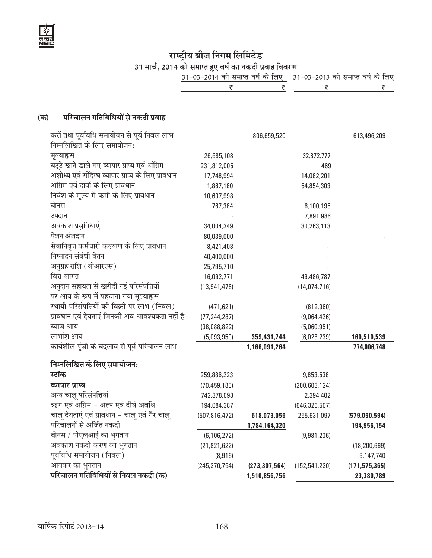

राष्ट्रीय बीज निगम लिमिटेड<br>31 मार्च, 2014 को समाप्त हुए वर्ष का नकदी प्रवाह विवरण<br><u>31-03-2014 को समाप्त वर्ष के लिए - 31-03-2013 को समाप्त वर्ष के लिए</u><br>र<u>ेल्फ - स्कार्ट के पार्ट के पार्ट क</u>

#### परिचालन गतिविधियों से नकदी प्रवाह (क)

| करों तथा पूर्वावधि समायोजन से पूर्व निवल लाभ       |                 | 806,659,520     |                 | 613,496,209     |
|----------------------------------------------------|-----------------|-----------------|-----------------|-----------------|
| निम्नलिखित के लिए समायोजन:                         |                 |                 |                 |                 |
| मूल्याह्यस                                         | 26,685,108      |                 | 32,872,777      |                 |
| बर्टे खाते डाले गए व्यापार प्राप्य एवं अंग्रिम     | 231,812,005     |                 | 469             |                 |
| अशोध्य एवं संदिग्ध व्यापार प्राप्य के लिए प्रावधान | 17,748,994      |                 | 14,082,201      |                 |
| अग्रिम एवं दावों के लिए प्रावधान                   | 1,867,180       |                 | 54,854,303      |                 |
| निवेश के मूल्य में कमी के लिए प्रावधान             | 10,637,998      |                 |                 |                 |
| बोनस                                               | 767,384         |                 | 6,100,195       |                 |
| उपदान                                              |                 |                 | 7,891,986       |                 |
| अवकाश प्रसुविधाएं                                  | 34,004,349      |                 | 30,263,113      |                 |
| पेंशन अंशदान                                       | 80,039,000      |                 |                 |                 |
| सेवानिवृत्त कर्मचारी कल्याण के लिए प्रावधान        | 8,421,403       |                 |                 |                 |
| निष्पादन संबंधी वेतन                               | 40,400,000      |                 |                 |                 |
| अनुग्रह राशि (वीआरएस)                              | 25,795,710      |                 |                 |                 |
| वित्त लागत                                         | 16,092,771      |                 | 49,486,787      |                 |
| अनुदान सहायता से खरीदी गई परिसंपत्तियों            | (13, 941, 478)  |                 | (14, 074, 716)  |                 |
| पर आय के रूप में पहचाना गया मूल्याह्नस             |                 |                 |                 |                 |
| स्थायी परिसंपत्तियों की बिक्री पर लाभ (निवल)       | (471, 621)      |                 | (812, 960)      |                 |
| प्रावधान एवं देयताएं जिनकी अब आवश्यकता नहीं है     | (77, 244, 287)  |                 | (9,064,426)     |                 |
| ब्याज आय                                           | (38,088,822)    |                 | (5,060,951)     |                 |
| लाभांश आय                                          | (5,093,950)     | 359,431,744     | (6,028,239)     | 160,510,539     |
| कार्यशील पूंजी के बदलाव से पूर्व परिचालन लाभ       |                 | 1,166,091,264   |                 | 774,006,748     |
| निम्नलिखित के लिए समायोजन:                         |                 |                 |                 |                 |
| स्टॉक                                              | 259,886,223     |                 | 9,853,538       |                 |
| व्यापार प्राप्य                                    | (70, 459, 180)  |                 | (200, 603, 124) |                 |
| अन्य चालू परिसंपत्तियां                            | 742,378,098     |                 | 2,394,402       |                 |
| ऋण एवं अग्रिम - अल्प एवं दीर्घ अवधि                | 194,084,387     |                 | (646, 326, 507) |                 |
| चालू देयताएं एवं प्रावधान - चालू एवं गैर चालू      | (507, 816, 472) | 618,073,056     | 255,631,097     | (579, 050, 594) |
| परिचालनों से अर्जित नकदी                           |                 | 1,784,164,320   |                 | 194,956,154     |
| बोनस / पीएलआई का भुगतान                            | (6, 106, 272)   |                 | (9,981,206)     |                 |
| अवकाश नकदी करण का भुगतान                           | (21, 821, 622)  |                 |                 | (18, 200, 669)  |
| पूर्वावधि समायोजन (निवल)                           | (8,916)         |                 |                 | 9,147,740       |
| आयकर का भुगतान                                     | (245, 370, 754) | (273, 307, 564) | (152, 541, 230) | (171, 575, 365) |
| परिचालन गतिविधियों से निवल नकदी (क)                |                 | 1,510,856,756   |                 | 23,380,789      |